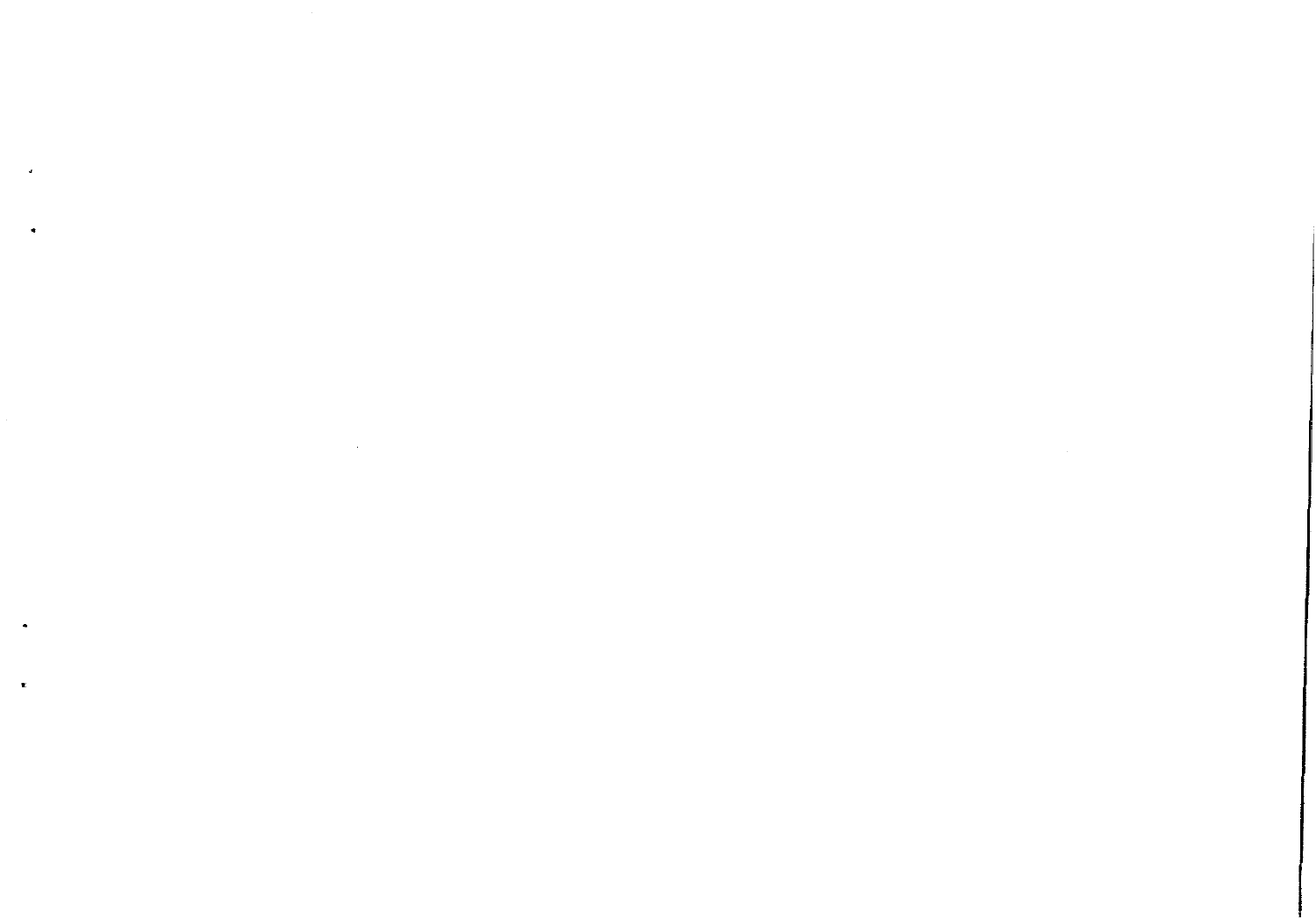$\mathcal{L}(\mathcal{L}(\mathcal{L}(\mathcal{L}(\mathcal{L}(\mathcal{L}(\mathcal{L}(\mathcal{L}(\mathcal{L}(\mathcal{L}(\mathcal{L}(\mathcal{L}(\mathcal{L}(\mathcal{L}(\mathcal{L}(\mathcal{L}(\mathcal{L}(\mathcal{L}(\mathcal{L}(\mathcal{L}(\mathcal{L}(\mathcal{L}(\mathcal{L}(\mathcal{L}(\mathcal{L}(\mathcal{L}(\mathcal{L}(\mathcal{L}(\mathcal{L}(\mathcal{L}(\mathcal{L}(\mathcal{L}(\mathcal{L}(\mathcal{L}(\mathcal{L}(\mathcal{L}(\mathcal{$ 

 $\pmb{J}$ 

 $\bullet$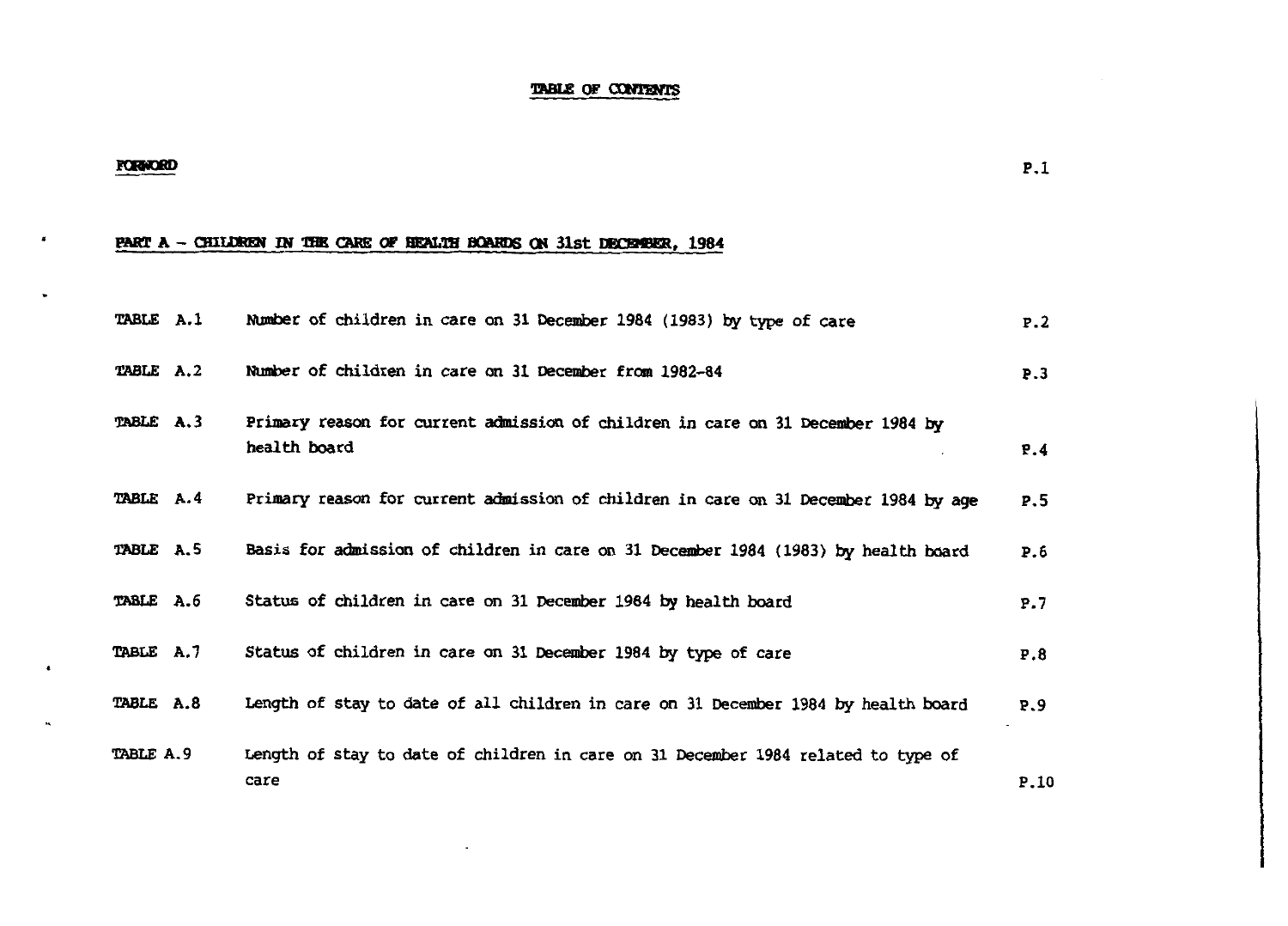#### TABLE OF CONTENTS

#### **FORWORD**

 $P.1$ 

| TABLE A.1 | Number of children in care on 31 December 1984 (1983) by type of care                           | P.2  |
|-----------|-------------------------------------------------------------------------------------------------|------|
| TABLE A.2 | Number of children in care on 31 December from 1982-84                                          | P.3  |
| TABLE A.3 | Primary reason for current admission of children in care on 31 December 1984 by<br>health board | P.4  |
| TABLE A.4 | Primary reason for current admission of children in care on 31 December 1984 by age             | P.5  |
| TABLE A.5 | Basis for admission of children in care on 31 December 1984 (1983) by health board              | P.6  |
| TABLE A.6 | Status of children in care on 31 December 1984 by health board                                  | P.7  |
| TABLE A.7 | Status of children in care on 31 December 1984 by type of care                                  | P.8  |
| TABLE A.8 | Length of stay to date of all children in care on 31 December 1984 by health board              | P.9  |
| TABLE A.9 | Length of stay to date of children in care on 31 December 1984 related to type of<br>care       | P.10 |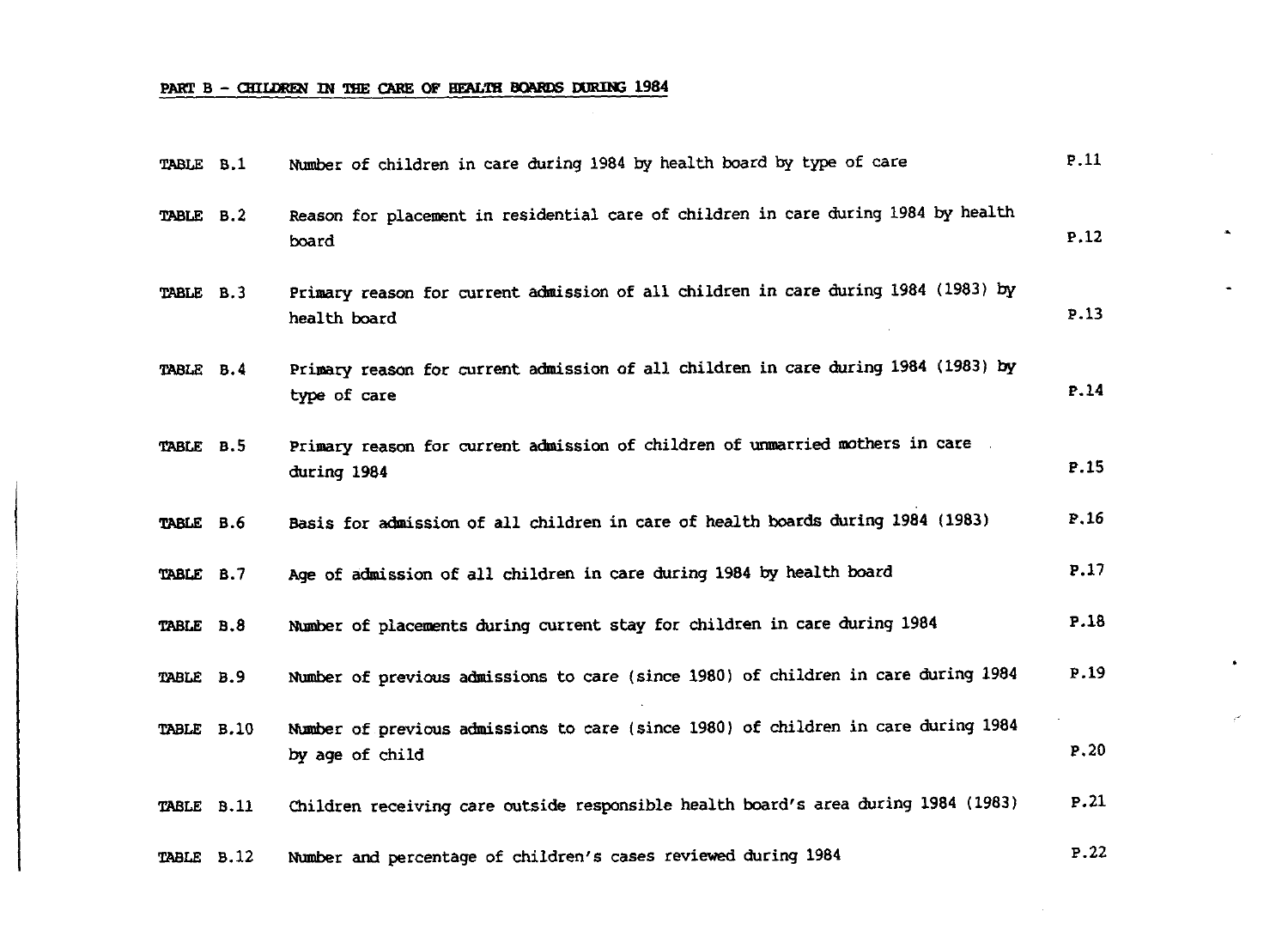#### PART B - CHILDREN IN THE CARE OF HEALTH BOARDS DURING 1984

| TABLE B.1  | Number of children in care during 1984 by health board by type of care                                | P.11        |
|------------|-------------------------------------------------------------------------------------------------------|-------------|
| TABLE B.2  | Reason for placement in residential care of children in care during 1984 by health<br>board           | <b>P.12</b> |
| TABLE B.3  | Primary reason for current admission of all children in care during 1984 (1983) by<br>health board    | P.13        |
| TABLE B.4  | Primary reason for current admission of all children in care during 1984 (1983) by<br>type of care    | P.14        |
| TABLE B.5  | Primary reason for current admission of children of unmarried mothers in care<br>during 1984          | P.15        |
| TABLE B.6  | Basis for admission of all children in care of health boards during 1984 (1983)                       | P.16        |
| TABLE B.7  | Age of admission of all children in care during 1984 by health board                                  | P.17        |
| TABLE B.8  | Number of placements during current stay for children in care during 1984                             | P.18        |
| TABLE B.9  | Number of previous admissions to care (since 1980) of children in care during 1984                    | P.19        |
| TABLE B.10 | Number of previous admissions to care (since 1980) of children in care during 1984<br>by age of child | P.20        |
| TABLE B.11 | Children receiving care outside responsible health board's area during 1984 (1983)                    | P.21        |
| TABLE B.12 | Number and percentage of children's cases reviewed during 1984                                        | P.22        |

 $\Delta_{\rm{c}}$ 

 $\sim$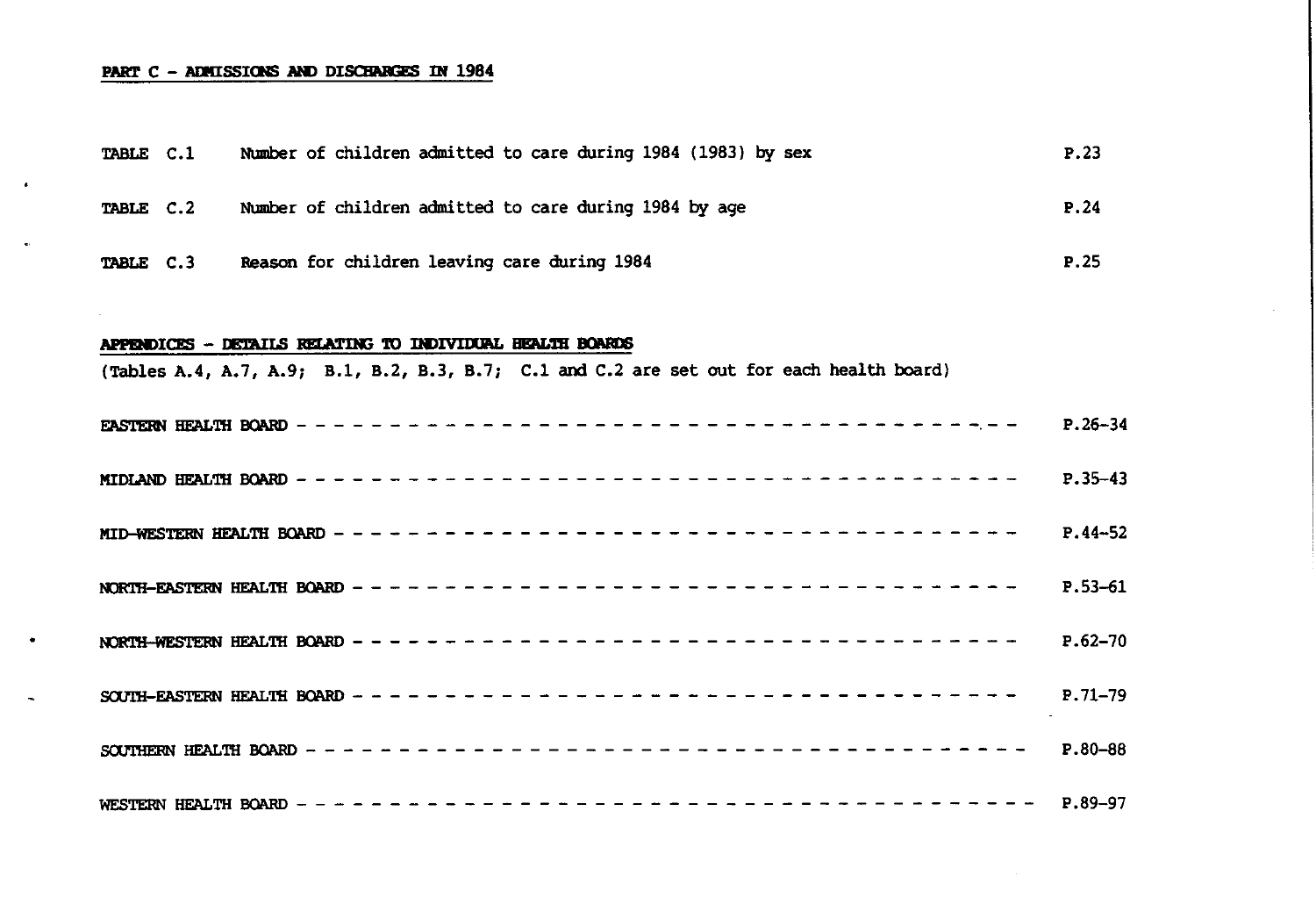#### **PART C** - **AUnSSI(HS AN) DIS(BARCgS M 1984**

 $\ddot{\phantom{1}}$ 

| APPENDICES - DETAILS RELATING TO INDIVIDUAL HEALTH BOARDS |  |                                                               |      |  |  |  |
|-----------------------------------------------------------|--|---------------------------------------------------------------|------|--|--|--|
|                                                           |  |                                                               |      |  |  |  |
| <b>TABLE C.3</b>                                          |  | Reason for children leaving care during 1984                  | P.25 |  |  |  |
| TABLE C.2                                                 |  | Number of children admitted to care during 1984 by age        | P.24 |  |  |  |
| TABLE C.1                                                 |  | Number of children admitted to care during 1984 (1983) by sex | P.23 |  |  |  |

| $P.26 - 34$ |
|-------------|
| $P.35 - 43$ |
| $P.44 - 52$ |
| $P.53 - 61$ |
| $P.62 - 70$ |
| $P.71-79$   |
| $P.80 - 88$ |
|             |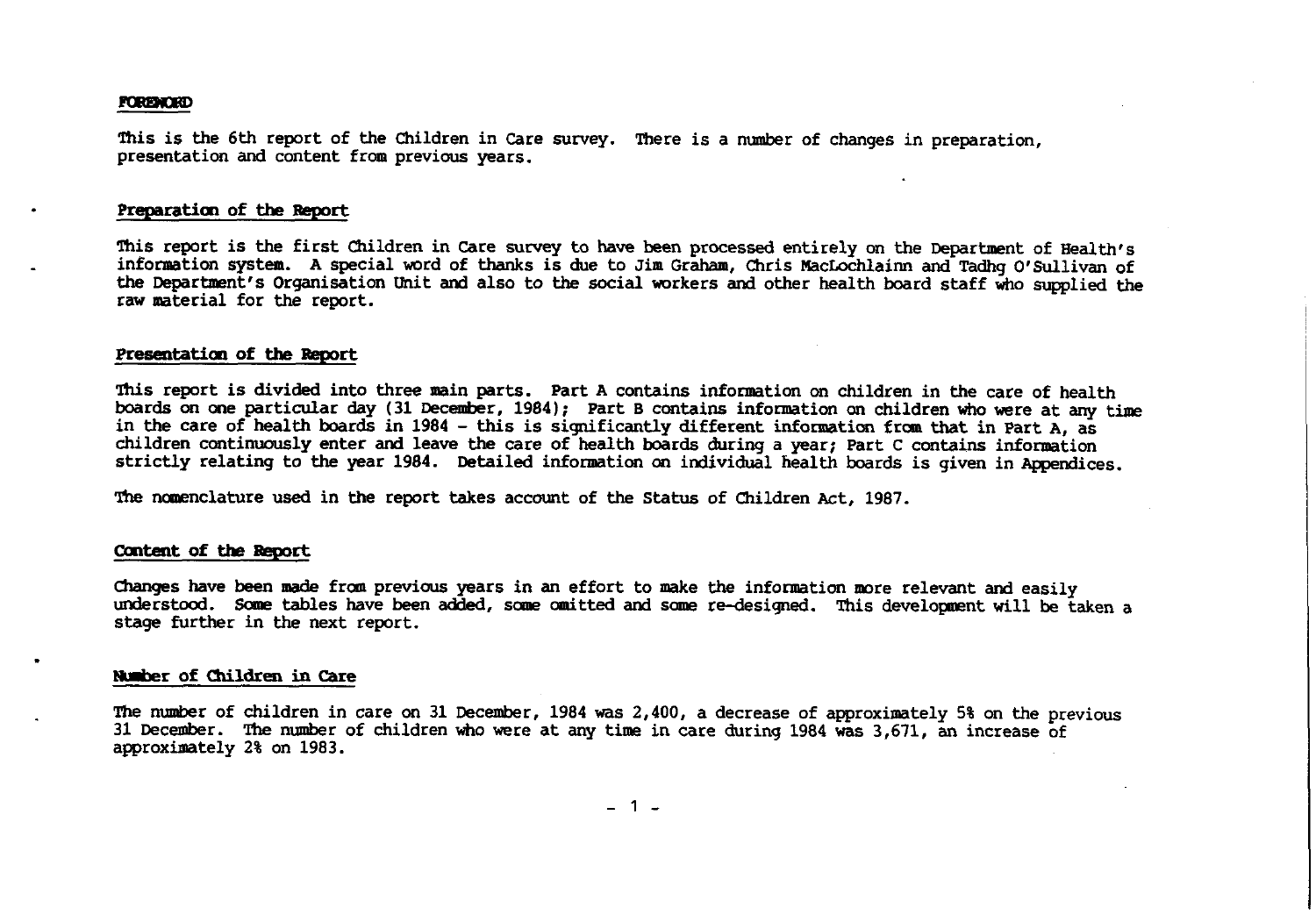#### **FOREWORD**

This is the 6th report of the Children in Care survey. There is a number of changes in preparation, presentation and content from previous years.

#### Preparation **of** the Report

This report is the first Children in Care **survey** to **have** been processed entirely on the Department of Health's information system. **A** special word of thanks is **due** to Jim Graham, Chris MacLochlaim and Tadhg O'Sullivan of the Department's Organisation Unit and also to the social workers and other health board staff who supplied the raw material for **the** report.

#### Presentation **of** the Report

lhis report is divided into three main parts. Part **A** contains information on children in the care of health boards on **one** particular day **(31** December, **1984);** Part B contains information on children who were at any time in the care of health boards in 1984 - this is significantly different information from that in Part A, as children continuously enter and leave the care of health boards during a year; Part C contains information strictly relating to the year **1984.** Detailed information on individual health boards is given in Appendices.

rhe nomenclature used in the report takes account of the Status of Children Act, **1987.** 

#### **Content of the** Report

Changes have been made from previous years in an effort to make the information more relevant and easily understood. Some tables have been added, some omitted and some re-designed. This development will be taken a stage further in the next report.

#### **Number of Children in Care**

The number of children in care on **31** December, **1984** was 2,400, a decrease of approximately 5% on the previous **31** December. The number of children who were at any time in care during **1984 was 3,671, an** increase of approximately 2% on **1983.** 

 $-1$   $-$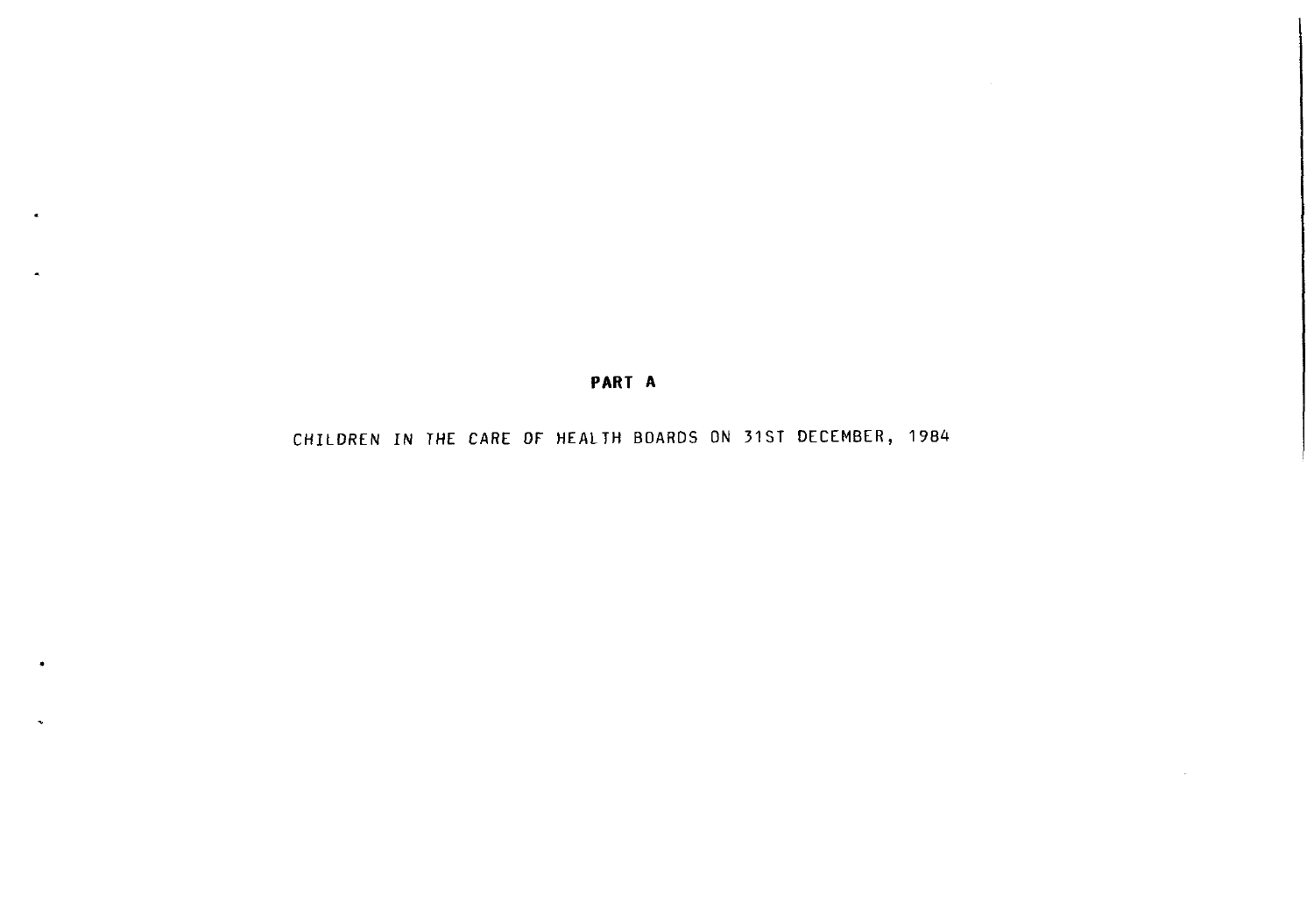**PART A** 

CHILDREN IN THE CARE **OF** HEALTH BOARDS ON 31ST DECEMBER, 1784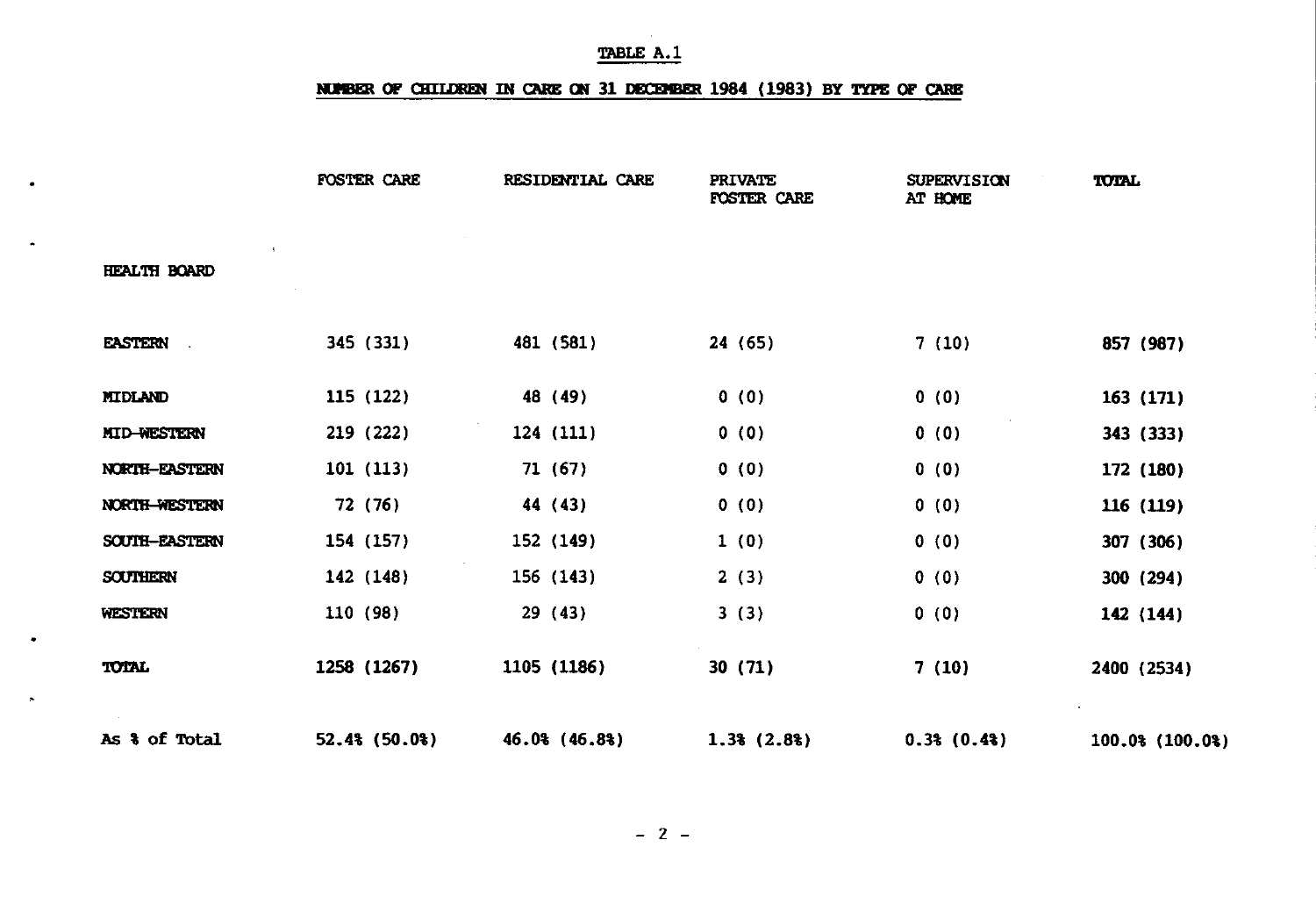# NUMBER OF CHILDREN IN CARE ON 31 DECEMBER 1984 (1983) BY TYPE OF CARE

 $\bullet$ 

 $\ddot{\phantom{a}}$ 

 $\sim$ 

|                     | FOSTER CARE     | RESIDENTIAL CARE          | <b>PRIVATE</b><br>FOSTER CARE | <b>SUPERVISION</b><br>AT HOME | <b>TOTAL</b>    |
|---------------------|-----------------|---------------------------|-------------------------------|-------------------------------|-----------------|
| <b>HEALTH BOARD</b> |                 |                           |                               |                               |                 |
| <b>EASTERN</b>      | 345 (331)       | 481 (581)                 | 24 (65)                       | 7(10)                         | 857 (987)       |
| <b>MIDLAND</b>      | 115(122)        | 48 (49)                   | 0(0)                          | 0(0)                          | 163 (171)       |
| <b>MID-WESTERN</b>  | 219 (222)       | 124 (111)                 | 0(0)                          | 0(0)                          | 343 (333)       |
| NORTH-EASTERN       | 101(113)        | 71(67)                    | 0(0)                          | 0(0)                          | 172 (180)       |
| NORTH-WESTERN       | 72 (76)         | 44 (43)                   | 0(0)                          | 0(0)                          | 116 (119)       |
| SOUTH-EASTERN       | 154 (157)       | 152 (149)                 | 1(0)                          | 0(0)                          | 307 (306)       |
| <b>SOUTHERN</b>     | 142 (148)       | 156 (143)                 | 2(3)                          | 0(0)                          | 300 (294)       |
| WESTERN             | 110(98)         | 29(43)                    | 3(3)                          | 0(0)                          | 142 (144)       |
| <b>TOTAL</b>        | 1258 (1267)     | 1105 (1186)               | 30(71)                        | 7(10)                         | 2400 (2534)     |
| As & of Total       | $52.4%$ (50.0%) | $46.0\frac{1}{6}$ (46.8%) | $1.3%$ $(2.8%)$               | 0.3% (0.4%)                   | 100.0% (100.0%) |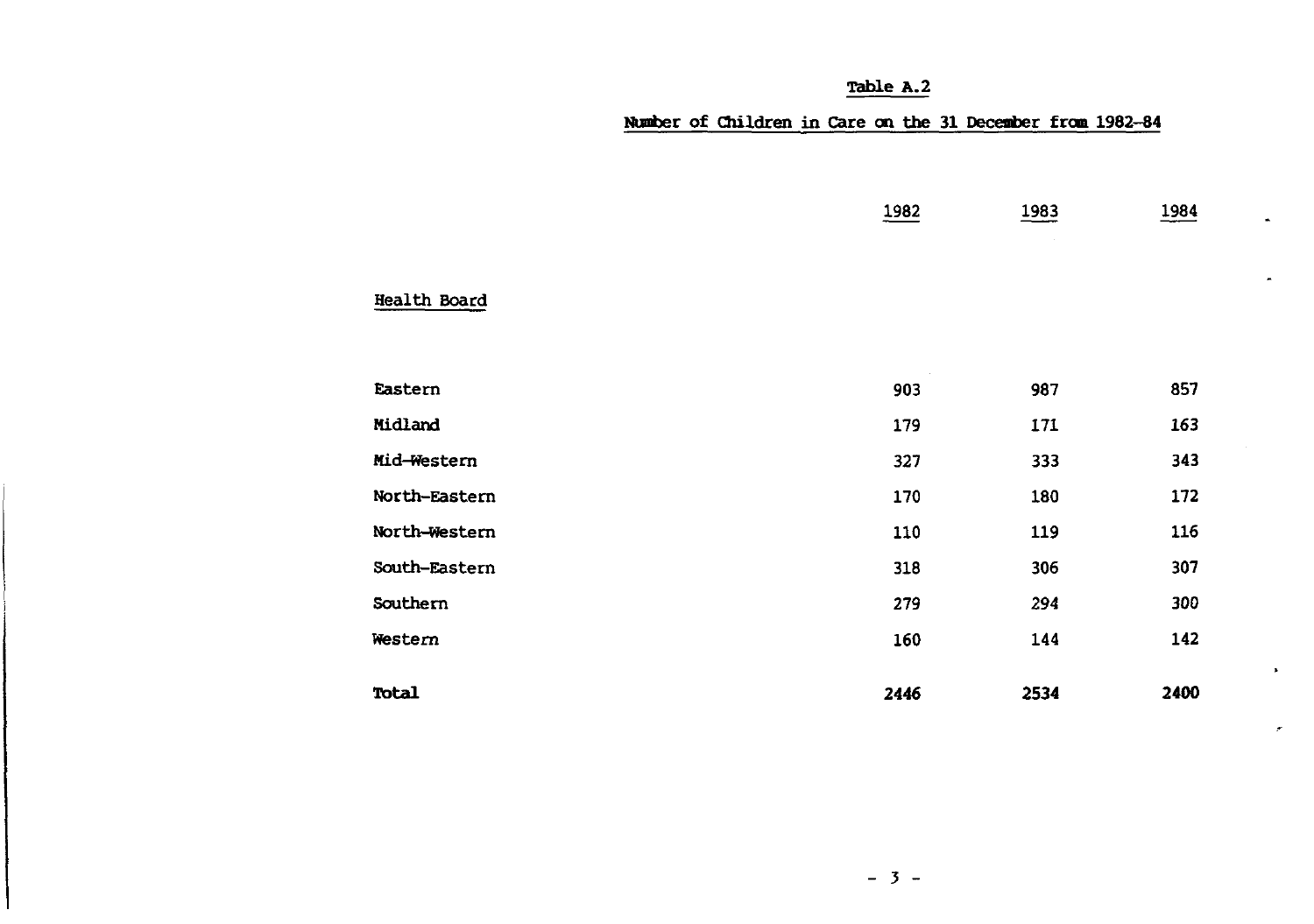# Table A.2

Number of Children in Care on the 31 December from 1982-84

 $\sim$ 

 $\mathbf{x}$ 

 $\bar{\mathcal{F}}$ 

|               | 1982 | 1983 | 1984 |
|---------------|------|------|------|
|               |      |      |      |
| Health Board  |      |      |      |
| Eastern       | 903  | 987  | 857  |
| Midland       | 179  | 171  | 163  |
| Mid-Western   | 327  | 333  | 343  |
| North-Eastern | 170  | 180  | 172  |
| North-Western | 110  | 119  | 116  |
| South-Eastern | 318  | 306  | 307  |
| Southern      | 279  | 294  | 300  |
| Western       | 160  | 144  | 142  |
| Total         | 2446 | 2534 | 2400 |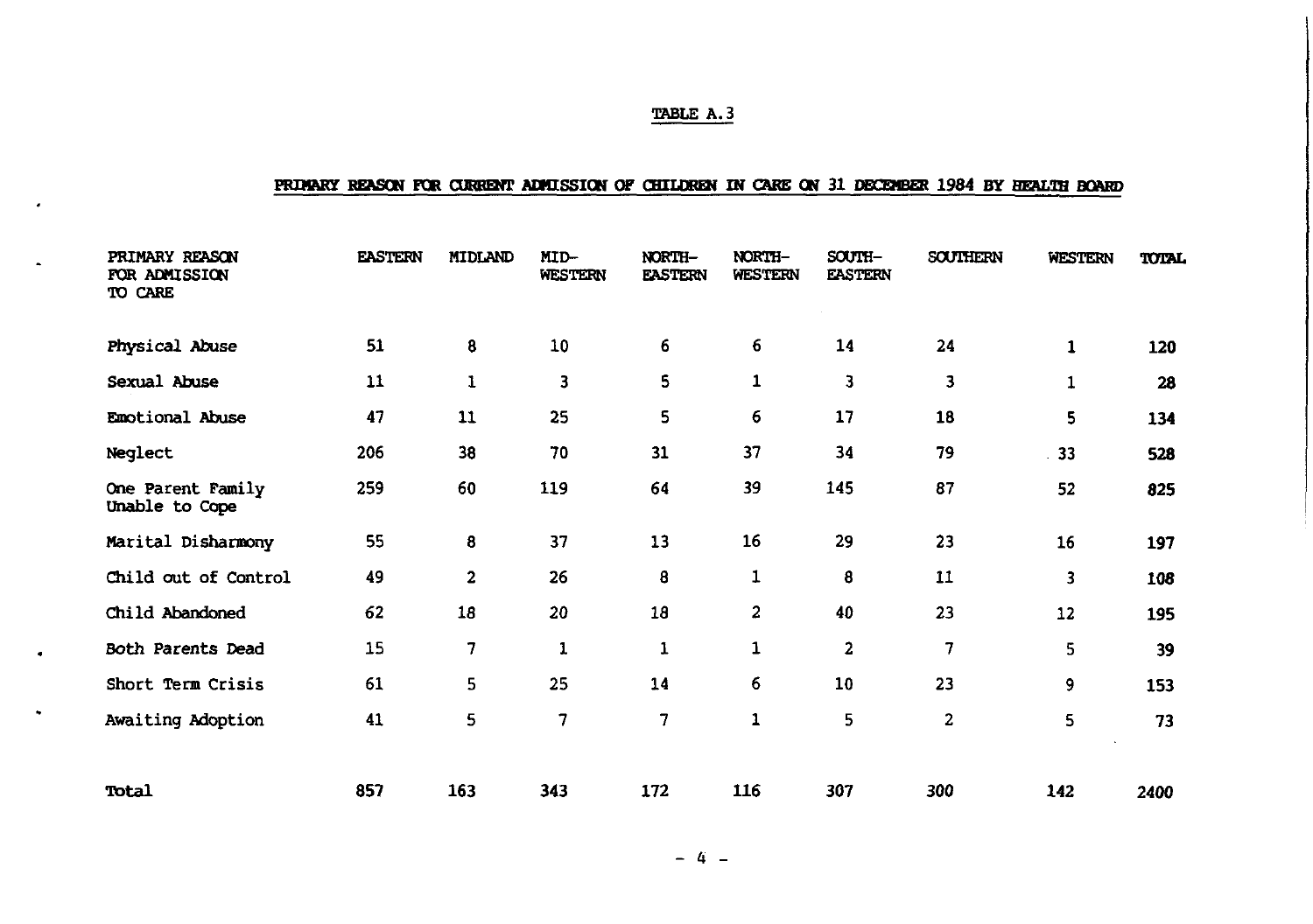# PRIMARY REASON FOR CURRENT ADMISSION OF CHILDREN IN CARE ON 31 DECEMBER 1984 BY HEALTH BOARD

| PRIMARY REASON<br>FOR ADMISSION<br>TO CARE | <b>EASTERN</b> | <b>MIDLAND</b>          | MID-<br>WESTERN | NORTH-<br><b>EASTERN</b> | NORTH-<br>WESTERN | SOUTH-<br><b>EASTERN</b> | <b>SOUTHERN</b> | <b>WESTERN</b> | <b>TOTAL</b> |
|--------------------------------------------|----------------|-------------------------|-----------------|--------------------------|-------------------|--------------------------|-----------------|----------------|--------------|
| Physical Abuse                             | 51             | 8                       | 10              | 6                        | 6                 | 14                       | 24              | $\mathbf{1}$   | 120          |
| Sexual Abuse                               | 11             | T                       | 3               | 5                        | $\mathbf{1}$      | 3                        | 3               | $\mathbf{1}$   | 28           |
| Emotional Abuse                            | 47             | 11                      | 25              | 5                        | 6                 | 17                       | 18              | 5              | 134          |
| Neglect                                    | 206            | 38                      | 70              | 31                       | 37                | 34                       | 79              | 33             | 528          |
| One Parent Family<br>Unable to Cope        | 259            | 60                      | 119             | 64                       | 39                | 145                      | 87              | 52             | 825          |
| Marital Disharmony                         | 55             | $\pmb{8}$               | 37              | 13                       | 16                | 29                       | 23              | 16             | 197          |
| Child out of Control                       | 49             | $\overline{\mathbf{2}}$ | 26              | 8                        | $\mathbf 1$       | 8                        | 11              | 3              | 108          |
| Child Abandoned                            | 62             | 18                      | 20              | 18                       | $\overline{a}$    | 40                       | 23              | 12             | 195          |
| Both Parents Dead                          | 15             | 7                       | $\mathbf{1}$    | 1                        | $\mathbf 1$       | $\mathbf{2}$             | 7               | 5              | 39           |
| Short Term Crisis                          | 61             | 5                       | 25              | 14                       | 6                 | 10                       | 23              | 9              | 153          |
| Awaiting Adoption                          | 41             | 5                       | $\overline{7}$  | 7                        | $\mathbf{1}$      | 5                        | $\overline{2}$  | 5              | 73           |
| Total                                      | 857            | 163                     | 343             | 172                      | 116               | 307                      | 300             | 142            | 2400         |

 $\mathbf{r}$ 

 $\bullet$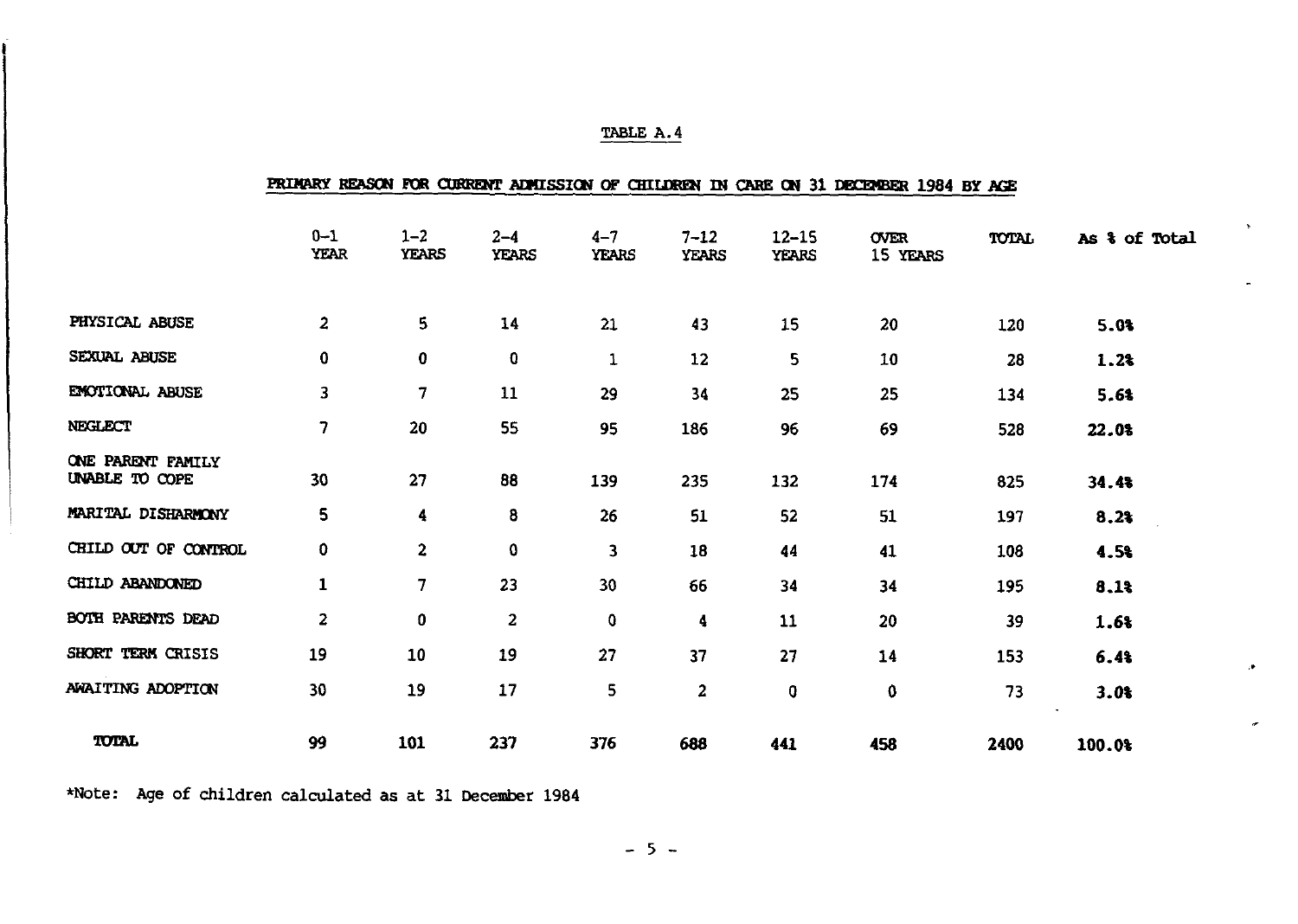| l | . . |  |
|---|-----|--|
|   |     |  |

 $\lambda$ 

|                                            | PRIMARY REASON FOR CURRENT ADMISSION OF CHILDREN IN CARE ON 31 DECEMBER 1984 BY AGE |                         |                         |                  |                          |                    |                         |              |               |
|--------------------------------------------|-------------------------------------------------------------------------------------|-------------------------|-------------------------|------------------|--------------------------|--------------------|-------------------------|--------------|---------------|
|                                            | $0 - 1$<br><b>YEAR</b>                                                              | $1 - 2$<br><b>YEARS</b> | $2 - 4$<br><b>YEARS</b> | $4 - 7$<br>YEARS | $7 - 12$<br><b>YEARS</b> | $12 - 15$<br>YEARS | <b>OVER</b><br>15 YEARS | <b>TOTAL</b> | As & of Total |
| PHYSICAL ABUSE                             | $\overline{2}$                                                                      | 5 <sup>1</sup>          | 14                      | 21               | 43                       | 15                 | 20                      | 120          | 5.04          |
| SEXUAL ABUSE                               | $\mathbf 0$                                                                         | $\mathbf{0}$            | $\mathbf 0$             | 1                | 12                       | 5                  | 10                      | 28           | 1.2%          |
| EMOTIONAL ABUSE                            | 3                                                                                   | $\overline{7}$          | 11                      | 29               | 34                       | 25                 | 25                      | 134          | 5.6%          |
| NEGLECT                                    | 7                                                                                   | 20                      | 55                      | 95               | 186                      | 96                 | 69                      | 528          | 22.0%         |
| <b>ONE PARENT FAMILY</b><br>UNABLE TO COPE | 30                                                                                  | 27                      | 88                      | 139              | 235                      | 132                | 174                     | 825          | 34.43         |
| <b>MARITAL DISHARMONY</b>                  | 5                                                                                   | 4                       | 8                       | 26               | 51                       | 52                 | 51                      | 197          | 8.2%          |
| CHILD OUT OF CONTROL                       | $\mathbf 0$                                                                         | $\overline{2}$          | $\mathbf 0$             | 3                | 18                       | 44                 | 41                      | 108          | 4.5%          |
| CHILD ABANDONED                            | $\mathbf{1}$                                                                        | $\overline{7}$          | 23                      | 30               | 66                       | 34                 | 34                      | 195          | 8.13          |
| BOTH PARENTS DEAD                          | $\overline{2}$                                                                      | 0                       | $\overline{\mathbf{c}}$ | 0                | 4                        | 11                 | 20                      | 39           | 1.6%          |
| SHORT TERM CRISIS                          | 19                                                                                  | 10                      | 19                      | 27               | 37                       | 27                 | 14                      | 153          | 6.4%          |
| AWAITING ADOPTION                          | 30                                                                                  | 19                      | 17                      | 5                | $\mathbf{2}$             | $\mathbf 0$        | 0                       | 73           | 3.0%          |
| <b>TOTAL</b>                               | 99                                                                                  | 101                     | 237                     | 376              | 688                      | 441                | 458                     | 2400         | 100.0%        |

**\*Note: Age of children calculated as at 31 December 1984**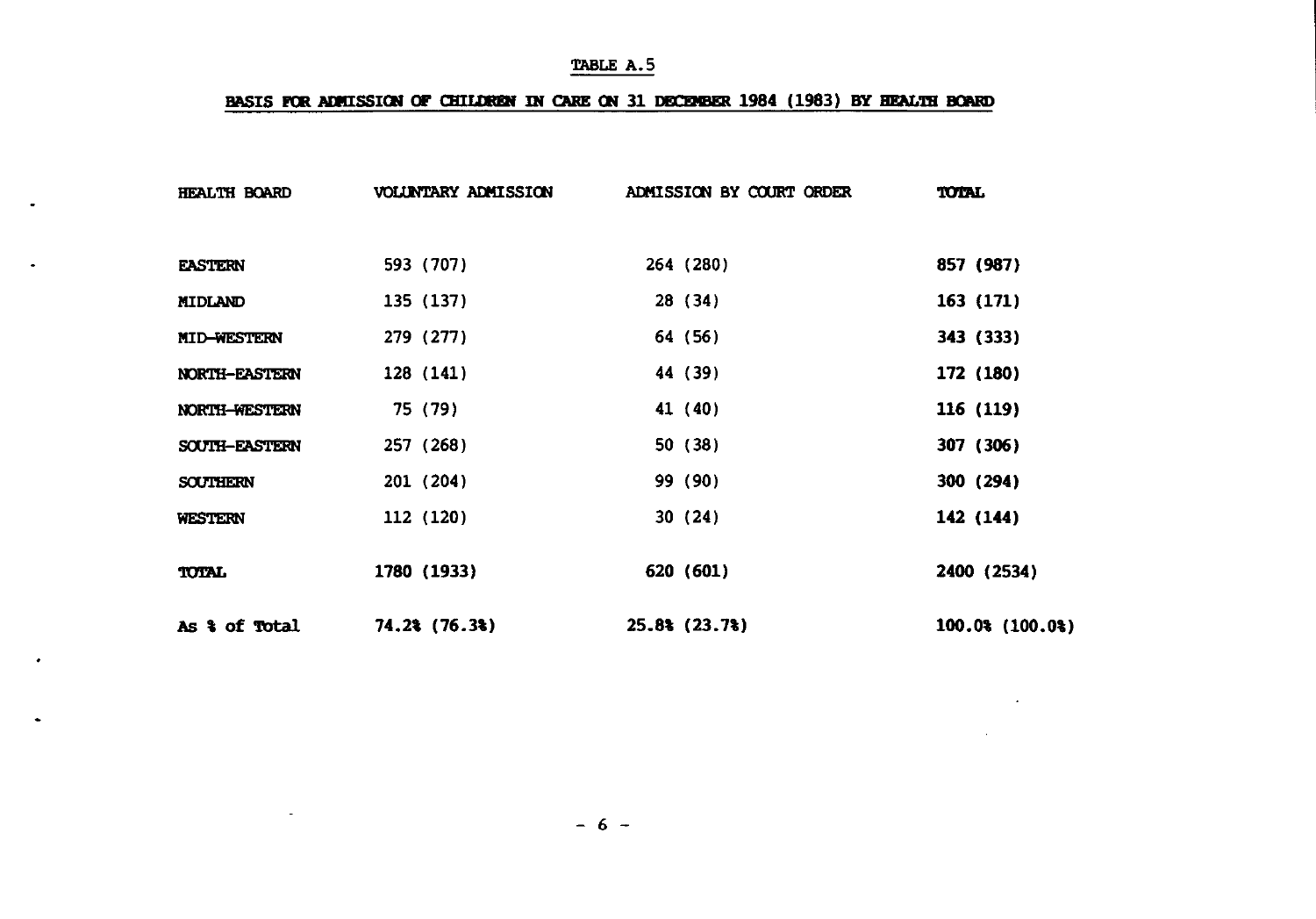# BASIS FOR ADMISSION OF CHILDREN IN CARE ON 31 DECEMBER 1984 (1983) BY HEALTH BOARD

 $\bullet$ 

 $\bullet$ 

 $\bullet$ 

| HEALTH BOARD         | VOLUNTARY ADMISSION | ADMISSION BY COURT ORDER | <b>TOTAL</b>      |
|----------------------|---------------------|--------------------------|-------------------|
|                      |                     |                          |                   |
| <b>EASTERN</b>       | 593 (707)           | 264 (280)                | 857 (987)         |
| <b>MIDLAND</b>       | 135 (137)           | 28(34)                   | 163 (171)         |
| MID-WESTERN          | 279 (277)           | 64 (56)                  | 343 (333)         |
| <b>NORTH-EASTERN</b> | 128 (141)           | 44 (39)                  | 172 (180)         |
| NORTH-WESTERN        | 75 (79)             | 41 (40)                  | 116 (119)         |
| SOUTH-EASTERN        | 257 (268)           | 50 (38)                  | 307 (306)         |
| <b>SOUTHERN</b>      | 201(204)            | 99 (90)                  | 300 (294)         |
| <b>WESTERN</b>       | 112 (120)           | 30(24)                   | 142 (144)         |
| <b>TOTAL</b>         | 1780 (1933)         | 620 (601)                | 2400 (2534)       |
| As & of Total        | $74.2%$ $(76.3*)$   | $25.8\{23.7\})$          | $100.0% (100.0*)$ |

 $-6-$ 

 $\sim$   $\sim$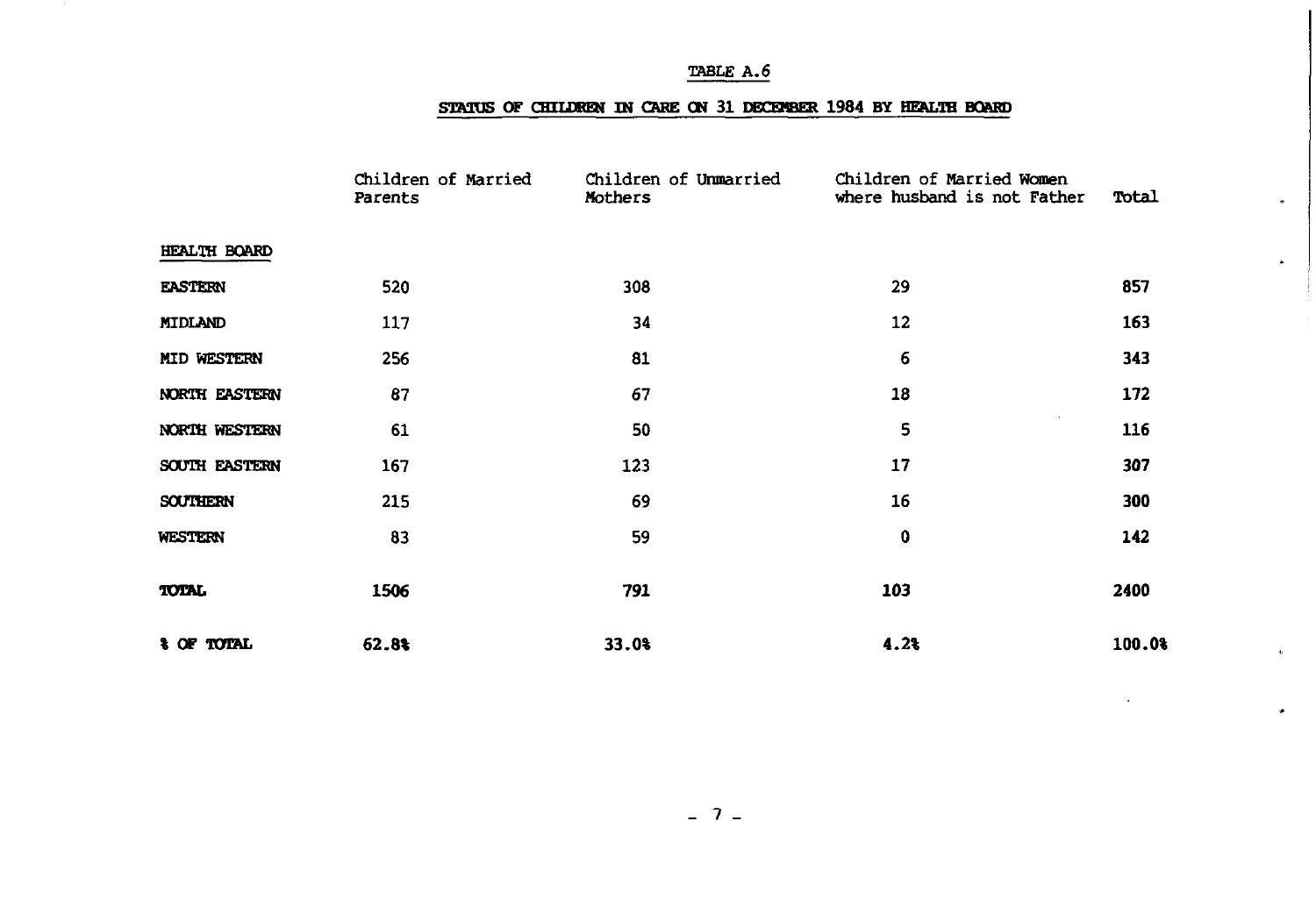### STATUS OF CHILDREN IN CARE ON 31 DECEMBER 1984 BY HEALTH BOARD

 $\bullet$ 

 $\mathbf{r}$ 

 $\bullet$ 

 $\bullet$ 

 $\sim$ 

|                 | Children of Married<br>Parents | Children of Unmarried<br>Mothers | Children of Married Women<br>where husband is not Father | Total  |
|-----------------|--------------------------------|----------------------------------|----------------------------------------------------------|--------|
| HEALTH BOARD    |                                |                                  |                                                          |        |
| <b>EASTERN</b>  | 520                            | 308                              | 29                                                       | 857    |
| MIDLAND         | 117                            | 34                               | 12                                                       | 163    |
| MID WESTERN     | 256                            | 81                               | $6\phantom{1}6$                                          | 343    |
| NORTH EASTERN   | 87                             | 67                               | 18                                                       | 172    |
| NORTH WESTERN   | 61                             | 50                               | 5                                                        | 116    |
| SOUTH EASTERN   | 167                            | 123                              | 17                                                       | 307    |
| <b>SOUTHERN</b> | 215                            | 69                               | 16                                                       | 300    |
| <b>WESTERN</b>  | 83                             | 59                               | 0                                                        | 142    |
| <b>TOTAL</b>    | 1506                           | 791                              | 103                                                      | 2400   |
| % OF TOTAL      | 62.8%                          | 33.0%                            | 4.23                                                     | 100.0% |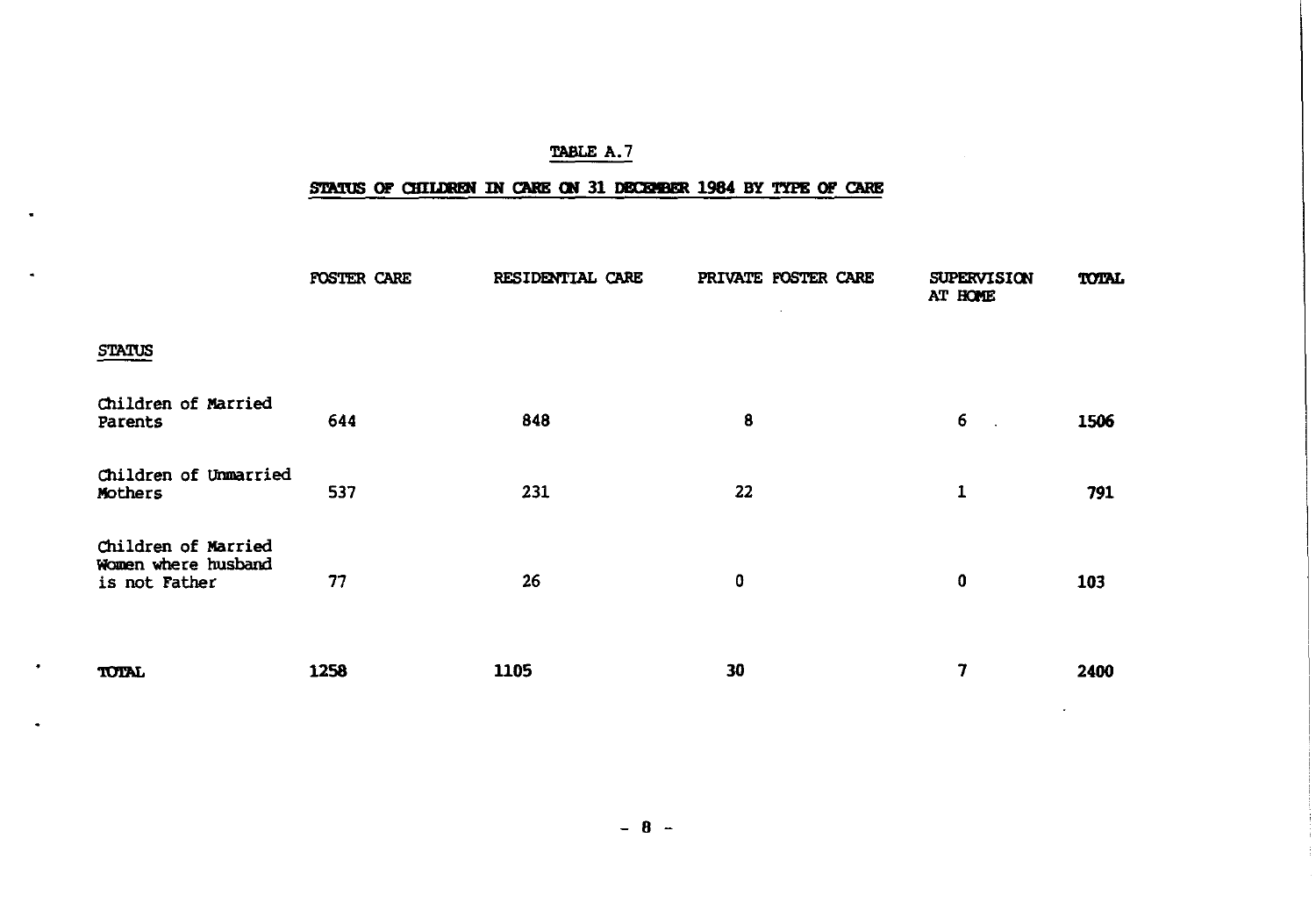# STATUS OF CHILDREN IN CARE ON 31 DECEMBER 1984 BY TYPE OF CARE

 $\bullet$ 

 $\bullet$ 

 $\bullet$ 

|                                                             | FOSTER CARE | RESIDENTIAL CARE | PRIVATE FOSTER CARE | <b>SUPERVISION</b><br>AT HOME | <b>TOTAL</b> |
|-------------------------------------------------------------|-------------|------------------|---------------------|-------------------------------|--------------|
| <b>STATUS</b>                                               |             |                  |                     |                               |              |
| Children of Married<br>Parents                              | 644         | 848              | 8                   | 6<br>$\sim$                   | 1506         |
| Children of Unmarried<br>Mothers                            | 537         | 231              | 22                  | 1                             | 791          |
| Children of Married<br>Women where husband<br>is not Father | 77          | 26               | 0                   | $\mathbf 0$                   | 103          |
| TOTAL                                                       | 1258        | 1105             | 30                  | 7                             | 2400         |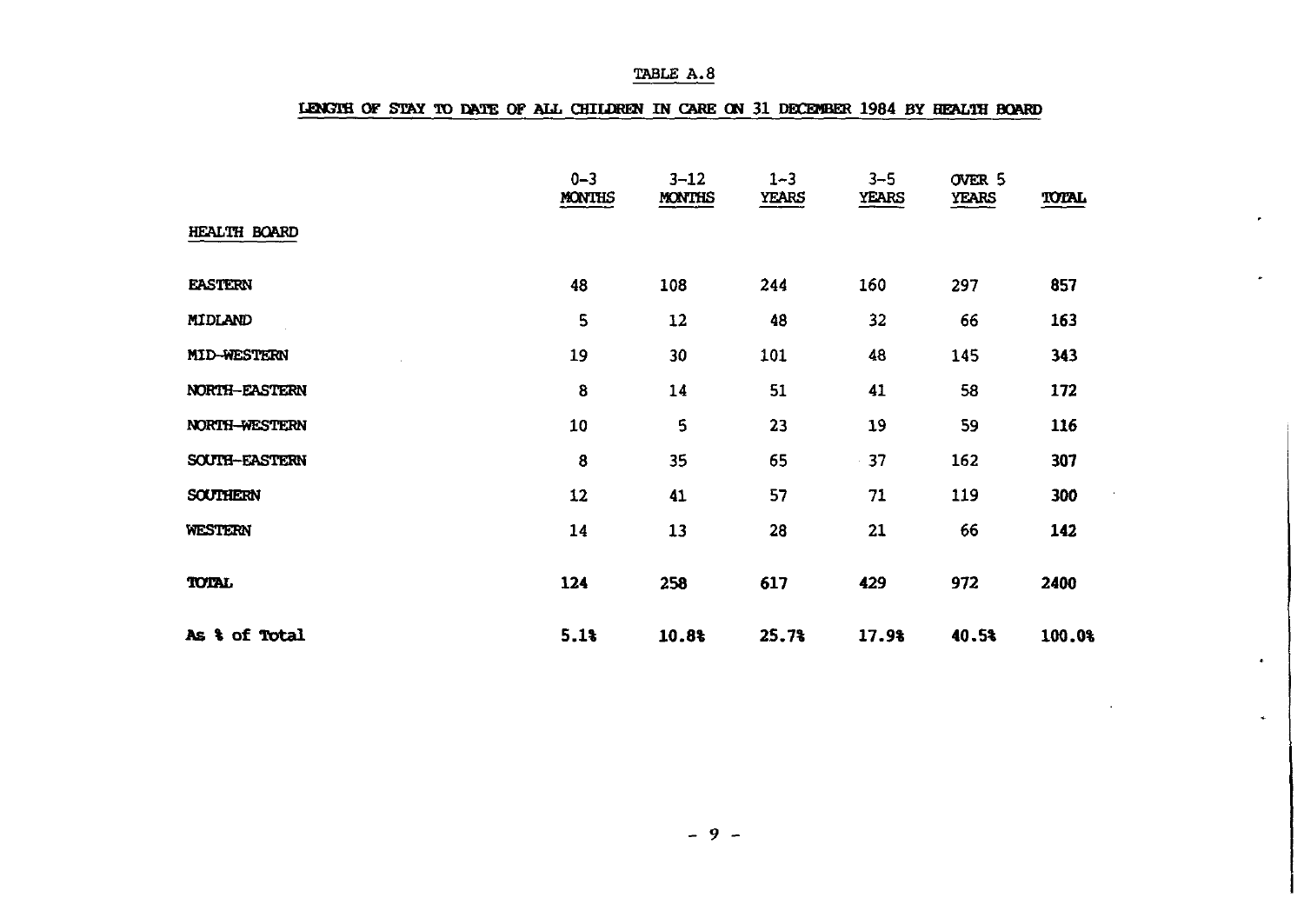|                 | $0 - 3$<br><b>MONTHS</b> | $3 - 12$<br><b>MONTHS</b> | $1 - 3$<br><b>YEARS</b> | $3 - 5$<br>YEARS | OVER <sub>5</sub><br>YEARS | <b>TOTAL</b> |
|-----------------|--------------------------|---------------------------|-------------------------|------------------|----------------------------|--------------|
| HEALTH BOARD    |                          |                           |                         |                  |                            |              |
| <b>EASTERN</b>  | 48                       | 108                       | 244                     | 160              | 297                        | 857          |
| MIDLAND         | 5                        | 12                        | 48                      | 32               | 66                         | 163          |
| MID-WESTERN     | 19                       | 30                        | 101                     | 48               | 145                        | 343          |
| NORTH-EASTERN   | $\bf{8}$                 | 14                        | 51                      | 41               | 58                         | 172          |
| NORTH-WESTERN   | 10                       | 5                         | 23                      | 19               | 59                         | 116          |
| SOUTH-EASTERN   | 8                        | 35                        | 65                      | 37               | 162                        | 307          |
| <b>SOUTHERN</b> | 12                       | 41                        | 57                      | 71               | 119                        | 300          |
| WESTERN         | 14                       | 13                        | 28                      | 21               | 66                         | 142          |
| <b>TOTAL</b>    | 124                      | 258                       | 617                     | 429              | 972                        | 2400         |
| As & of Total   | 5.1%                     | 10.8%                     | 25.7%                   | 17.9%            | 40.5%                      | 100.0%       |

LENGTH OF STAY TO DATE OF ALL CHILDREN IN CARE ON 31 DECEMBER 1984 BY HEALTH BOARD

 $-9 -$ 

 $\mathbf{A}^{\mathrm{eff}}$ 

 $\omega$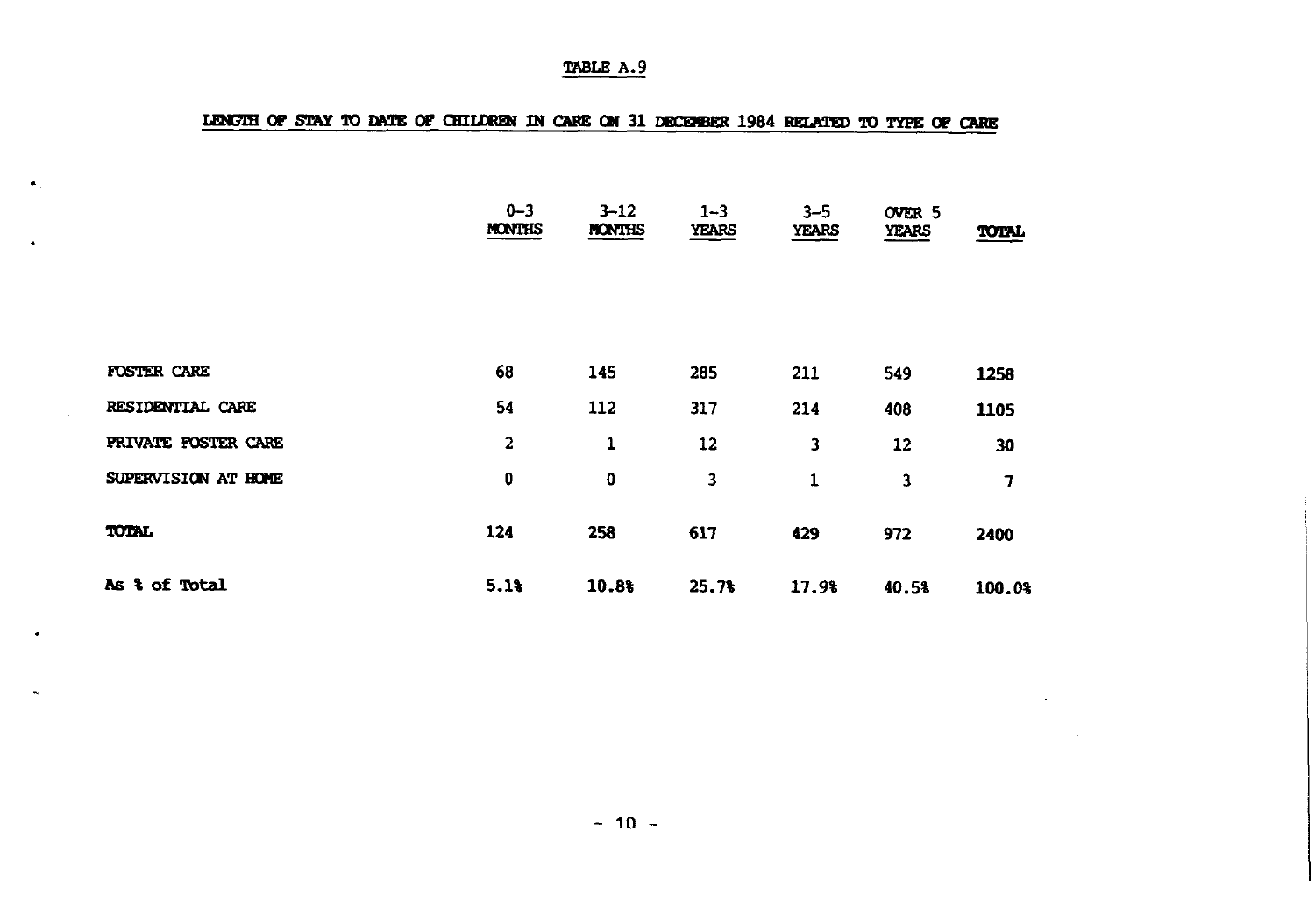|  |  |  |  |  |  |  |  |  |  |  | LENGTH OF STAY TO DATE OF CHILDREN IN CARE ON 31 DECEMBER 1984 RELATED TO TYPE OF CARE |  |  |  |  |  |  |
|--|--|--|--|--|--|--|--|--|--|--|----------------------------------------------------------------------------------------|--|--|--|--|--|--|
|--|--|--|--|--|--|--|--|--|--|--|----------------------------------------------------------------------------------------|--|--|--|--|--|--|

|                     | $0 - 3$<br><b>MONTHS</b> | $3 - 12$<br><b>MONTHS</b> | $1 - 3$<br><b>YEARS</b> | $3 - 5$<br><b>YEARS</b> | <b>OVER 5</b><br><b>YEARS</b> | TOTAL  |
|---------------------|--------------------------|---------------------------|-------------------------|-------------------------|-------------------------------|--------|
|                     |                          |                           |                         |                         |                               |        |
| FOSTER CARE         | 68                       | 145                       | 285                     | 211                     | 549                           | 1258   |
| RESIDENTIAL CARE    | 54                       | 112                       | 317                     | 214                     | 408                           | 1105   |
| PRIVATE FOSTER CARE | 2                        | $\mathbf{1}$              | 12                      | 3                       | 12                            | 30     |
| SUPERVISION AT HOME | $\pmb{0}$                | $\pmb{0}$                 | 3                       | $\mathbf 1$             | 3                             | 7      |
| <b>TOTAL</b>        | 124                      | 258                       | 617                     | 429                     | 972                           | 2400   |
| As & of Total       | 5.1%                     | 10.8%                     | 25.7%                   | 17.9%                   | 40.5%                         | 100.0% |

 $\sim$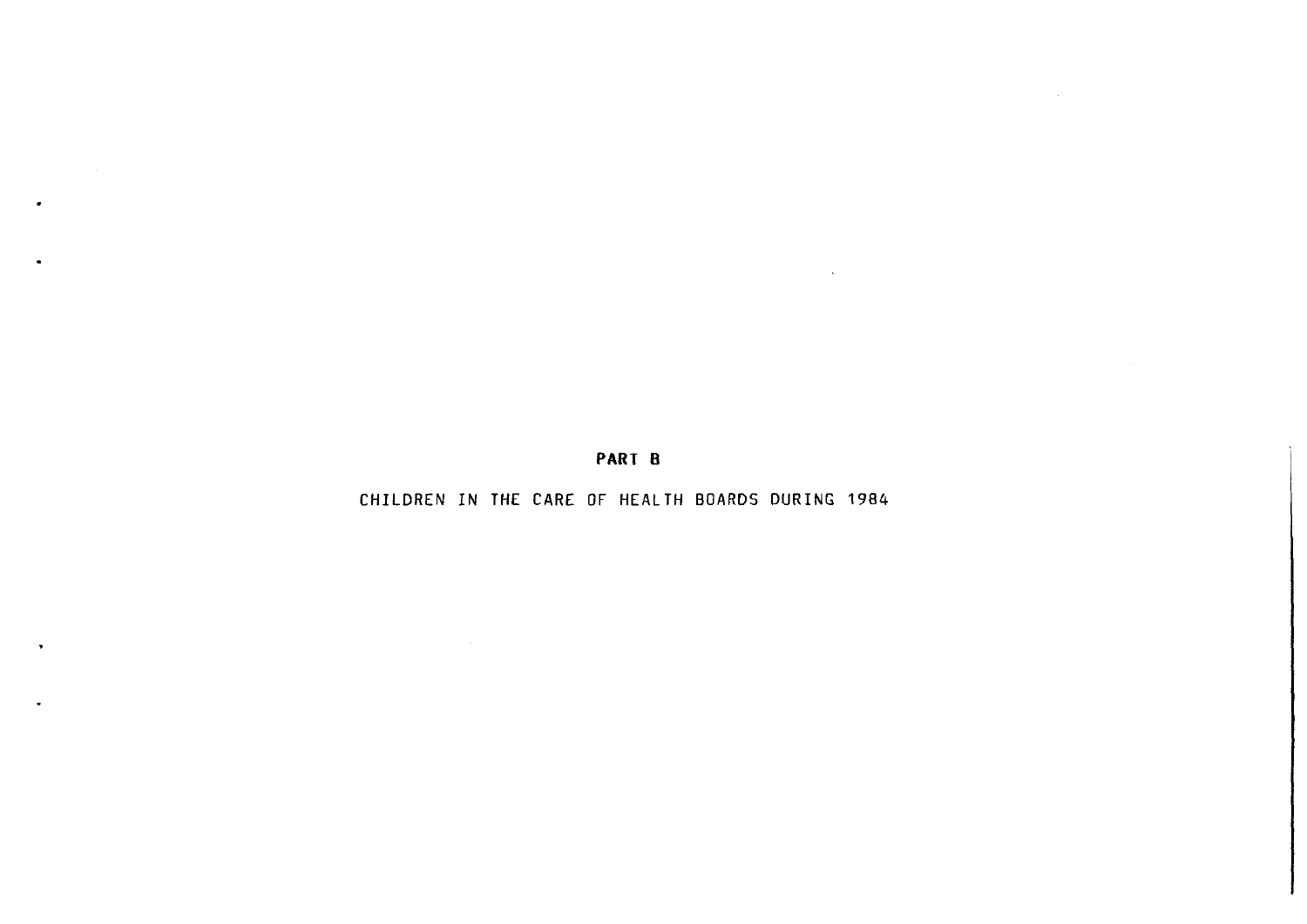**PART B** 

**CHILDREN IN THE CARE OF HEALTH BOARDS DURING 1984**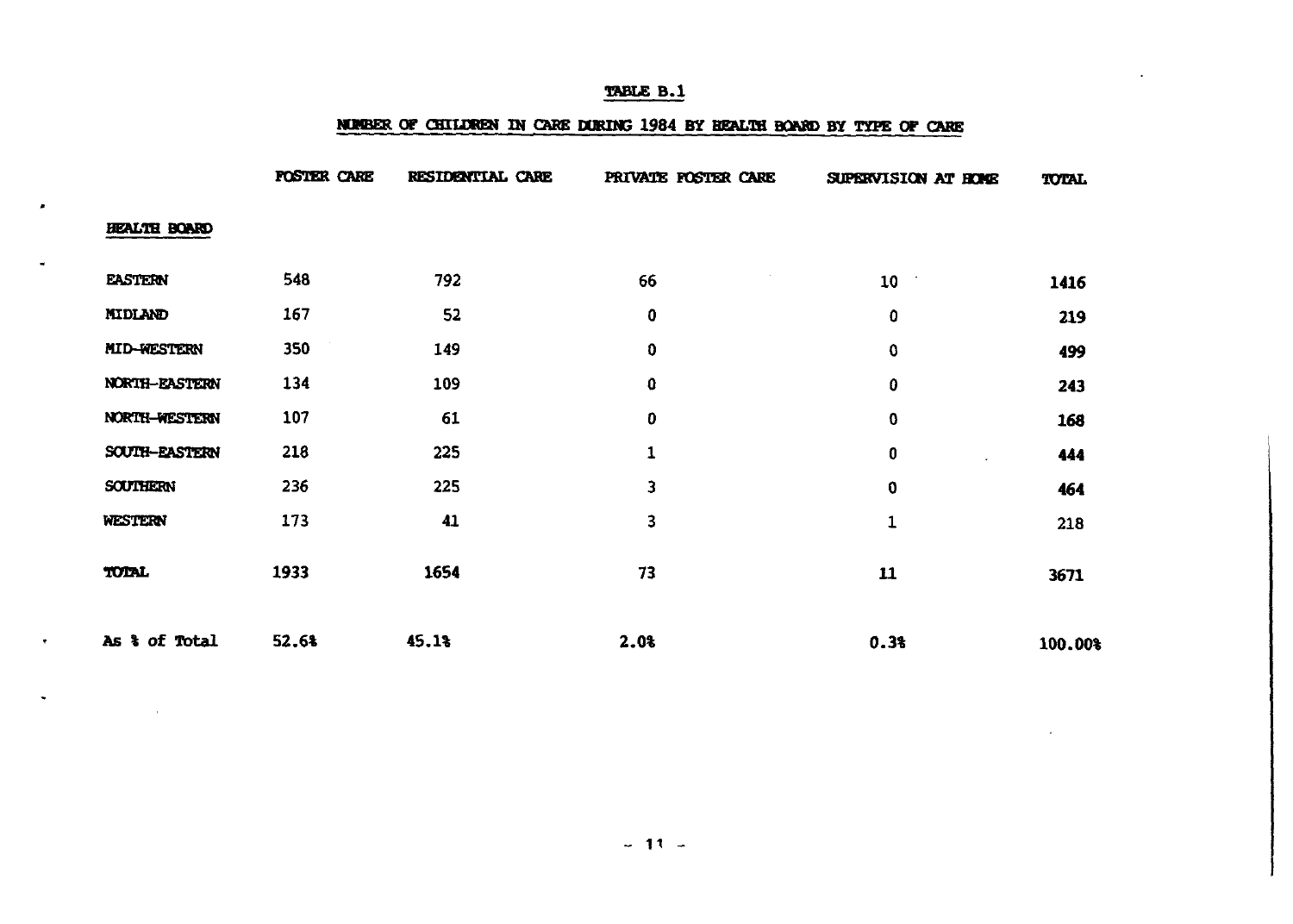# NUMBER OF CHILDREN IN CARE DURING 1984 BY HEALTH BOARD BY TYPE OF CARE

|                 | <b>FOSTER CARE</b> | RESIDENTIAL CARE | PRIVATE FOSTER CARE | SUPERVISION AT HOME | <b>TOTAL</b> |
|-----------------|--------------------|------------------|---------------------|---------------------|--------------|
| HEALTH BOARD    |                    |                  |                     |                     |              |
| <b>EASTERN</b>  | 548                | 792              | 66                  | 10                  | 1416         |
| MIDLAND         | 167                | 52               | $\mathbf 0$         | $\mathbf 0$         | 219          |
| MID-WESTERN     | 350                | 149              | $\mathbf 0$         | $\pmb{0}$           | 499          |
| NORTH-EASTERN   | 134                | 109              | $\bf{0}$            | $\bf{0}$            | 243          |
| NORTH-WESTERN   | 107                | 61               | $\mathbf{0}$        | $\mathbf 0$         | 168          |
| SOUTH-EASTERN   | 218                | 225              | 1                   | $\mathbf 0$         | 444          |
| <b>SOUTHERN</b> | 236                | 225              | 3                   | 0                   | 464          |
| <b>WESTERN</b>  | 173                | 41               | 3                   | $\mathbf{1}$        | 218          |
| <b>TOTAL</b>    | 1933               | 1654             | 73                  | 11                  | 3671         |
| As & of Total   | 52.6%              | 45.1%            | 2.0%                | 0.3%                | 100.00%      |

 $\textcolor{red}{\bullet}$ 

 $\mathbb{R}^2$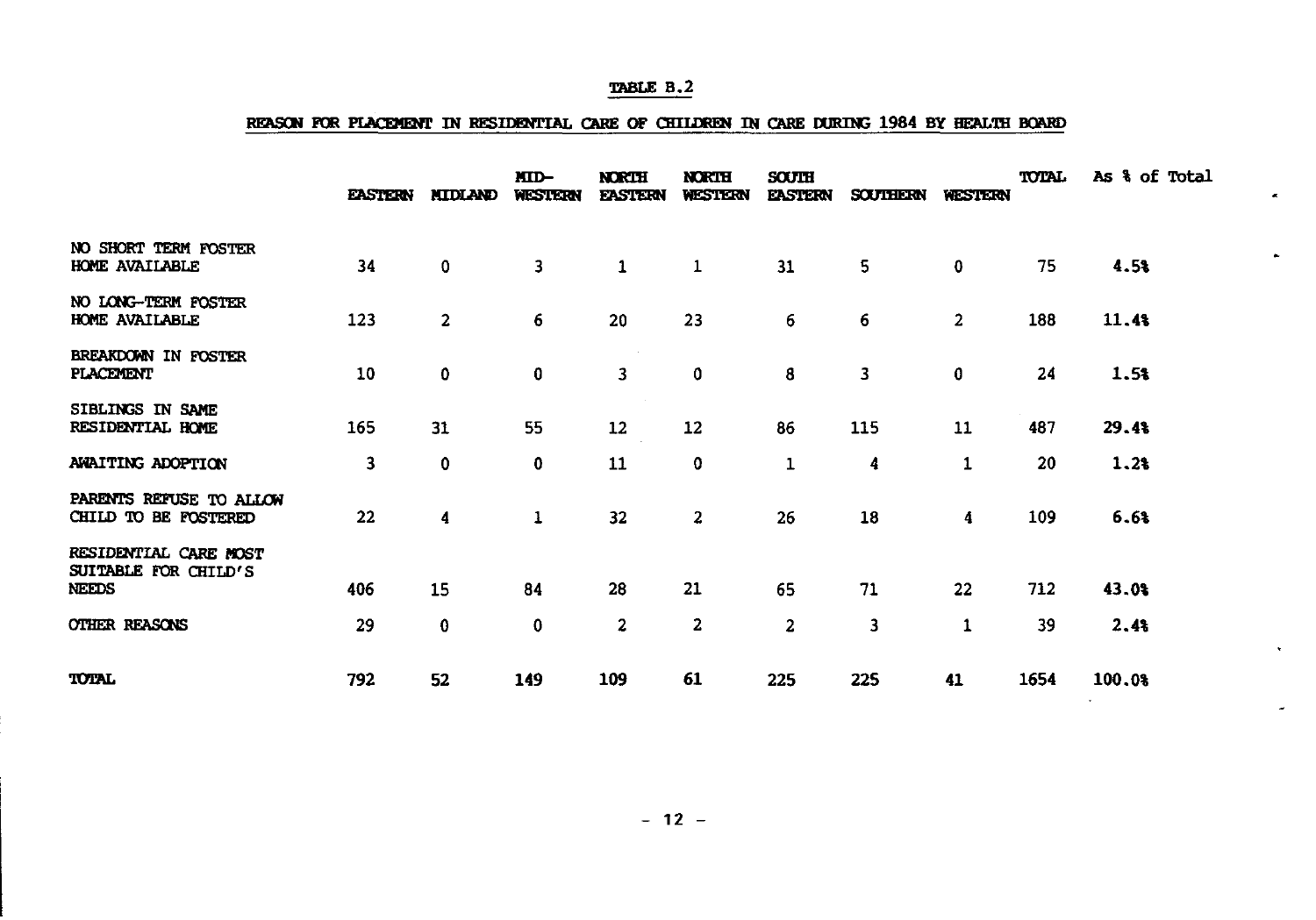# REASON FOR PLACEMENT IN RESIDENTIAL CARE OF CHILDREN IN CARE DURING 1984 BY HEALTH BOARD

 $\bullet$ 

 $\bullet$ 

 $\omega$ 

|                                                               | <b>EASTERN</b>          | <b>MIDLAND</b>   | MID-<br><b>WESTERN</b> | <b>NORTH</b><br><b>EASTERN</b> | <b>NORTH</b><br><b>WESTERN</b> | <b>SOUTH</b><br><b>EASTERN</b> | <b>SOUTHERN</b>  | <b>WESTERN</b> | <b>TOTAL</b> | As & of Total |
|---------------------------------------------------------------|-------------------------|------------------|------------------------|--------------------------------|--------------------------------|--------------------------------|------------------|----------------|--------------|---------------|
| NO SHORT TERM FOSTER<br>HOME AVAILABLE                        | 34                      | $\bf{0}$         | 3                      | $\mathbf{1}$                   | $\mathbf{1}$                   | 31                             | 5                | $\mathbf{0}$   | 75           | 4.5%          |
| NO LONG-TERM FOSTER<br>HOME AVAILABLE                         | 123                     | $\mathbf{2}$     | 6                      | 20                             | 23                             | 6                              | 6                | $\overline{2}$ | 188          | 11.4%         |
| BREAKDOWN IN FOSTER<br><b>PLACEMENT</b>                       | 10                      | 0                | $\bf{0}$               | 3                              | $\bf 0$                        | 8                              | 3                | 0              | 24           | 1.5%          |
| SIBLINGS IN SAME<br>RESIDENTIAL HOME                          | 165                     | 31               | 55                     | 12                             | 12                             | 86                             | 115              | 11             | 487          | 29.4%         |
| AWAITING ADOPTION                                             | $\overline{\mathbf{3}}$ | $\mathbf 0$      | $\mathbf 0$            | 11                             | $\bf{0}$                       | 1                              | $\boldsymbol{4}$ | $\mathbf{1}$   | 20           | 1.2%          |
| PARENTS REFUSE TO ALLOW<br>CHILD TO BE FOSTERED               | 22                      | $\boldsymbol{4}$ | $\mathbf 1$            | 32                             | $\overline{a}$                 | 26                             | 18               | 4              | 109          | 6.6%          |
| RESIDENTIAL CARE MOST<br>SUITABLE FOR CHILD'S<br><b>NEEDS</b> | 406                     | 15               | 84                     | 28                             | 21                             | 65                             | 71               | 22             | 712          | 43.0%         |
| <b>OTHER REASONS</b>                                          | 29                      | $\bf{0}$         | $\bf{0}$               | 2                              | $\overline{\mathbf{2}}$        | 2                              | 3                | $\mathbf{1}$   | 39           | 2.43          |
| <b>TOTAL</b>                                                  | 792                     | 52               | 149                    | 109                            | 61                             | 225                            | 225              | 41             | 1654         | 100.0%        |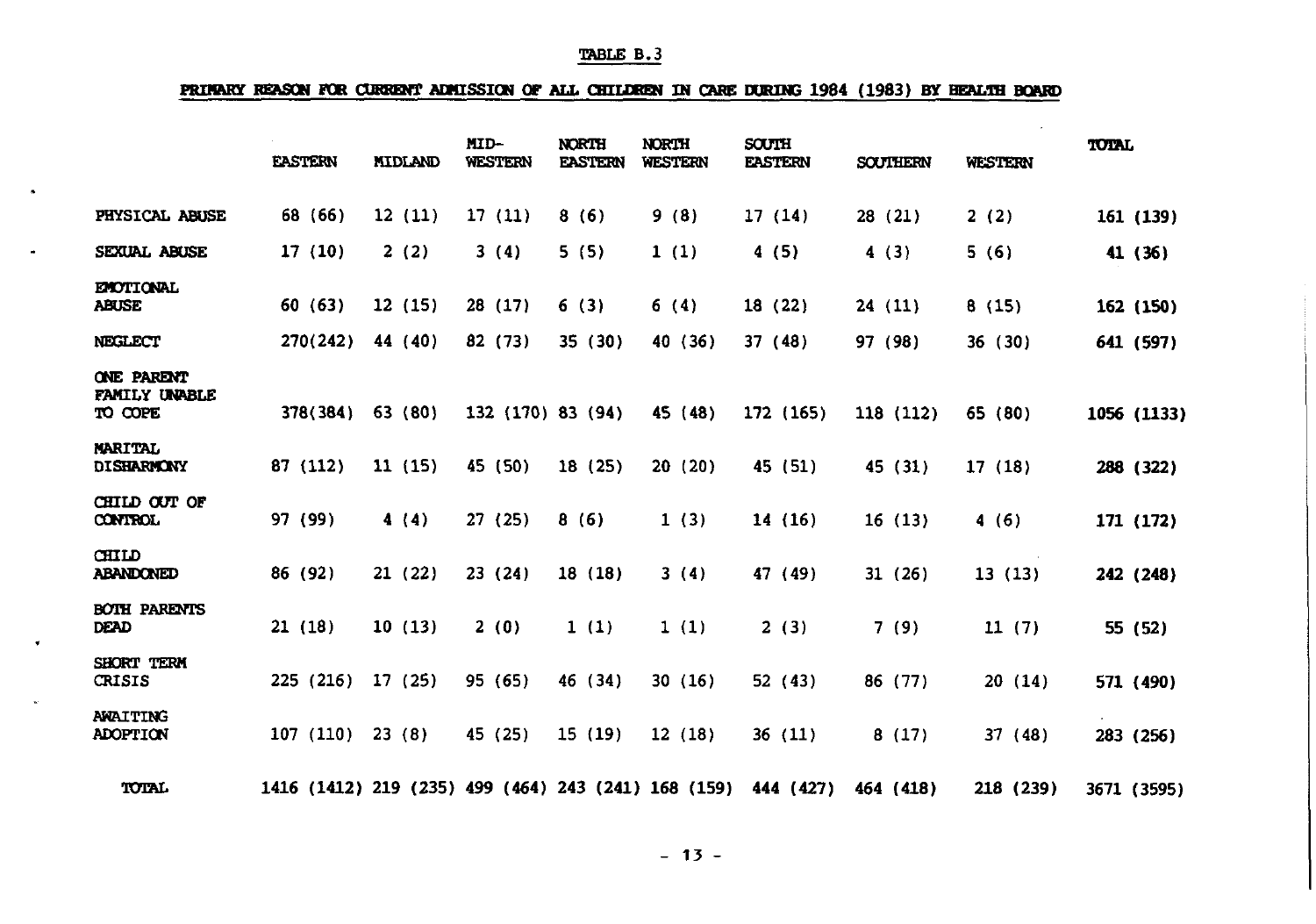# PRIMARY REASON FOR CURRENT ADMISSION OF ALL CHILDREN IN CARE DURING 1984 (1983) BY HEALTH BOARD

 $\overline{\phantom{a}}$ 

 $\mathbf{r}_{\mathbf{a}}$ 

|                                               | <b>EASTERN</b>                                      | MIDLAND | MID-<br>WESTERN   | <b>NORTH</b><br><b>EASTERN</b> | <b>NORTH</b><br><b>WESTERN</b> | SOUTH<br><b>EASTERN</b> | SOUTHERN  | WESTERN   | <b>TOTAL</b> |
|-----------------------------------------------|-----------------------------------------------------|---------|-------------------|--------------------------------|--------------------------------|-------------------------|-----------|-----------|--------------|
| PHYSICAL ABUSE                                | 68 (66)                                             | 12(11)  | 17(11)            | 8(6)                           | 9(8)                           | 17(14)                  | 28(21)    | 2(2)      | 161 (139)    |
| SEXUAL ABUSE                                  | 17(10)                                              | 2(2)    | 3(4)              | 5(5)                           | 1(1)                           | 4(5)                    | 4(3)      | 5(6)      | 41 (36)      |
| EMOTIONAL<br><b>ABUSE</b>                     | 60 (63)                                             | 12(15)  | 28(17)            | 6(3)                           | 6(4)                           | 18(22)                  | 24(11)    | 8(15)     | 162 (150)    |
| NEGLECT                                       | 270(242)                                            | 44 (40) | 82 (73)           | 35 (30)                        | 40 (36)                        | 37 (48)                 | 97 (98)   | 36(30)    | 641 (597)    |
| <b>ONE PARENT</b><br>FAMILY UNABLE<br>TO COPE | 378(384)                                            | 63 (80) | 132 (170) 83 (94) |                                | 45 (48)                        | 172 (165)               | 118 (112) | 65 (80)   | 1056 (1133)  |
| <b>MARITAL</b><br>DISHARMONY                  | 87(112)                                             | 11(15)  | 45 (50)           | 18 (25)                        | 20(20)                         | 45 (51)                 | 45 (31)   | 17(18)    | 288 (322)    |
| CHILD OUT OF<br><b>CONTROL</b>                | 97 (99)                                             | 4(4)    | 27(25)            | 8(6)                           | 1(3)                           | 14(16)                  | 16(13)    | 4(6)      | 171 (172)    |
| CHILD<br>ABANDONED                            | 86 (92)                                             | 21(22)  | 23(24)            | 18 (18)                        | 3(4)                           | 47 (49)                 | 31(26)    | 13(13)    | 242 (248)    |
| <b>BOTH PARENTS</b><br><b>DEAD</b>            | 21(18)                                              | 10(13)  | 2(0)              | 1(1)                           | 1(1)                           | 2(3)                    | 7(9)      | 11(7)     | 55 (52)      |
| SHORT TERM<br>CRISIS                          | 225(216)                                            | 17(25)  | 95 (65)           | 46 (34)                        | 30(16)                         | 52 (43)                 | 86 (77)   | 20(14)    | 571 (490)    |
| <b>AWAITING</b><br><b>ADOPTION</b>            | 107(110)                                            | 23(8)   | 45 (25)           | 15(19)                         | 12(18)                         | 36(11)                  | 8(17)     | 37(48)    | 283 (256)    |
| <b>TOTAL</b>                                  | 1416 (1412) 219 (235) 499 (464) 243 (241) 168 (159) |         |                   |                                |                                | 444 (427)               | 464 (418) | 218 (239) | 3671 (3595)  |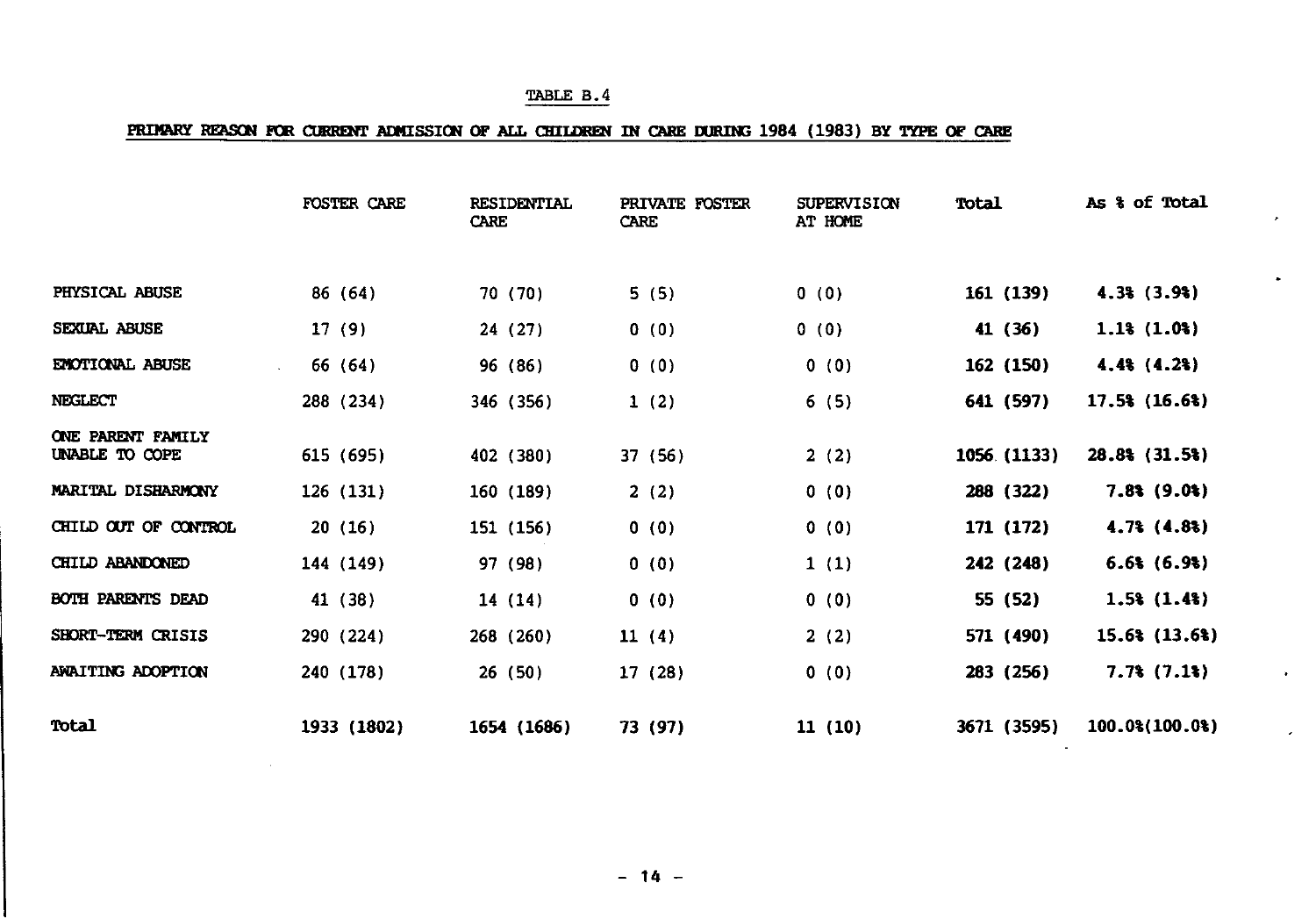### PRIMARY REASON FOR CURRENT ADMISSION OF ALL CHILDREN IN CARE DURING 1984 (1983) BY TYPE OF CARE

|                                     | FOSTER CARE | <b>RESIDENTIAL</b><br><b>CARE</b> | PRIVATE FOSTER<br><b>CARE</b> | <b>SUPERVISION</b><br>AT HOME | Total        | As & of Total     |
|-------------------------------------|-------------|-----------------------------------|-------------------------------|-------------------------------|--------------|-------------------|
| PHYSICAL ABUSE                      | 86 (64)     | 70 (70)                           | 5(5)                          | 0(0)                          | 161 (139)    | $4.3%$ $(3.9)$    |
| SEXUAL ABUSE                        | 17(9)       | 24(27)                            | 0(0)                          | 0(0)                          | 41 (36)      | $1.1\$ $(1.0\})$  |
| EMOTIONAL ABUSE                     | 66 (64)     | 96 (86)                           | 0(0)                          | 0(0)                          | 162 (150)    | $4.4%$ $(4.24)$   |
| <b>NEGLECT</b>                      | 288 (234)   | 346 (356)                         | 1(2)                          | 6(5)                          | 641 (597)    | $17.5%$ $(16.6%)$ |
| ONE PARENT FAMILY<br>UNABLE TO COPE | 615 (695)   | 402 (380)                         | 37 (56)                       | 2(2)                          | 1056. (1133) | $28.8\{ (31.5\})$ |
| MARITAL DISHARMONY                  | 126(131)    | 160 (189)                         | 2(2)                          | 0(0)                          | 288 (322)    | 7.82(9.03)        |
| CHILD OUT OF CONTROL                | 20(16)      | 151 (156)                         | 0(0)                          | 0(0)                          | 171 (172)    | $4.72$ (4.8%)     |
| CHILD ABANDONED                     | 144 (149)   | 97 (98)                           | 0(0)                          | 1(1)                          | 242 (248)    | 6.6% (6.9%)       |
| BOTH PARENTS DEAD                   | 41 (38)     | 14(14)                            | 0(0)                          | 0(0)                          | 55 (52)      | $1.5%$ $(1.4%)$   |
| SHORT-TERM CRISIS                   | 290 (224)   | 268 (260)                         | 11(4)                         | 2(2)                          | 571 (490)    | $15.6%$ $(13.6%)$ |
| AWAITING ADOPTION                   | 240 (178)   | 26(50)                            | 17(28)                        | 0(0)                          | 283 (256)    | $7.7%$ $(7.1%)$   |
| Total                               | 1933 (1802) | 1654 (1686)                       | 73 (97)                       | 11(10)                        | 3671 (3595)  | 100.0%(100.0%)    |

 $\star$ 

 $\bullet$ 

 $\mathcal{H}_{\mathrm{c}}$ 

 $\mathcal{L}^{\pm}$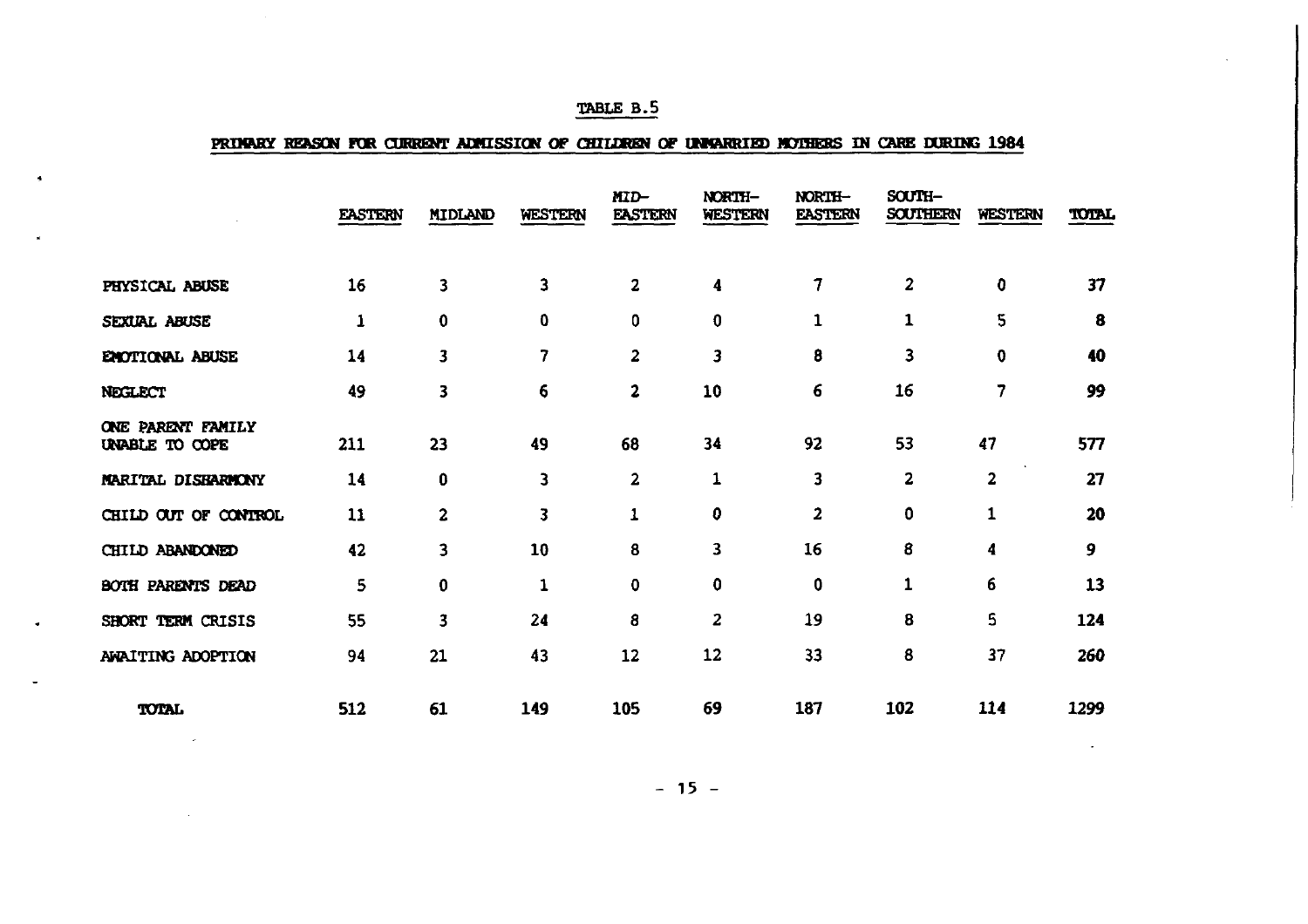### PRINARY REASON FOR CURRENT ADMISSION OF CHILDREN OF UNIARRIED MOTHERS IN CARE DURING 1984

|                                     | <b>EASTERN</b> | MIDLAND        | <b>WESTERN</b> | MID-<br><b>EASTERN</b>  | NORTH-<br><b>WESTERN</b> | NORTH-<br><b>EASTERN</b> | SOUTH-<br><b>SOUTHERN</b> | <b>WESTERN</b> | <b>TOTAL</b> |
|-------------------------------------|----------------|----------------|----------------|-------------------------|--------------------------|--------------------------|---------------------------|----------------|--------------|
| PHYSICAL ABUSE                      | 16             | 3              | 3              | 2                       | 4                        | 7                        | 2                         | 0              | 37           |
| SEXUAL ABUSE                        | $\mathbf{1}$   | $\mathbf 0$    | 0              | 0                       | 0                        | 1                        | $\mathbf{1}$              | 5              | 8            |
| ENOTIONAL ABUSE                     | 14             | 3              | 7              | $\overline{\mathbf{2}}$ | 3                        | 8                        | 3                         | 0              | 40           |
| <b>NEGLECT</b>                      | 49             | 3              | 6              | $\overline{\mathbf{2}}$ | 10                       | 6                        | 16                        | 7              | 99           |
| ONE PARENT FAMILY<br>UNABLE TO COPE | 211            | 23             | 49             | 68                      | 34                       | 92                       | 53                        | 47             | 577          |
| MARITAL DISHARMONY                  | 14             | 0              | 3              | $\overline{\mathbf{2}}$ | $\mathbf 1$              | 3                        | $\overline{a}$            | $\overline{2}$ | 27           |
| CHILD OUT OF CONTROL                | 11             | $\overline{2}$ | 3              | 1                       | 0                        | $\overline{2}$           | 0                         | $\mathbf{1}$   | 20           |
| CHILD ABANDONED                     | 42             | 3              | 10             | 8                       | 3                        | 16                       | 8                         | 4              | 9            |
| BOTH PARENTS DEAD                   | 5              | $\mathbf{0}$   | $\mathbf 1$    | $\mathbf 0$             | 0                        | $\mathbf 0$              | $\mathbf{1}$              | 6              | 13           |
| SHORT TERM CRISIS                   | 55             | 3              | 24             | 8                       | $\overline{2}$           | 19                       | 8                         | 5              | 124          |
| AWAITING ADOPTION                   | 94             | 21             | 43             | 12                      | 12                       | 33                       | 8                         | 37             | 260          |
| <b>TOTAL</b>                        | 512            | 61             | 149            | 105                     | 69                       | 187                      | 102                       | 114            | 1299         |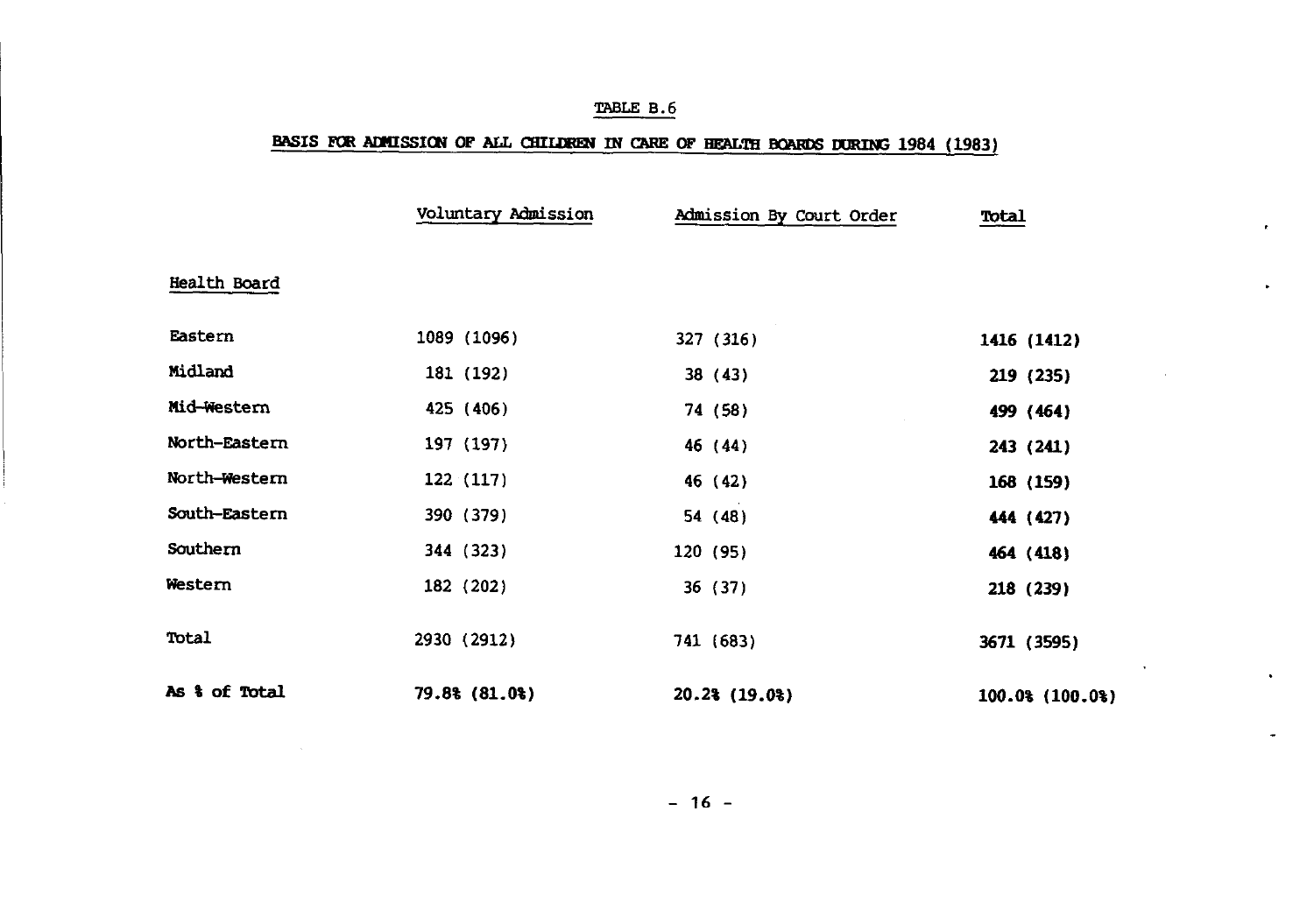# BASIS FOR ADMISSION OF ALL CHILDREN IN CARE OF HEALTH BOARDS DURING 1984 (1983)

|               | Voluntary Admission | Admission By Court Order | Total           |
|---------------|---------------------|--------------------------|-----------------|
| Health Board  |                     |                          |                 |
| Eastern       | 1089 (1096)         | 327 (316)                | 1416 (1412)     |
| Midland       | 181 (192)           | 38 (43)                  | 219 (235)       |
| Mid-Western   | 425 (406)           | 74 (58)                  | 499 (464)       |
| North-Eastern | 197 (197)           | 46 (44)                  | 243 (241)       |
| North-Western | 122(117)            | 46 (42)                  | 168 (159)       |
| South-Eastern | 390 (379)           | 54(48)                   | 444 (427)       |
| Southern      | 344 (323)           | 120 (95)                 | 464 (418)       |
| Western       | 182 (202)           | 36 (37)                  | 218 (239)       |
| Total         | 2930 (2912)         | 741 (683)                | 3671 (3595)     |
| As & of Total | $79.8\{81.0\})$     | 20.28(19.03)             | 100.0% (100.0%) |

 $\sim 10^{-1}$ 

 $\mathbf{A}^{(1)}$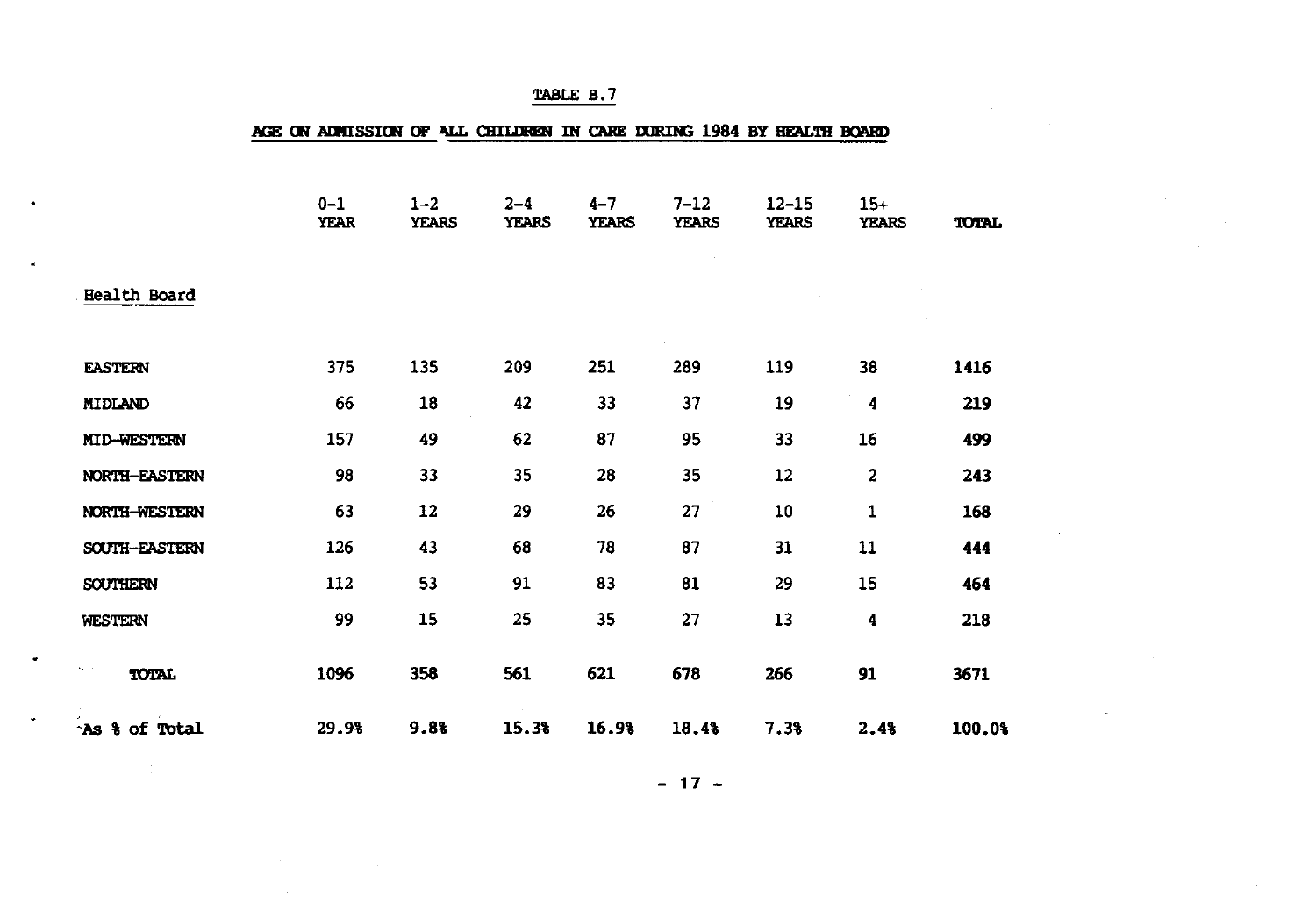# **TABLE 8.7**

### AGE ON ADMISSION OF ALL CHILDREN IN CARE DURING 1984 BY HEALTH BOARD

|                                           | $0 - 1$<br><b>YEAR</b> | $1 - 2$<br><b>YEARS</b> | $2 - 4$<br><b>YEARS</b> | $4 - 7$<br><b>YEARS</b> | $7 - 12$<br><b>YEARS</b> | $12 - 15$<br><b>YEARS</b> | $15+$<br><b>YEARS</b> | <b>TOTAL</b> |
|-------------------------------------------|------------------------|-------------------------|-------------------------|-------------------------|--------------------------|---------------------------|-----------------------|--------------|
| Health Board                              |                        |                         |                         |                         |                          |                           |                       |              |
| <b>EASTERN</b>                            | 375                    | 135                     | 209                     | 251                     | 289                      | 119                       | 38                    | 1416         |
| MIDLAND                                   | 66                     | 18                      | 42                      | 33                      | 37                       | 19                        | 4                     | 219          |
| <b>MID-WESTERN</b>                        | 157                    | 49                      | 62                      | 87                      | 95                       | 33                        | 16                    | 499          |
| NORTH-EASTERN                             | 98                     | 33                      | 35                      | 28                      | 35                       | 12                        | $\mathbf{2}$          | 243          |
| NORTH-WESTERN                             | 63                     | 12                      | 29                      | 26                      | 27                       | 10                        | $\mathbf 1$           | 168          |
| SOUTH-EASTERN                             | 126                    | 43                      | 68                      | 78                      | 87                       | 31                        | 11                    | 444          |
| <b>SOUTHERN</b>                           | 112                    | 53                      | 91                      | 83                      | 81                       | 29                        | 15                    | 464          |
| <b>WESTERN</b>                            | 99                     | 15                      | 25                      | 35                      | 27                       | 13                        | 4                     | 218          |
| $\mathcal{H}=\mathcal{H}$<br><b>TOTAL</b> | 1096                   | 358                     | 561                     | 621                     | 678                      | 266                       | 91                    | 3671         |
| As & of Total                             | 29.9%                  | 9.88                    | 15.3%                   | 16.9%                   | 18.4%                    | 7.3%                      | 2.4%                  | 100.0%       |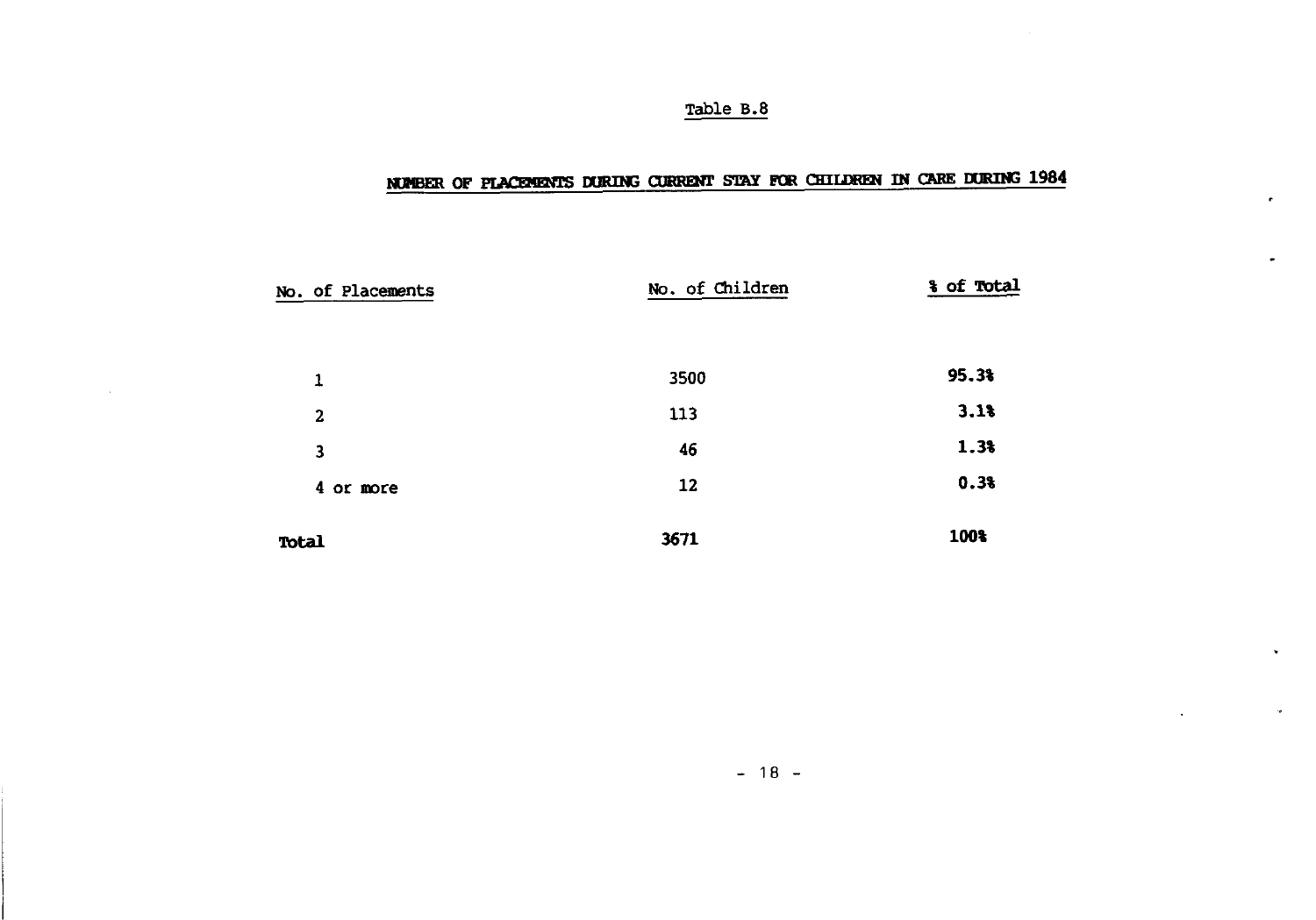# Table B.8

# NUMBER OF PLACEMENTS DURING CURRENT STAY FOR CHILDREN IN CARE DURING 1984

 $\mathbf{r}$ 

 $\bullet$ 

 $\mathbf{v}$ 

 $\sim$ 

 $\cdot$ 

| No. of Placements | No. of Children | <b>&amp; of Total</b> |
|-------------------|-----------------|-----------------------|
| 1                 | 3500            | 95.3%                 |
| $\mathbf{2}$      | 113             | 3.13                  |
| 3                 | 46              | 1.3%                  |
| 4 or more         | 12              | 0.3%                  |
| Total             | 3671            | 100%                  |

 $\sim$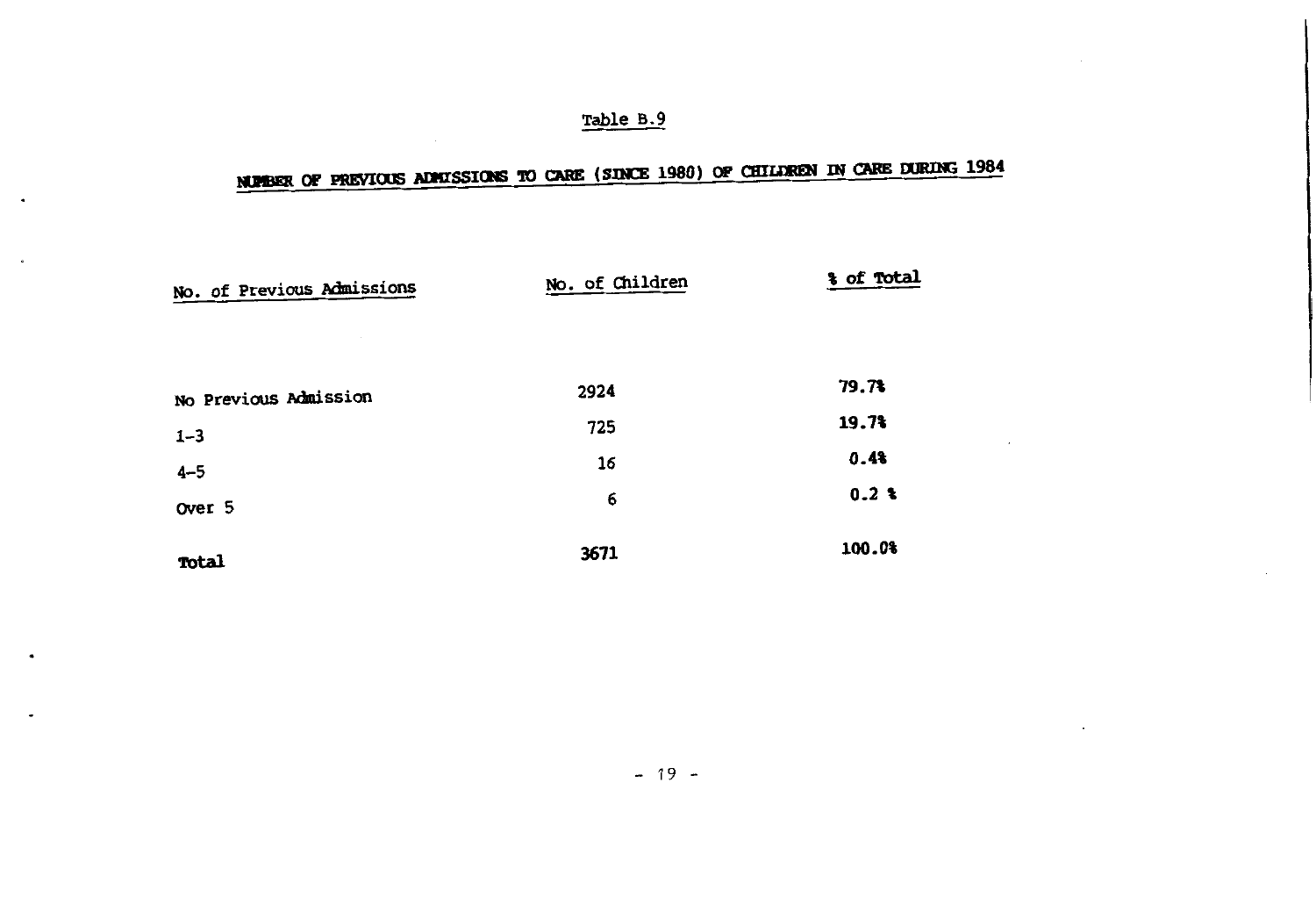# Table B.9

# NUMBER OF PREVIOUS ADMISSIONS TO CARE (SINCE 1980) OF CHILDREN IN CARE DURING 1984

| No. of Previous Admissions | No. of Children | % of Total       |
|----------------------------|-----------------|------------------|
| No Previous Admission      | 2924            | 79.7%            |
| $1 - 3$                    | 725             | 19.7%            |
| $4 - 5$                    | 16              | 0.43             |
| Over 5                     | 6               | 0.2 <sub>3</sub> |
| $m + 1$                    | 3671            | 100.0%           |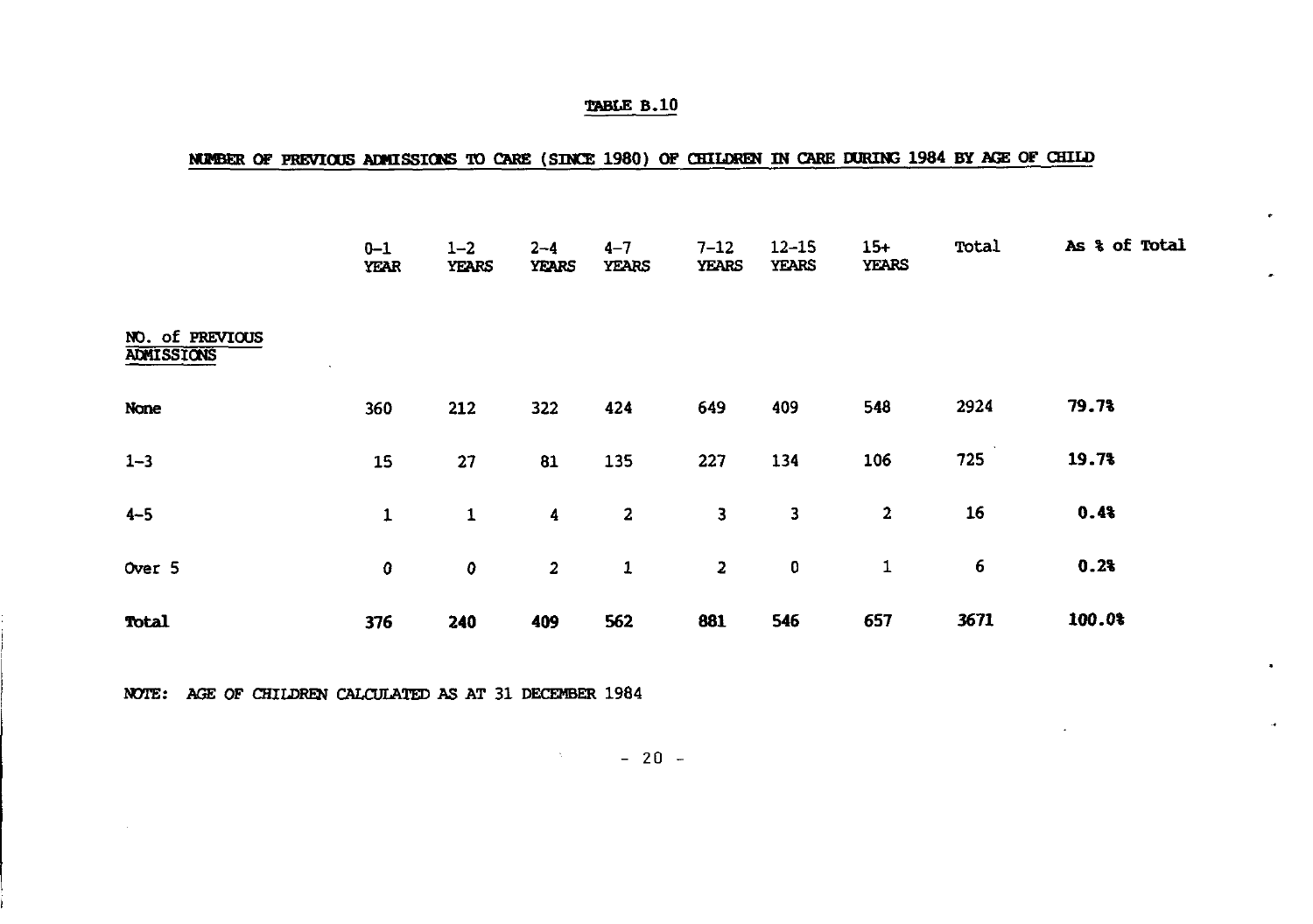# NUMBER OF PREVIOUS ADMISSIONS TO CARE (SINCE 1980) OF CHILDREN IN CARE DURING 1984 BY AGE OF CHILD

è

×

 $\blacksquare$ 

 $\mathcal{A}$ 

 $\sim$ 

|                                      | $0 - 1$<br>YEAR | $1 - 2$<br><b>YEARS</b> | $2 - 4$<br><b>YEARS</b> | $4 - 7$<br><b>YEARS</b> | $7 - 12$<br>YEARS       | $12 - 15$<br><b>YEARS</b> | $15+$<br>YEARS | Total | As & of Total |
|--------------------------------------|-----------------|-------------------------|-------------------------|-------------------------|-------------------------|---------------------------|----------------|-------|---------------|
| NO. of PREVIOUS<br><b>ADMISSIONS</b> |                 |                         |                         |                         |                         |                           |                |       |               |
| None                                 | 360             | 212                     | 322                     | 424                     | 649                     | 409                       | 548            | 2924  | 79.7%         |
| $1 - 3$                              | 15              | 27                      | 81                      | 135                     | 227                     | 134                       | 106            | 725   | 19.7%         |
| $4 - 5$                              | $\mathbf{1}$    | $\mathbf 1$             | 4                       | $\mathbf{2}$            | $\overline{\mathbf{3}}$ | 3                         | $\mathbf{2}$   | 16    | 0.4%          |
| Over 5                               | $\bf{0}$        | $\pmb{0}$               | $\overline{a}$          | $\mathbf{1}$            | $\overline{2}$          | 0                         | $\mathbf{1}$   | 6     | 0.23          |
| Total                                | 376             | 240                     | 409                     | 562                     | 881                     | 546                       | 657            | 3671  | 100.0%        |

NOTE: AGE OF CHILDREN CALCULATED AS AT 31 DECEMBER 1984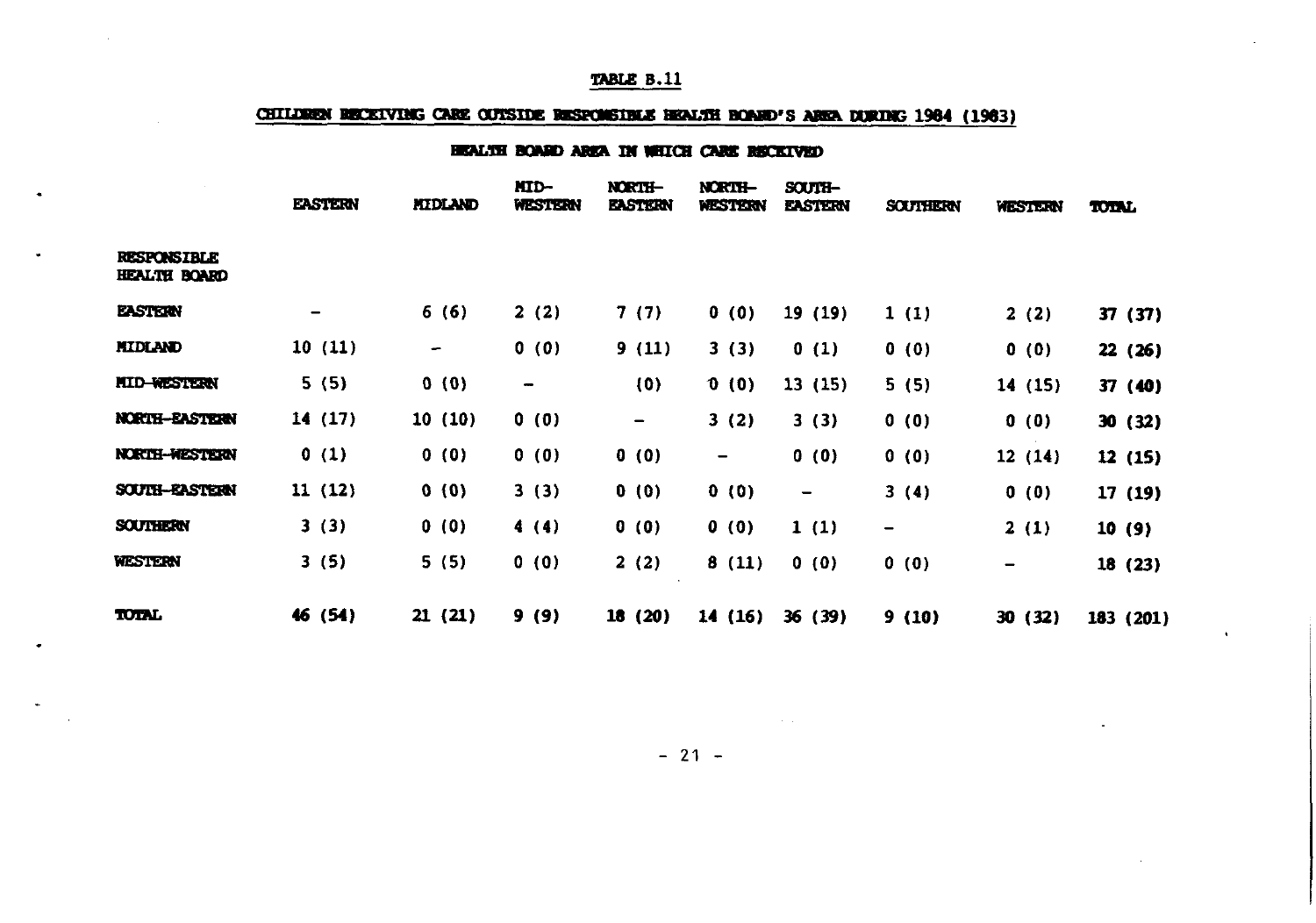# CHILDREN RECEIVING CARE CUISIDE RESPONSIBLE HEALTH BOARD'S AREA DURING 1984 (1983)

| HEALTH BOARD AREA IN WHICH CARE RECEIVED  |                          |                          |                          |                              |                          |                              |                              |            |          |
|-------------------------------------------|--------------------------|--------------------------|--------------------------|------------------------------|--------------------------|------------------------------|------------------------------|------------|----------|
|                                           | <b>EASTERN</b>           | <b>MIDLAND</b>           | MID-<br>WESTERN          | NORTH-<br><b>EASTERN</b>     | NORTH-<br><b>WESTERN</b> | SOUTH-<br><b>EASTERN</b>     | <b>SOUTHERN</b>              | WESTERN    | TOTAL    |
| <b>RESPONSIBLE</b><br><b>HEALTH BOARD</b> |                          |                          |                          |                              |                          |                              |                              |            |          |
| <b>EASTERN</b>                            | $\overline{\phantom{0}}$ | 6(6)                     | 2(2)                     | 7(7)                         | 0(0)                     | 19(19)                       | 1(1)                         | 2(2)       | 37 (37)  |
| <b>MIDLAND</b>                            | 10(11)                   | $\overline{\phantom{a}}$ | 0(0)                     | 9(11)                        | 3(3)                     | 0(1)                         | 0(0)                         | 0(0)       | 22 (26)  |
| <b>MID-WESTERN</b>                        | 5(5)                     | 0(0)                     | $\overline{\phantom{a}}$ | (0)                          | 0(0)                     | 13 (15)                      | 5(5)                         | 14(15)     | 37 (40)  |
| NORTH-EASTERN                             | 14 (17)                  | 10(10)                   | 0(0)                     | $\qquad \qquad \blacksquare$ | 3(2)                     | 3(3)                         | 0(0)                         | 0(0)       | 30(32)   |
| NORTH-WESTERN                             | 0(1)                     | 0(0)                     | 0(0)                     | 0(0)                         | -                        | 0(0)                         | 0(0)                         | 12(14)     | 12(15)   |
| SOUTH-EASTERN                             | 11(12)                   | 0(0)                     | 3(3)                     | 0(0)                         | 0(0)                     | $\qquad \qquad \blacksquare$ | 3(4)                         | 0(0)       | 17 (19)  |
| <b>SOUTHERN</b>                           | 3(3)                     | 0(0)                     | 4(4)                     | 0(0)                         | 0(0)                     | 1(1)                         | $\qquad \qquad \blacksquare$ | 2(1)       | 10(9)    |
| WESTERN                                   | 3(5)                     | 5(5)                     | 0(0)                     | 2(2)                         | 8(11)                    | 0(0)                         | 0(0)                         | -          | 18(23)   |
| <b>TOTAL</b>                              | (54)<br>46               | 21(21)                   | 9(9)                     | 18(20)                       | 14 (16)                  | 36 (39)                      | 9(10)                        | 30<br>(32) | 183 (201 |

 $\alpha$  ,  $\beta$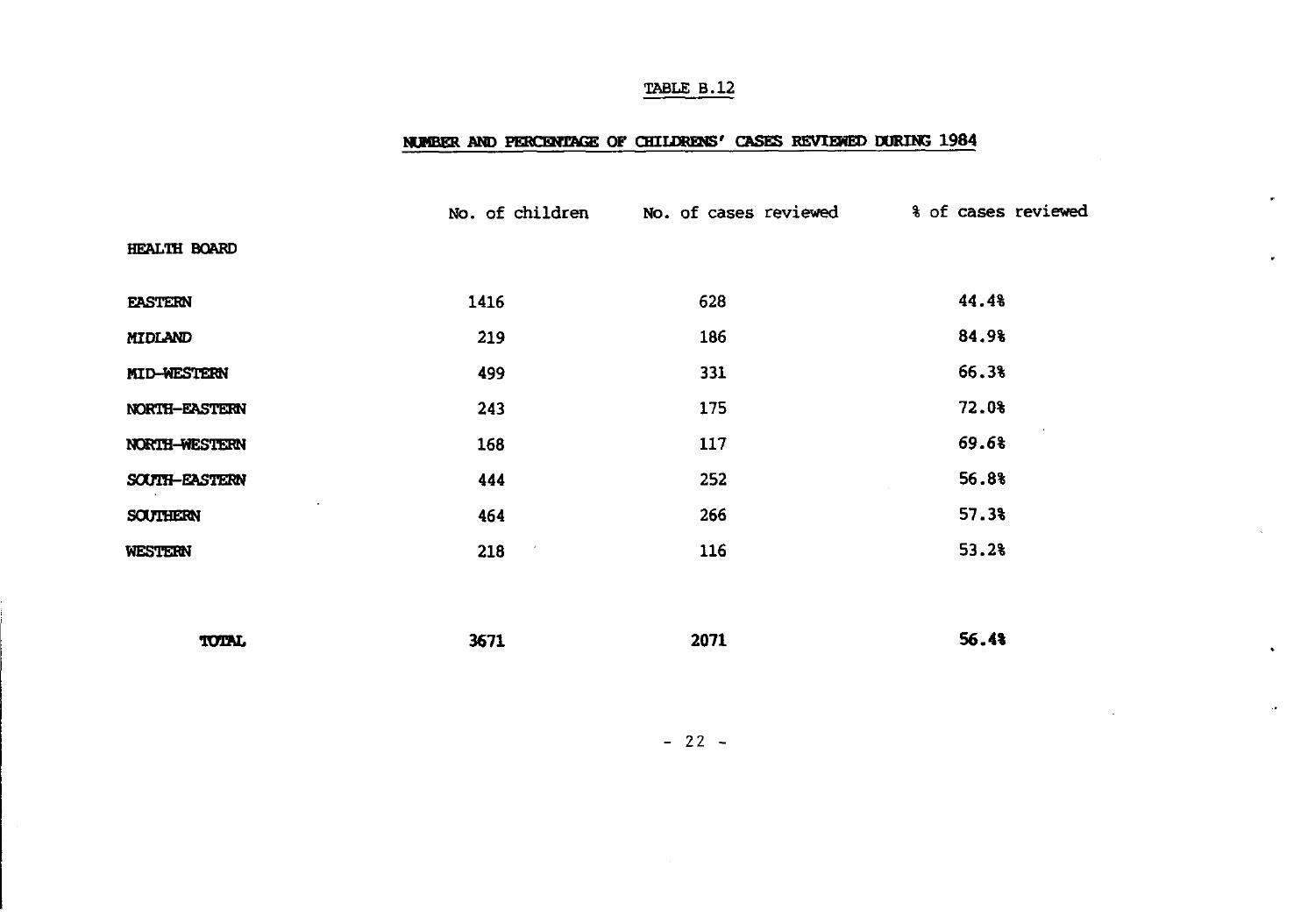### NUPBER AND PERCENTAGE OF CHILDRENS' CASES REVIEWED DURING 1984

è.

 $\mathbf{r}$ 

 $\bullet$ 

 $\mathcal{A}(\mathbf{r})$ 

 $\sim$ 

|      |      | % of cases reviewed                   |
|------|------|---------------------------------------|
|      |      |                                       |
|      | 628  | 44.4%                                 |
| 219  | 186  | 84.9%                                 |
| 499  | 331  | 66.3%                                 |
| 243  | 175  | 72.0%                                 |
| 168  | 117  | 69.6%                                 |
| 444  | 252  | 56.8%                                 |
| 464  | 266  | 57.3%                                 |
| 218  | 116  | 53.2%                                 |
|      |      |                                       |
| 3671 | 2071 | 56.4%                                 |
|      | 1416 | No. of children No. of cases reviewed |

 $-22 -$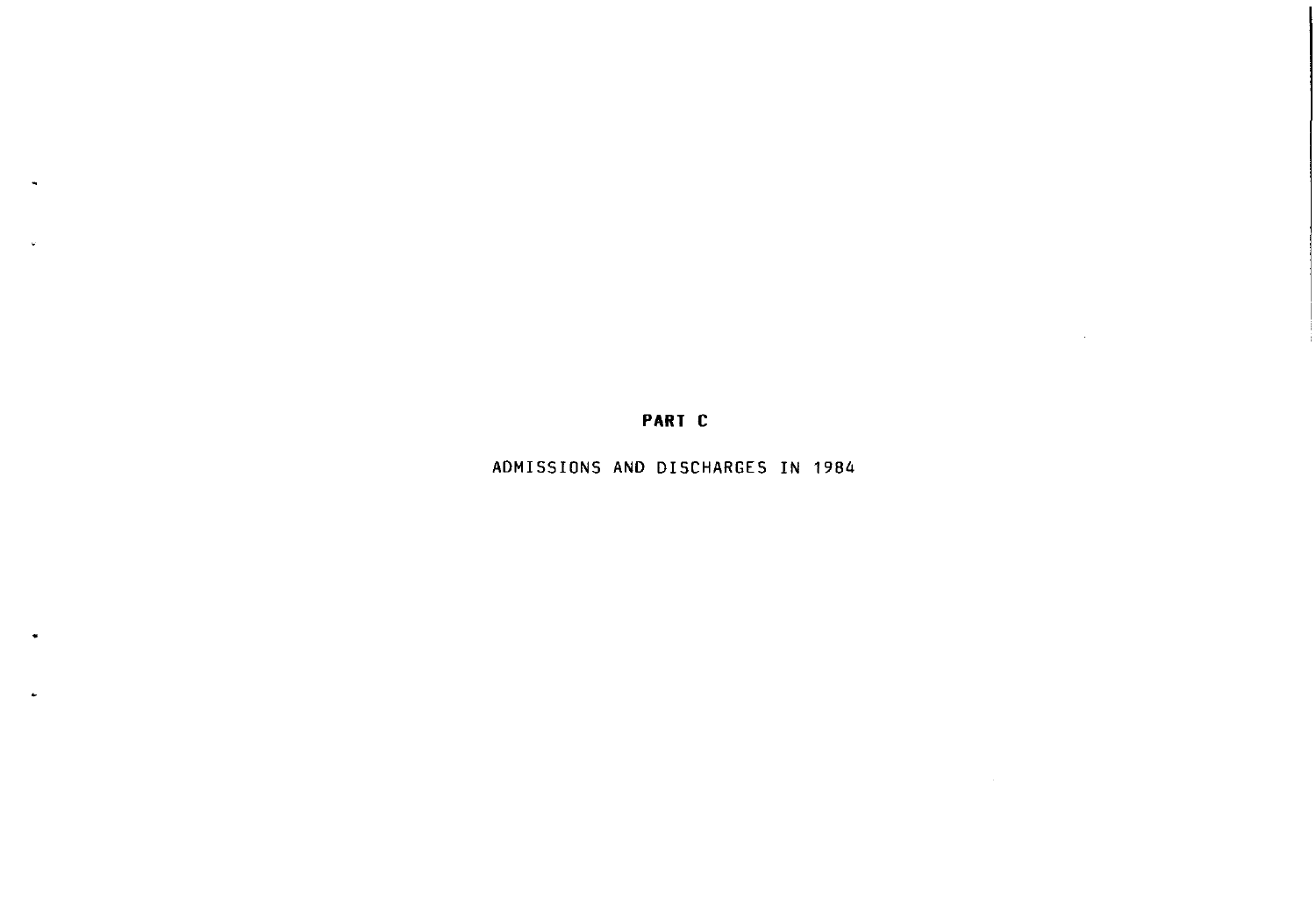**PART C** 

 $\sim$   $\sim$ 

**ADMISSIONS AND DISCHARGES IN** 1984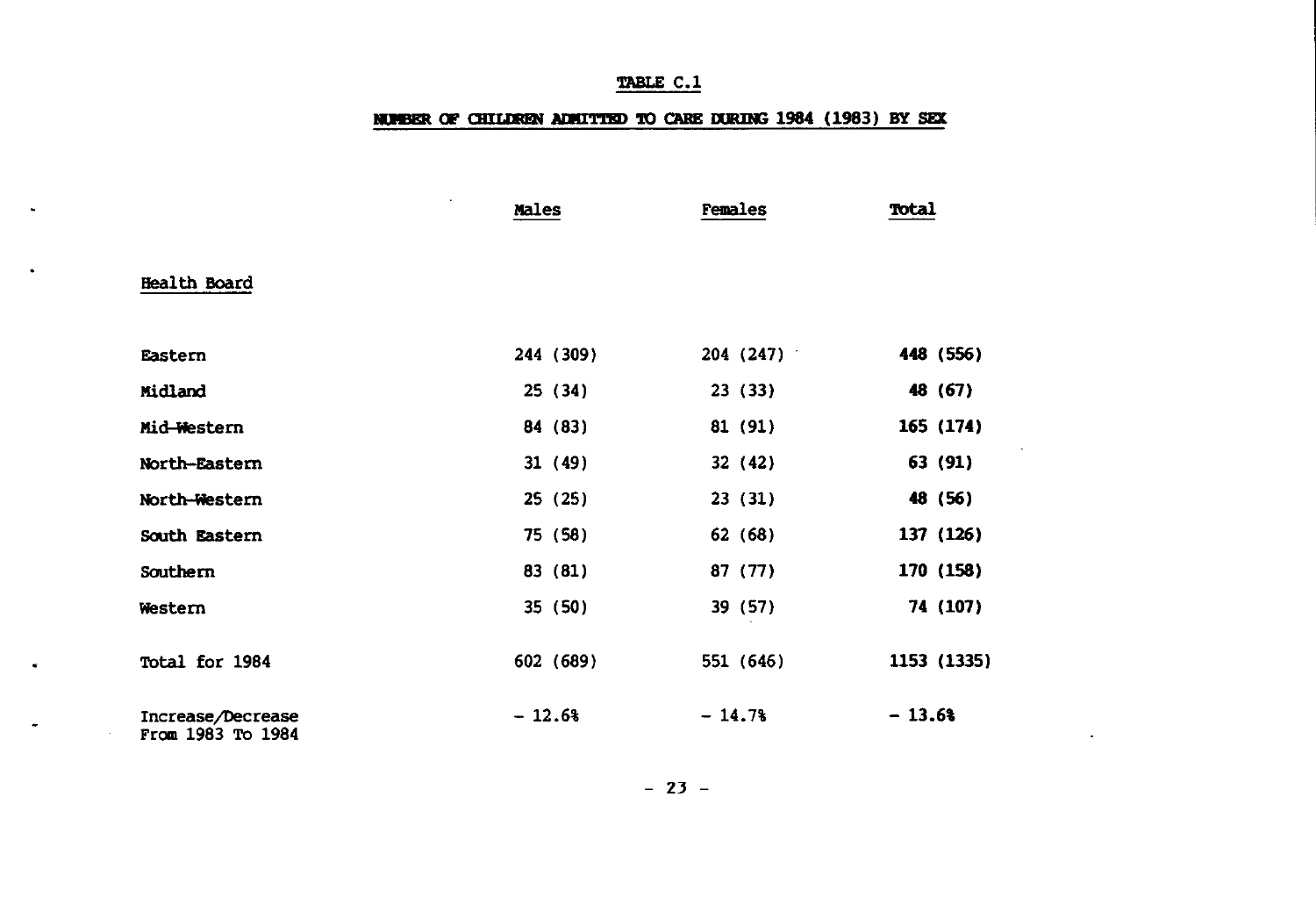# TABLE C.1

### NUMBER OF CHILDREN ADMITTED TO CARE DURING 1984 (1983) BY SEX

|                   | Males     | Females   | <b>Total</b> |
|-------------------|-----------|-----------|--------------|
| Health Board      |           |           |              |
| Eastern           | 244 (309) | 204(247)  | 448 (556)    |
| Midland           | 25(34)    | 23(33)    | 48 (67)      |
| Mid-Western       | 84 (83)   | 81 (91)   | 165 (174)    |
| North-Eastern     | 31(49)    | 32 (42)   | 63 (91)      |
| North-Western     | 25(25)    | 23(31)    | 48 (56)      |
| South Eastern     | 75 (58)   | 62 (68)   | 137 (126)    |
| Southern          | 83 (81)   | 87 (77)   | 170 (158)    |
| Western           | 35 (50)   | 39 (57)   | 74 (107)     |
| Total for 1984    | 602 (689) | 551 (646) | 1153 (1335)  |
| Increase/Decrease | $-12.6%$  | $-14.7%$  | $-13.6%$     |

From 1983 To 1984

 $\ddot{\phantom{0}}$ 

 $\sim$  .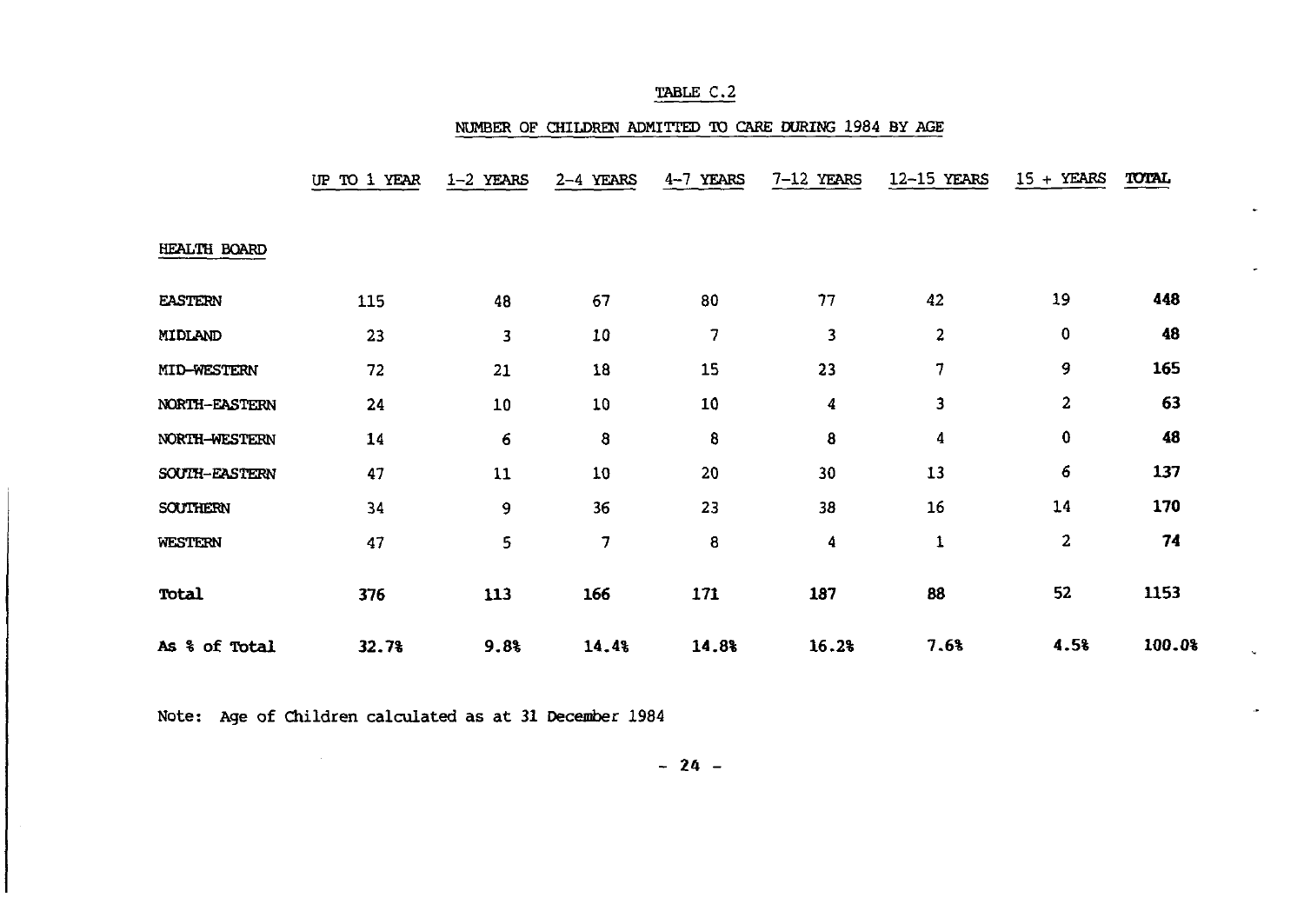# TABLE C.2

# NUMBER OF CHILDREN ADMITTED TO CARE DURING 1984 BY AGE

|                 | UP TO 1 YEAR | 1-2 YEARS | 2-4 YEARS | 4-7 YEARS | 7-12 YEARS       | 12-15 YEARS      | 15 + YEARS     | <b>TOTAL</b> |
|-----------------|--------------|-----------|-----------|-----------|------------------|------------------|----------------|--------------|
| HEALTH BOARD    |              |           |           |           |                  |                  |                |              |
| <b>EASTERN</b>  | 115          | 48        | 67        | 80        | 77               | 42               | 19             | 448          |
| MIDLAND         | 23           | 3         | 10        | 7         | 3                | $\boldsymbol{2}$ | $\bf{0}$       | 48           |
| MID-WESTERN     | 72           | 21        | 18        | 15        | 23               | 7                | 9              | 165          |
| NORTH-EASTERN   | 24           | 10        | 10        | 10        | $\boldsymbol{4}$ | 3                | $\overline{2}$ | 63           |
| NORTH-WESTERN   | 14           | 6         | 8         | 8         | 8                | 4                | $\mathbf 0$    | 48           |
| SOUTH-EASTERN   | 47           | 11        | 10        | 20        | 30               | 13               | $6\phantom{1}$ | 137          |
| <b>SOUTHERN</b> | 34           | 9         | 36        | 23        | 38               | 16               | 14             | 170          |
| <b>WESTERN</b>  | 47           | 5         | 7         | 8         | $\boldsymbol{4}$ | $\mathbf 1$      | $\overline{2}$ | 74           |
| Total           | 376          | 113       | 166       | 171       | 187              | 88               | 52             | 1153         |
| As % of Total   | 32.7%        | 9.8%      | 14.4%     | 14.8%     | 16.2%            | 7.6%             | 4.5%           | 100.0%       |

Note: Age of Children calculated as at 31 December 1984

 $\sim 10^6$ 

 $-24 -$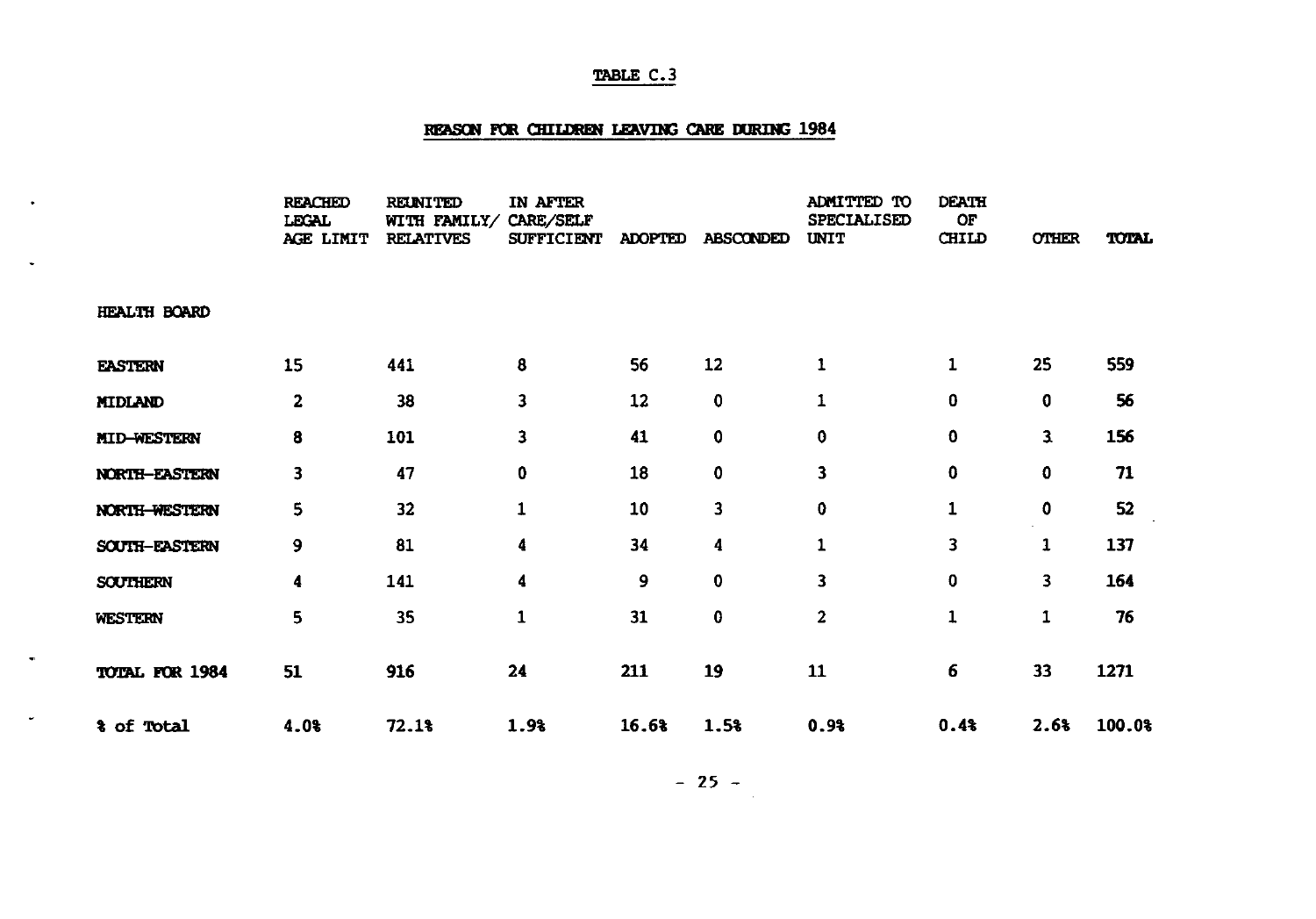### TABLE **C.3**

### REASON FOR CHILDREN LEAVING CARE DURING 1984

 $\bullet$ 

 $\tilde{\phantom{a}}$ 

 $\sim$ 

|                 | <b>REACHED</b><br>LEGAL<br>AGE LIMIT | <b>REUNITED</b><br>WITH FAMILY/<br><b>RELATIVES</b> | IN AFTER<br>CARE/SELF<br><b>SUFFICIENT</b> | <b>ADOPTED</b> | ABSCONDED   | ADMITTED TO<br>SPECIALISED<br><b>UNIT</b> | <b>DEATH</b><br>OF<br><b>CHILD</b> | <b>OTHER</b>            | <b>TOTAL</b> |
|-----------------|--------------------------------------|-----------------------------------------------------|--------------------------------------------|----------------|-------------|-------------------------------------------|------------------------------------|-------------------------|--------------|
| HEALTH BOARD    |                                      |                                                     |                                            |                |             |                                           |                                    |                         |              |
| <b>EASTERN</b>  | 15                                   | 441                                                 | 8                                          | 56             | 12          | 1                                         | 1                                  | 25                      | 559          |
| <b>MIDLAND</b>  | $\overline{2}$                       | 38                                                  | $\overline{\mathbf{3}}$                    | 12             | $\mathbf 0$ | 1                                         | $\bf{0}$                           | $\mathbf 0$             | 56           |
| MID-WESTERN     | 8                                    | 101                                                 | 3                                          | 41             | 0           | 0                                         | $\bf{0}$                           | $\overline{\mathbf{3}}$ | 156          |
| NORTH-EASTERN   | $\overline{\mathbf{3}}$              | 47                                                  | 0                                          | 18             | 0           | 3                                         | $\bf{0}$                           | $\mathbf 0$             | 71           |
| NORTH-WESTERN   | 5                                    | 32                                                  | $\mathbf{1}$                               | 10             | 3           | 0                                         | $\mathbf 1$                        | 0                       | 52           |
| SOUTH-EASTERN   | 9                                    | 81                                                  | 4                                          | 34             | 4           | $\mathbf 1$                               | 3                                  | $\mathbf{1}$            | 137          |
| <b>SOUTHERN</b> | $\boldsymbol{4}$                     | 141                                                 | 4                                          | 9              | 0           | 3                                         | $\bf{0}$                           | 3                       | 164          |
| <b>WESTERN</b>  | 5                                    | 35                                                  | $\mathbf{1}$                               | 31             | 0           | $\overline{\mathbf{2}}$                   | $\mathbf{1}$                       | 1                       | 76           |
| TOTAL FOR 1984  | 51                                   | 916                                                 | 24                                         | 211            | 19          | 11                                        | 6                                  | 33                      | 1271         |
| t of Total      | 4.03                                 | 72.1%                                               | 1.9%                                       | 16.6%          | 1.5%        | 0.93                                      | 0.4%                               | 2.6%                    | 100.0%       |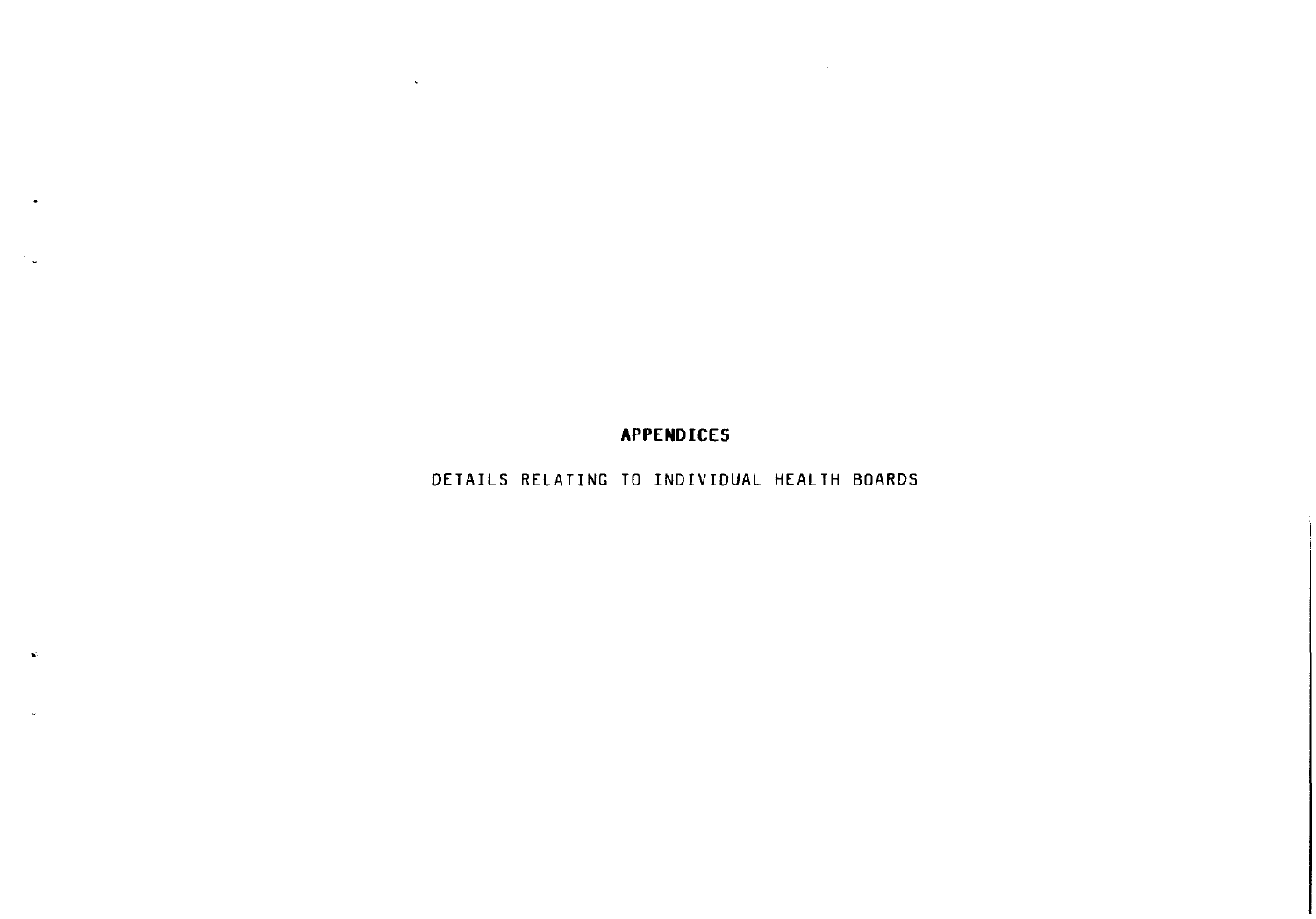**APPENDICES** 

 $\Delta$ 

**DETAILS RELATING TO INDIVIDUAL HEALTH BOARDS**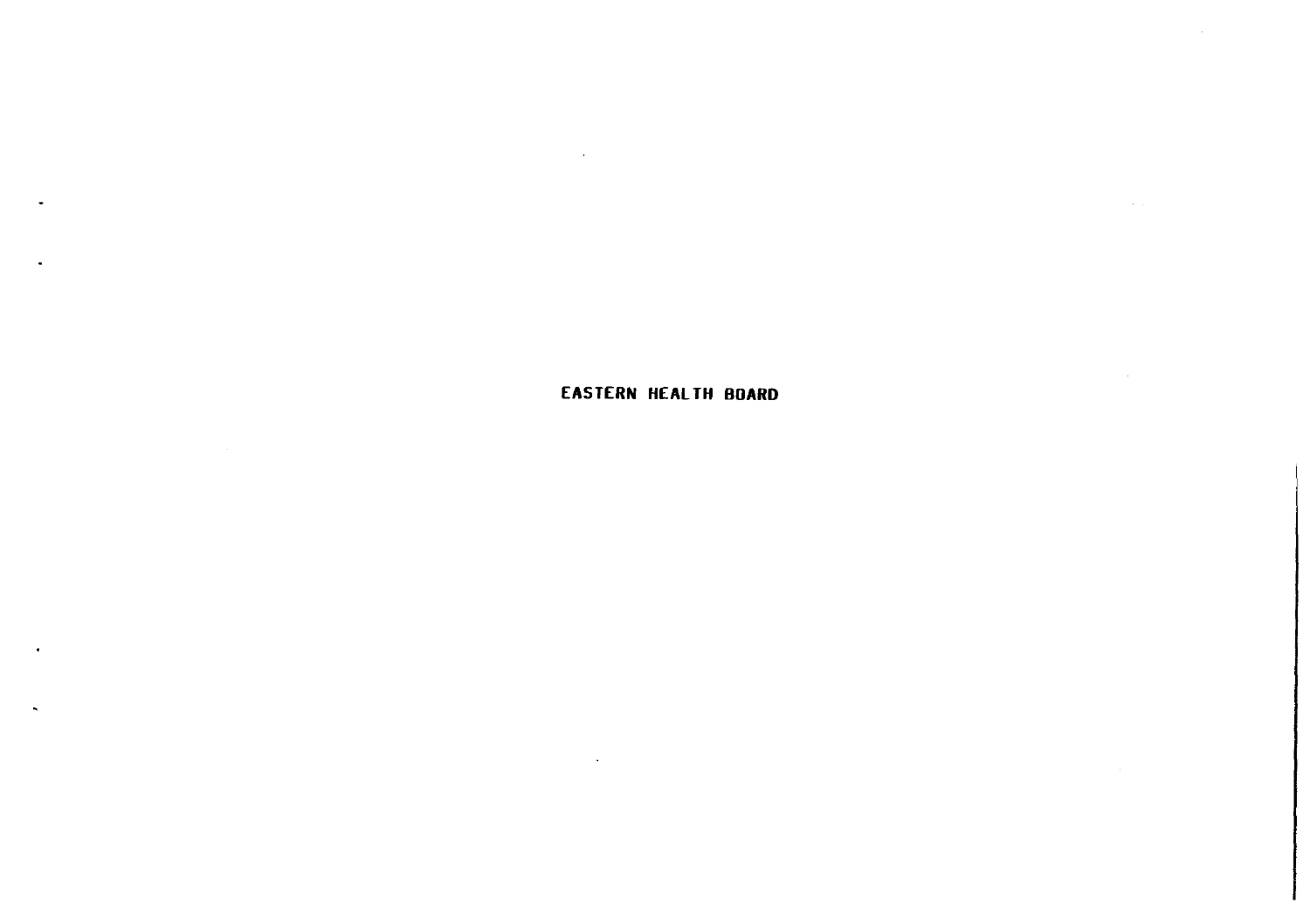**EASTERN HEALTH BOARD**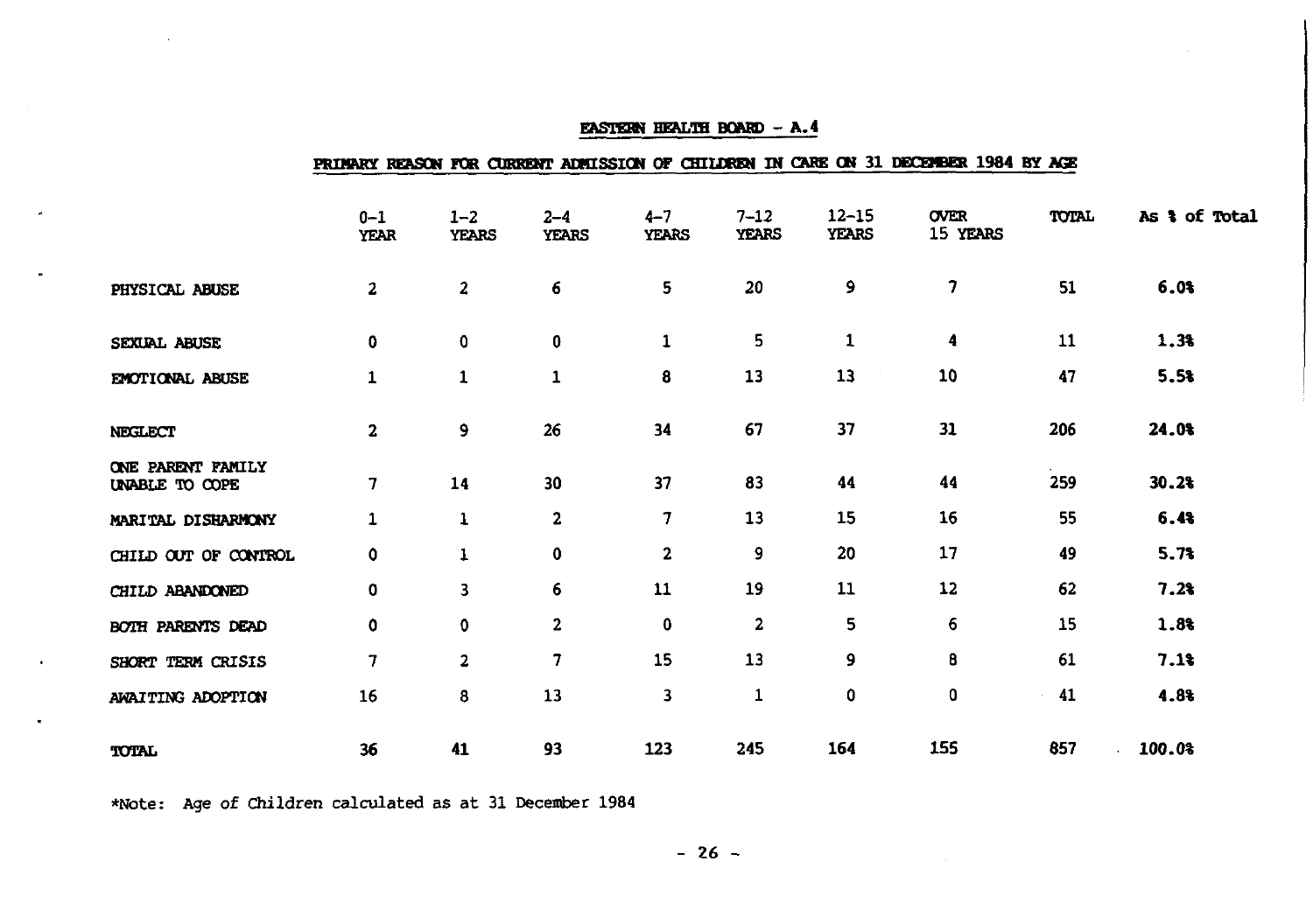# EASTERN HEALTH BOARD - A.4

|                                     | PRIMARY REASON FOR CURRENT ADMISSION OF CHILDREN IN CARE ON 31 DECEMBER 1984 BY AGE |                         |                         |                         |                          |                           |                         |       |               |  |
|-------------------------------------|-------------------------------------------------------------------------------------|-------------------------|-------------------------|-------------------------|--------------------------|---------------------------|-------------------------|-------|---------------|--|
|                                     | $0 - 1$<br><b>YEAR</b>                                                              | $1 - 2$<br><b>YEARS</b> | $2 - 4$<br><b>YEARS</b> | $4 - 7$<br><b>YEARS</b> | $7 - 12$<br><b>YEARS</b> | $12 - 15$<br><b>YEARS</b> | <b>OVER</b><br>15 YEARS | TOTAL | As & of Total |  |
| PHYSICAL ABUSE                      | $\mathbf{2}$                                                                        | $\overline{\mathbf{2}}$ | 6                       | 5                       | 20                       | 9                         | 7                       | 51    | 6.0%          |  |
| SEXUAL ABUSE                        | $\mathbf 0$                                                                         | $\mathbf 0$             | $\mathbf 0$             | 1                       | 5                        | 1                         | 4                       | 11    | 1.3%          |  |
| EMOTIONAL ABUSE                     | 1                                                                                   | 1                       | $\mathbf{1}$            | 8                       | 13                       | 13                        | 10                      | 47    | 5.5%          |  |
| NEGLECT                             | $\overline{\mathbf{2}}$                                                             | 9                       | 26                      | 34                      | 67                       | 37                        | 31                      | 206   | 24.0%         |  |
| ONE PARENT FAMILY<br>UNABLE TO COPE | $\overline{7}$                                                                      | 14                      | 30                      | 37                      | 83                       | 44                        | 44                      | 259   | 30.2%         |  |
| <b>MARITAL DISHARMONY</b>           | 1                                                                                   | $\mathbf 1$             | $\overline{\mathbf{2}}$ | 7                       | 13                       | 15                        | 16                      | 55    | 6.43          |  |
| CHILD OUT OF CONTROL                | 0                                                                                   | $\mathbf{1}$            | $\mathbf 0$             | $\mathbf{2}$            | 9                        | 20                        | 17                      | 49    | 5.7%          |  |
| CHILD ABANDONED                     | $\mathbf 0$                                                                         | 3                       | 6                       | 11                      | 19                       | 11                        | 12                      | 62    | 7.2%          |  |
| <b>BOTH PARENTS DEAD</b>            | 0                                                                                   | $\mathbf 0$             | $\overline{\mathbf{2}}$ | $\mathbf 0$             | $\mathbf{2}$             | 5                         | 6                       | 15    | 1.8%          |  |
| SHORT TERM CRISIS                   | 7                                                                                   | $\overline{2}$          | 7                       | 15                      | 13                       | 9                         | 8                       | 61    | 7.1%          |  |
| AWAITING ADOPTION                   | 16                                                                                  | 8                       | 13                      | 3                       | $\mathbf{1}$             | $\bf{0}$                  | $\mathbf 0$             | 41    | 4.8%          |  |
| <b>TOTAL</b>                        | 36                                                                                  | 41                      | 93                      | 123                     | 245                      | 164                       | 155                     | 857   | 100.0%        |  |

**\*Note: Age of Children calculated as at 31 December 1984** 

 $\mathcal{A}$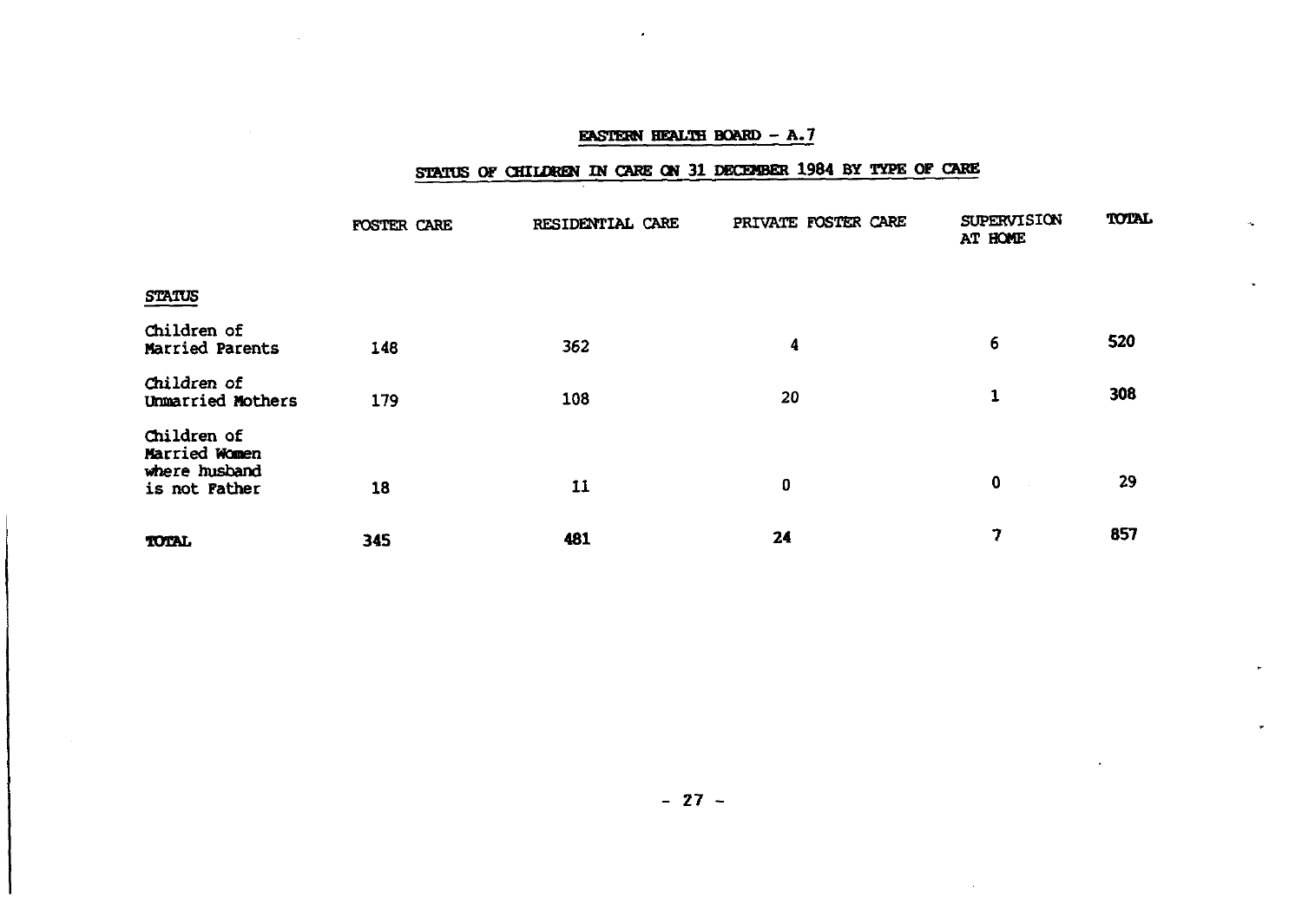### **EASTERN HEALTH BOARD - A.7**

# STATUS OF CHILDREN IN CARE ON 31 DECEMBER 1984 BY TYPE OF CARE

|                                                                | FOSTER CARE | RESIDENTIAL CARE | PRIVATE FOSTER CARE     | SUPERVISION<br>AT HOME | TOTAL |
|----------------------------------------------------------------|-------------|------------------|-------------------------|------------------------|-------|
| <b>STATUS</b>                                                  |             |                  |                         |                        |       |
| Children of<br>Married Parents                                 | 148         | 362              | $\overline{\mathbf{4}}$ | 6                      | 520   |
| Children of<br><b>Unmarried Mothers</b>                        | 179         | 108              | 20                      | $\mathbf{1}$           | 308   |
| Children of<br>Married Women<br>where husband<br>is not Father | 18          | 11               | $\boldsymbol{0}$        | $\mathbf 0$            | 29    |
| <b>TOTAL</b>                                                   | 345         | 481              | 24                      | 7                      | 857   |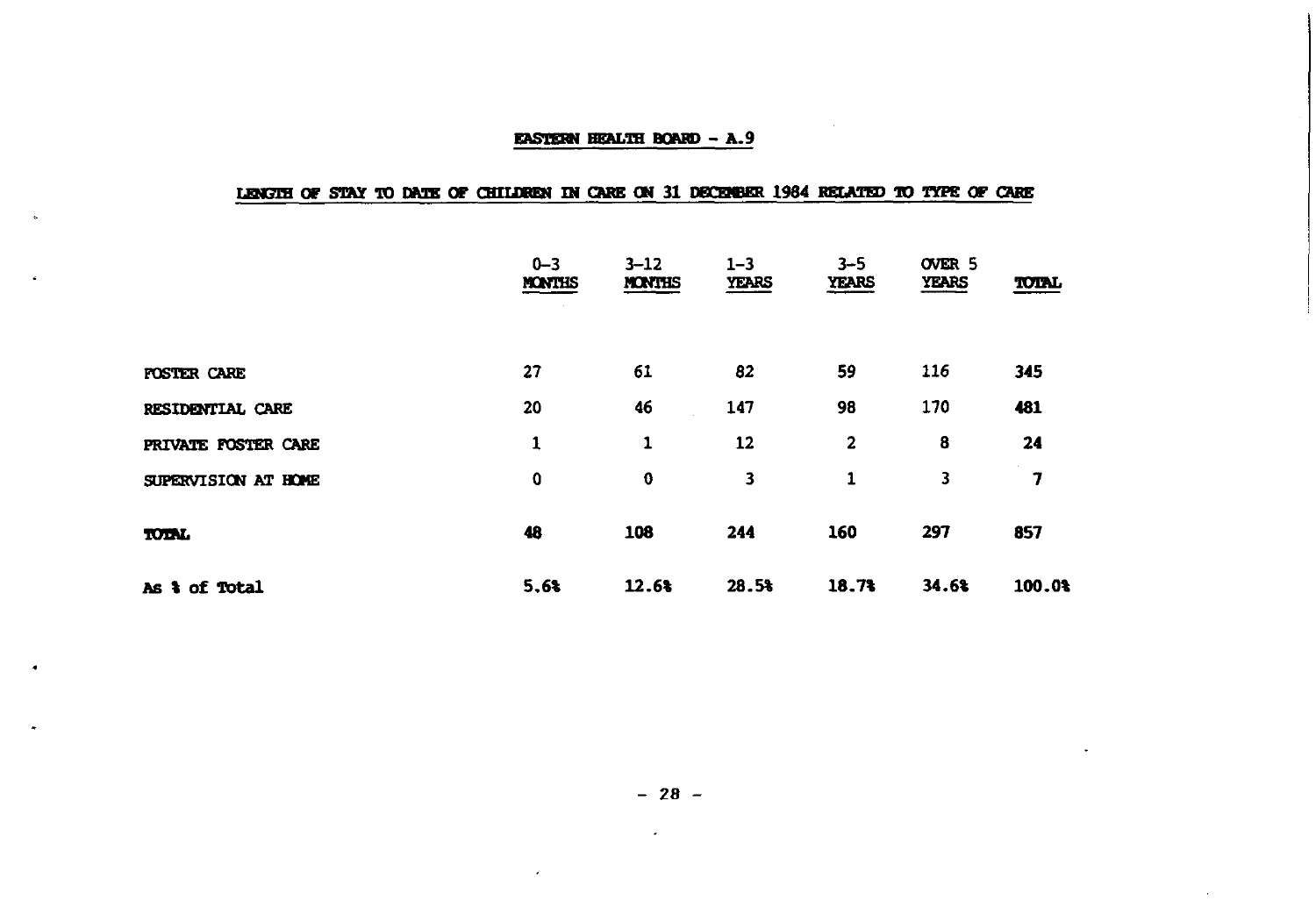#### LENGTH OF STAY TO DATE OF CHILDREN IN CARE ON 31 DECEMBER 1984 RELATED TO TYPE OF CARE

|                     | $0 - 3$<br><b>MONTHS</b> | $3 - 12$<br><b>MONTHS</b> | $1 - 3$<br><b>YEARS</b> | $3 - 5$<br><b>YEARS</b> | <b>OVER 5</b><br><b>YEARS</b> | <b>TOTAL</b> |
|---------------------|--------------------------|---------------------------|-------------------------|-------------------------|-------------------------------|--------------|
| <b>FOSTER CARE</b>  | 27                       | 61                        | 82                      | 59                      | 116                           | 345          |
| RESIDENTIAL CARE    | 20                       | 46                        | 147                     | 98                      | 170                           | 481          |
| PRIVATE FOSTER CARE | $\mathbf{1}$             | 1                         | 12                      | $\mathbf{2}$            | 8                             | 24           |
| SUPERVISION AT HOME | $\boldsymbol{0}$         | $\mathbf 0$               | 3                       | 1                       | 3                             | 7            |
| TOTAL               | 48                       | 108                       | 244                     | 160                     | 297                           | 857          |
| As & of Total       | 5.6%                     | 12.6%                     | 28.5%                   | 18.7%                   | 34.6%                         | 100.0%       |

 $\sim 100$ 

 $\mathcal{L}_{\mathcal{A}}$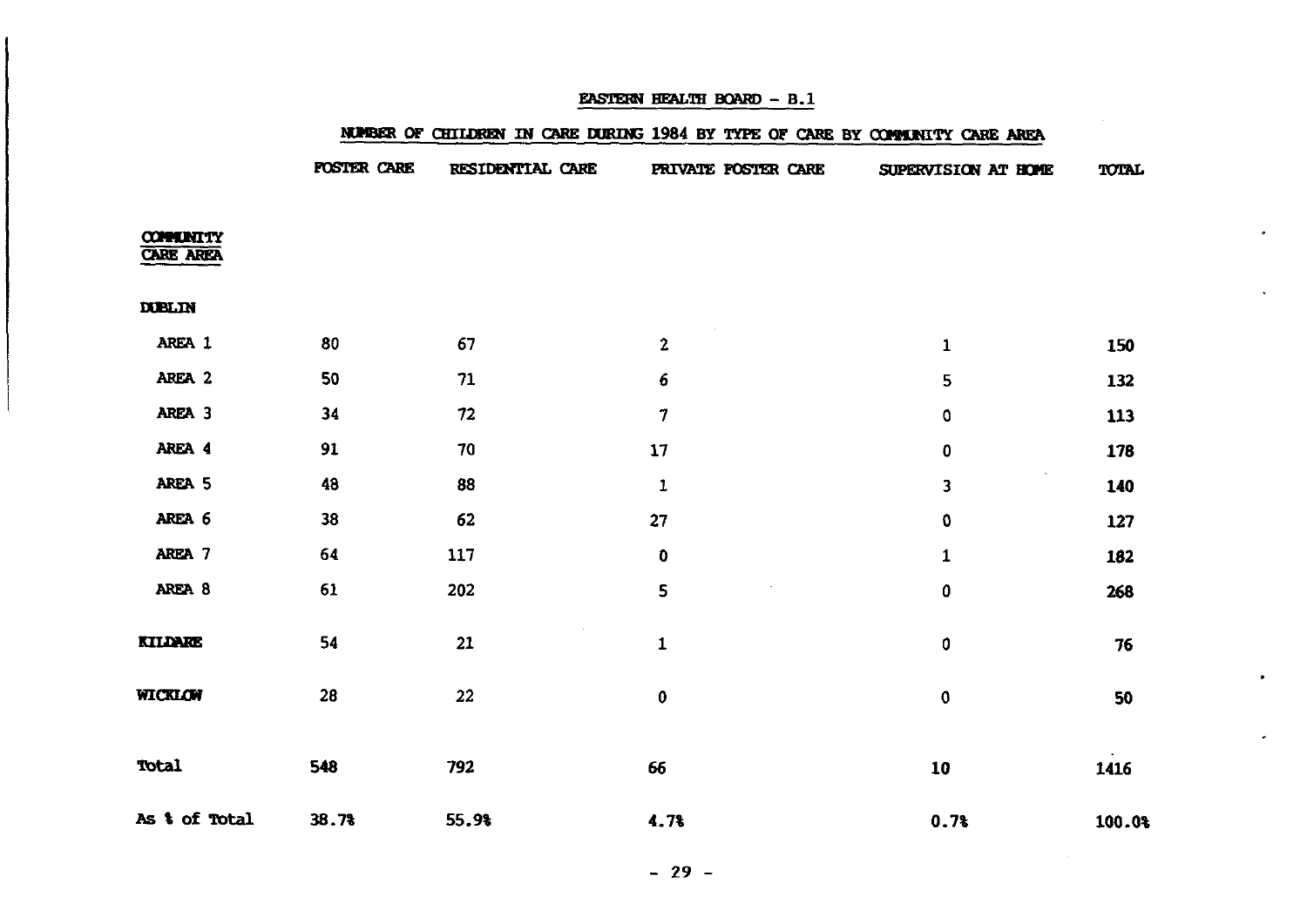# NUBBER OF CHILDREN IN CARE DURING 1984 BY TYPE OF CARE BY COMMUNITY CARE AREA

|                                      | <b>FOSTER CARE</b> | RESIDENTIAL CARE | PRIVATE FOSTER CARE | SUPERVISION AT HOME | <b>TOTAL</b> |
|--------------------------------------|--------------------|------------------|---------------------|---------------------|--------------|
| <b>COMMUNITY</b><br><b>CARE AREA</b> |                    |                  |                     |                     |              |
| <b>DUBLIN</b>                        |                    |                  |                     |                     |              |
| AREA 1                               | 80                 | 67               | $\mathbf{2}$        | $\mathbf{1}$        | 150          |
| AREA 2                               | 50                 | 71               | 6                   | 5                   | 132          |
| AREA 3                               | 34                 | 72               | $\boldsymbol{\tau}$ | $\bf{0}$            | 113          |
| AREA 4                               | 91                 | 70               | ${\bf 17}$          | $\pmb{0}$           | 178          |
| AREA 5                               | 48                 | 88               | $\mathbf 1$         | 3                   | 140          |
| AREA 6                               | 38                 | 62               | 27                  | $\boldsymbol{0}$    | 127          |
| AREA 7                               | 64                 | 117              | 0                   | $\mathbf{1}$        | 182          |
| AREA 8                               | 61                 | 202              | 5                   | $\pmb{0}$           | 268          |
| KILDARE                              | 54                 | 21               | $\mathbf{1}$        | $\boldsymbol{0}$    | 76           |
| <b>WICKLOW</b>                       | 28                 | 22               | $\pmb{0}$           | $\bf{0}$            | 50           |
| Total                                | 548                | 792              | 66                  | 10                  | 1416         |
| As & of Total                        | 38.7%              | 55.9%            | 4.7%                | 0.78                | 100.0%       |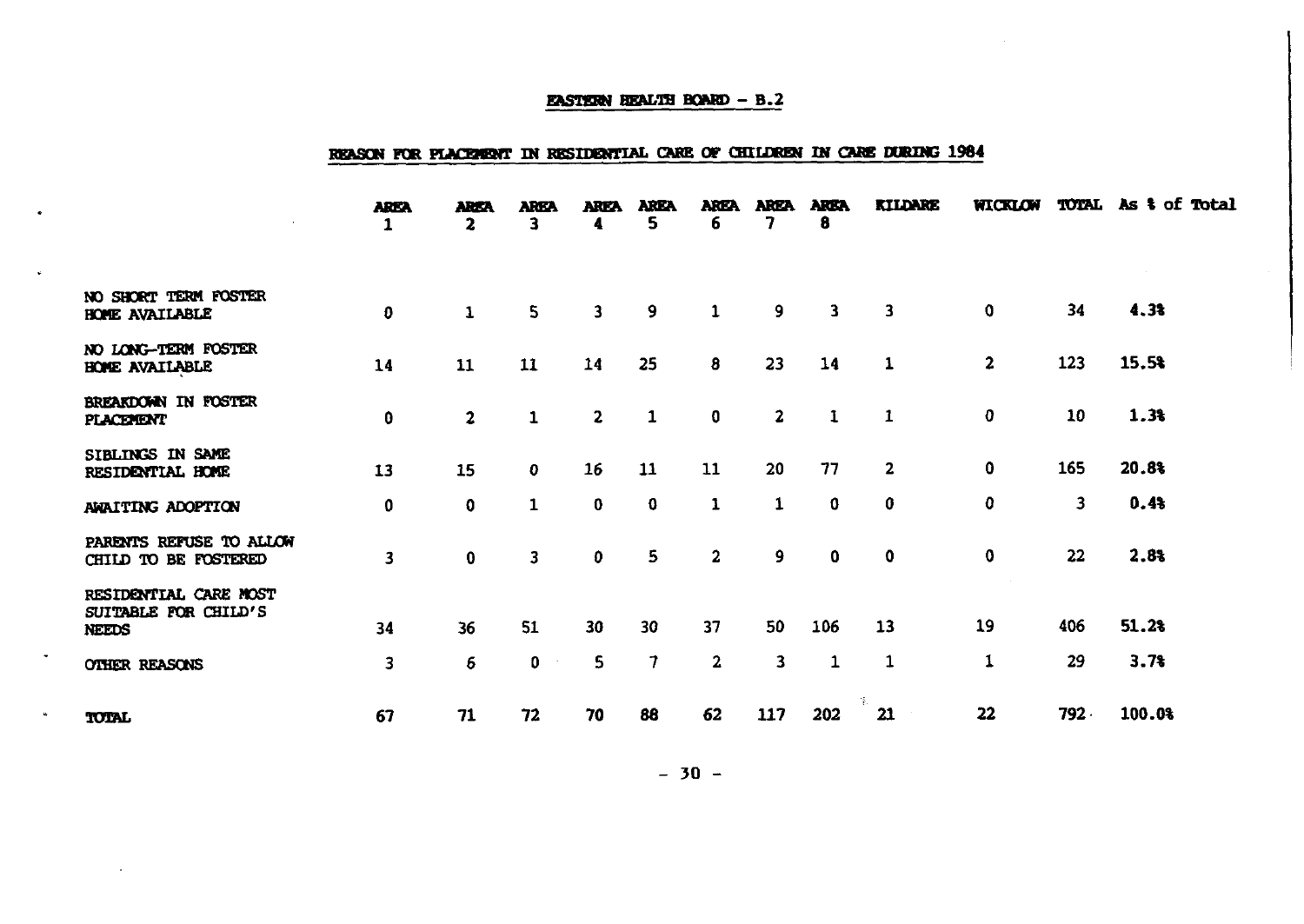### REASON FOR PLACEMENT IN RESIDENTIAL CARE OF CHILDREN IN CARE DURING 1984

| $\mathbf{r}$                                                  | <b>AREA</b><br>$\mathbf{1}$ | AREA<br>$\mathbf{2}$ | <b>AREA</b><br>3 | <b>AREA</b><br>4        | AREA<br>5 | <b>AREA</b><br>6        | <b>AREA</b><br>7        | <b>AREA</b><br>8        | <b>KILDARE</b>          | <b>WICKLOW</b> | <b>TOTAL</b>            | As & of Total |
|---------------------------------------------------------------|-----------------------------|----------------------|------------------|-------------------------|-----------|-------------------------|-------------------------|-------------------------|-------------------------|----------------|-------------------------|---------------|
| NO SHORT TERM FOSTER<br>HOME AVAILABLE                        | $\mathbf{0}$                | $\mathbf{1}$         | 5                | $\overline{\mathbf{3}}$ | 9         | $\mathbf{1}$            | 9                       | $\overline{\mathbf{3}}$ | $\overline{\mathbf{3}}$ | $\mathbf 0$    | 34                      | 4.3%          |
| NO LONG-TERM FOSTER<br>HOME AVAILABLE                         | 14                          | 11                   | 11               | 14                      | 25        | 8                       | 23                      | 14                      | $\mathbf{1}$            | $\mathbf{2}$   | 123                     | 15.5%         |
| BREAKDOWN IN FOSTER<br><b>PLACEMENT</b>                       | $\mathbf 0$                 | $\mathbf{2}$         | $\mathbf 1$      | $\mathbf{z}$            | 1         | 0                       | $\mathbf{2}$            | $\mathbf{1}$            | 1                       | 0              | 10                      | 1.33          |
| SIBLINGS IN SAME<br>RESIDENTIAL HOME                          | 13                          | 15                   | $\mathbf 0$      | 16                      | 11        | 11                      | 20                      | 77                      | $\mathbf{2}$            | 0              | 165                     | 20.8%         |
| <b>AWAITING ADOPTION</b>                                      | 0                           | $\mathbf 0$          | 1                | $\mathbf 0$             | 0         | 1                       | $\mathbf{1}$            | 0                       | $\boldsymbol{0}$        | 0              | $\overline{\mathbf{3}}$ | 0.43          |
| PARENTS REFUSE TO ALLOW<br>CHILD TO BE FOSTERED               | 3                           | $\mathbf 0$          | 3                | $\mathbf 0$             | 5         | $\overline{\mathbf{2}}$ | 9                       | 0                       | $\mathbf 0$             | $\mathbf 0$    | 22                      | 2.88          |
| RESIDENTIAL CARE MOST<br>SUITABLE FOR CHILD'S<br><b>NEEDS</b> | 34                          | 36                   | 51               | 30                      | 30        | 37                      | 50                      | 106                     | 13                      | 19             | 406                     | 51.28         |
| OTHER REASONS                                                 | $\overline{\mathbf{3}}$     | $6\phantom{1}$       | 0                | 5                       | 7         | $\overline{2}$          | $\overline{\mathbf{3}}$ | 1                       | $\mathbf{1}$            | 1              | 29                      | 3.7%          |
| TOTAL                                                         | 67                          | 71                   | 72               | 70                      | 88        | 62                      | 117                     | 202                     | 豪。<br>21                | 22             | $792 -$                 | 100.0%        |

 $\overline{a}$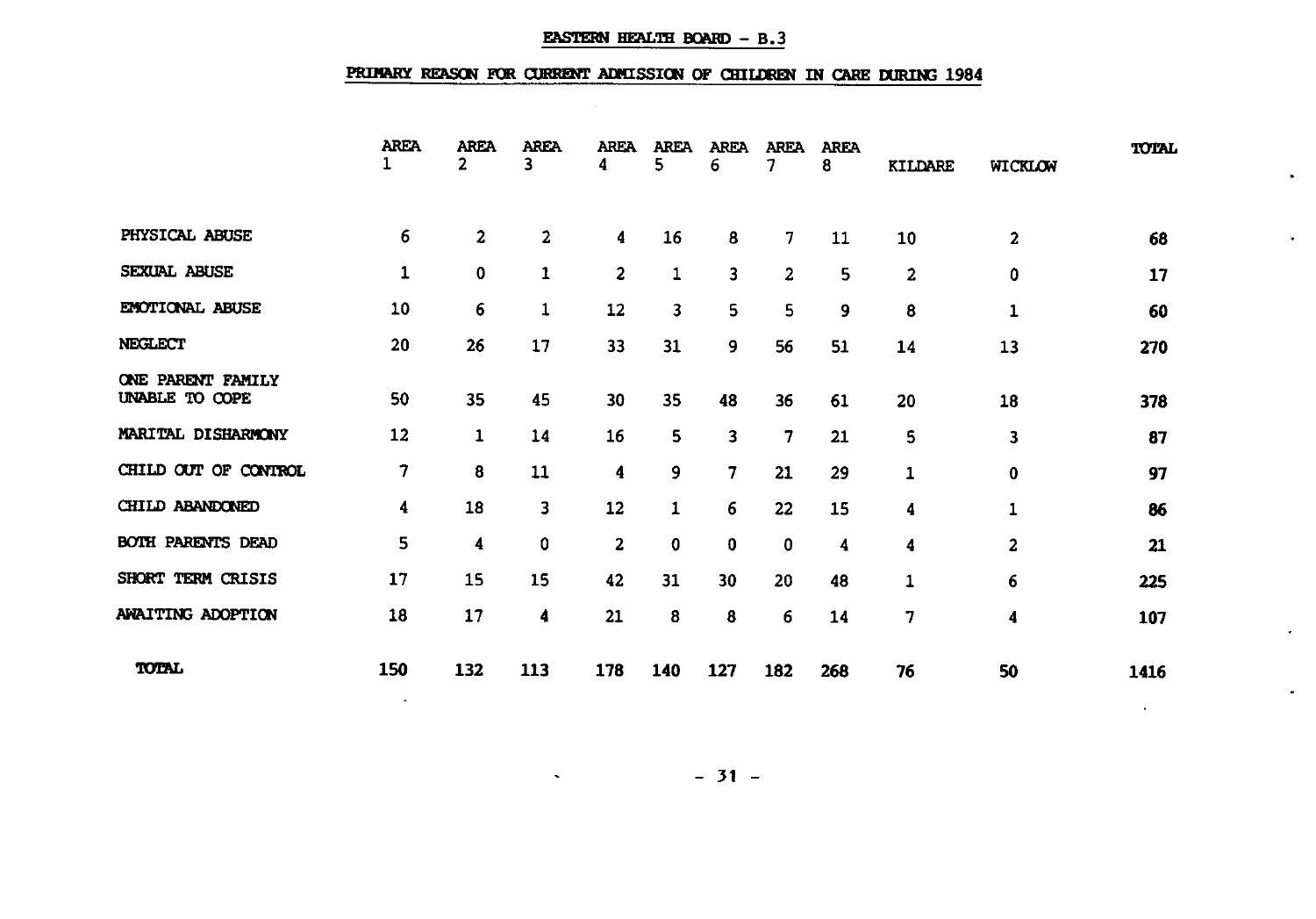# PRIMARY REASON FOR CURRENT ADMISSION OF CHILDREN IN CARE DURING 1984

 $\bullet$ 

 $\mathcal{A}$ 

 $\mathbf{v}$  .

 $\bullet$ 

 $\sim 10^7$ 

 $\sim 100$ 

|                                     | <b>AREA</b><br>1 | <b>AREA</b><br>$\overline{\mathbf{2}}$ | <b>AREA</b><br>3 | <b>AREA</b><br>4        | <b>AREA</b><br>5 | <b>AREA</b><br>6 | <b>AREA</b>    | <b>AREA</b><br>8 | KILDARE                 | WICKLOW        | <b>TOTAL</b> |
|-------------------------------------|------------------|----------------------------------------|------------------|-------------------------|------------------|------------------|----------------|------------------|-------------------------|----------------|--------------|
| PHYSICAL ABUSE                      | 6                | $\boldsymbol{2}$                       | 2                | $\blacktriangleleft$    | 16               | 8                | 7              | 11               | 10                      | $\mathbf{2}$   | 68           |
| SEXUAL ABUSE                        | 1                | $\bf{0}$                               | 1                | $\overline{c}$          | $\mathbf{1}$     | 3                | $\overline{c}$ | 5                | $\overline{\mathbf{2}}$ | 0              | 17           |
| EMOTIONAL ABUSE                     | 10               | 6                                      | 1                | 12                      | 3                | 5                | 5              | 9                | 8                       | 1              | 60           |
| NEGLECT                             | 20               | 26                                     | 17               | 33                      | 31               | 9                | 56             | 51               | 14                      | 13             | 270          |
| ONE PARENT FAMILY<br>UNABLE TO COPE | 50               | 35                                     | 45               | 30                      | 35               | 48               | 36             | 61               | 20                      | 18             | 378          |
| MARITAL DISHARMONY                  | 12               | 1                                      | 14               | 16                      | 5                | 3                | 7              | 21               | 5                       | 3              | 87           |
| CHILD OUT OF CONTROL                | 7                | 8                                      | 11               | 4                       | 9                | $\overline{7}$   | 21             | 29               | $\mathbf{1}$            | 0              | 97           |
| CHILD ABANDONED                     | 4                | 18                                     | 3                | 12                      | 1                | 6                | 22             | 15               | 4                       | 1              | 86           |
| BOTH PARENTS DEAD                   | 5                | 4                                      | 0                | $\overline{\mathbf{2}}$ | 0                | 0                | 0              | 4                | 4                       | $\overline{c}$ | 21           |
| SHORT TERM CRISIS                   | 17               | 15                                     | 15               | 42                      | 31               | 30               | 20             | 48               | $\mathbf 1$             | 6              | 225          |
| <b>AWAITING ADOPTION</b>            | 18               | 17                                     | 4                | 21                      | 8                | 8                | 6              | 14               | 7                       | 4              | 107          |
| <b>TOTAL</b>                        | 150              | 132                                    | 113              | 178                     | 140              | 127              | 182            | 268              | 76                      | 50             | 1416         |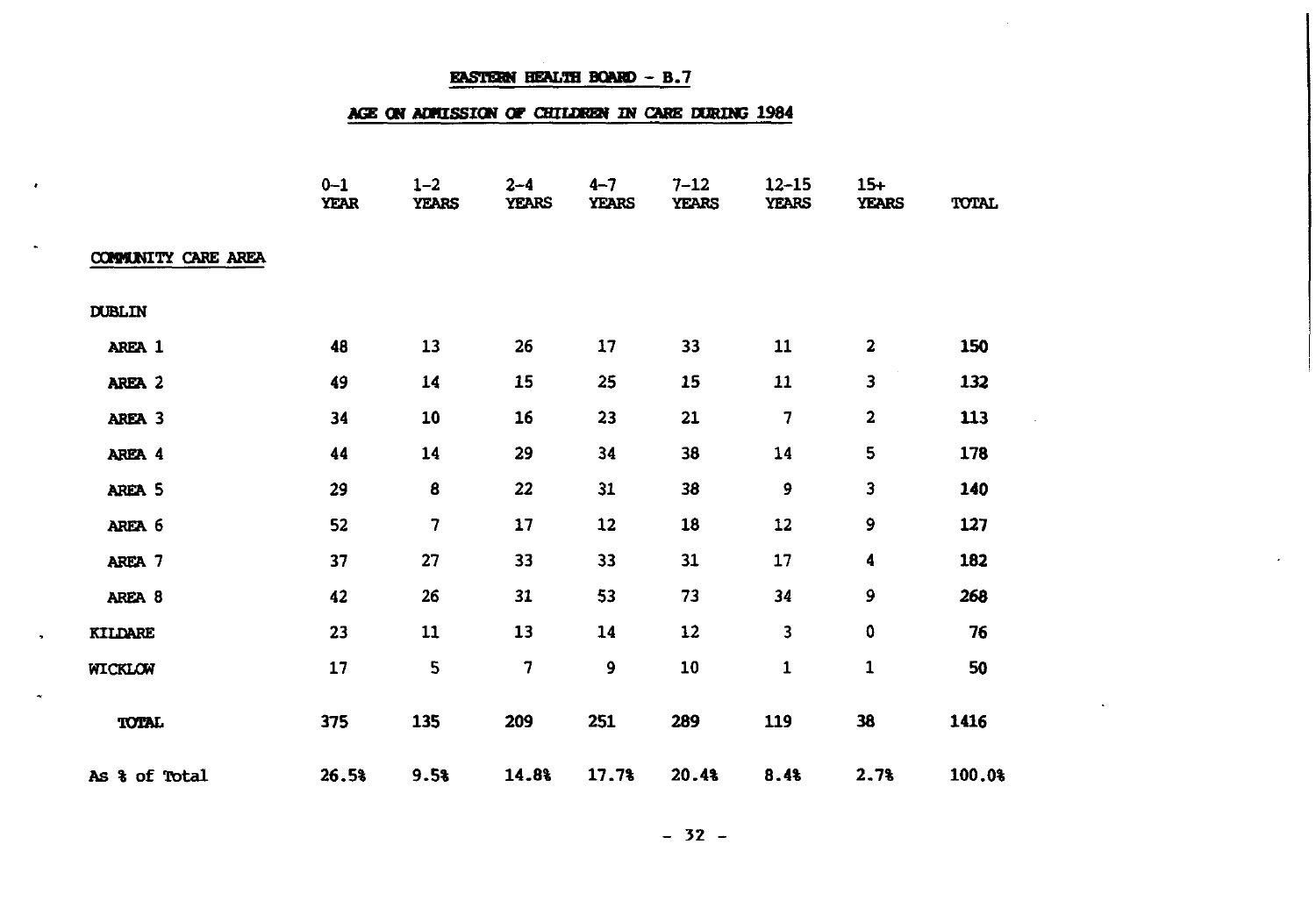# AGE ON ADMISSION OF CHILDREN IN CARE DURING 1984

 $\bullet$ 

|                            | $0 - 1$<br><b>YEAR</b> | $1 - 2$<br><b>YEARS</b> | $2 - 4$<br><b>YEARS</b> | $4 - 7$<br><b>YEARS</b> | $7 - 12$<br><b>YEARS</b> | $12 - 15$<br><b>YEARS</b> | $15 +$<br><b>YEARS</b>  | <b>TOTAL</b> |
|----------------------------|------------------------|-------------------------|-------------------------|-------------------------|--------------------------|---------------------------|-------------------------|--------------|
| <b>COMMUNITY CARE AREA</b> |                        |                         |                         |                         |                          |                           |                         |              |
| <b>DUBLIN</b>              |                        |                         |                         |                         |                          |                           |                         |              |
| AREA 1                     | 48                     | 13                      | 26                      | 17                      | 33                       | 11                        | $\mathbf{2}$            | 150          |
| AREA 2                     | 49                     | 14                      | 15                      | 25                      | 15                       | 11                        | 3                       | 132          |
| AREA 3                     | 34                     | 10                      | 16                      | 23                      | 21                       | $\overline{7}$            | $\overline{\mathbf{2}}$ | 113          |
| AREA 4                     | 44                     | 14                      | 29                      | 34                      | 38                       | 14                        | 5                       | 178          |
| AREA 5                     | 29                     | 8                       | 22                      | 31                      | 38                       | 9                         | 3                       | 140          |
| AREA 6                     | 52                     | 7                       | 17                      | 12                      | 18                       | 12                        | 9                       | 127          |
| AREA 7                     | 37                     | 27                      | 33                      | 33                      | 31                       | 17                        | 4                       | 182          |
| AREA 8                     | 42                     | 26                      | 31                      | 53                      | 73                       | 34                        | 9                       | 268          |
| <b>KILDARE</b>             | 23                     | 11                      | 13                      | 14                      | 12                       | $\overline{\mathbf{3}}$   | $\pmb{0}$               | 76           |
| WICKLOW                    | 17                     | 5                       | $\overline{7}$          | 9                       | 10                       | $\mathbf{1}$              | $\mathbf{1}$            | 50           |
| <b>TOTAL</b>               | 375                    | 135                     | 209                     | 251                     | 289                      | 119                       | 38                      | 1416         |
| As & of Total              | 26.5%                  | 9.5%                    | 14.8%                   | 17.7%                   | 20.4%                    | 8.4%                      | 2.7%                    | 100.0%       |

 $\mathbf{r}$ 

 $\mathcal{L}$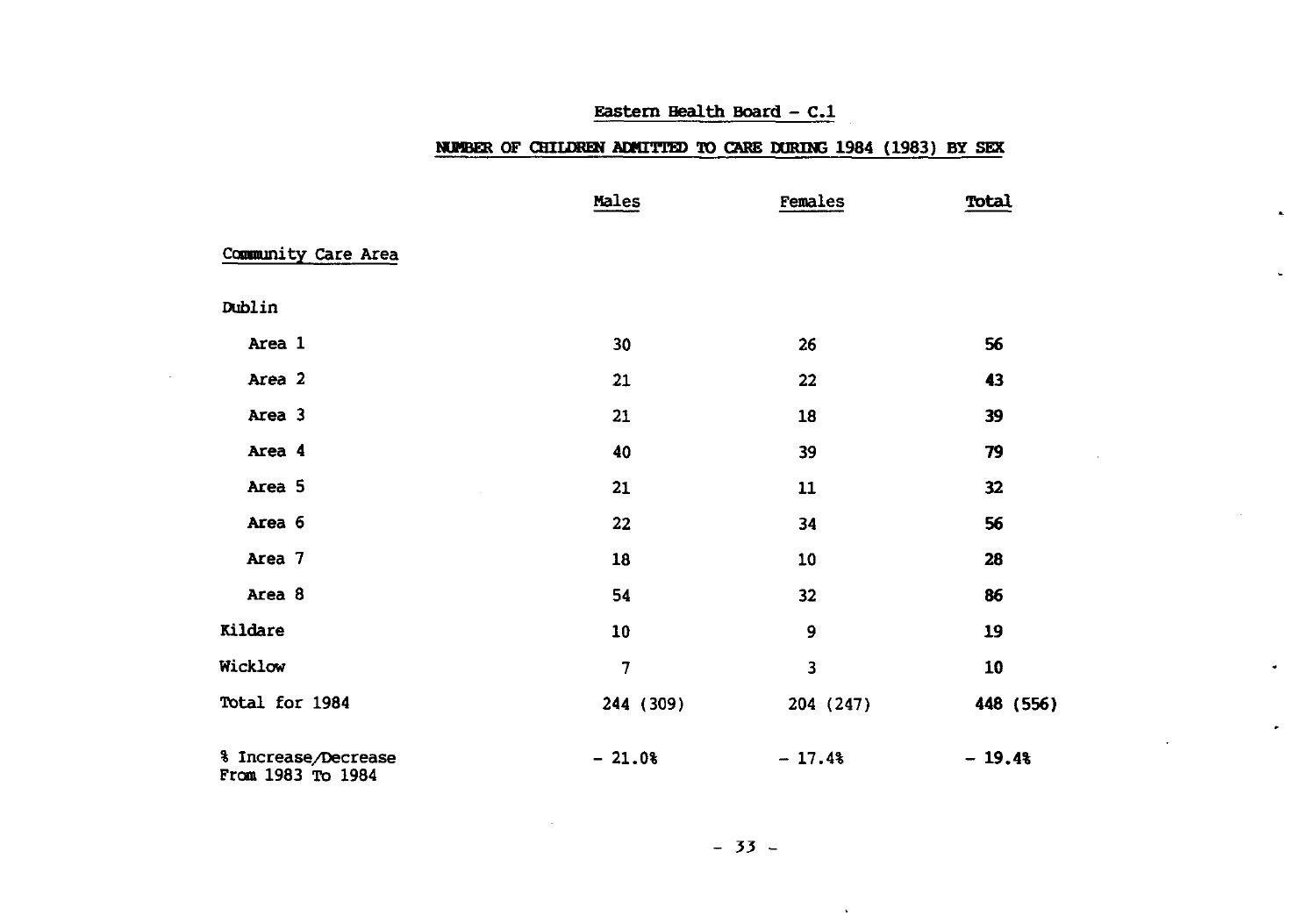# **Eastern Eealth Board** - **C.1**

# **NUMBER OF CHILDREN ADMITTED TO CARE DURING 1984 (1983) BY SEX.**

|                                          | Eastern Health Board - C.1                                    |                |           |
|------------------------------------------|---------------------------------------------------------------|----------------|-----------|
|                                          | NUMBER OF CHILDREN ADMITTED TO CARE DURING 1984 (1983) BY SEX |                |           |
|                                          |                                                               |                |           |
|                                          | Males                                                         | Females        | Total     |
| Community Care Area                      |                                                               |                |           |
| Dublin                                   |                                                               |                |           |
| Area 1                                   | 30                                                            | 26             | 56        |
| Area <sub>2</sub>                        | 21                                                            | 22             | 43        |
| Area <sub>3</sub>                        | 21                                                            | 18             | 39        |
| Area 4                                   | 40                                                            | 39             | 79        |
| Area 5                                   | 21                                                            | 11             | 32        |
| Area 6                                   | 22                                                            | 34             | 56        |
| Area 7                                   | 18                                                            | 10             | 28        |
| Area <sub>8</sub>                        | 54                                                            | 32             | 86        |
| Kildare                                  | 10                                                            | $\overline{9}$ | 19        |
| Wicklow                                  | $\overline{7}$                                                | 3              | 10        |
| Total for 1984                           | 244 (309)                                                     | 204 (247)      | 448 (556) |
| % Increase/Decrease<br>From 1983 To 1984 | $-21.0%$                                                      | $-17.4%$       | $-19.4%$  |

 $\sim$ 

 $\Lambda$ 

 $\star$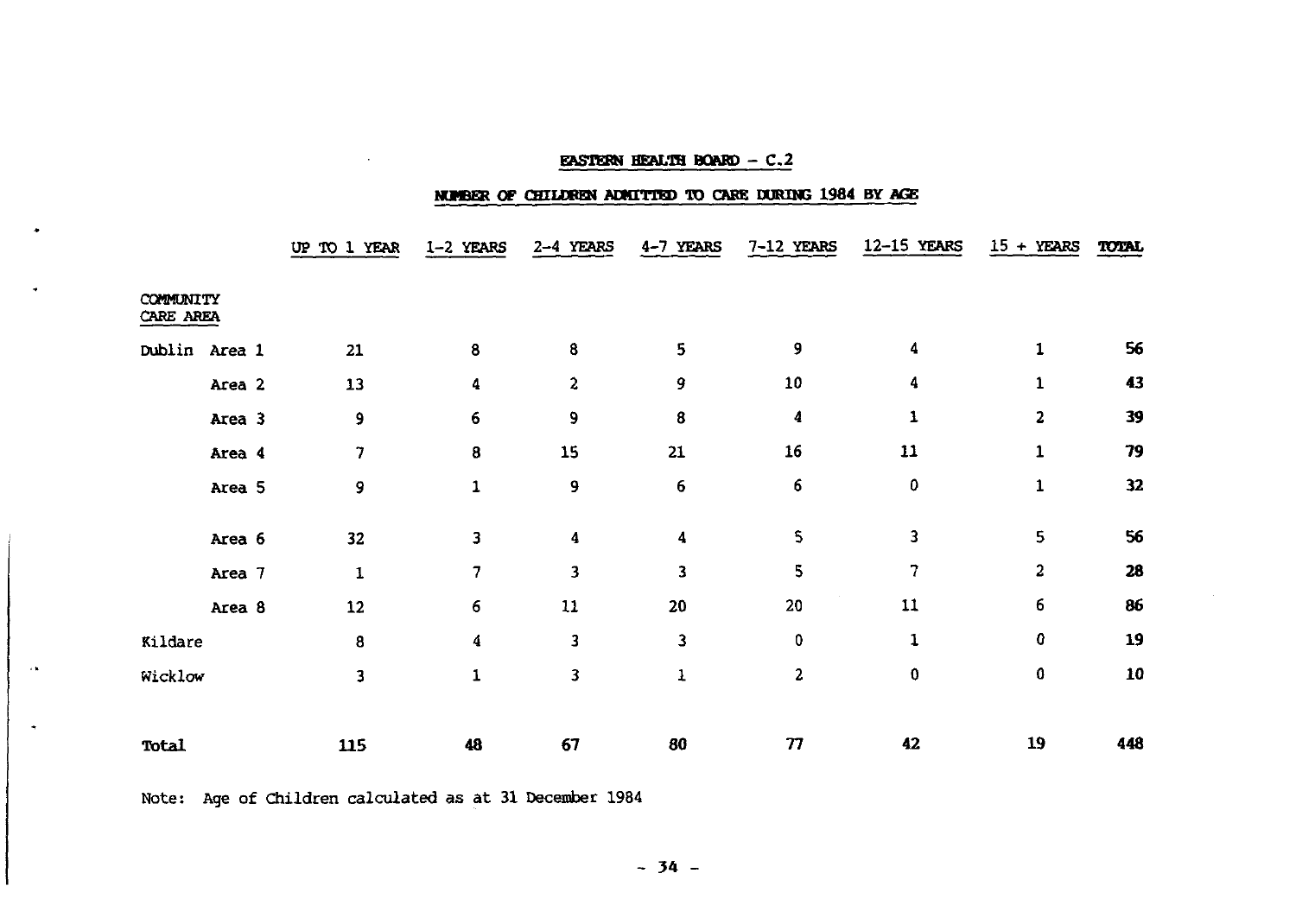|                               |                   |              |             |                         | EASTERN HEALTH BOARD - C.2 |                                                        |              |              |              |
|-------------------------------|-------------------|--------------|-------------|-------------------------|----------------------------|--------------------------------------------------------|--------------|--------------|--------------|
|                               |                   |              |             |                         |                            | NUMBER OF CHILDREN ADMITTED TO CARE DURING 1984 BY AGE |              |              |              |
|                               |                   | UP TO 1 YEAR | 1-2 YEARS   | 2-4 YEARS               | 4-7 YEARS                  | 7-12 YEARS                                             | 12-15 YEARS  | $15 + YERRS$ | <b>TOTAL</b> |
| <b>COMMUNITY</b><br>CARE AREA |                   |              |             |                         |                            |                                                        |              |              |              |
|                               | Dublin Area 1     | 21           | 8           | 8                       | 5                          | 9                                                      | 4            | $\mathbf{1}$ | 56           |
|                               | Area <sub>2</sub> | 13           | 4           | $\mathbf{2}$            | 9                          | 10                                                     | 4            | 1            | 43           |
|                               | Area 3            | 9            | 6           | 9                       | 8                          | 4                                                      | $\mathbf{1}$ | 2            | 39           |
|                               | Area 4            | 7            | 8           | 15                      | 21                         | 16                                                     | 11           | 1            | 79           |
|                               | Area 5            | 9            | 1           | 9                       | 6                          | 6                                                      | 0            | 1            | 32           |
|                               | Area 6            | 32           | 3           | 4                       | 4                          | 5                                                      | 3            | 5            | 56           |
|                               | Area 7            | $\bf{1}$     | 7           | $\overline{\mathbf{3}}$ | 3                          | 5                                                      | 7            | 2            | 28           |
|                               | Area <sub>8</sub> | 12           | 6           | 11                      | 20                         | 20                                                     | 11           | 6            | 86           |
| Kildare                       |                   | 8            | 4           | $\overline{\mathbf{3}}$ | 3                          | $\mathbf 0$                                            | 1            | 0            | 19           |
| Wicklow                       |                   | 3            | $\mathbf 1$ | 3                       | $\mathbf{1}$               | $\overline{2}$                                         | 0            | 0            | 10           |
| Total                         |                   | 115          | 48          | 67                      | 80                         | 77                                                     | 42           | 19           | 448          |

**Note: Age of Children calculated as at 31 December 1984** 

 $\sim$   $\,$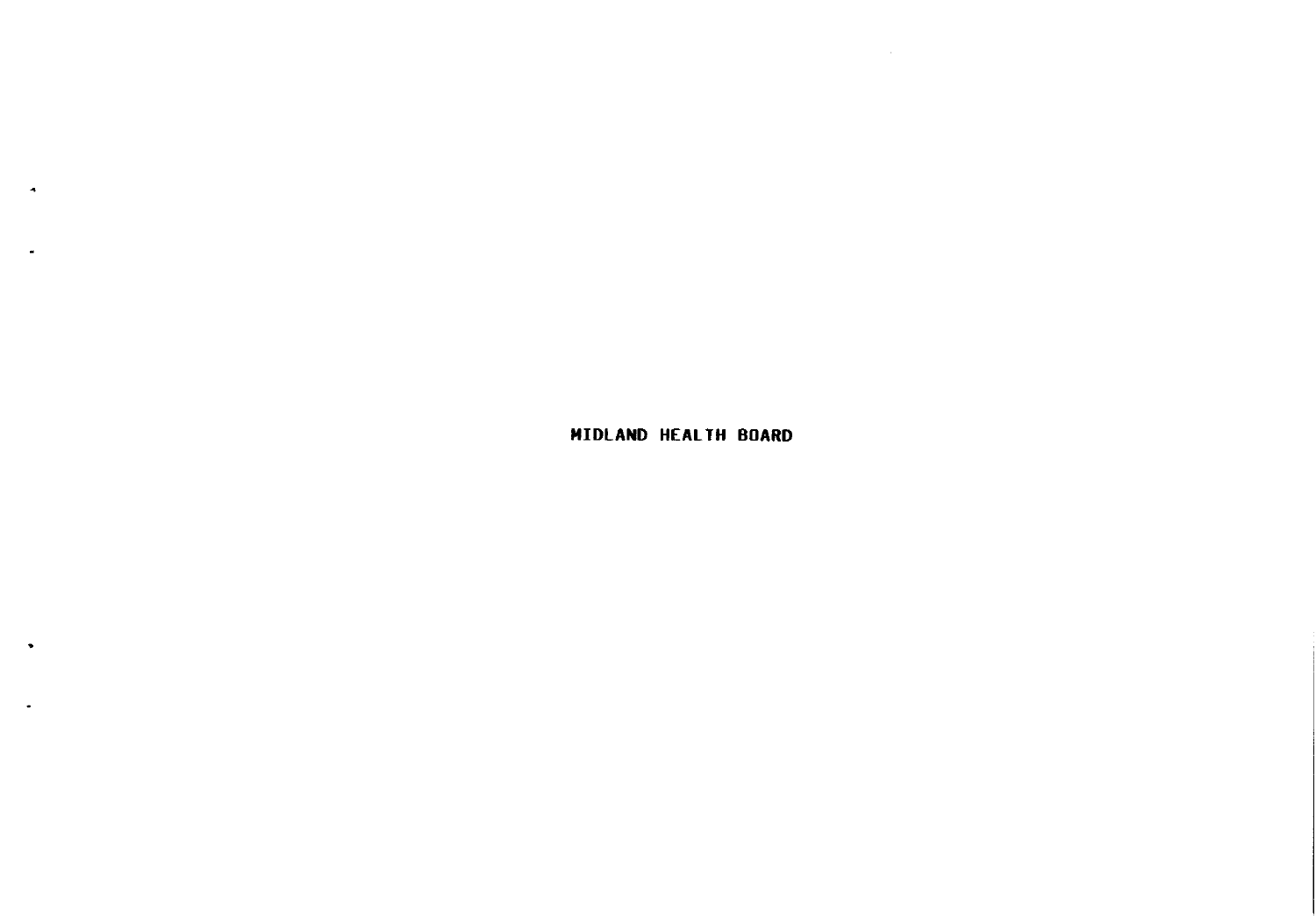**MIDLAND HEALTH BOARD** 

 $\overline{\phantom{a}}$ 

 $\bullet$ 

 $\bullet$ 

 $\bullet$ 

 $\sim 100$  km  $^{-1}$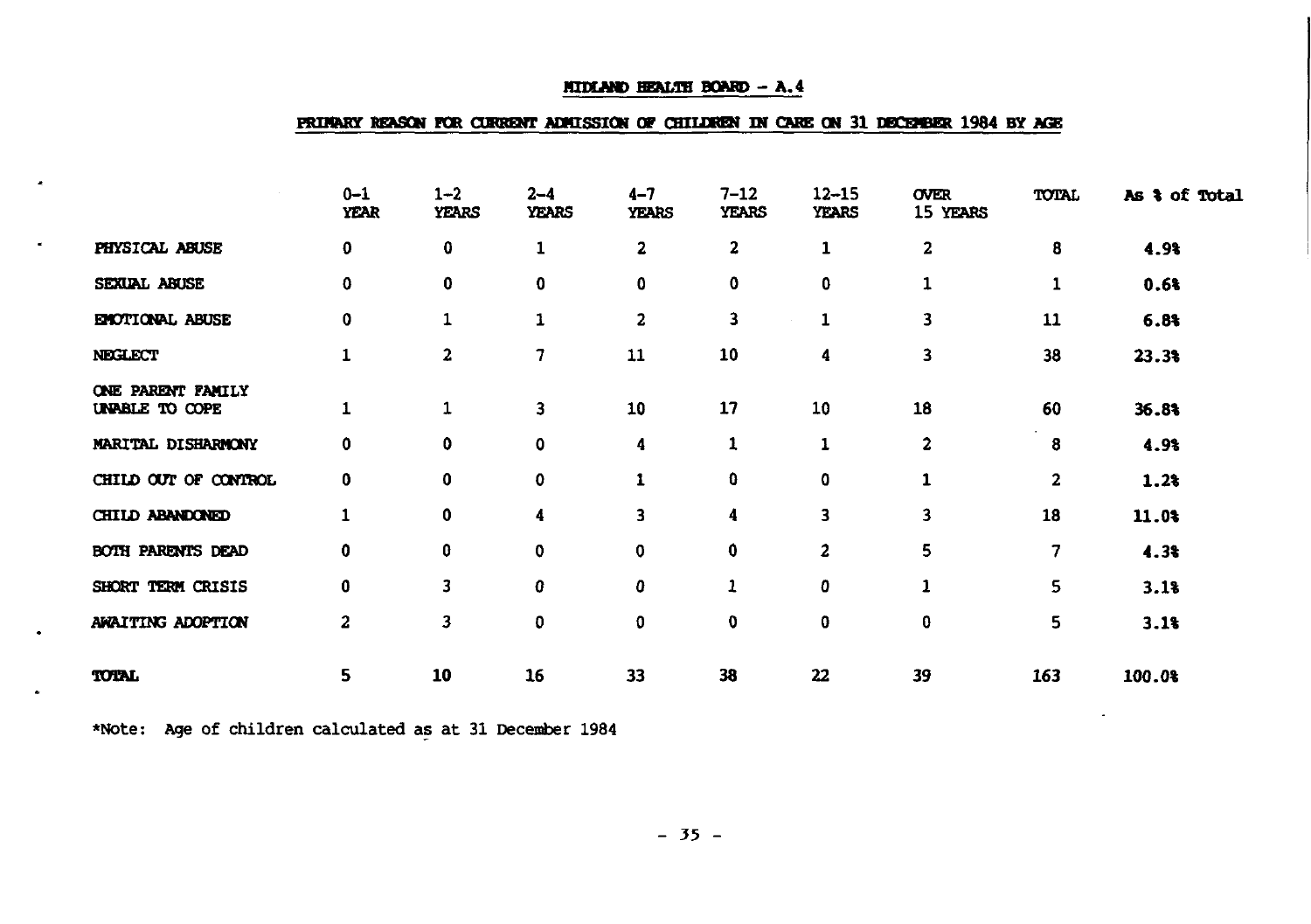# **MIDLAND HEALTH BOARD - A.4**

#### PRIMARY REASON FOR CURRENT ADMISSION OF CHILDREN IN CARE ON 31 DECEMBER 1984 BY AGE

|                                     | $0 - 1$<br><b>YEAR</b>  | $1 - 2$<br><b>YEARS</b> | $2 - 4$<br><b>YEARS</b> | $4 - 7$<br><b>YEARS</b> | $7 - 12$<br><b>YEARS</b> | $12 - 15$<br><b>YEARS</b> | <b>OVER</b><br>15 YEARS | <b>TOTAL</b> | As & of Total |
|-------------------------------------|-------------------------|-------------------------|-------------------------|-------------------------|--------------------------|---------------------------|-------------------------|--------------|---------------|
| PHYSICAL ABUSE                      | 0                       | 0                       | 1                       | $\overline{2}$          | $\overline{\mathbf{2}}$  | $\mathbf{1}$              | 2                       | 8            | 4.9%          |
| <b>SEXUAL ABUSE</b>                 | $\mathbf 0$             | 0                       | 0                       | $\bf{0}$                | 0                        | $\mathbf 0$               |                         | 1            | 0.68          |
| EMOTIONAL ABUSE                     | $\mathbf 0$             | 1                       |                         | $\overline{2}$          | 3                        | $\mathbf 1$               | 3                       | 11           | 6.8%          |
| <b>NEGLECT</b>                      | $\mathbf{1}$            | $\overline{2}$          | $\overline{7}$          | 11                      | 10                       | $\boldsymbol{4}$          | 3                       | 38           | 23.3%         |
| ONE PARENT FAMILY<br>UNABLE TO COPE | $\mathbf 1$             | 1                       | 3                       | 10                      | 17                       | 10                        | 18                      | 60           | 36.8%         |
| MARITAL DISHARMONY                  | 0                       | $\mathbf{0}$            | $\mathbf 0$             | $\overline{\mathbf{4}}$ | 1                        | $\mathbf{1}$              | 2                       | 8            | 4.9%          |
| CHILD OUT OF CONTROL                | $\mathbf 0$             | $\mathbf 0$             | $\mathbf{0}$            | $\mathbf{1}$            | 0                        | $\mathbf 0$               | 1                       | $\mathbf{2}$ | 1.23          |
| CHILD ABANDONED                     |                         | $\mathbf 0$             | 4                       | 3                       | 4                        | 3                         | 3                       | 18           | 11.0%         |
| BOTH PARENTS DEAD                   | $\mathbf 0$             | $\mathbf{0}$            | $\mathbf 0$             | $\mathbf 0$             | 0                        | $\overline{2}$            | 5                       | 7            | 4.38          |
| SHORT TERM CRISIS                   | 0                       | $\overline{\mathbf{3}}$ | 0                       | $\mathbf{0}$            | 1                        | 0                         |                         | 5            | 3.13          |
| AWAITING ADOPTION                   | $\overline{\mathbf{2}}$ | $\overline{\mathbf{3}}$ | $\mathbf 0$             | $\mathbf 0$             | $\mathbf 0$              | $\mathbf 0$               | 0                       | 5            | 3.18          |
| <b>TOTAL</b>                        | 5                       | 10                      | 16                      | 33                      | 38                       | 22                        | 39                      | 163          | 100.0%        |

**\*Note: Age of children calculated as at 31 December 1984**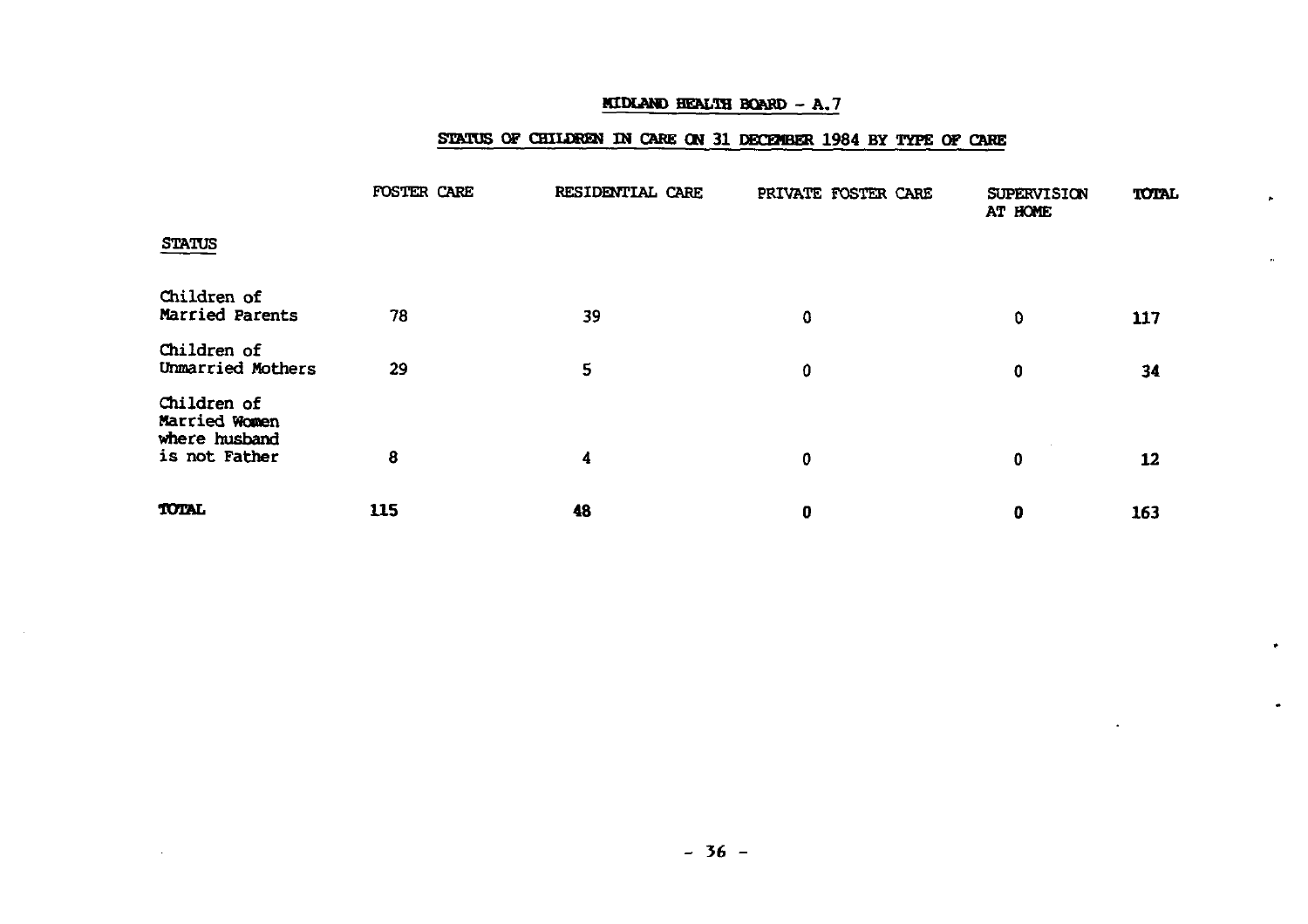### MIDIAND HEALTH BOARD - A.7

# STATUS OF CHILDREN IN CARE ON 31 DECEMBER 1984 BY TYPE OF CARE

 $\mathbf{A}^{\prime}$ 

 $\bullet$ 

 $\bullet$ 

 $\sim$ 

|                                                                | FOSTER CARE | RESIDENTIAL CARE | PRIVATE FOSTER CARE | <b>SUPERVISION</b><br>AT HOME | <b>TOTAL</b> |
|----------------------------------------------------------------|-------------|------------------|---------------------|-------------------------------|--------------|
| <b>STATUS</b>                                                  |             |                  |                     |                               |              |
| Children of<br>Married Parents                                 | 78          | 39               | $\bf{0}$            | 0                             | 117          |
| Children of<br>Unmarried Mothers                               | 29          | 5                | $\boldsymbol{0}$    | 0                             | 34           |
| Children of<br>Married Women<br>where husband<br>is not Father | 8           | 4                | 0                   | 0                             | 12           |
| <b>TOTAL</b>                                                   | 115         | 48               | $\bf{0}$            | 0                             | 163          |

 $\sim 10^{11}$  km s  $^{-1}$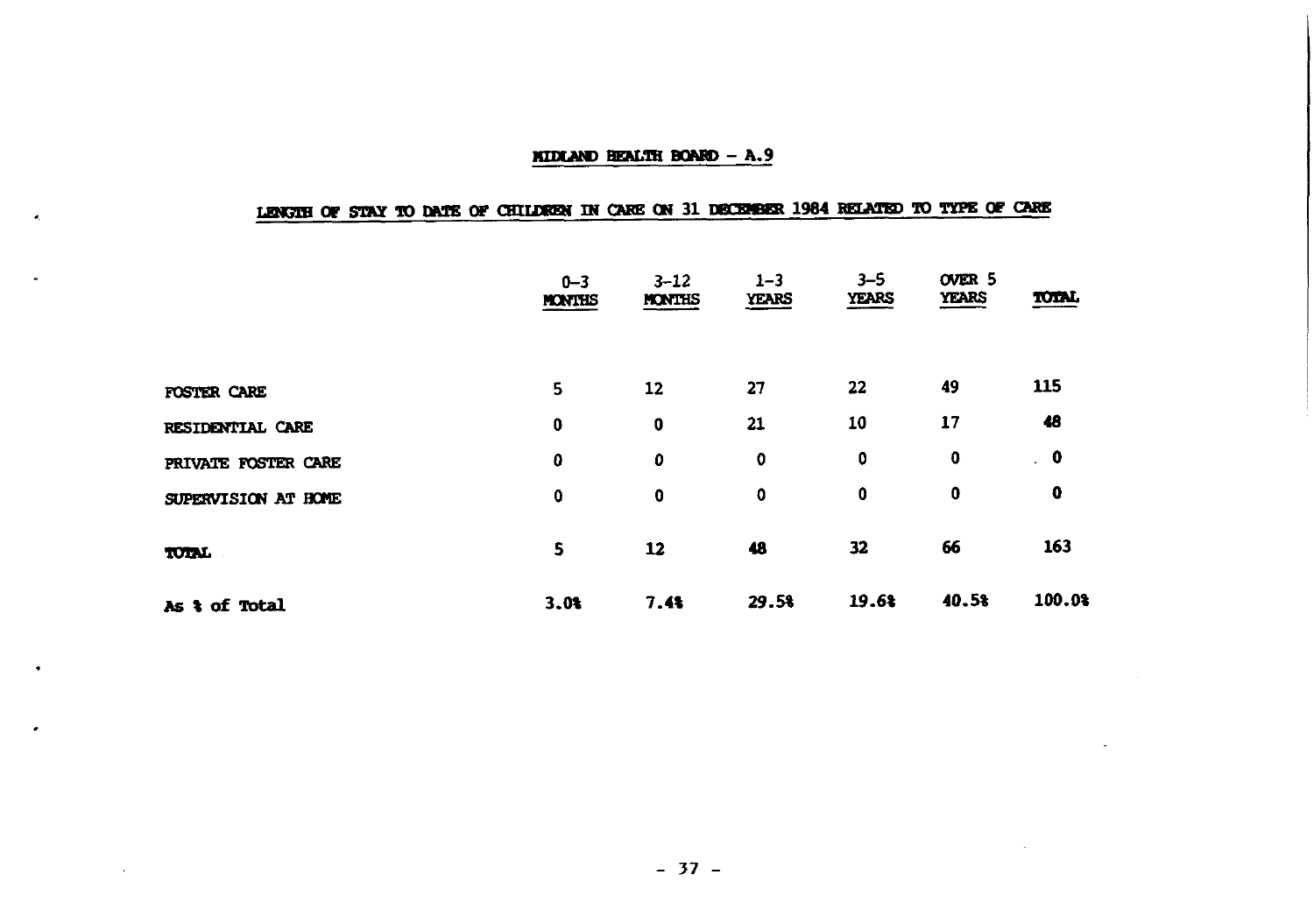#### MIDLAND HEALTH BOARD - A.9

# LENGTH OF STAY TO DATE OF CHILDREN IN CARE ON 31 DECEMBER 1984 RELATED TO TYPE OF CARE

|                     | $0 - 3$<br><b>MONTHS</b> | $3 - 12$<br><b>MONTHS</b> | $1 - 3$<br>YEARS | $3 - 5$<br><b>YEARS</b> | OVER <sub>5</sub><br><b>YEARS</b> | TOTAL       |
|---------------------|--------------------------|---------------------------|------------------|-------------------------|-----------------------------------|-------------|
|                     |                          |                           |                  |                         |                                   |             |
| FOSTER CARE         | 5                        | 12                        | 27               | 22                      | 49                                | 115         |
| RESIDENTIAL CARE    | $\mathbf 0$              | $\boldsymbol{0}$          | 21               | 10                      | 17                                | 48          |
| PRIVATE FOSTER CARE | $\mathbf{0}$             | 0                         | 0                | 0                       | $\mathbf 0$                       | $\bullet$   |
| SUPERVISION AT HOME | 0                        | 0                         | $\bf{0}$         | 0                       | $\mathbf 0$                       | $\mathbf 0$ |
| TOTAL               | 5                        | 12                        | 48               | 32                      | 66                                | 163         |
| As & of Total       | 3.01                     | 7.4                       | 29.5%            | 19.6%                   | 40.5%                             | 100.0%      |

 $\ddot{\phantom{a}}$ 

 $\bullet$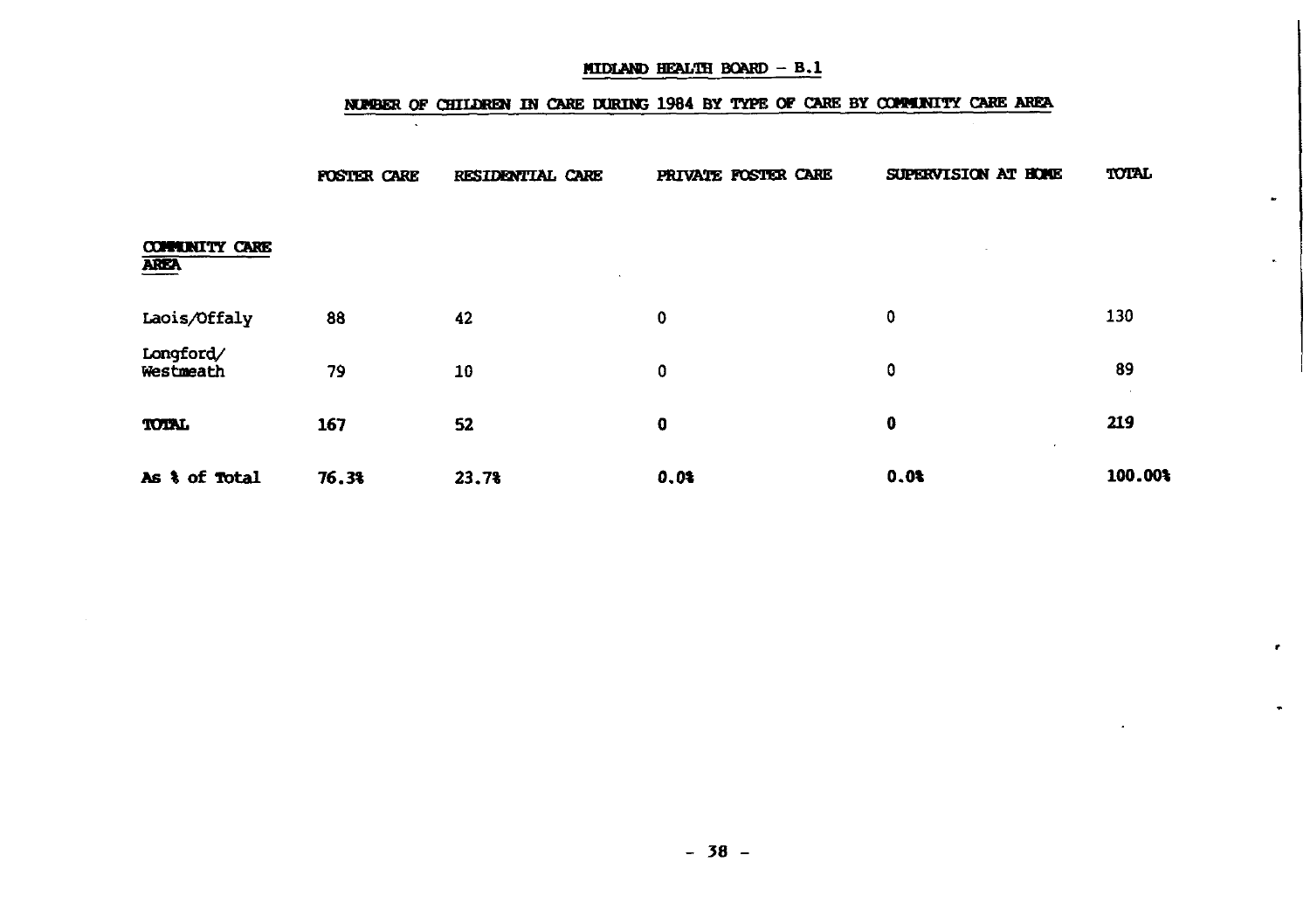# **MIDLAND HEALTH BOARD - B.1**

#### NUMBER OF CHILDREN IN CARE DURING 1984 BY TYPE OF CARE BY COMMUNITY CARE AREA

 $\bullet$ 

 $\mathbf{r}$ 

 $\pmb{r}$ 

 $\bullet$ 

|                                      | <b>FOSTER CARE</b> | RESIDENTIAL CARE | PRIVATE FOSTER CARE | SUPERVISION AT HOME | <b>TOTAL</b> |
|--------------------------------------|--------------------|------------------|---------------------|---------------------|--------------|
| <b>COMMUNITY CARE</b><br><b>AREA</b> |                    |                  |                     |                     |              |
| Laois/Offaly                         | 88                 | 42               | 0                   | $\bf{0}$            | 130          |
| Longford/<br>Westmeath               | 79                 | 10               | 0                   | $\bf{0}$            | 89           |
| <b>TOTAL</b>                         | 167                | 52               | 0                   | $\mathbf 0$         | 219          |
| As & of Total                        | 76.3%              | 23.7%            | 0.0%                | 0.01                | 100.00%      |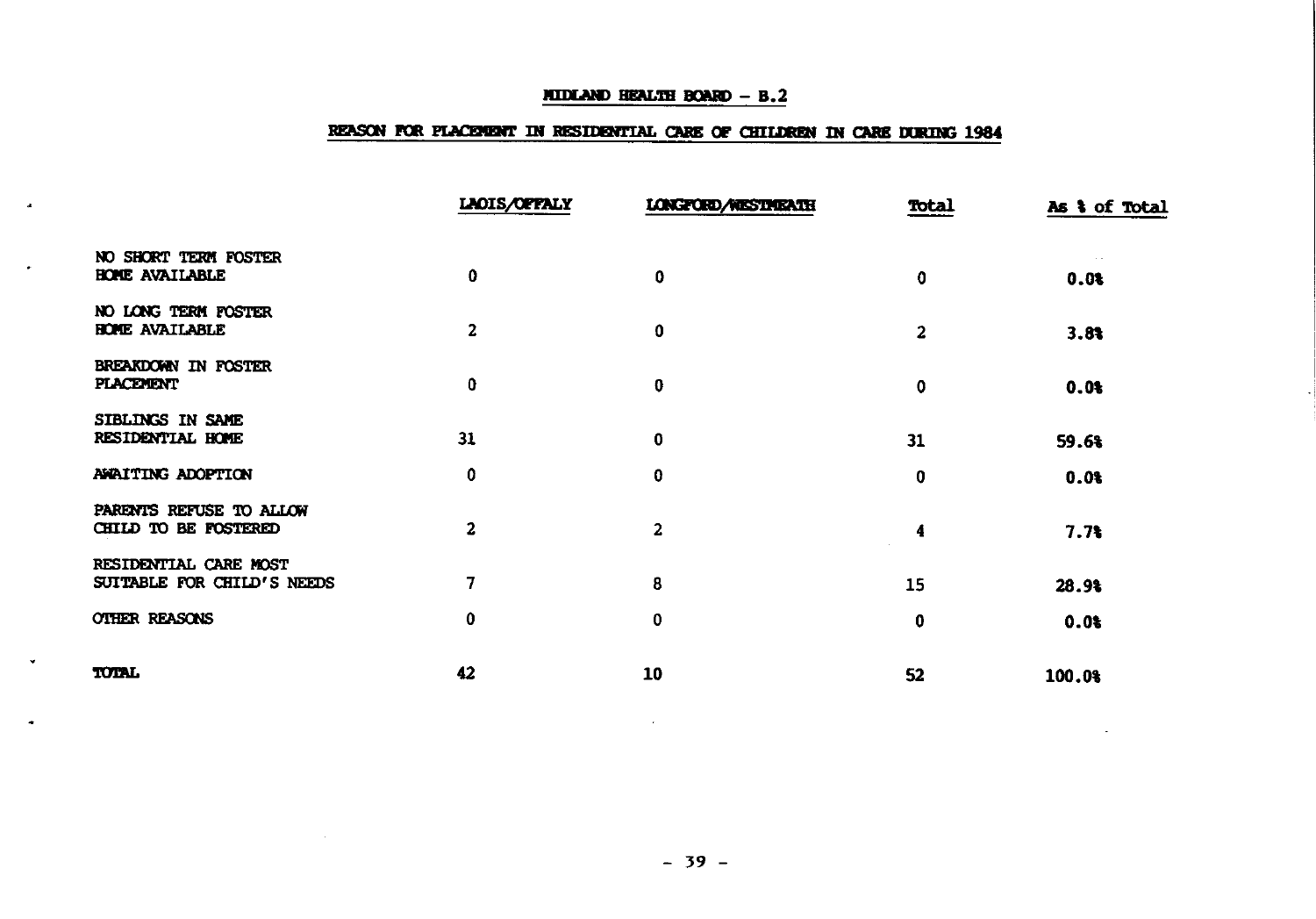# MIDLAND HEALTH BOARD - B.2

# REASON FOR PLACEMENT IN RESIDENTIAL CARE OF CHILDREN IN CARE DURING 1984

|                                                     | LAOIS/OFFALY   | LONGFORD/WESTMEATH | Total                   | As & of Total      |
|-----------------------------------------------------|----------------|--------------------|-------------------------|--------------------|
| NO SHORT TERM FOSTER<br>HOME AVAILABLE              | $\mathbf 0$    | $\boldsymbol{0}$   | $\mathbf 0$             | $\sim$ $-$<br>0.01 |
| NO LONG TERM FOSTER<br><b>HOME AVAILABLE</b>        | $\overline{2}$ | 0                  | $\overline{\mathbf{2}}$ | 3.83               |
| BREAKDOWN IN FOSTER<br><b>PLACEMENT</b>             | 0              | $\bf{0}$           | 0                       | 0.03               |
| SIBLINGS IN SAME<br>RESIDENTIAL HOME                | 31             | 0                  | 31                      | 59.6%              |
| AWAITING ADOPTION                                   | $\bf{0}$       | $\Omega$           | $\mathbf 0$             | 0.03               |
| PARENTS REFUSE TO ALLOW<br>CHILD TO BE FOSTERED     | $\overline{2}$ | $\overline{2}$     | 4                       | 7.7%               |
| RESIDENTIAL CARE MOST<br>SUITABLE FOR CHILD'S NEEDS | 7              | 8                  | 15                      | 28.9%              |
| OTHER REASONS                                       | 0              | $\mathbf 0$        | 0                       | 0.03               |
| <b>TOTAL</b>                                        | 42             | 10                 | 52                      | 100.0%             |

 $\mathcal{A}$ 

 $\ddot{\phantom{1}}$ 

 $\bullet$ 

 $\sim$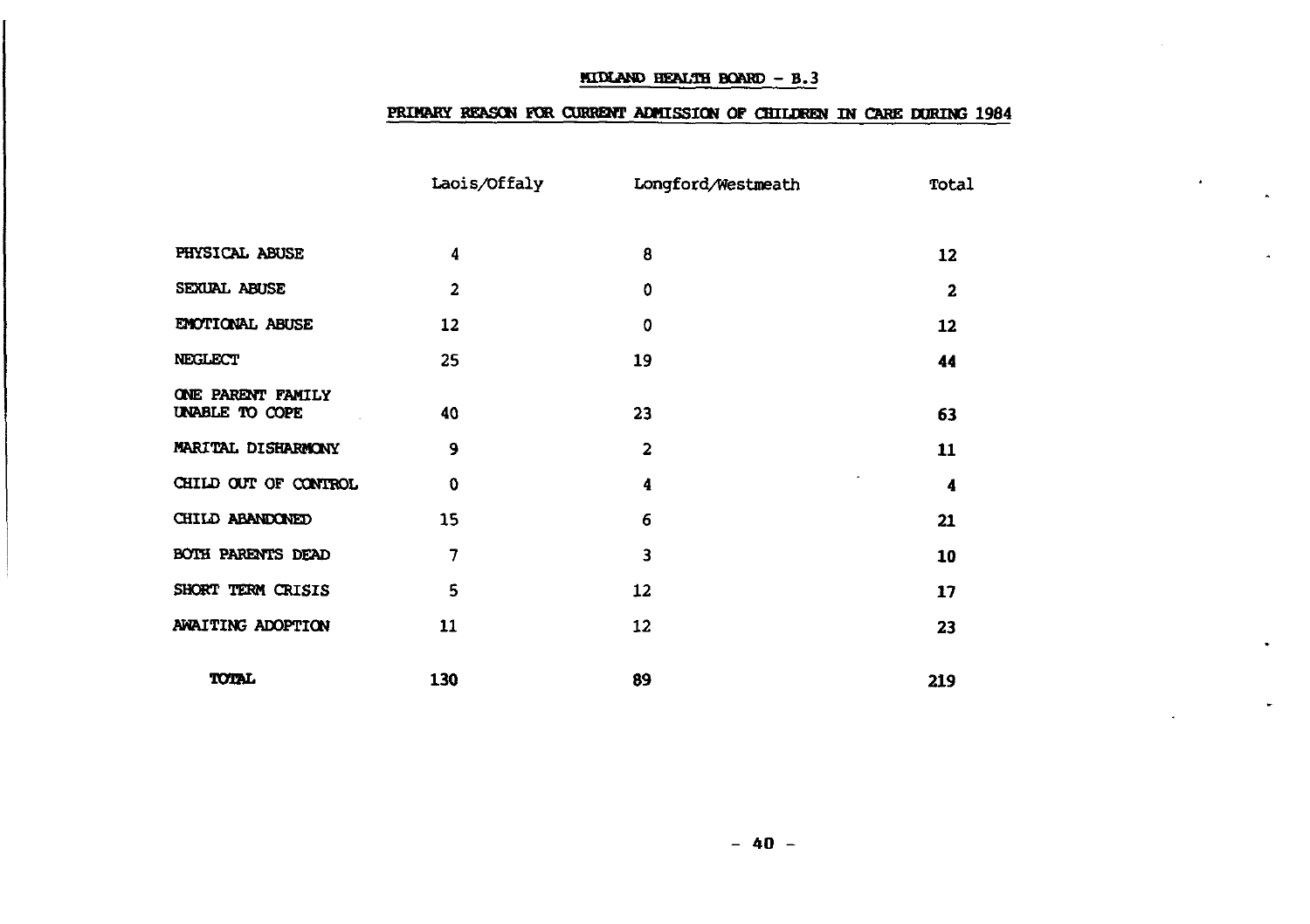#### MIDIAND HEALTH BOARD - B.3

### PRIMARY REASON FOR CURRENT ADMISSION OF CHILDREN IN CARE DURING 1984

 $\bullet$ 

 $\mathbf{A}$ 

÷.

 $\bullet$ 

|                                     | Laois/Offaly   | Longford/Westmeath      | Total          |
|-------------------------------------|----------------|-------------------------|----------------|
| PHYSICAL ABUSE                      | 4              | 8                       | 12             |
| SEXUAL ABUSE                        | $\overline{2}$ | $\mathbf 0$             | $\overline{2}$ |
| EMOTIONAL ABUSE                     | 12             | $\bf{0}$                | 12             |
| <b>NEGLECT</b>                      | 25             | 19                      | 44             |
| ONE PARENT FAMILY<br>UNABLE TO COPE | 40             | 23                      | 63             |
| MARITAL DISHARMONY                  | $\overline{9}$ | $\overline{2}$          | 11             |
| CHILD OUT OF CONTROL                | $\mathbf 0$    | $\overline{\mathbf{4}}$ | 4              |
| CHILD ABANDONED                     | 15             | 6                       | 21             |
| BOTH PARENTS DEAD                   | 7              | $\overline{\mathbf{3}}$ | 10             |
| SHORT TERM CRISIS                   | 5              | 12                      | 17             |
| AWAITING ADOPTION                   | 11             | 12                      | 23             |
| <b>TOTAL</b>                        | 130            | 89                      | 219            |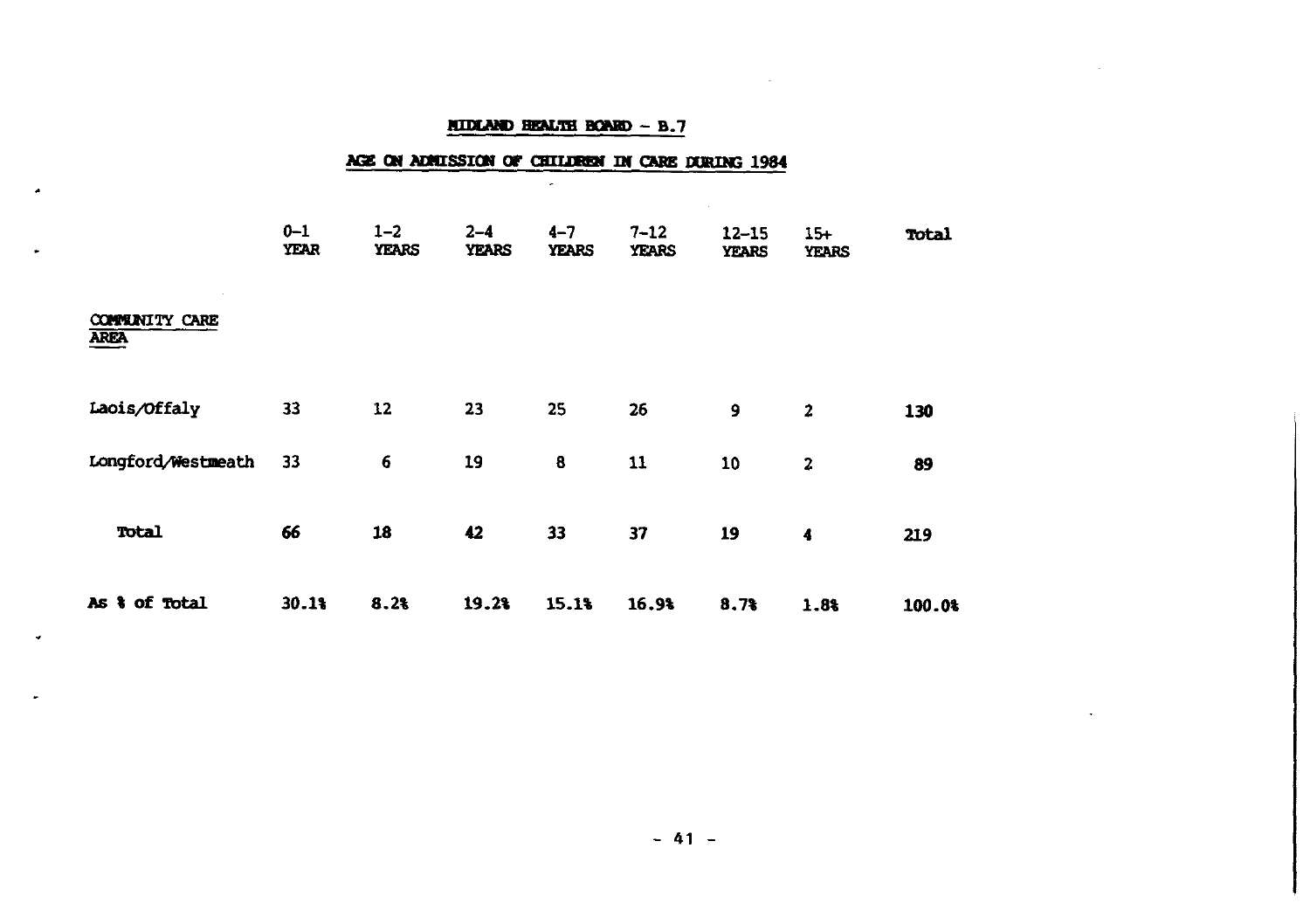#### MIDLAND HEALTH BOARD - B.7

|                               | AGE ON ADNUSSION OF CHILDREN IN CARE DURING 1984 |                         |                         |                         |                          |                           |                       |        |
|-------------------------------|--------------------------------------------------|-------------------------|-------------------------|-------------------------|--------------------------|---------------------------|-----------------------|--------|
|                               | $0 - 1$<br>YEAR                                  | $1 - 2$<br><b>YEARS</b> | $2 - 4$<br><b>YEARS</b> | $4 - 7$<br><b>YEARS</b> | $7 - 12$<br><b>YEARS</b> | $12 - 15$<br><b>YEARS</b> | $15+$<br><b>YEARS</b> | Total  |
| COMMUNITY CARE<br><b>AREA</b> |                                                  |                         |                         |                         |                          |                           |                       |        |
| Laois/Offaly                  | 33                                               | 12                      | 23                      | 25                      | 26                       | 9                         | $\boldsymbol{2}$      | 130    |
| Longford/Westmeath            | 33                                               | $6\phantom{1}6$         | 19                      | 8                       | 11                       | 10                        | $\boldsymbol{2}$      | 89     |
| Total                         | 66                                               | 18                      | 42                      | 33                      | 37                       | 19                        | 4                     | 219    |
| As % of Total                 | 30.13                                            | 8.2%                    | 19.2%                   | 15.1%                   | 16.9%                    | 8.7%                      | 1.8%                  | 100.0% |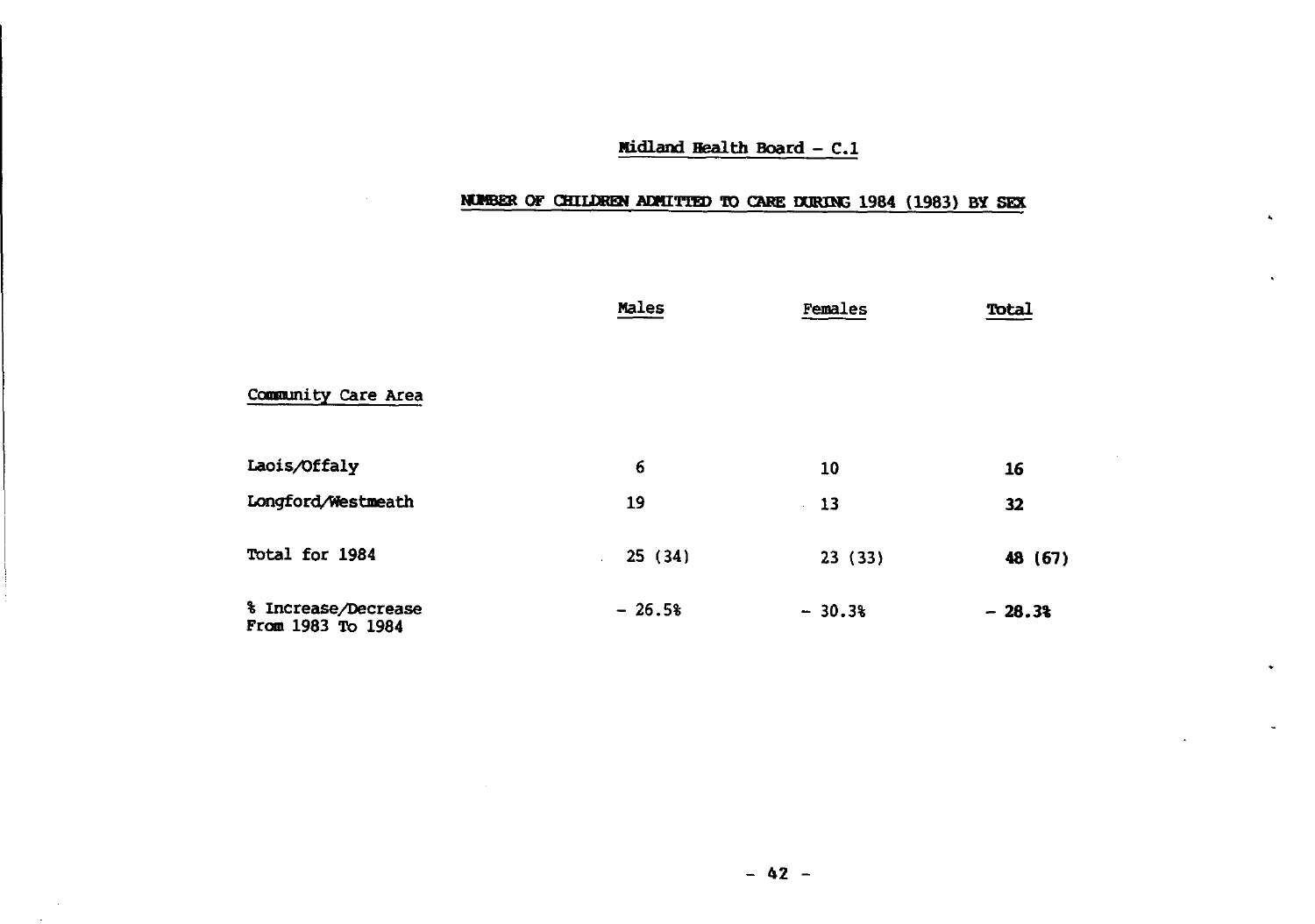# Midland Health Board - C.1

### NUMBER OF CHILDREN ADMITTED TO CARE DURING 1984 (1983) BY SEX

 $\mathbf{A}$ 

 $\mathbf{r}$ 

 $\sim 100$ 

 $\Delta \phi$ 

|                                          | Males    | Females  | Total    |
|------------------------------------------|----------|----------|----------|
| Community Care Area                      |          |          |          |
| Laois/Offaly                             | 6        | 10       | 16       |
| Longford/Westmeath                       | 19       | 13       | 32       |
| Total for 1984                           | 25(34)   | 23(33)   | 48 (67)  |
| % Increase/Decrease<br>From 1983 To 1984 | $-26.5%$ | $-30.3%$ | $-28.3%$ |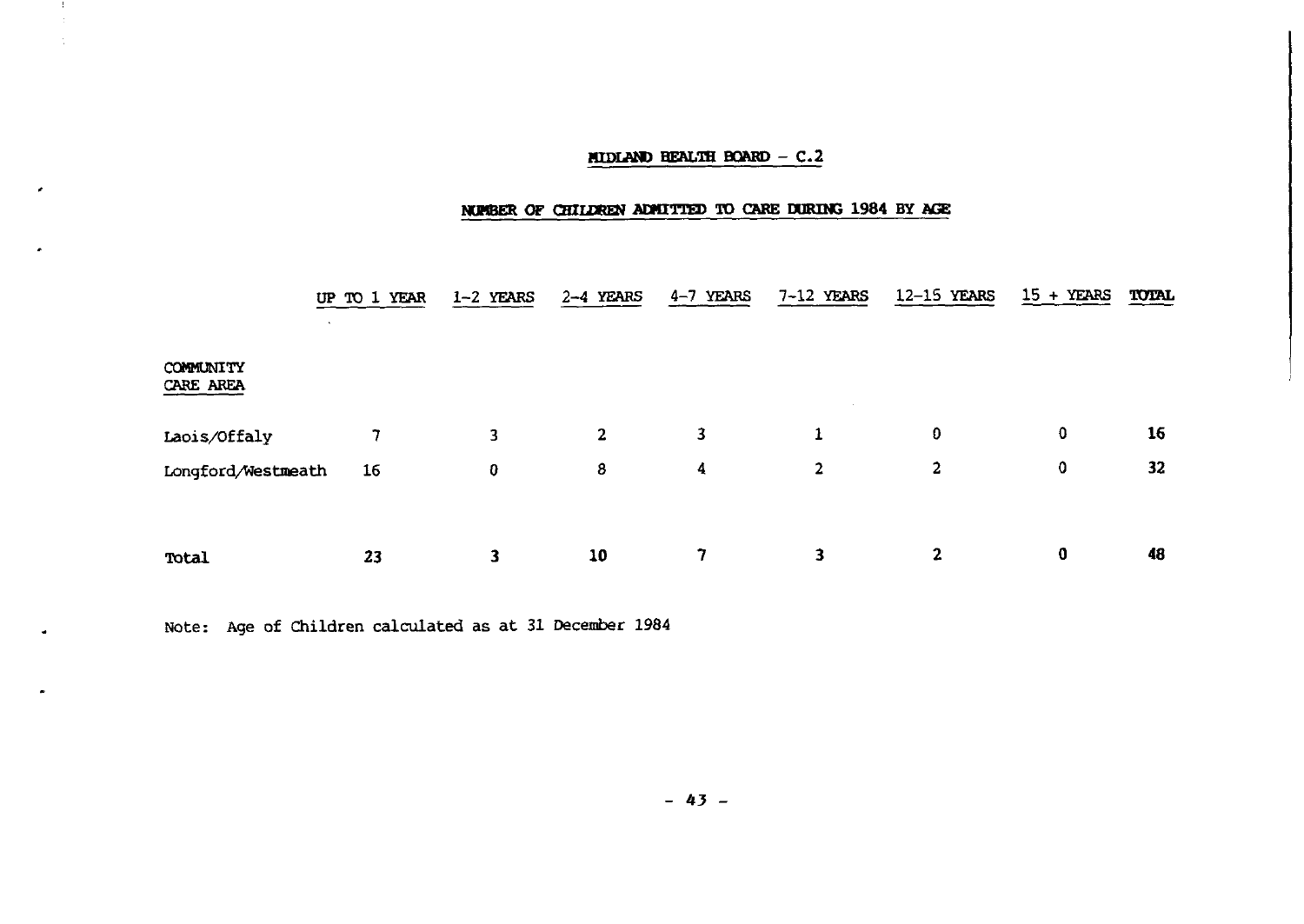# **MIDLAND REALTH BOARD - C.2**

# NUMBER OF CHILDREN ADMITTED TO CARE DURING 1984 BY AGE

|                        | UP TO 1 YEAR | 1-2 YEARS | $2-4$ YEARS  | 4-7 YEARS | $7-12$ YEARS            | 12-15 YEARS  | $15 + YEARS$ | TOTAL     |
|------------------------|--------------|-----------|--------------|-----------|-------------------------|--------------|--------------|-----------|
| COMMUNITY<br>CARE AREA |              |           |              |           |                         |              |              |           |
| Laois/Offaly           |              | 3         | $\mathbf{2}$ | 3         |                         | 0            | $\bf{0}$     | <b>16</b> |
| Longford/Westmeath     | 16           | 0         | 8            | 4         | $\mathbf{2}$            | 2            | 0            | 32        |
|                        |              |           |              |           |                         |              |              |           |
| Total                  | 23           | 3         | 10           |           | $\overline{\mathbf{3}}$ | $\mathbf{2}$ | 0            | 48        |

**Note: Age of Children calculated as at 31 December 1984** 

 $\sim 1$ 

 $\bullet$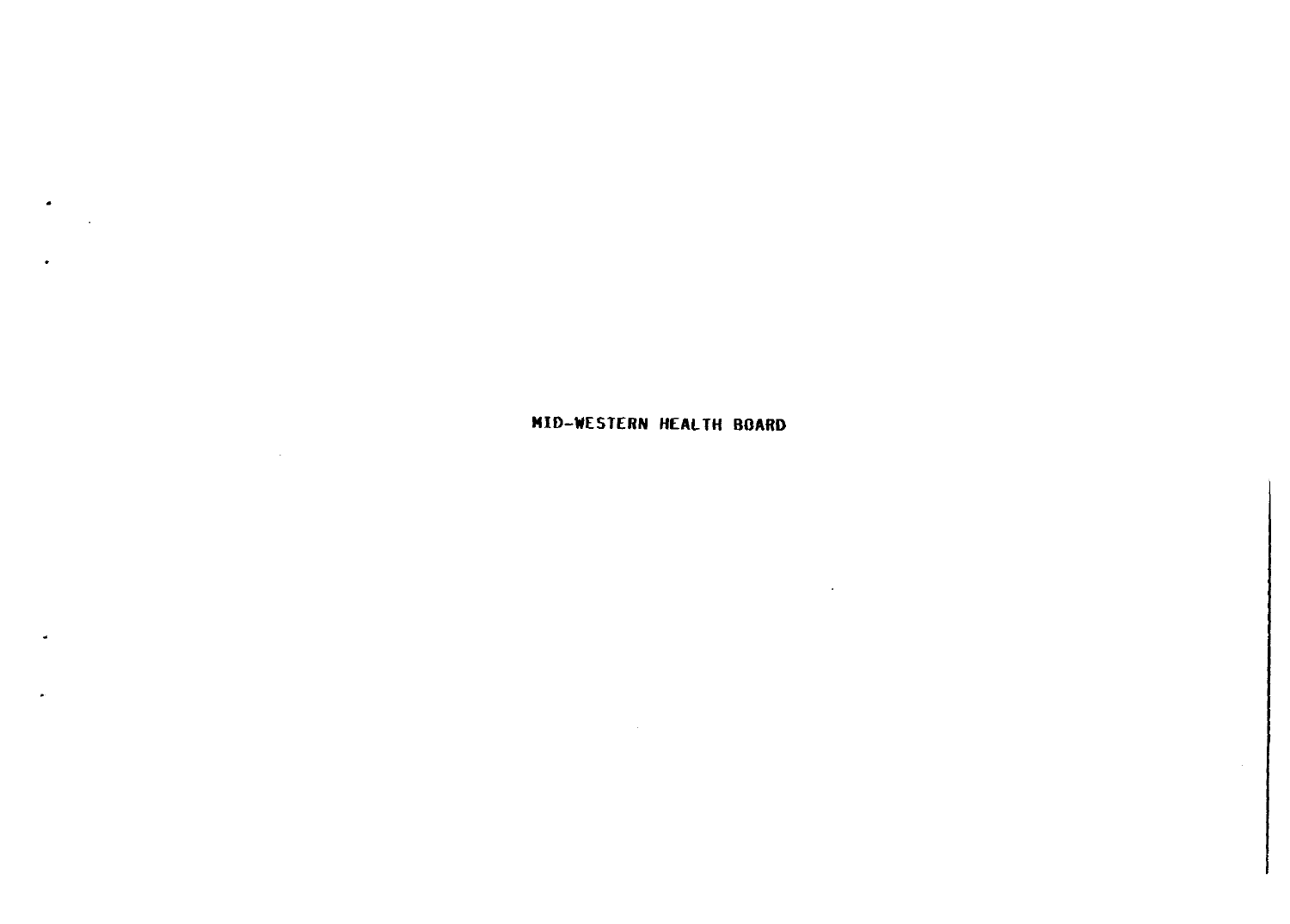### **MID-WESTERN HEALTH BOARD**

 $\sim$ 

 $\Delta$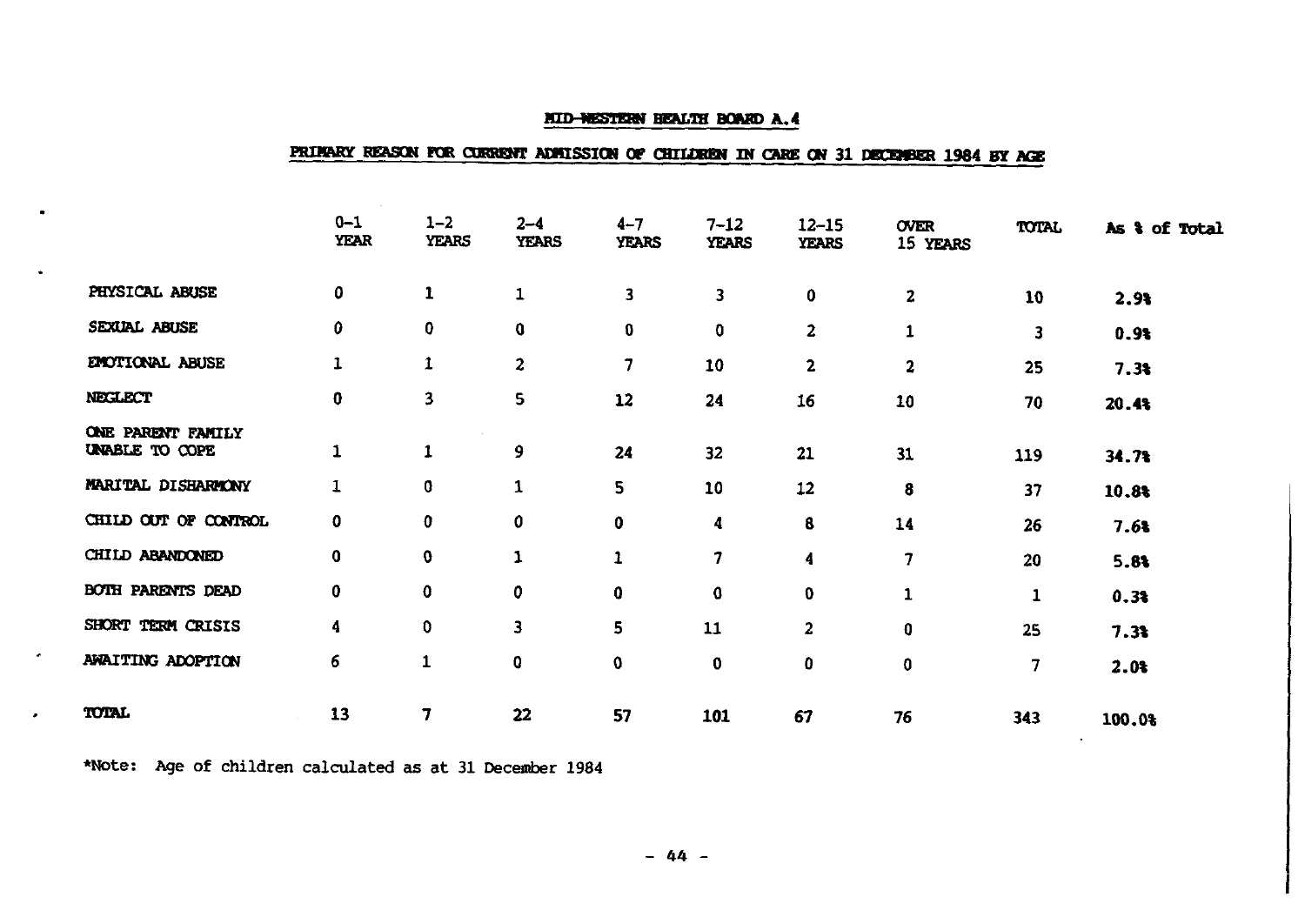| PRIMARY REASON FOR CURRENT ADMISSION OF CHILDREN IN CARE ON 31 DECEMBER 1984 BY AGE |                        |                         |                         |                         |                          |                           |                         |              |               |
|-------------------------------------------------------------------------------------|------------------------|-------------------------|-------------------------|-------------------------|--------------------------|---------------------------|-------------------------|--------------|---------------|
|                                                                                     | $0 - 1$<br><b>YEAR</b> | $1 - 2$<br><b>YEARS</b> | $2 - 4$<br><b>YEARS</b> | $4 - 7$<br><b>YEARS</b> | $7 - 12$<br><b>YEARS</b> | $12 - 15$<br><b>YEARS</b> | <b>OVER</b><br>15 YEARS | TOTAL        | As & of Total |
| PHYSICAL ABUSE                                                                      | 0                      | $\mathbf{1}$            | $\mathbf 1$             | 3                       | 3                        | 0                         | $\mathbf{z}$            | 10           | 2.98          |
| SEXUAL ABUSE                                                                        | 0                      | $\mathbf 0$             | 0                       | 0                       | $\mathbf 0$              | 2                         | 1                       | 3            | 0.91          |
| EMOTIONAL ABUSE                                                                     | 1                      | $\mathbf{1}$            | $\boldsymbol{2}$        | 7                       | 10                       | $\mathbf{z}$              | 2                       | 25           | 7.38          |
| <b>NEGLECT</b>                                                                      | 0                      | 3                       | 5                       | 12                      | 24                       | 16                        | 10                      | 70           | 20.43         |
| ONE PARENT FAMILY<br>UNABLE TO COPE                                                 | 1                      | $\mathbf{1}$            | 9                       | 24                      | 32                       | 21                        | 31                      | 119          | 34.7%         |
| MARITAL DISHARMONY                                                                  | 1                      | 0                       | 1                       | 5 <sub>1</sub>          | 10                       | 12                        | 8                       | 37           | 10.8%         |
| CHILD OUT OF CONTROL                                                                | 0                      | $\boldsymbol{0}$        | 0                       | $\mathbf{0}$            | 4                        | 8                         | 14                      | 26           | 7.68          |
| CHILD ABANDONED                                                                     | 0                      | 0                       | 1                       | $\mathbf{1}$            | $\overline{7}$           | 4                         | 7                       | 20           | 5.81          |
| <b>BOTH PARENTS DEAD</b>                                                            | 0                      | $\bf{0}$                | 0                       | $\mathbf 0$             | $\mathbf 0$              | 0                         | 1                       | $\mathbf{1}$ | 0.33          |
| SHORT TERM CRISIS                                                                   | 4                      | $\bf{0}$                | 3                       | 5                       | 11                       | $\boldsymbol{2}$          | 0                       | 25           | 7.32          |
| <b>AWAITING ADOPTION</b>                                                            | 6                      | 1                       | 0                       | $\mathbf 0$             | $\mathbf 0$              | 0                         | 0                       | 7            | 2.03          |
| <b>TOTAL</b>                                                                        | 13                     | 7                       | 22                      | 57                      | 101                      | 67                        | 76                      | 343          | 100.0%        |

#### MID-NESTERN HEALTH BOARD A.4

**\*Note: Age of children calculated as at 31 December 1984**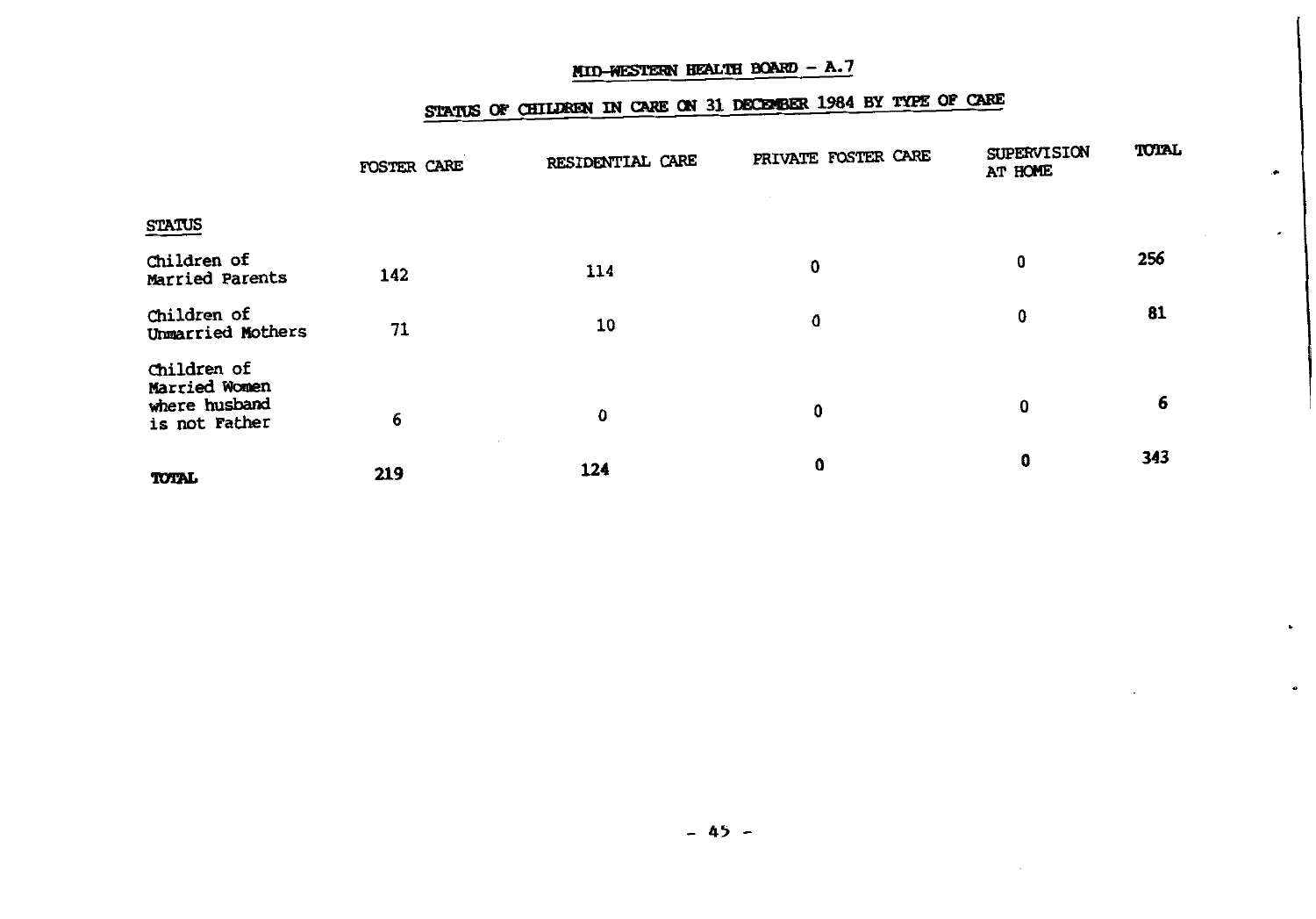# MID-WESTERN HEALTH BOARD - A.7

# STATUS OF CHILDREN IN CARE ON 31 DECEMBER 1984 BY TYPE OF CARE

 $\bullet$ 

 $\bullet$ 

 $\ddot{\phantom{a}}$ 

|                                                                | FOSTER CARE | RESIDENTIAL CARE | PRIVATE FOSTER CARE | SUPERVISION<br>AT HOME | TOTAL |
|----------------------------------------------------------------|-------------|------------------|---------------------|------------------------|-------|
| <b>STATUS</b>                                                  |             |                  |                     |                        |       |
| Children of<br>Married Parents                                 | 142         | 114              | 0                   | 0                      | 256   |
| Children of<br>Unmarried Mothers                               | 71          | 10               | 0                   | 0                      | 81    |
| Children of<br>Married Women<br>where husband<br>is not Father | 6           | 0                | $\mathbf 0$         | 0                      | 6     |
| <b>TOTAL</b>                                                   | 219         | 124              | 0                   | 0                      | 343   |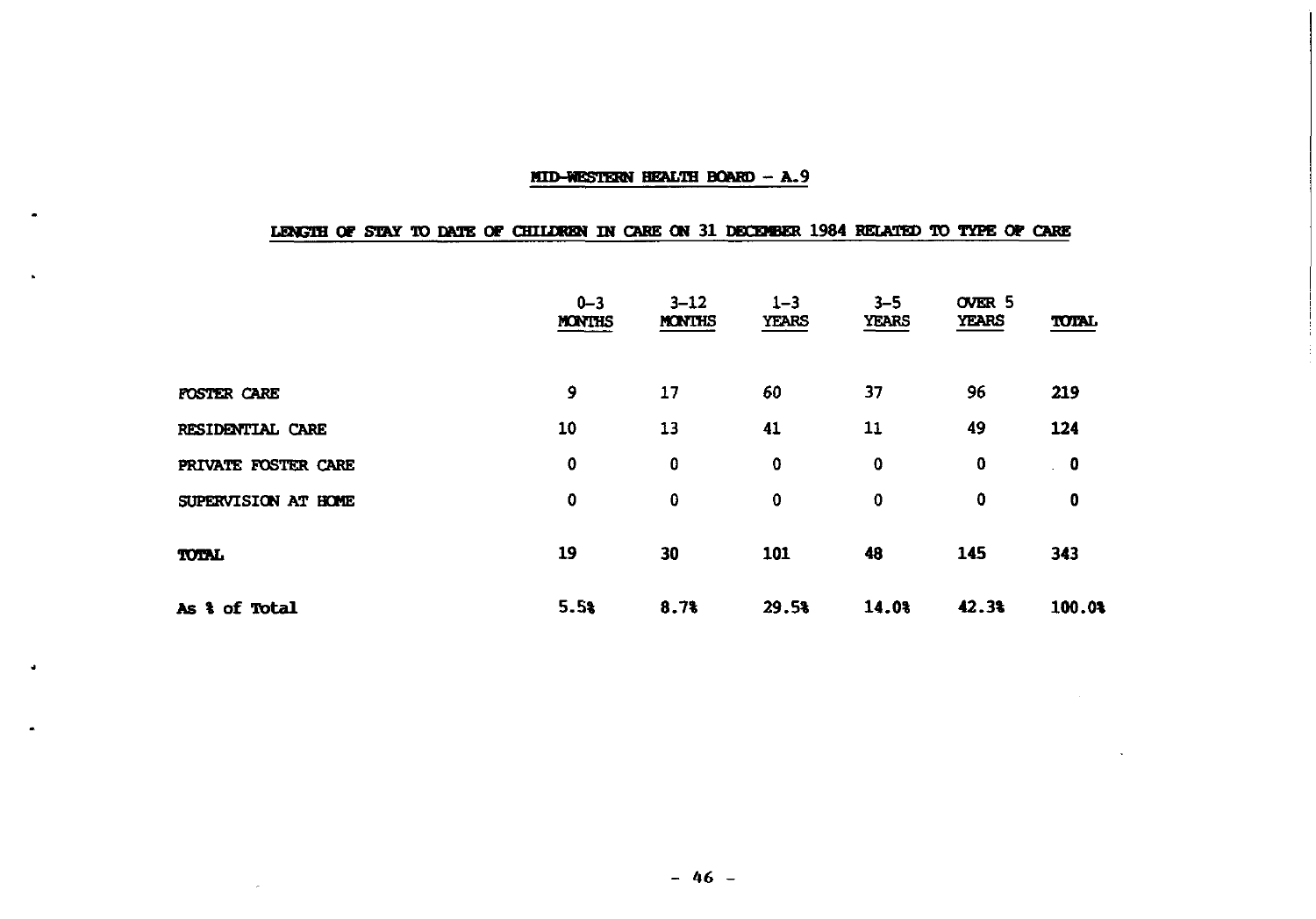#### MID-WESTERN HEALTH BOARD - A.9

# LENGTH OF STAY TO DATE OF CHILDREN IN CARE ON 31 DECEMBER 1984 RELATED TO TYPE OF CARE

|                     | $0 - 3$<br><b>MONTHS</b> | $3 - 12$<br><b>MONTHS</b> | $1 - 3$<br><b>YEARS</b> | $3 - 5$<br><b>YEARS</b> | <b>OVER 5</b><br><b>YEARS</b> | <b>TOTAL</b>             |
|---------------------|--------------------------|---------------------------|-------------------------|-------------------------|-------------------------------|--------------------------|
| <b>FOSTER CARE</b>  | 9                        | 17                        | 60                      | 37                      | 96                            | 219                      |
| RESIDENTIAL CARE    | 10                       | 13                        | 41                      | 11                      | 49                            | 124                      |
| PRIVATE FOSTER CARE | $\mathbf 0$              | $\bf{0}$                  | 0                       | 0                       | $\mathbf 0$                   | $\overline{\phantom{a}}$ |
| SUPERVISION AT HOME | $\mathbf 0$              | $\mathbf 0$               | 0                       | $\bf 0$                 | $\mathbf 0$                   | $\mathbf 0$              |
| <b>TOTAL</b>        | 19                       | 30                        | 101                     | 48                      | 145                           | 343                      |
| As & of Total       | 5.5%                     | 8.7%                      | 29.5%                   | 14.0%                   | 42.3%                         | 100.0%                   |

 $\bullet$ 

 $\bullet$ 

 $\overline{\phantom{a}}$ 

 $\overline{a}$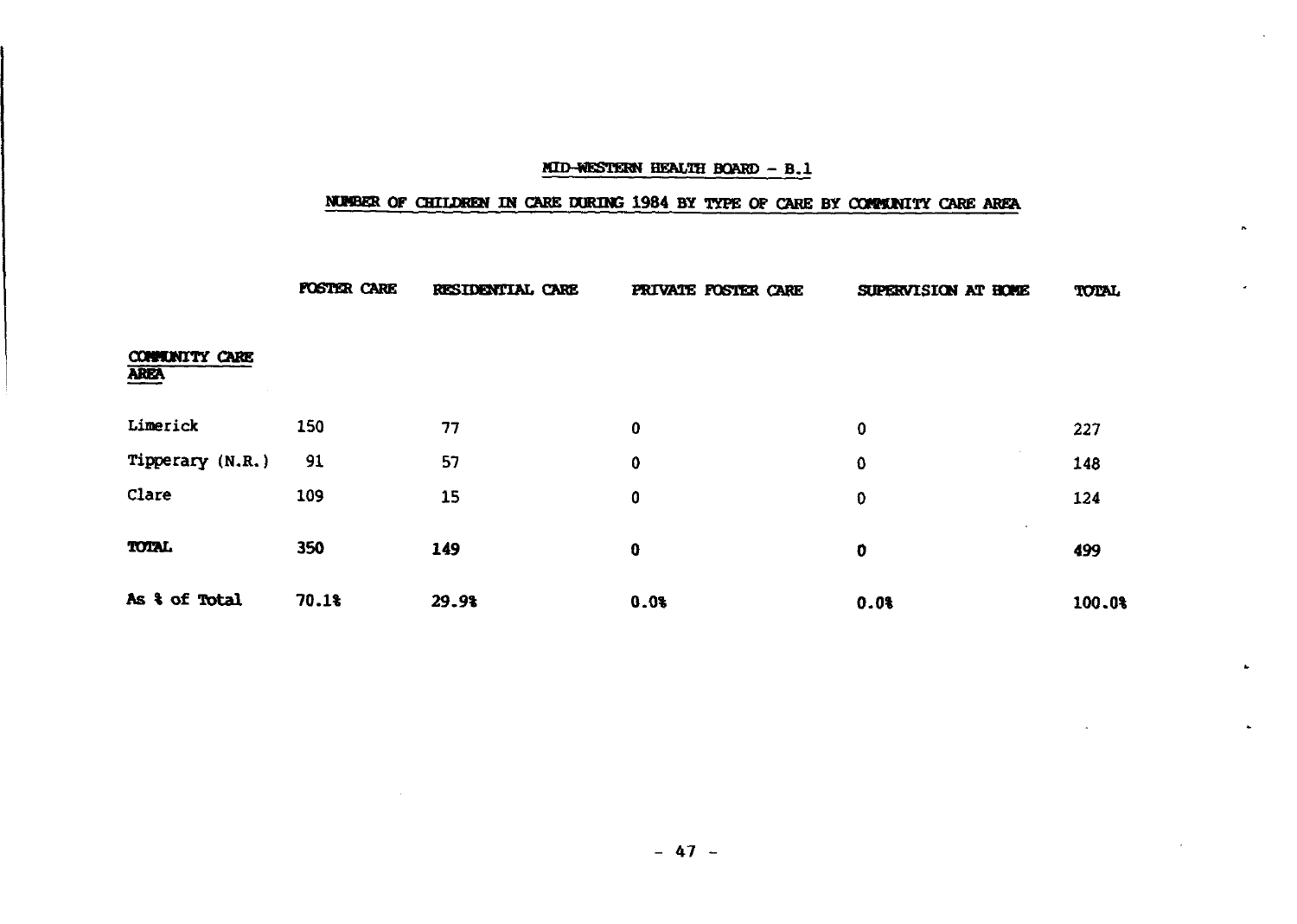# MID-WESTERN HEALTH BOARD - B.1

 $\mathbf{A}^{\prime}$ 

 $\Delta \phi$ 

# NUMBER OF CHILDREN IN CARE DURING 1984 BY TYPE OF CARE BY COMMUNITY CARE AREA

|                               | FOSTER CARE | RESIDENTIAL CARE | PRIVATE FOSTER CARE | SUPERVISION AT HOME                     | <b>TOTAL</b> |
|-------------------------------|-------------|------------------|---------------------|-----------------------------------------|--------------|
| <b>CONNUNITY CARE</b><br>AREA |             |                  |                     |                                         |              |
| Limerick                      | 150         | 77               | 0                   | $\bf{0}$                                | 227          |
| Tipperary (N.R.)              | 91          | 57               | 0                   | 0                                       | 148          |
| Clare                         | 109         | 15               | 0                   | 0                                       | 124          |
| <b>TOTAL</b>                  | 350         | 149              | $\boldsymbol{0}$    | $\overline{\phantom{a}}$<br>$\mathbf 0$ | 499          |
| As & of Total                 | 70.1%       | 29.9%            | 0.03                | 0.03                                    | 100.0%       |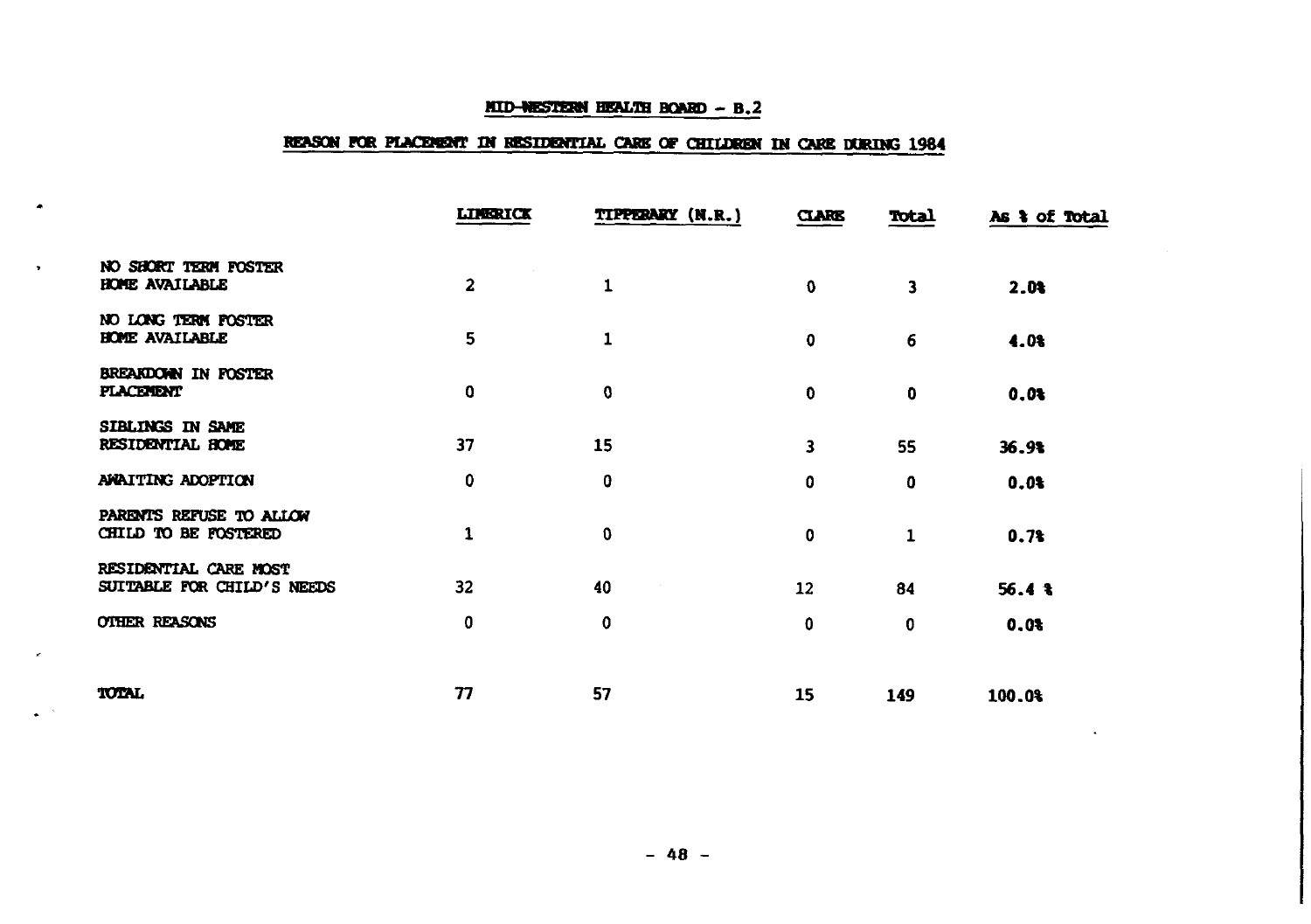# MID-NESTERN HEALTH BOARD - B.2

# REASON FOR PLACEMENT IN RESIDENTIAL CARE OF CHILDREN IN CARE DURING 1984

|                                                     | LUBRICK         | TIPPERARY (N.R.) | <b>CLARE</b> | Total                   | As & of Total |
|-----------------------------------------------------|-----------------|------------------|--------------|-------------------------|---------------|
| NO SHORT TERM FOSTER<br><b>HOME AVAILABLE</b>       | $\overline{2}$  | $\mathbf{1}$     | $\mathbf 0$  | $\overline{\mathbf{3}}$ | 2.04          |
| NO LONG TERM FOSTER<br>HOME AVAILABLE               | 5               | 1                | $\mathbf 0$  | 6                       | 4.0%          |
| <b>BREAKDOWN IN FOSTER</b><br><b>FLACEMENT</b>      | 0               | $\mathbf 0$      | $\mathbf{0}$ | $\mathbf 0$             | 0.01          |
| SIBLINGS IN SAME<br>RESIDENTIAL HOME                | 37              | 15               | 3            | 55                      | 36.91         |
| AWAITING ADOPTION                                   | 0               | 0                | $\mathbf{0}$ | 0                       | 0.03          |
| PARENTS REFUSE TO ALLOW<br>CHILD TO BE FOSTERED     | 1               | 0                | $\mathbf 0$  | $\mathbf 1$             | 0.78          |
| RESIDENTIAL CARE MOST<br>SUITABLE FOR CHILD'S NEEDS | 32 <sub>2</sub> | 40               | 12           | 84                      | $56.4*$       |
| OTHER REASONS                                       | 0               | $\mathbf 0$      | $\mathbf 0$  | 0                       | $0.0*$        |
|                                                     |                 |                  |              |                         |               |
| <b>TOTAL</b>                                        | 77              | 57               | 15           | 149                     | 100.0%        |

 $\ddot{\phantom{a}}$ 

 $\ddot{\phantom{a}}$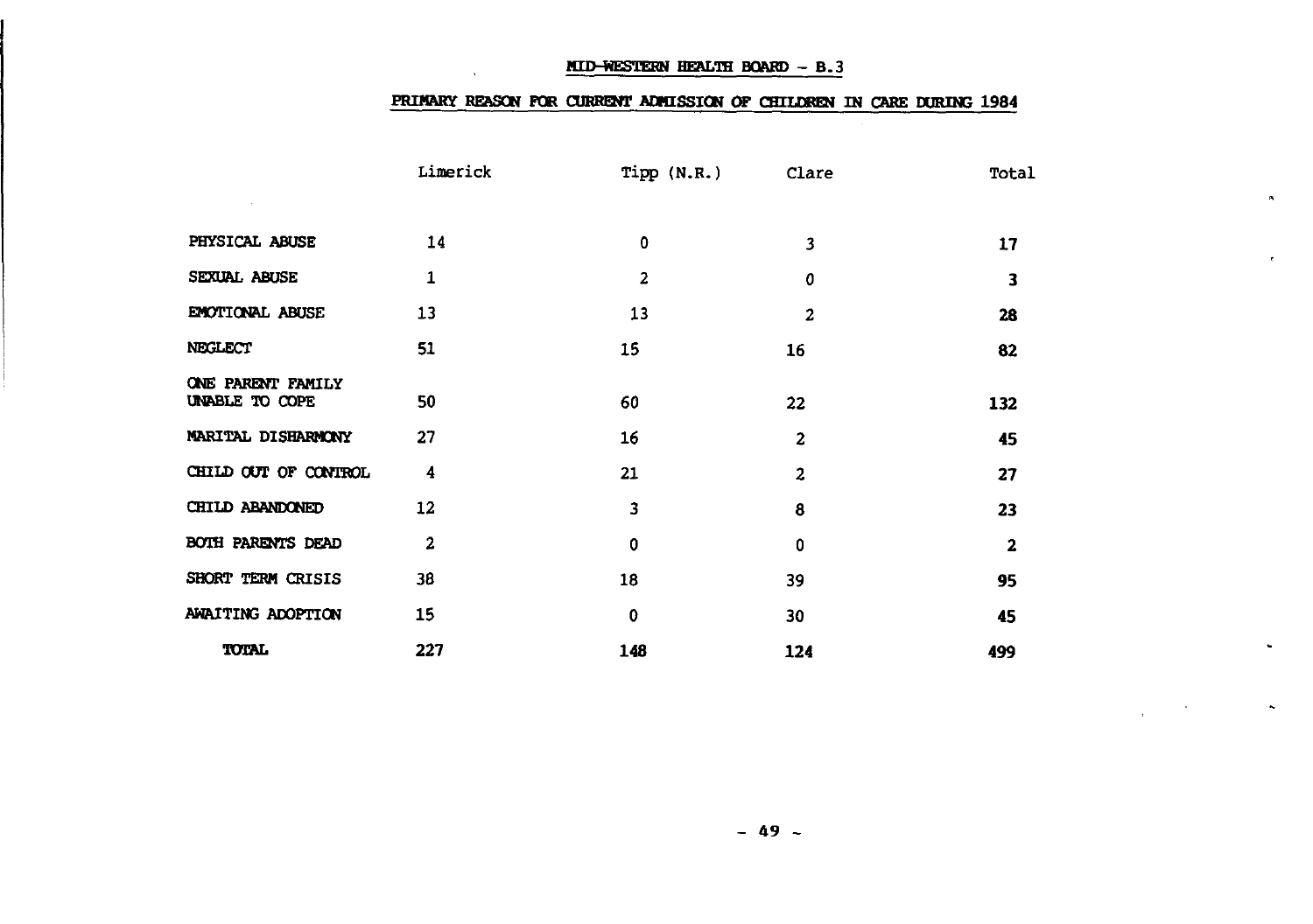### **MID-WESTERN HEALTH BOARD - B.3**

#### PRIMARY REASON FOR CURRENT ADMISSION OF CHILDREN IN CARE DURING 1984

 $\mathbf{a}^\dagger$ 

 $\epsilon$  .

 $\mathbf{c}$ 

 $\label{eq:2.1} \frac{1}{\sqrt{2\pi}}\int_{\mathbb{R}^{2}}\left|\frac{d\mathbf{x}}{d\mathbf{x}}\right|^{2}d\mathbf{x}^{2}d\mathbf{x}^{2}d\mathbf{x}^{2}d\mathbf{x}^{2}d\mathbf{x}^{2}d\mathbf{x}^{2}d\mathbf{x}^{2}d\mathbf{x}^{2}d\mathbf{x}^{2}d\mathbf{x}^{2}d\mathbf{x}^{2}d\mathbf{x}^{2}d\mathbf{x}^{2}d\mathbf{x}^{2}d\mathbf{x}^{2}d\mathbf{x}^{2}d\mathbf{x}^{2}d\mathbf{x}^{2}d$ 

|                                     | Limerick       | Tipp (N.R.) Clare       |                         | Total                   |
|-------------------------------------|----------------|-------------------------|-------------------------|-------------------------|
| PHYSICAL ABUSE                      | 14             | $\bf{0}$                | 3                       | 17                      |
| SEXUAL ABUSE                        | $\mathbf{1}$   | $\overline{2}$          | 0                       | 3                       |
| EMOTIONAL ABUSE                     | 13             | 13                      | $\overline{c}$          | 28                      |
| <b>NEGLECT</b>                      | 51             | 15                      | 16                      | 82                      |
| ONE PARENT FAMILY<br>UNABLE TO COPE | 50             | 60                      | 22                      | 132                     |
| MARITAL DISHARMONY                  | 27             | 16                      | $\overline{2}$          | 45                      |
| CHILD OUT OF CONTROL                | 4              | 21                      | $\overline{\mathbf{c}}$ | 27                      |
| CHILD ABANDONED                     | 12             | $\overline{\mathbf{3}}$ | 8                       | 23                      |
| BOTH PARENTS DEAD                   | $\overline{2}$ | $\mathbf 0$             | $\mathbf 0$             | $\overline{\mathbf{2}}$ |
| SHORT TERM CRISIS                   | 38             | 18                      | 39                      | 95                      |
| AWAITING ADOPTION                   | 15             | $\mathbf 0$             | 30                      | 45                      |
| <b>TOTAL</b>                        | 227            | 148                     | 124                     | 499                     |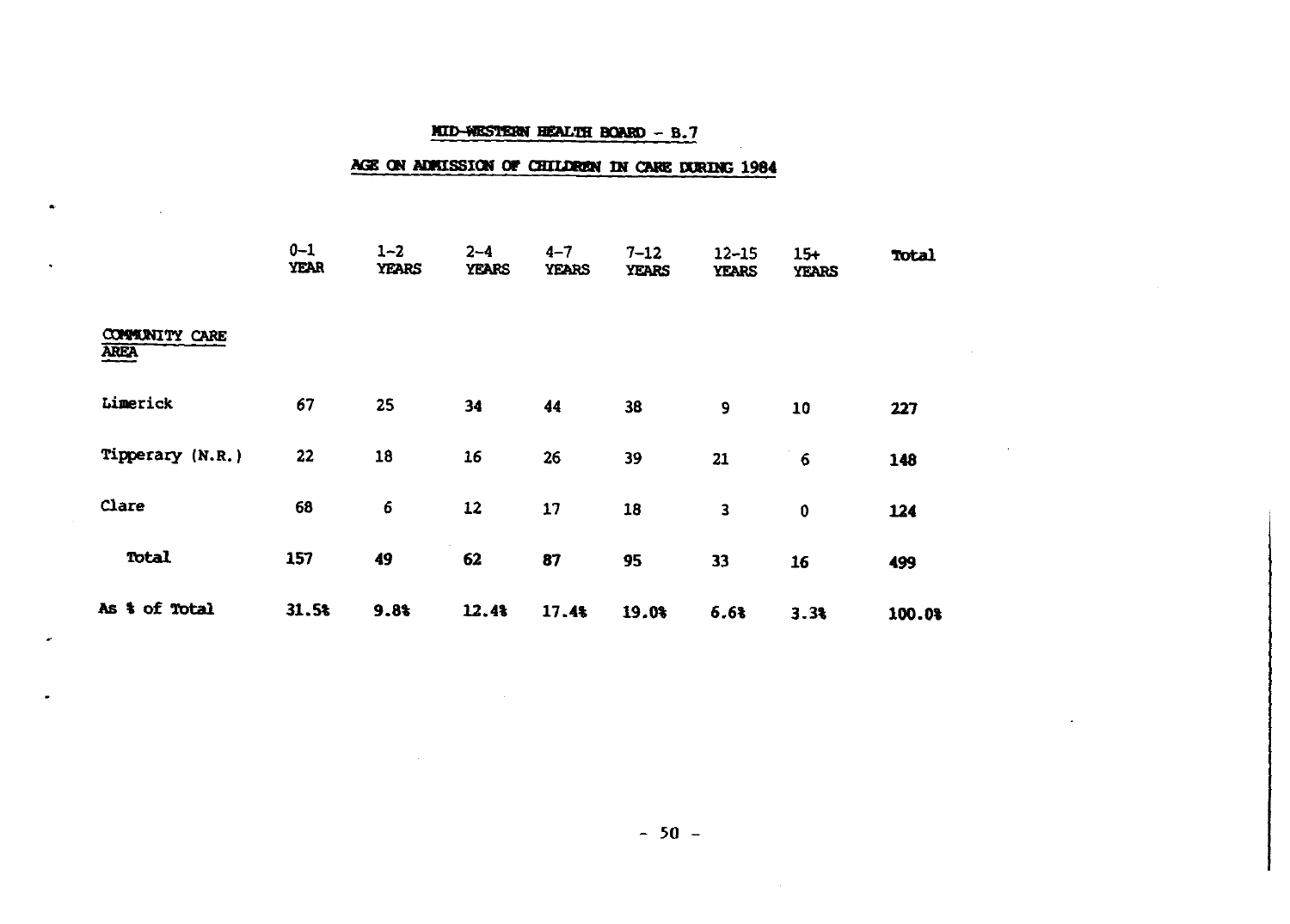#### MID-WESTERN HEALTH BOARD - B.7

# AGE ON ADMISSION OF CHILDREN IN CARE DURING 1984

|                        | $0 - 1$<br><b>YEAR</b> | $1 - 2$<br><b>YEARS</b> | $2 - 4$<br><b>YEARS</b> | $4 - 7$<br><b>YEARS</b> | $7 - 12$<br><b>YEARS</b> | $12 - 15$<br><b>YEARS</b> | $15 +$<br><b>YEARS</b> | Total  |
|------------------------|------------------------|-------------------------|-------------------------|-------------------------|--------------------------|---------------------------|------------------------|--------|
| COMMUNITY CARE<br>AREA |                        |                         |                         |                         |                          |                           |                        |        |
| Limerick               | 67                     | 25                      | 34                      | 44                      | 38                       | 9                         | 10                     | 227    |
| Tipperary (N.R.)       | 22                     | 18                      | 16                      | 26                      | 39                       | 21                        | 6                      | 148    |
| Clare                  | 68                     | 6                       | 12                      | 17                      | 18                       | $\mathbf{3}$              | $\mathbf 0$            | 124    |
| Total                  | 157                    | 49                      | 62                      | 87                      | 95                       | 33                        | 16                     | 499    |
| As \$ of Total         | 31.5%                  | 9.8%                    | 12.4%                   | 17.4%                   | 19.0%                    | 6.6%                      | $3 - 34$               | 100.0% |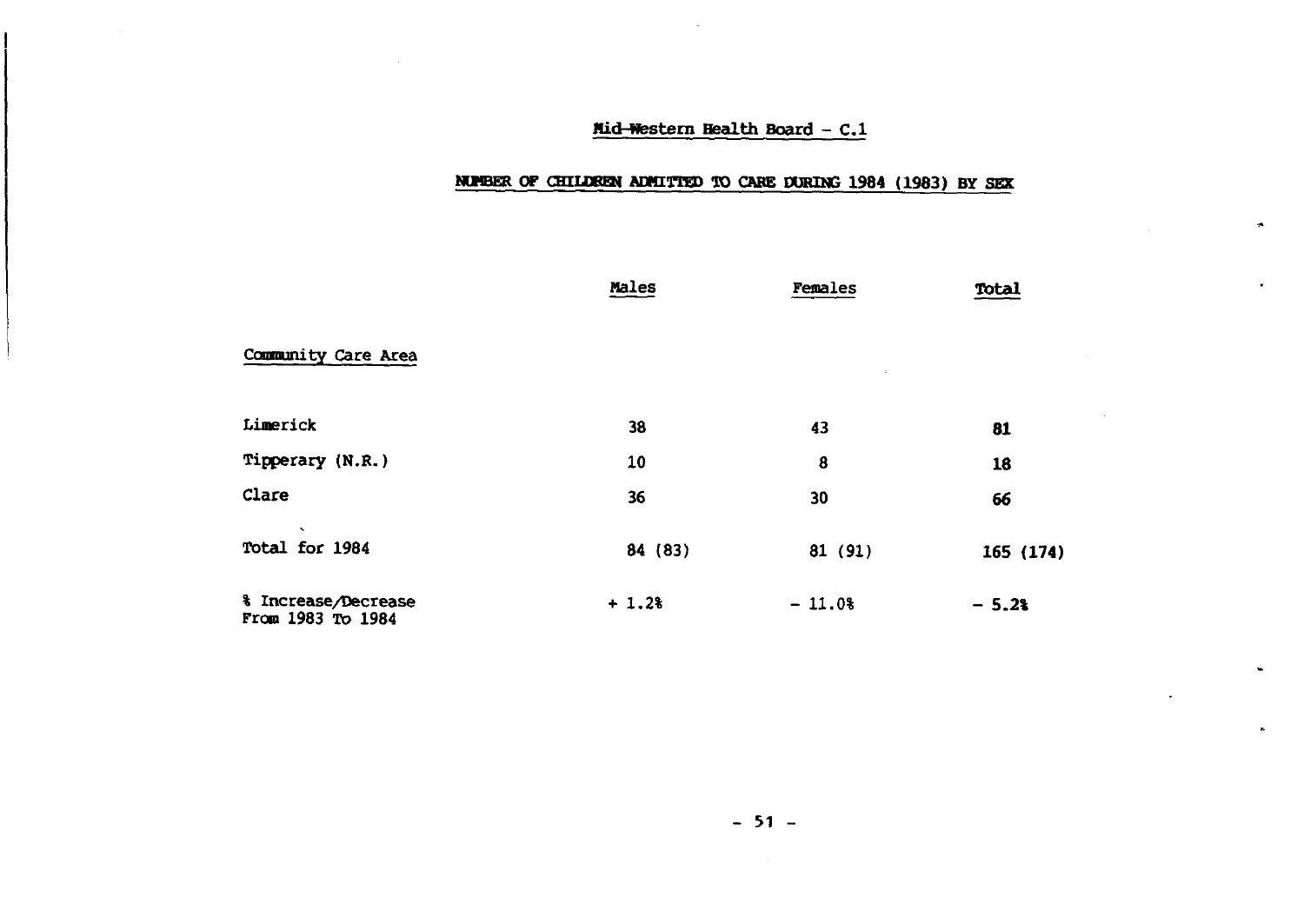### Mid-Western Health Board - C.1

# NUMBER OF CHILDREN ADMITTED TO CARE DURING 1984 (1983) BY SEX

|                                          | Males   | Females  | Total     |
|------------------------------------------|---------|----------|-----------|
| Community Care Area                      |         |          |           |
| Limerick                                 | 38      | 43       | 81        |
| Tipperary (N.R.)                         | 10      | 8        | 18        |
| Clare                                    | 36      | 30       | 66        |
| $\sim$<br>Total for 1984                 | 84 (83) | 81 (91)  | 165 (174) |
| % Increase/Decrease<br>From 1983 To 1984 | $+1.2%$ | $-11.08$ | $-5.2%$   |

 $\ddot{\phantom{0}}$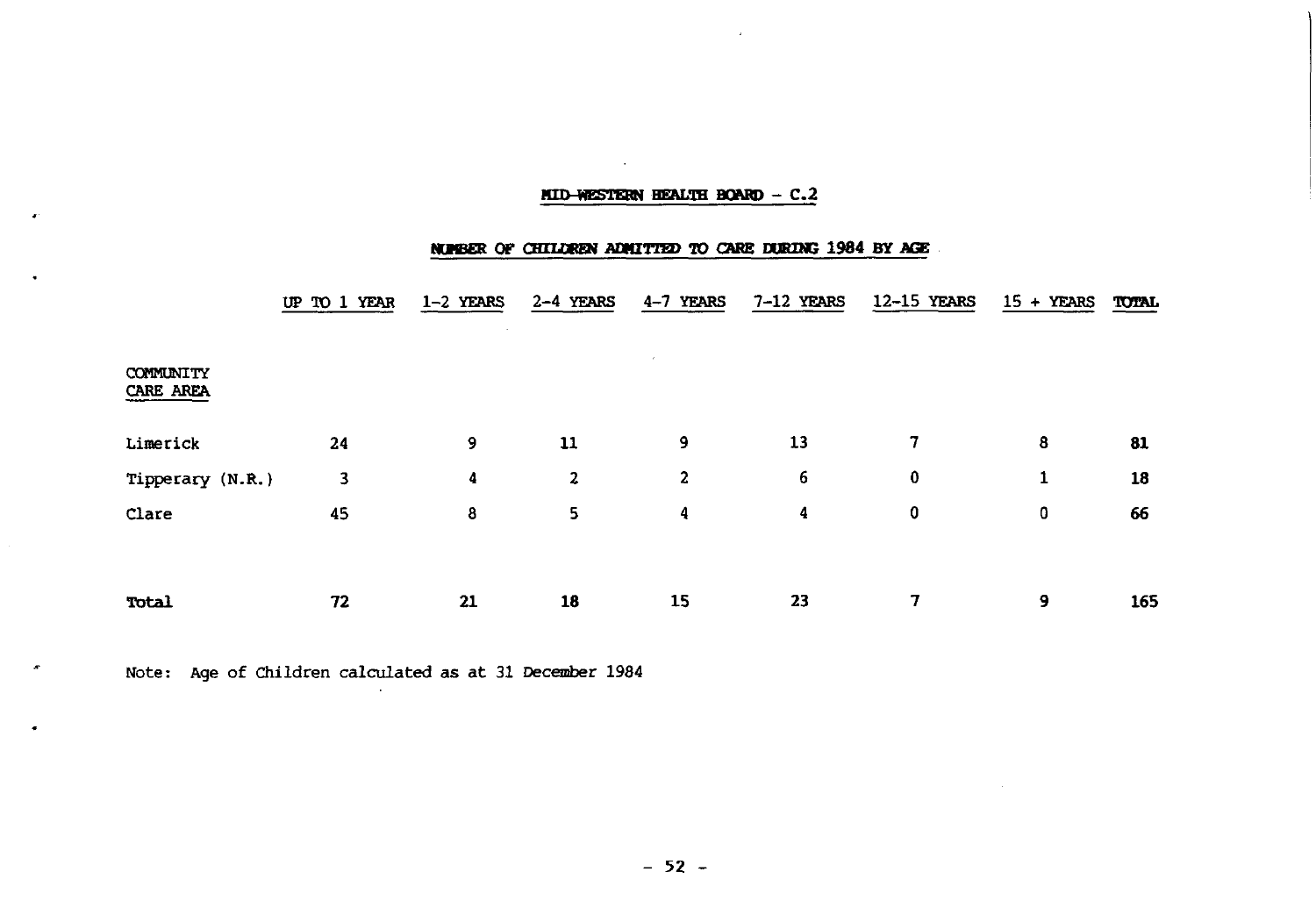#### **MID-WESTERN HEALTH BOARD - C.2**

#### **NUMBER OF CHILDREN ADMITTED TO CARE DURING 1984 BY AGE**

|                                      | UP TO 1 YEAR | 1-2 YEARS | $2-4$ YEARS      | 4-7 YEARS    | 7-12 YEARS | 12-15 YEARS | 15 + YEARS | <b>TOTAL</b> |
|--------------------------------------|--------------|-----------|------------------|--------------|------------|-------------|------------|--------------|
| <b>COMMUNITY</b><br><b>CARE AREA</b> |              |           |                  |              |            |             |            |              |
| Limerick                             | 24           | 9         | 11               | 9            | 13         | 7           | 8          | 81           |
| Tipperary (N.R.)                     | 3            | 4         | $\boldsymbol{2}$ | $\mathbf{2}$ | 6          | 0           | 1          | 18           |
| Clare                                | 45           | 8         | 5                | 4            | 4          | $\mathbf 0$ | 0          | 66           |
|                                      |              |           |                  |              |            |             |            |              |
| Total                                | 72           | 21        | 18               | 15           | 23         | 7           | 9          | 165          |

**Note: Age of Children calculated as at 31 December 1984** 

 $\cdot$ 

 $\bullet$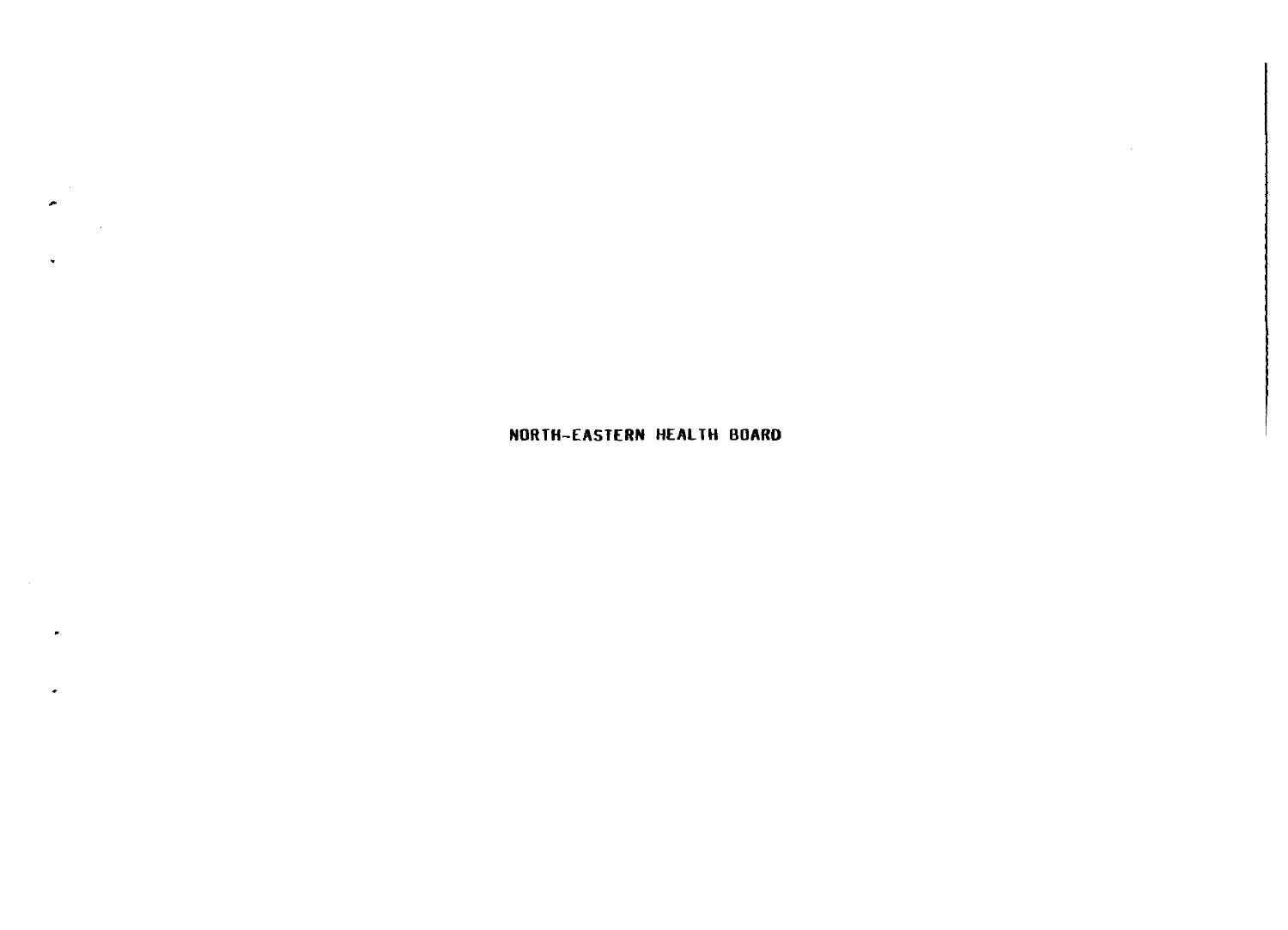**NORTH-EASTERN HEALTH BOARD** 

 $\sim 10^{-11}$ 

 $\sim$ 

 $\sim$ 

 $\bullet$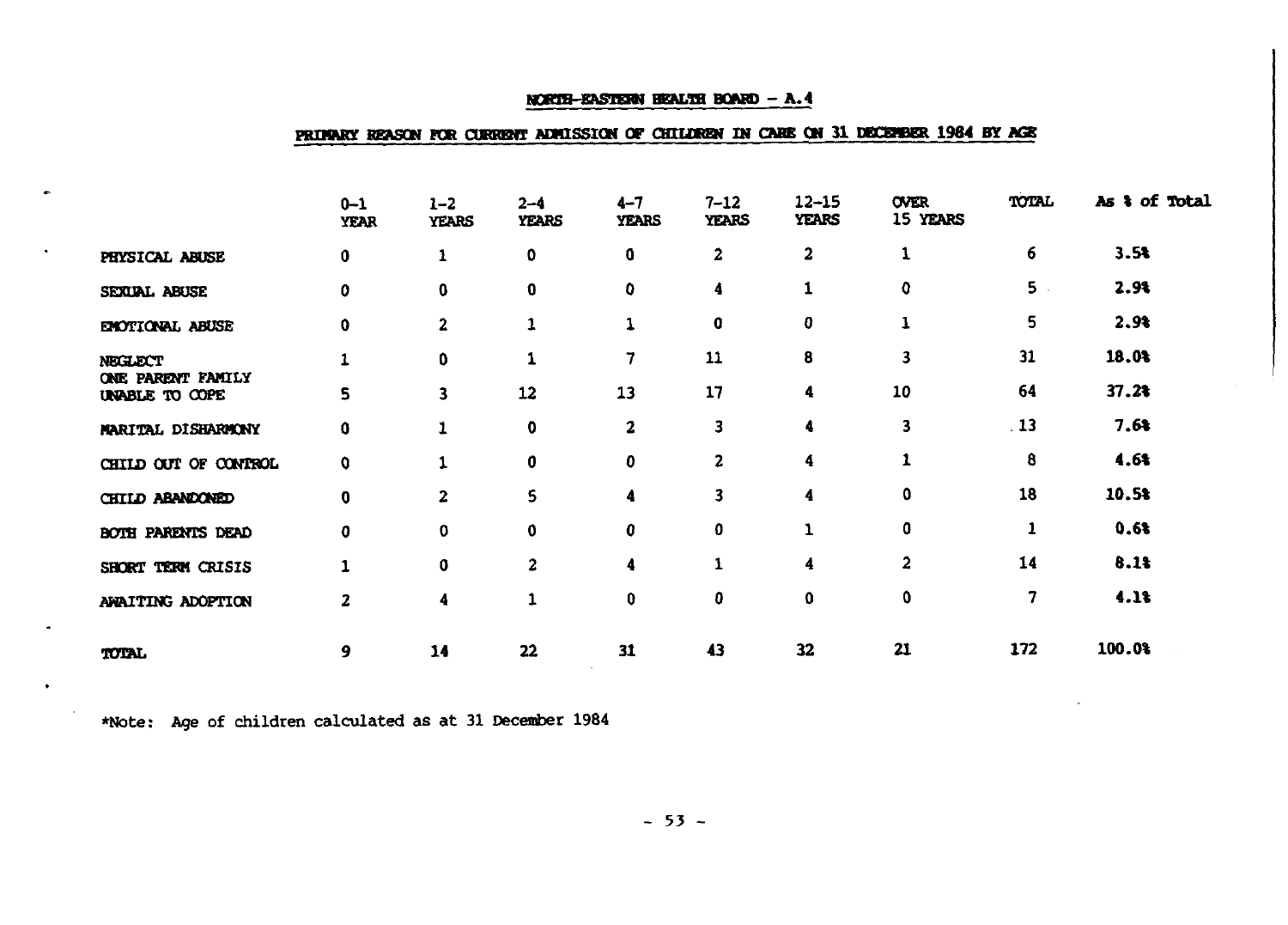### NORTH-EASTERN HEALTH BOARD - A.4

# PRIMARY REASON FOR CURRENT ADMISSION OF CHILDREN IN CARE ON 31 DECEMBER 1984 BY AGE

|                                     | $0 - 1$<br>YEAR | $1 - 2$<br><b>YEARS</b> | $2 - 4$<br><b>YEARS</b> | $4 - 7$<br><b>YEARS</b> | $7 - 12$<br><b>YEARS</b> | $12 - 15$<br><b>YEARS</b> | <b>OVER</b><br>15 YEARS | TOTAL | As & of Total |
|-------------------------------------|-----------------|-------------------------|-------------------------|-------------------------|--------------------------|---------------------------|-------------------------|-------|---------------|
| PHYSICAL ABUSE                      | 0               | 1                       | 0                       | 0                       | $\overline{2}$           | $\overline{2}$            |                         | 6     | 3.5%          |
| SEXUAL ABUSE                        | 0               | $\mathbf 0$             | 0                       | 0                       | 4                        | $\mathbf 1$               | 0                       | $5 -$ | 2.93          |
| EMOTIONAL ABUSE                     | 0               | $\overline{2}$          |                         |                         | 0                        | 0                         |                         | 5     | 2.98          |
| NEGLECT                             |                 | 0                       |                         | 7                       | 11                       | 8                         | 3                       | 31    | 18.0%         |
| ONE PARENT FAMILY<br>UNABLE TO COPE | S               | 3                       | 12                      | 13                      | 17                       | 4                         | 10                      | 64    | 37.2%         |
| MARITAL DISHARMONY                  | 0               |                         | 0                       | $\mathbf{2}$            | 3                        | 4                         | 3                       | 13    | 7.63          |
| CHILD OUT OF CONTROL                | 0               |                         | 0                       | $\mathbf 0$             | 2                        | 4                         |                         | 8     | 4.6%          |
| CHILD ABANDONED                     | 0               | $\mathbf{2}$            | 5                       | 4                       | 3                        | 4                         | 0                       | 18    | 10.5%         |
| BOTH PARENTS DEAD                   | 0               | 0                       | 0                       | 0                       | $\mathbf 0$              | 1                         | 0                       | 1     | 0.63          |
| SHORT TERM CRISIS                   | 1               | $\mathbf 0$             | 2                       | 4                       | $\mathbf 1$              | 4                         |                         | 14    | 8.18          |
| AWAITING ADOPTION                   | 2               | $\boldsymbol{4}$        | 1                       | $\mathbf{0}$            | 0                        | 0                         | 0                       | 7     | 4.1%          |
| <b>TOTAL</b>                        | 9               | 14                      | 22                      | 31                      | 43                       | 32                        | 21                      | 172   | 100.0%        |

**\*Note: Age of children calculated as at 31 December 1984**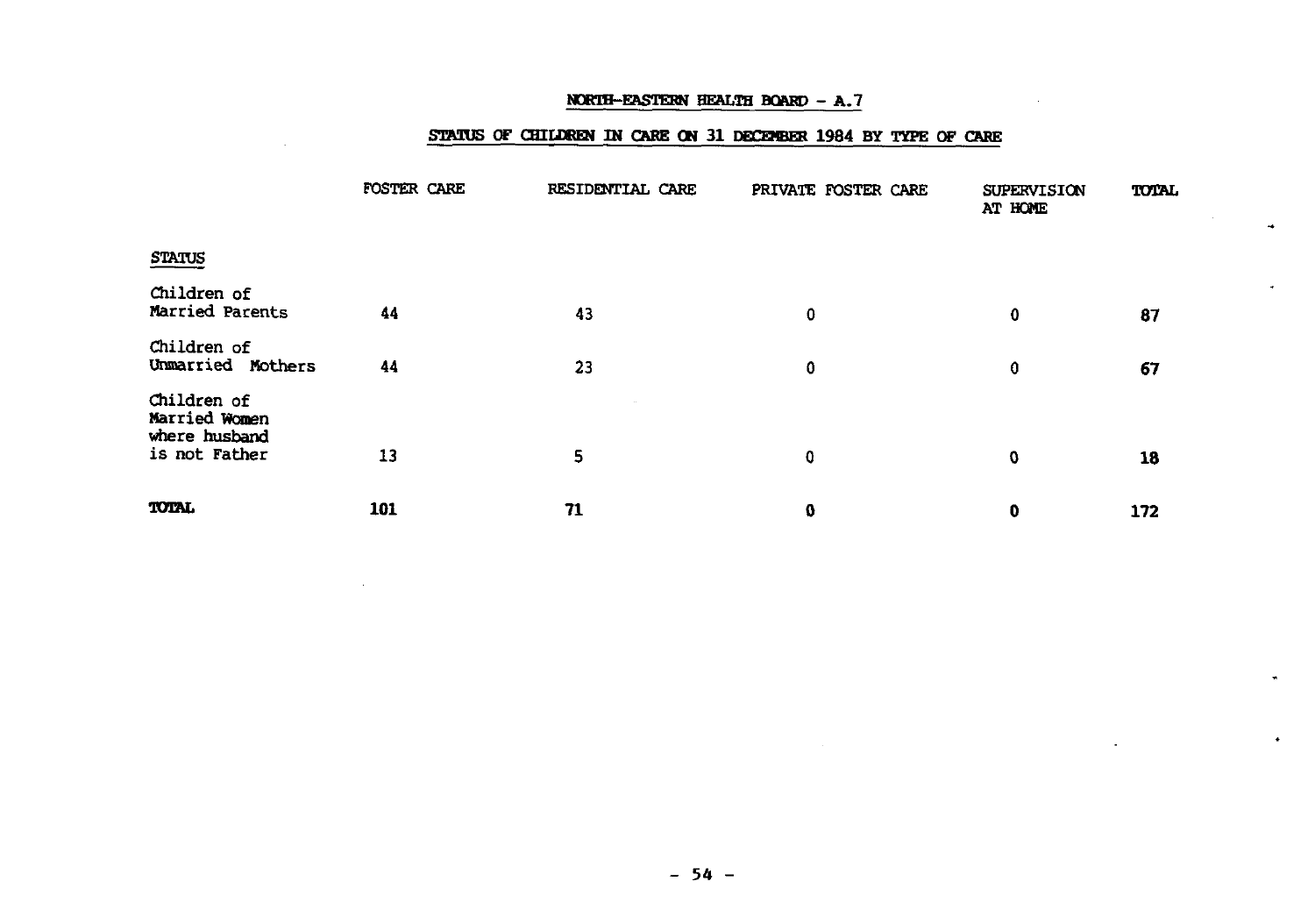#### NORTH-EASTERN HEALTH BOARD - A.7

 $\sim 100$ 

 $\mathbf{u}_\mathrm{c}$ 

 $\bullet$ 

 $\mathcal{L}$ 

# STATUS OF CHILDREN IN CARE ON 31 DECEMBER 1984 BY TYPE OF CARE

|                                                                | FOSTER CARE | RESIDENTIAL CARE | PRIVATE FOSTER CARE | <b>SUPERVISION</b><br>AT HOME | <b>TOTAL</b> |
|----------------------------------------------------------------|-------------|------------------|---------------------|-------------------------------|--------------|
| <b>STATUS</b>                                                  |             |                  |                     |                               |              |
| Children of<br>Married Parents                                 | 44          | 43               | $\mathbf 0$         | $\mathbf 0$                   | 87           |
| Children of<br>Unmarried Mothers                               | 44          | 23               | 0                   | $\bf{0}$                      | 67           |
| Children of<br>Married Women<br>where husband<br>is not Father | 13          | 5                | $\boldsymbol{0}$    | 0                             | 18           |
| <b>TOTAL</b>                                                   | 101         | 71               | $\bf{0}$            | 0                             | 172          |

 $\label{eq:2.1} \mathcal{L}_{\mathcal{A}}(x) = \mathcal{L}_{\mathcal{A}}(x) + \mathcal{L}_{\mathcal{A}}(x) + \mathcal{L}_{\mathcal{A}}(x)$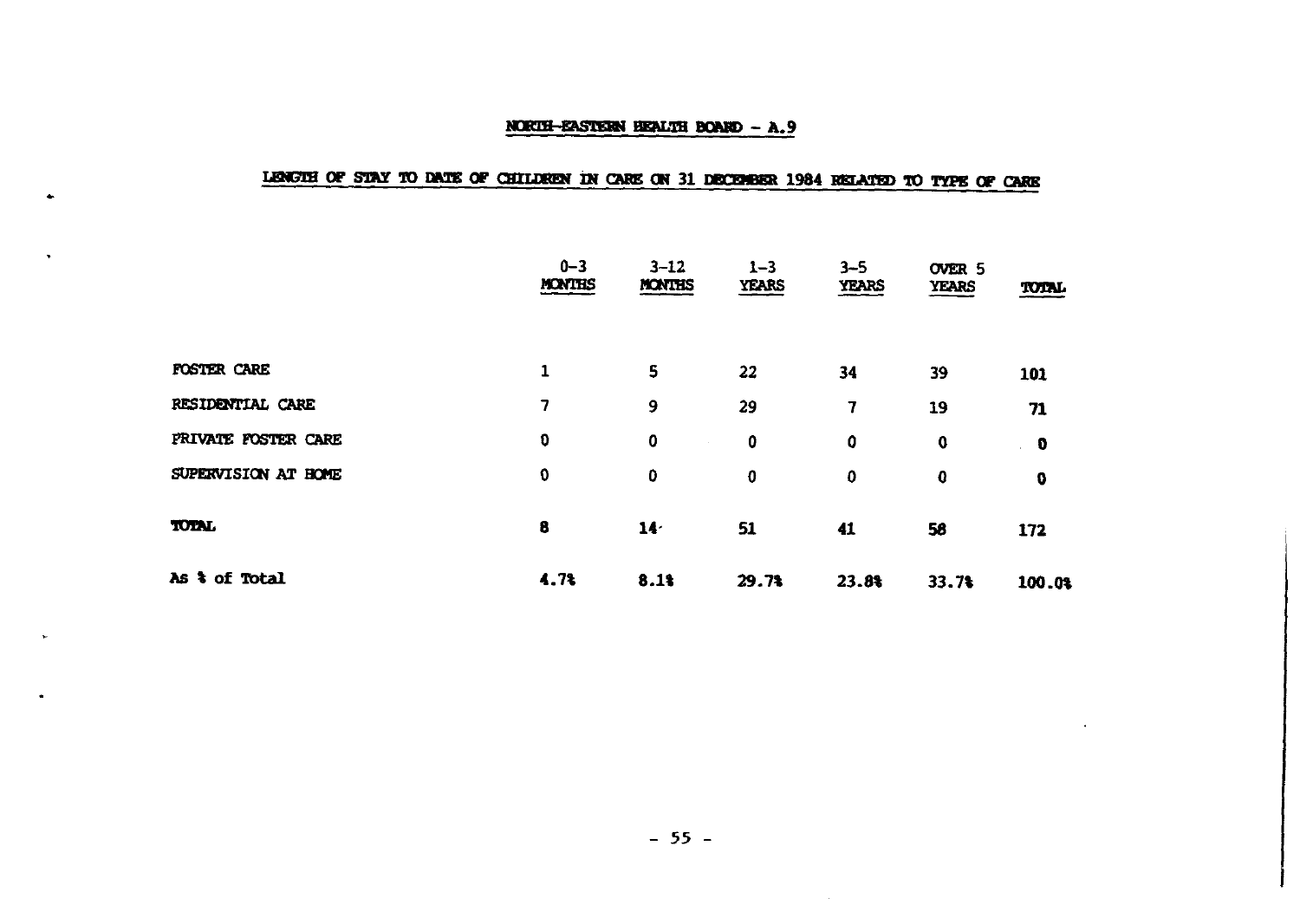### NORTH-EASTERN HEALTH BOARD - A.9

|                     |  |  |  | LENGTH OF STAY TO DATE OF CHILDREN IN CARE ON 31 DECEMBER 1984 RELATED TO TYPE OF CARE |  |                           |                         |                  |                               |              |
|---------------------|--|--|--|----------------------------------------------------------------------------------------|--|---------------------------|-------------------------|------------------|-------------------------------|--------------|
|                     |  |  |  |                                                                                        |  |                           |                         |                  |                               |              |
|                     |  |  |  | $0 - 3$<br><b>MONTHS</b>                                                               |  | $3 - 12$<br><b>MONTHS</b> | $1 - 3$<br><b>YEARS</b> | $3 - 5$<br>YEARS | <b>OVER 5</b><br><b>YEARS</b> | <b>TOTAL</b> |
|                     |  |  |  |                                                                                        |  |                           |                         |                  |                               |              |
| <b>FOSTER CARE</b>  |  |  |  | 1                                                                                      |  | 5                         | 22                      | 34               | 39                            | 101          |
| RESIDENTIAL CARE    |  |  |  | 7                                                                                      |  | $\overline{9}$            | 29                      | 7                | 19                            | 71           |
| PRIVATE FOSTER CARE |  |  |  | $\mathbf 0$                                                                            |  | $\mathbf 0$               | 0                       | 0                | 0                             | $\bullet$    |
| SUPERVISION AT HOME |  |  |  | $\mathbf 0$                                                                            |  | 0                         | 0                       | $\mathbf 0$      | 0                             | $\mathbf o$  |
| TOTAL               |  |  |  | 8                                                                                      |  | 14 <sup>2</sup>           | 51                      | 41               | 58                            | 172          |
| As & of Total       |  |  |  | 4.7%                                                                                   |  | 8.1%                      | 29.7%                   | 23.8%            | 33.7%                         | 100.0%       |

 $\bullet$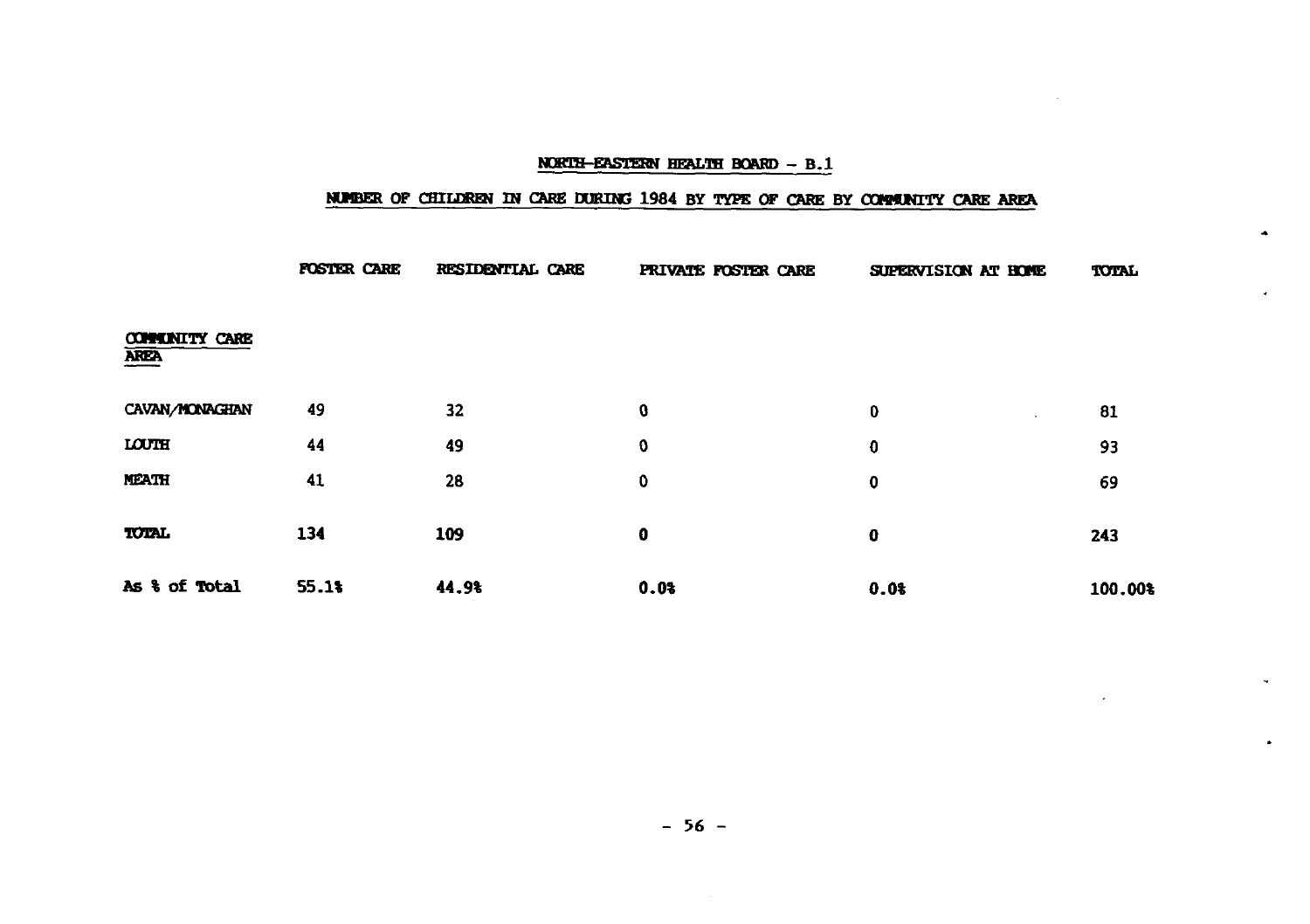# **NORTH-EASTERN HEALTH BOARD - B.1**

### NUMBER OF CHILDREN IN CARE DURING 1984 BY TYPE OF CARE BY COMMUNITY CARE AREA

÷.

 $\ddot{\phantom{a}}$ 

|                               | <b>FOSTER CARE</b> | <b>RESIDENTIAL CARE</b> | PRIVATE FOSTER CARE | SUPERVISION AT HOME | TOTAL   |
|-------------------------------|--------------------|-------------------------|---------------------|---------------------|---------|
| <b>COMMUNITY CARE</b><br>AREA |                    |                         |                     |                     |         |
| CAVAN/MONAGHAN                | 49                 | 32                      | 0                   | $\pmb{0}$           | 81      |
| LOUTH                         | 44                 | 49                      | 0                   | $\mathbf 0$         | 93      |
| <b>MEATH</b>                  | 41                 | 28                      | $\mathbf 0$         | $\mathbf 0$         | 69      |
| <b>TOTAL</b>                  | 134                | 109                     | $\mathbf 0$         | $\boldsymbol{0}$    | 243     |
| As & of Total                 | 55.1%              | 44.9%                   | 0.03                | 0.0%                | 100.00% |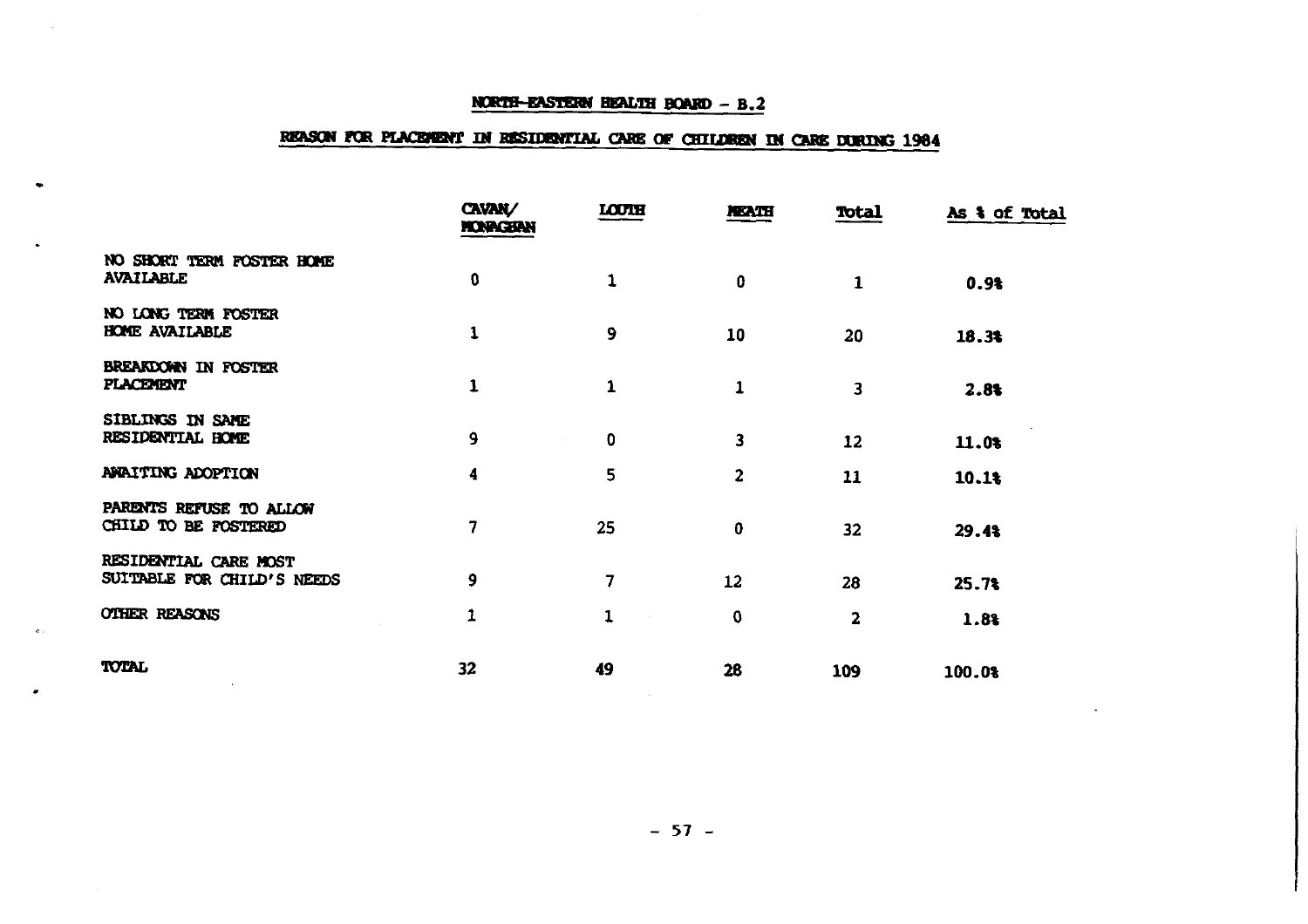### NORTH-EASTERN HEALTH BOARD - B.2

# REASON FOR PLACEMENT IN RESIDENTIAL CARE OF CHILDREN IN CARE DURING 1964

|                                                     | CAVAN/<br><b>MONAGEAN</b> | LOUTH        | <b>MEATH</b>   | Total                   | As & of Total |
|-----------------------------------------------------|---------------------------|--------------|----------------|-------------------------|---------------|
| NO SHORT TERM FOSTER HOME<br><b>AVAILABLE</b>       | 0                         | $\mathbf 1$  | $\mathbf{0}$   | 1                       | 0.9%          |
| NO LONG TERM FOSTER<br>HOME AVAILABLE               | 1                         | 9            | 10             | 20                      | 18.3%         |
| BREAKDOWN IN FOSTER<br><b>PLACEMENT</b>             | $\mathbf{1}$              | $\mathbf{1}$ | $\mathbf{1}$   | $\overline{\mathbf{3}}$ | 2.8%          |
| SIBLINGS IN SAME<br>RESIDENTIAL HOME                | 9                         | $\Omega$     | 3              | 12                      | 11.0%         |
| AWAITING ADOPTION                                   | 4                         | 5            | $\overline{2}$ | 11                      | 10.1%         |
| PARENTS REFUSE TO ALLOW<br>CHILD TO BE FOSTERED     | 7                         | 25           | $\mathbf 0$    | 32                      | 29.4%         |
| RESIDENTIAL CARE MOST<br>SUITABLE FOR CHILD'S NEEDS | 9                         | 7            | 12             | 28                      | 25.7%         |
| OTHER REASONS                                       | 1                         | $\mathbf{1}$ | $\mathbf 0$    | $\overline{2}$          | 1.83          |
| <b>TOTAL</b>                                        | 32                        | 49           | 28             | 109                     | 100.0%        |

 $\lambda$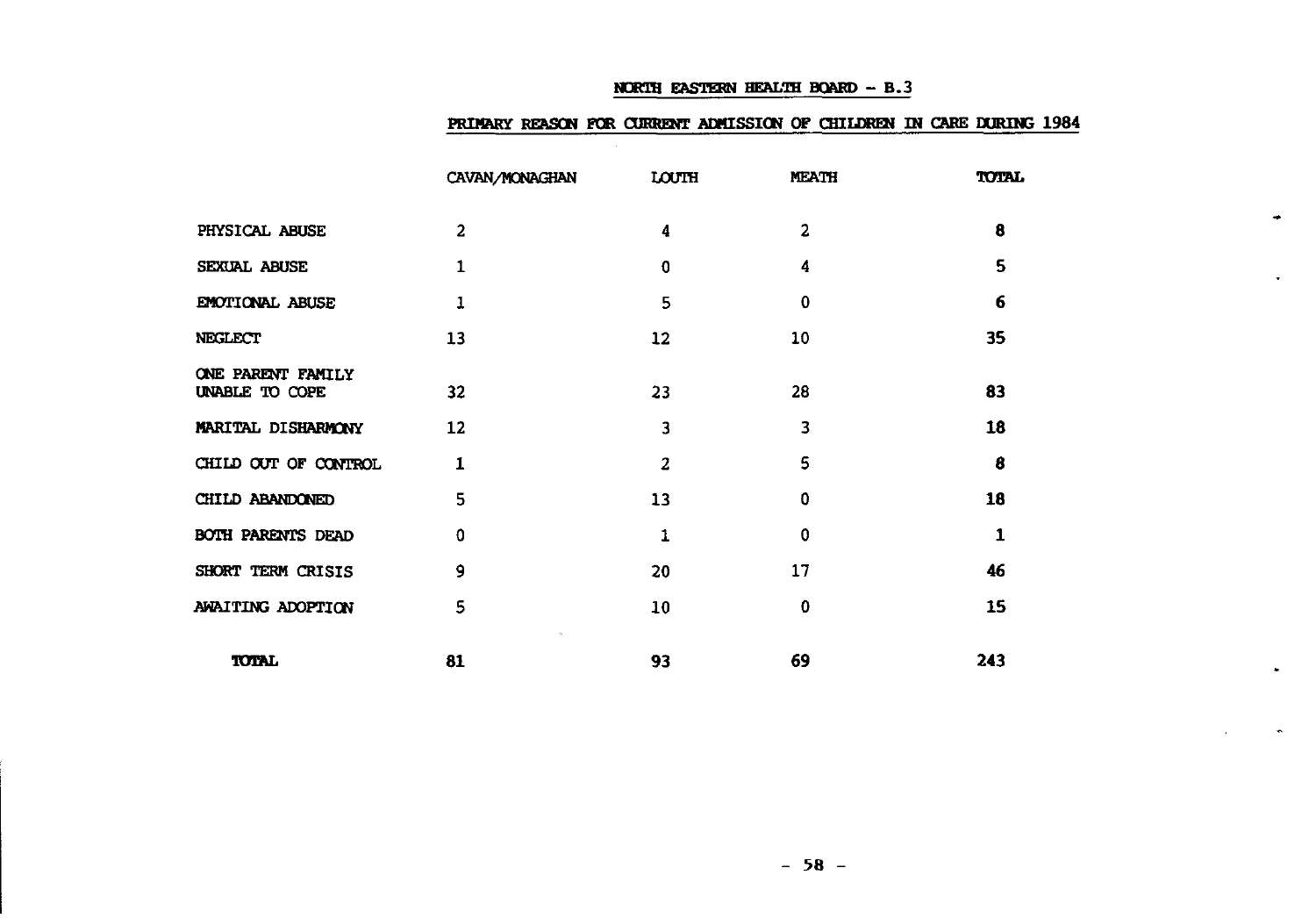# NORTH EASTERN HEALTH BOARD - B.3

|                                            | CAVAN/MONAGHAN | <b>LOUTH</b>   | <b>MEATH</b>   | <b>TOTAL</b> |
|--------------------------------------------|----------------|----------------|----------------|--------------|
| PHYSICAL ABUSE                             | $\overline{2}$ | 4              | $\overline{2}$ | 8            |
| SEXUAL ABUSE                               | $\mathbf{1}$   | 0              | 4              | 5            |
| EMOTIONAL ABUSE                            | $\mathbf{1}$   | 5              | $\bf{0}$       | 6            |
| <b>NEGLECT</b>                             | 13             | 12             | 10             | 35           |
| <b>ONE PARENT FAMILY</b><br>UNABLE TO COPE | 32             | 23             | 28             | 83           |
| MARITAL DISHARMONY                         | 12             | 3              | 3              | 18           |
| CHILD OUT OF CONTROL                       | 1              | $\overline{2}$ | 5              | 8            |
| CHILD ABANDONED                            | 5              | 13             | 0              | 18           |
| BOTH PARENTS DEAD                          | 0              | $\mathbf{1}$   | 0              | 1            |
| SHORT TERM CRISIS                          | 9              | 20             | 17             | 46           |
| AWAITING ADOPTION                          | 5              | 10             | 0              | 15           |
| <b>TOTAL</b>                               | 81             | 93             | 69             | 243          |

#### PRIMARY REASON FOR CURRENT ADMISSION OF CHILDREN IN CARE DURING 1984

 $\bullet$ 

 $\bullet$ 

 $\bullet$ 

 $\bullet$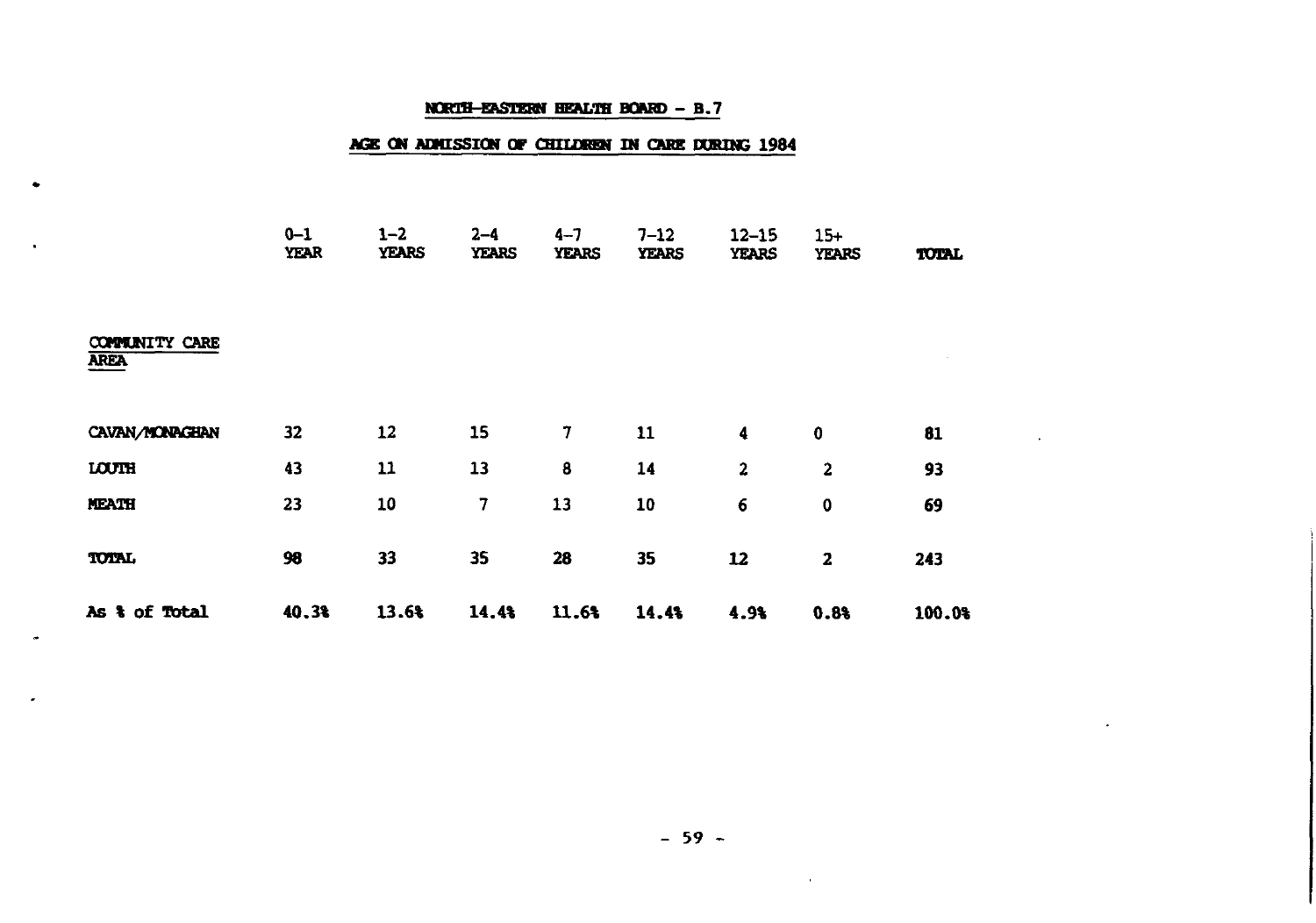#### NORTH-EASTERN HEALTH BOARD - B.7

#### AGE ON ADMISSION OF CHILDREN IN CARE DURING 1984

|                               | $0 - 1$<br><b>YEAR</b> | $1 - 2$<br><b>YEARS</b> | $2 - 4$<br><b>YEARS</b> | $4 - 7$<br><b>YEARS</b> | $7 - 12$<br><b>YEARS</b> | $12 - 15$<br><b>YEARS</b> | $15 +$<br><b>YEARS</b>  | <b>TOTAL</b> |
|-------------------------------|------------------------|-------------------------|-------------------------|-------------------------|--------------------------|---------------------------|-------------------------|--------------|
| COMMUNITY CARE<br><b>AREA</b> |                        |                         |                         |                         |                          |                           |                         |              |
| CAVAN/MONAGHAN                | 32                     | 12                      | 15                      | 7                       | 11                       | $\boldsymbol{4}$          | 0                       | 81           |
| LOUTH                         | 43                     | 11                      | 13                      | 8                       | 14                       | $\mathbf{z}$              | $\overline{\mathbf{2}}$ | 93           |
| <b>MEATH</b>                  | 23                     | 10                      | 7                       | 13                      | 10                       | $6\phantom{1}$            | $\mathbf 0$             | 69           |
| <b>TOTAL</b>                  | 98                     | 33                      | 35                      | 28                      | 35                       | 12                        | $\overline{\mathbf{2}}$ | 243          |
| As % of Total                 | 40.3%                  | 13.6%                   | 14.4%                   | 11.6%                   | 14.4%                    | 4.9%                      | 0.8%                    | 100.0%       |

 $\sim 0$ 

 $\ddot{\phantom{0}}$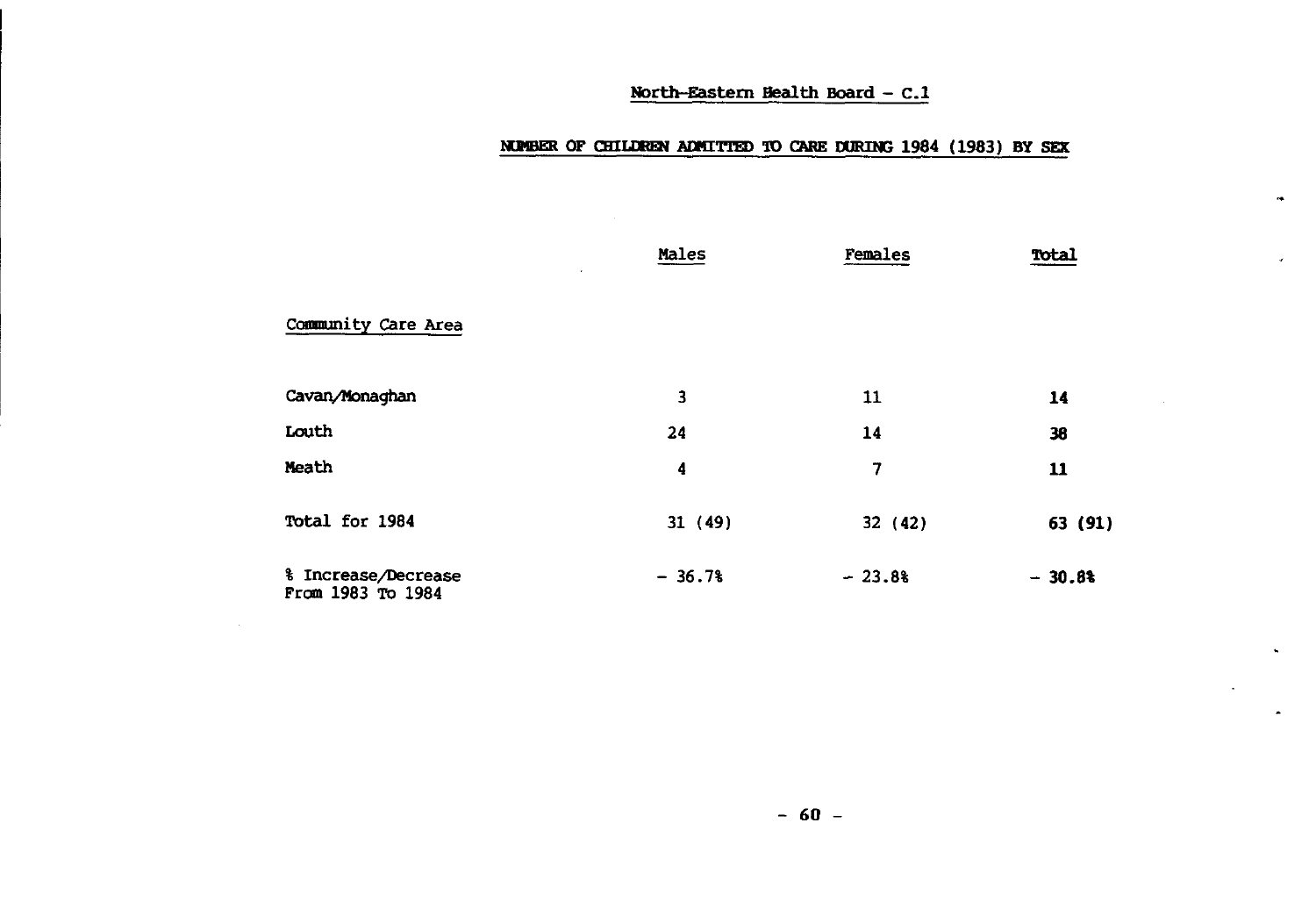# North-Eastern Health Board -  $C.1$

# NUMBER OF CHILDREN ADMITTED TO CARE DURING 1984 (1983) BY SEX

 $\ddot{\phantom{a}}$ 

¥.

 $\bullet$ 

 $\bullet$ 

|                                          | Males    | Females  | Total    |
|------------------------------------------|----------|----------|----------|
| Community Care Area                      |          |          |          |
| Cavan/Monaghan                           | 3        | 11       | 14       |
| Louth                                    | 24       | 14       | 38       |
| Meath                                    | 4        | 7        | 11       |
| Total for 1984                           | 31(49)   | 32(42)   | 63 (91)  |
| % Increase/Decrease<br>From 1983 To 1984 | $-36.7%$ | $-23.8%$ | $-30.88$ |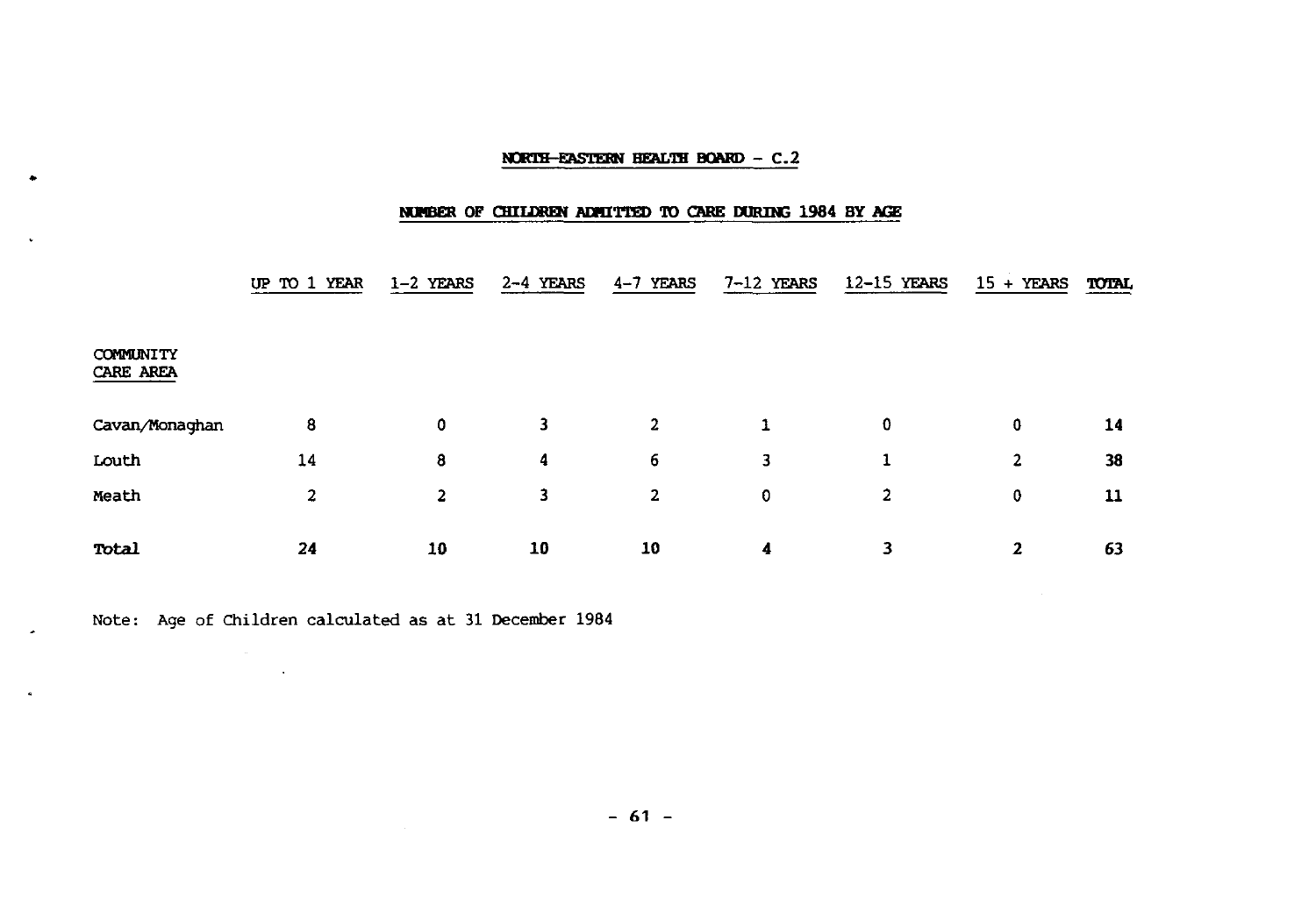## **NORTH-EASTERN HEALTH BOARD - C.2**

#### NUMBER OF CHILDREN ADMITTED TO CARE DURING 1984 BY AGE

 $\sim$ 

|                        | UP TO 1 YEAR   | 1-2 YEARS      | 2-4 YEARS | $4-7$ YEARS    | $7-12$ YEARS | 12-15 YEARS    | $15 + YEARS$   | <b>TOTAL</b> |
|------------------------|----------------|----------------|-----------|----------------|--------------|----------------|----------------|--------------|
| COMMUNITY<br>CARE AREA |                |                |           |                |              |                |                |              |
| Cavan/Monaghan         | 8              | $\mathbf 0$    | 3         | $\overline{2}$ | 1            | $\mathbf 0$    | 0              | 14           |
| Louth                  | 14             | 8              | 4         | 6              | 3            | 1              | $\overline{2}$ | 38           |
| Meath                  | $\overline{a}$ | $\overline{2}$ | 3         | $\overline{2}$ | 0            | $\overline{2}$ | $\pmb{0}$      | 11           |
| Total                  | 24             | 10             | 10        | 10             | 4            | 3              | $\mathbf{2}$   | 63           |

**Note: Age of Children calculated as at 31 December 1984** 

 $\sim 10^{-1}$ 

 $\mathcal{L}^{\text{max}}_{\text{max}}$  and  $\mathcal{L}^{\text{max}}_{\text{max}}$  $\mathcal{L}^{\text{max}}_{\text{max}}$  ,  $\mathcal{L}^{\text{max}}_{\text{max}}$ 

 $\bullet$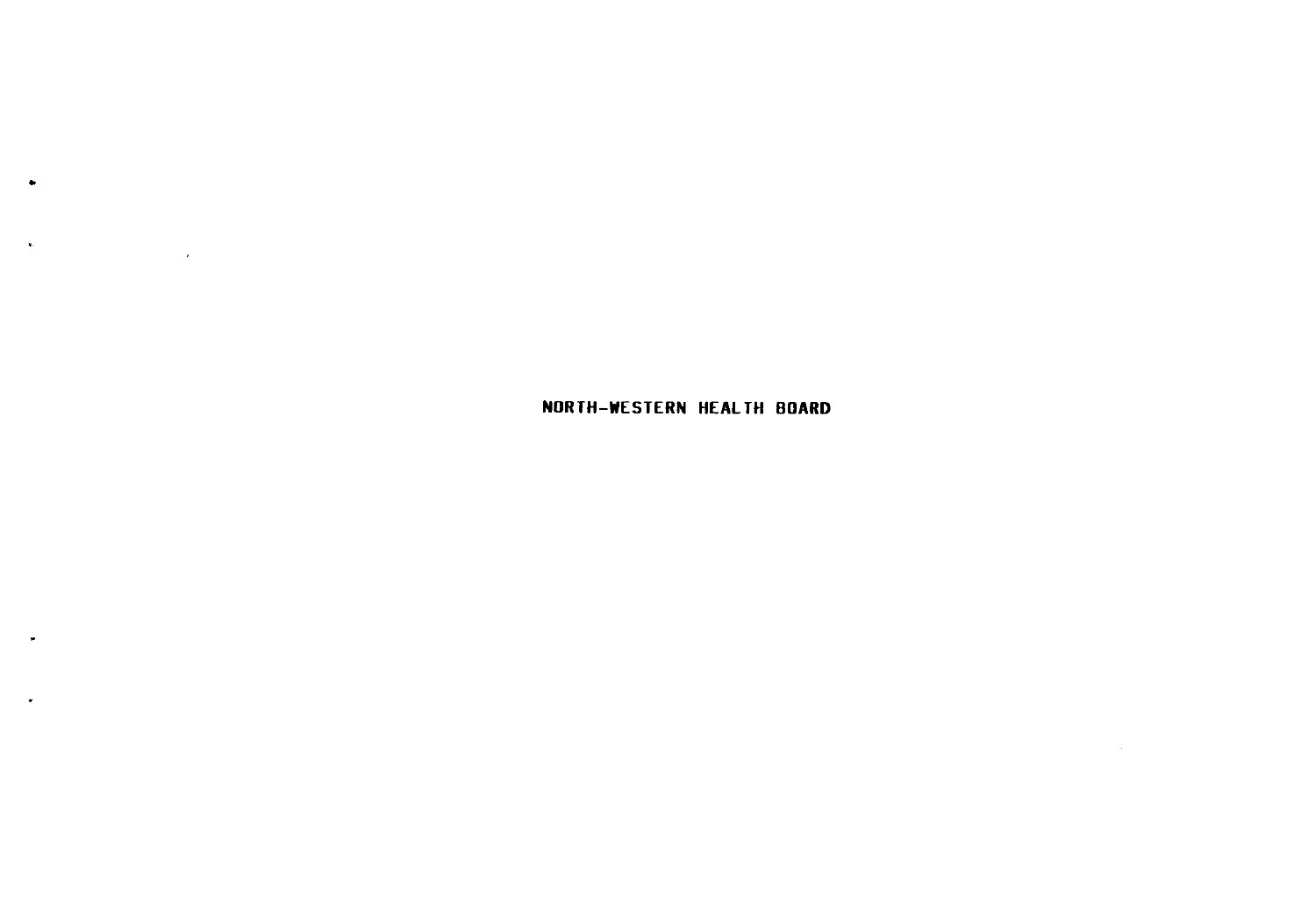**NORTH-WESTERN HEALTH BOARD** 

 $\mathbf{x}_t$ 

 $\bullet$ 

 $\label{eq:2.1} \frac{1}{\sqrt{2\pi}}\int_{0}^{\infty} \frac{d\mu}{\sqrt{2\pi}}\left(\frac{d\mu}{\mu}\right)^2\frac{d\mu}{\sqrt{2\pi}}\frac{d\mu}{\sqrt{2\pi}}\frac{d\mu}{\sqrt{2\pi}}\frac{d\mu}{\sqrt{2\pi}}\frac{d\mu}{\sqrt{2\pi}}\frac{d\mu}{\sqrt{2\pi}}\frac{d\mu}{\sqrt{2\pi}}\frac{d\mu}{\sqrt{2\pi}}\frac{d\mu}{\sqrt{2\pi}}\frac{d\mu}{\sqrt{2\pi}}\frac{d\mu}{\sqrt{2\pi}}\frac{d\mu$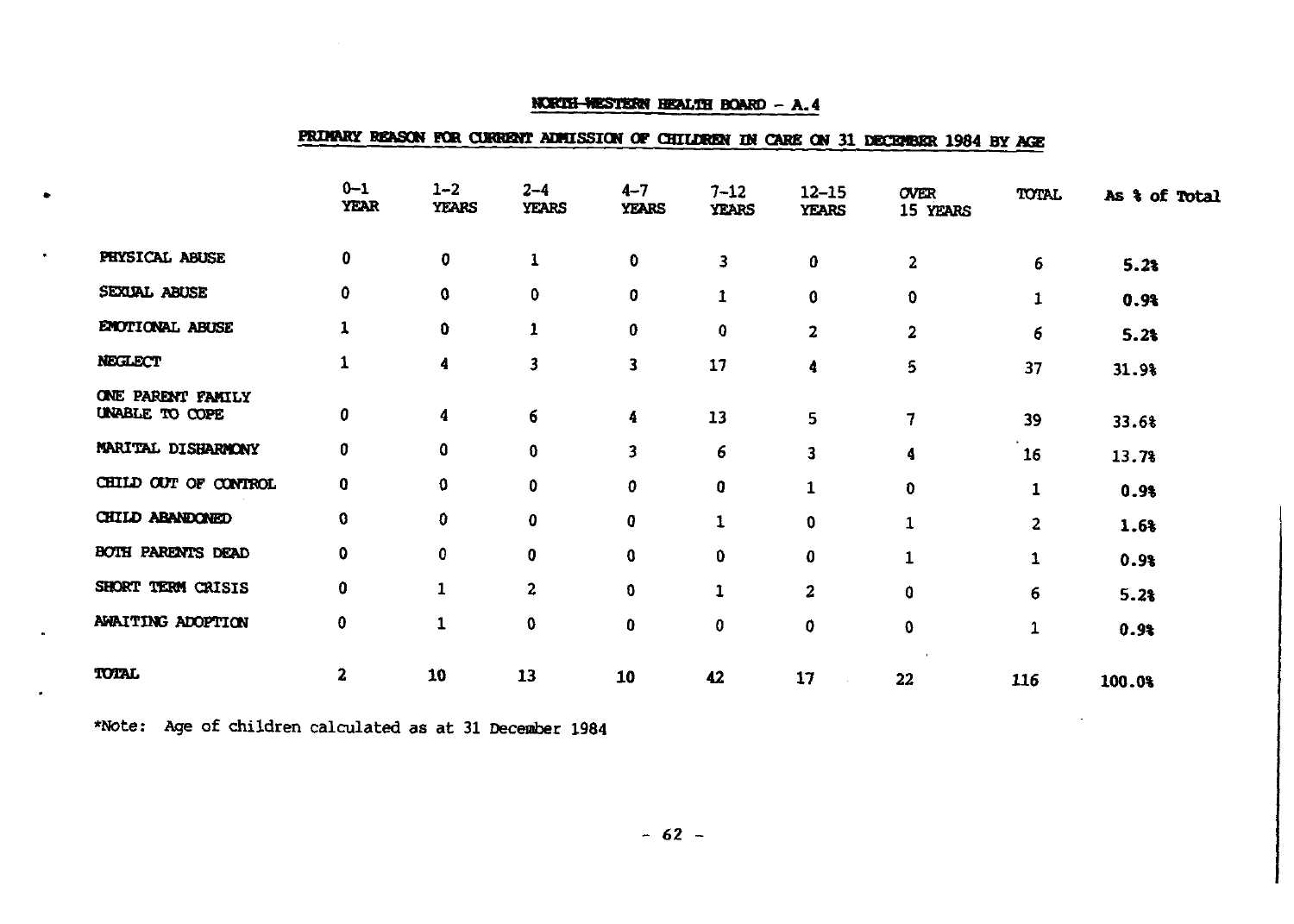| PRIMARY REASON FOR CURRENT ADMISSION OF CHILDREN IN CARE ON 31 DECEMBER 1984 BY AGE |                        |                         |                         |                         |                   |                           |                         |                         |               |  |
|-------------------------------------------------------------------------------------|------------------------|-------------------------|-------------------------|-------------------------|-------------------|---------------------------|-------------------------|-------------------------|---------------|--|
|                                                                                     | $0 - 1$<br><b>YEAR</b> | $1 - 2$<br><b>YEARS</b> | $2 - 4$<br><b>YEARS</b> | $4 - 7$<br><b>YEARS</b> | $7 - 12$<br>YEARS | $12 - 15$<br><b>YEARS</b> | <b>OVER</b><br>15 YEARS | <b>TOTAL</b>            | As & of Total |  |
| PHYSICAL ABUSE                                                                      | $\mathbf{0}$           | 0                       | 1                       | $\mathbf{0}$            | 3                 | $\mathbf 0$               | $\mathbf{2}$            | 6                       | 5.28          |  |
| SEXUAL ABUSE                                                                        | $\mathbf 0$            | 0                       | 0                       | $\mathbf 0$             | 1                 | 0                         | 0                       | 1                       | 0.94          |  |
| EMOTIONAL ABUSE                                                                     |                        | $\mathbf{0}$            | 1                       | 0                       | $\bf{0}$          | $\overline{2}$            | $\overline{2}$          | 6                       | 5.2%          |  |
| NEGLECT                                                                             | $\mathbf{1}$           | 4                       | 3                       | $\overline{\mathbf{3}}$ | 17                | 4                         | 5                       | 37                      | 31.9%         |  |
| <b>ONE PARENT FAMILY</b><br>UNABLE TO COPE                                          | $\boldsymbol{0}$       | 4                       | 6                       | 4                       | 13                | 5                         | 7                       | 39                      | 33.6%         |  |
| MARITAL DISHARMONY                                                                  | 0                      | 0                       | $\mathbf{0}$            | 3                       | 6                 | 3                         | 4                       | 16                      | 13.7%         |  |
| CHILD OUT OF CONTROL                                                                | $\mathbf 0$            | 0                       | $\mathbf{0}$            | 0                       | $\mathbf 0$       | $\mathbf{1}$              | 0                       | 1                       | 0.9%          |  |
| CHILD ABANDONED                                                                     | 0                      | 0                       | 0                       | 0                       | 1                 | $\boldsymbol{0}$          |                         | $\overline{\mathbf{2}}$ | 1.6%          |  |
| BOTH PARENTS DEAD                                                                   | 0                      | 0                       | 0                       | $\mathbf 0$             | 0                 | 0                         |                         | 1                       | 0.98          |  |
| SHORT TERM CRISIS                                                                   | 0                      | $\mathbf 1$             | $\overline{2}$          | $\boldsymbol{0}$        | 1                 | $\overline{2}$            | 0                       | 6                       | 5.2%          |  |
| <b>AWAITING ADOPTION</b>                                                            | 0                      | $\mathbf 1$             | 0                       | $\mathbf{0}$            | 0                 | $\boldsymbol{0}$          | 0                       | 1                       | 0.93          |  |
| <b>TOTAL</b>                                                                        | 2                      | 10                      | 13                      | 10                      | 42                | 17                        | 22                      | 116                     | 100.0%        |  |

# NORTH WESTERN HEALTH BOARD - A.4

**\*Note: Age of children calculated as at 31 December 1984**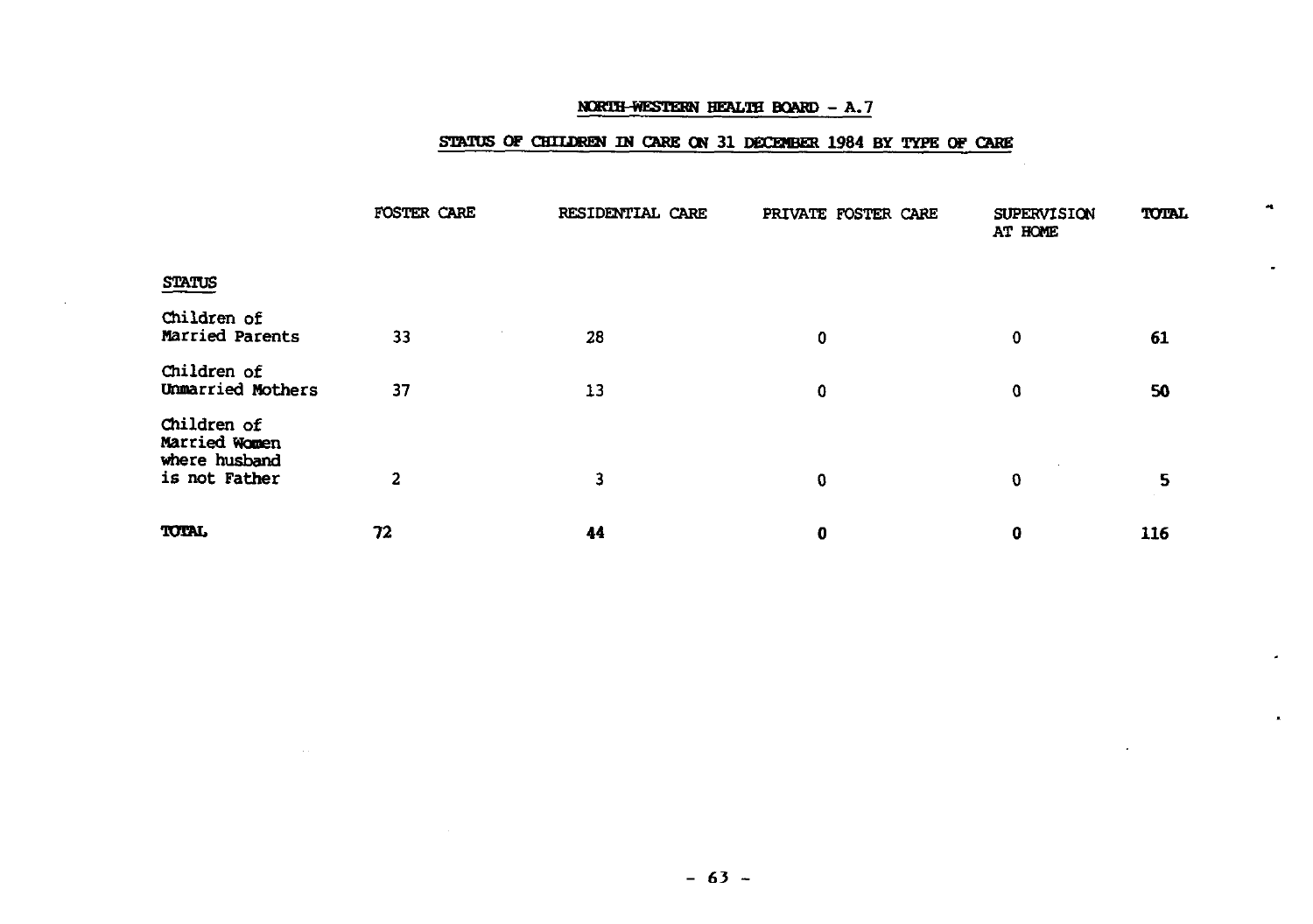#### NORTH-WESTERN HEALTH BOARD - A.7

#### STATUS OF CHILDREN IN CARE ON 31 DECEMBER 1984 BY TYPE OF CARE

 $\overline{a}$ 

|                                                                | FOSTER CARE | RESIDENTIAL CARE | PRIVATE FOSTER CARE | <b>SUPERVISION</b><br>AT HOME | <b>TOTAL</b> |
|----------------------------------------------------------------|-------------|------------------|---------------------|-------------------------------|--------------|
| <b>STATUS</b>                                                  |             |                  |                     |                               |              |
| Children of<br>Married Parents                                 | 33          | 28               | $\mathbf 0$         | 0                             | 61           |
| Children of<br><b>Unmarried Mothers</b>                        | 37          | 13               | $\mathbf 0$         | 0                             | 50           |
| Children of<br>Married Women<br>where husband<br>is not Father | 2           | 3                | $\bf{0}$            | $\mathbf 0$                   | 5            |
| <b>TOTAL</b>                                                   | 72          | 44               | $\mathbf 0$         | 0                             | 116          |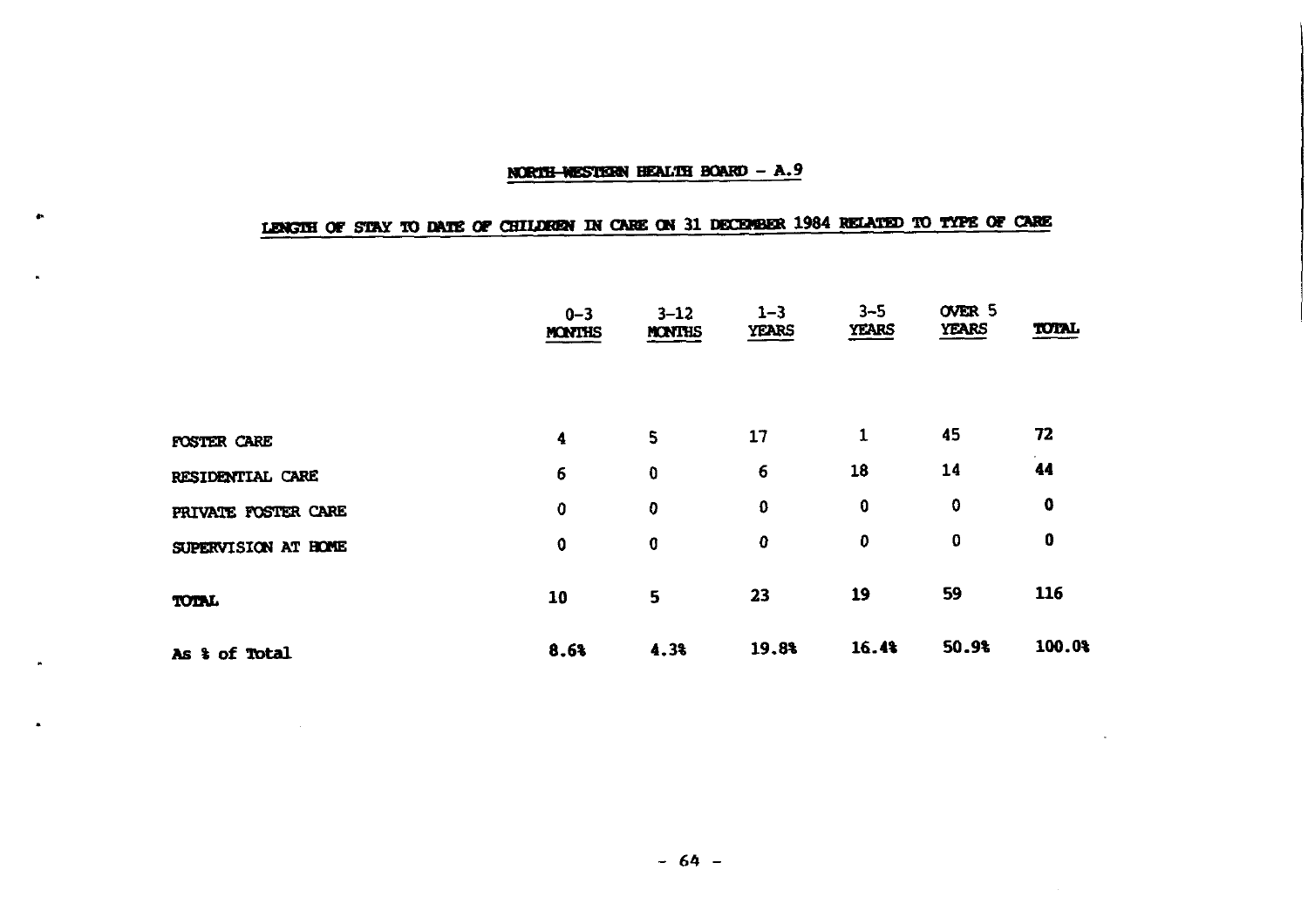#### NORTH-WESTERN HEALTH BOARD - A.9

# LENGTH OF STAY TO DATE OF CHILDREN IN CARE ON 31 DECEMBER 1984 RELATED TO TYPE OF CARE

|                     | $0 - 3$<br><b>MONTHS</b> | $3 - 12$<br><b>MONTHS</b> | $1 - 3$<br><b>YEARS</b> | $3 - 5$<br>YEARS | <b>OVER 5</b><br><b>YEARS</b> | <b>TOTAL</b> |
|---------------------|--------------------------|---------------------------|-------------------------|------------------|-------------------------------|--------------|
| FOSTER CARE         | 4                        | 5                         | 17                      | 1                | 45                            | 72           |
|                     |                          |                           |                         |                  |                               | 44           |
| RESIDENTIAL CARE    | 6                        | 0                         | $6\phantom{1}6$         | 18               | 14                            |              |
| PRIVATE FOSTER CARE | $\mathbf 0$              | $\mathbf 0$               | $\pmb{0}$               | $\mathbf 0$      | 0                             | $\mathbf 0$  |
| SUPERVISION AT HOME | $\mathbf 0$              | 0                         | $\boldsymbol{0}$        | $\pmb{0}$        | 0                             | $\mathbf 0$  |
| <b>TOTAL</b>        | 10                       | 5                         | 23                      | 19               | 59                            | 116          |
| As & of Total       | 8.6%                     | 4.3%                      | 19.8%                   | 16.4%            | 50.9%                         | 100.0%       |

 $\bullet$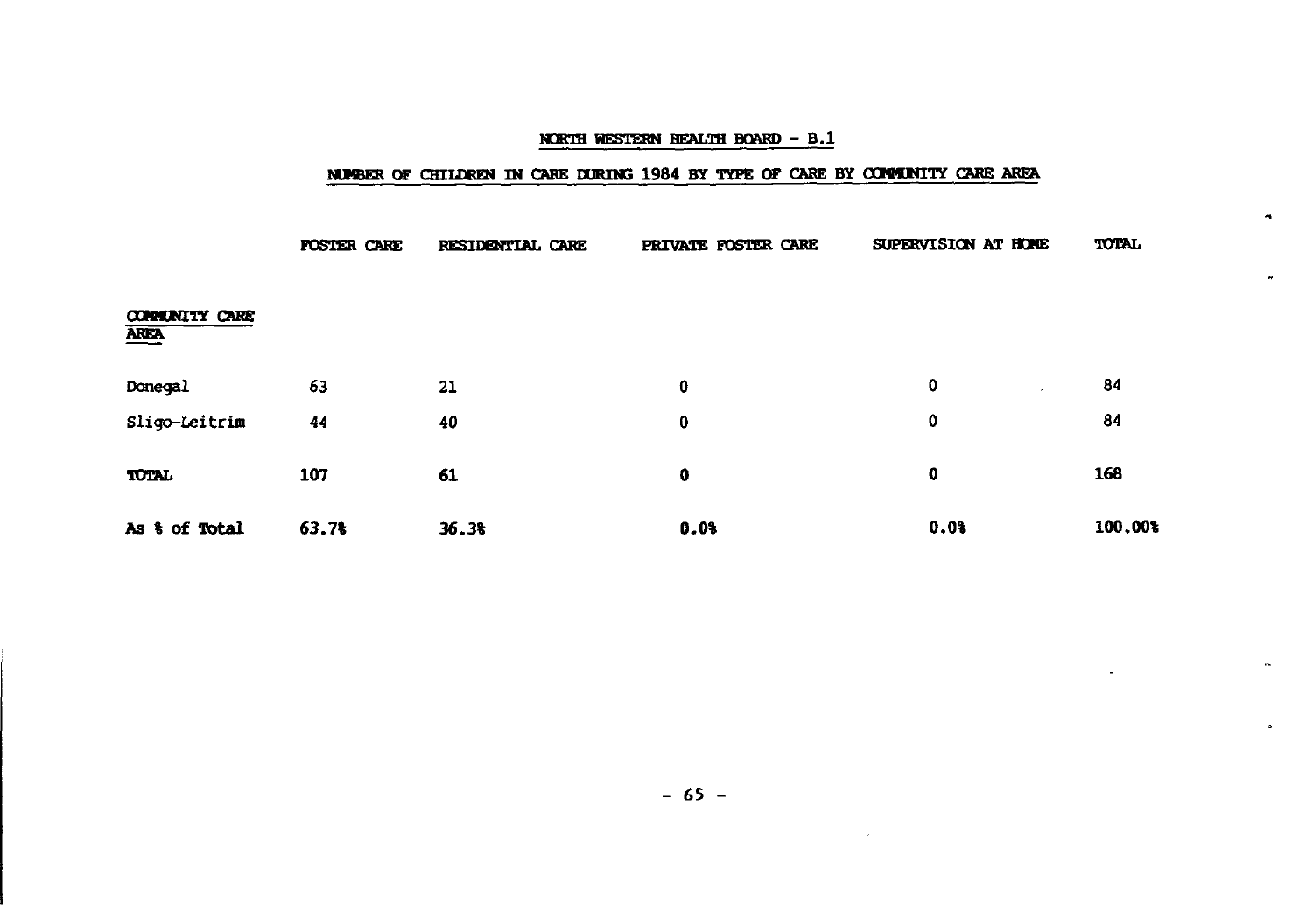#### NORTH WESTERN HEALTH BOARD - B.1

#### NUMBER OF CHILDREN IN CARE DURING 1984 BY TYPE OF CARE BY COMMUNITY CARE AREA

|                                      | FOSTER CARE | RESIDENTIAL CARE | PRIVATE FOSTER CARE | SUPERVISION AT HOME | <b>TOTAL</b> |
|--------------------------------------|-------------|------------------|---------------------|---------------------|--------------|
| <b>COMMUNITY CARE</b><br><b>AREA</b> |             |                  |                     |                     |              |
| Donegal                              | 63          | 21               | 0                   | 0                   | 84           |
| Sligo-Leitrim                        | 44          | 40               | 0                   | 0                   | 84           |
| <b>TOTAL</b>                         | 107         | 61               | 0                   | $\boldsymbol{0}$    | 168          |
| As % of Total                        | 63.7%       | 36.38            | 0.03                | 0.03                | 100.00%      |

 $\mathbf{z}$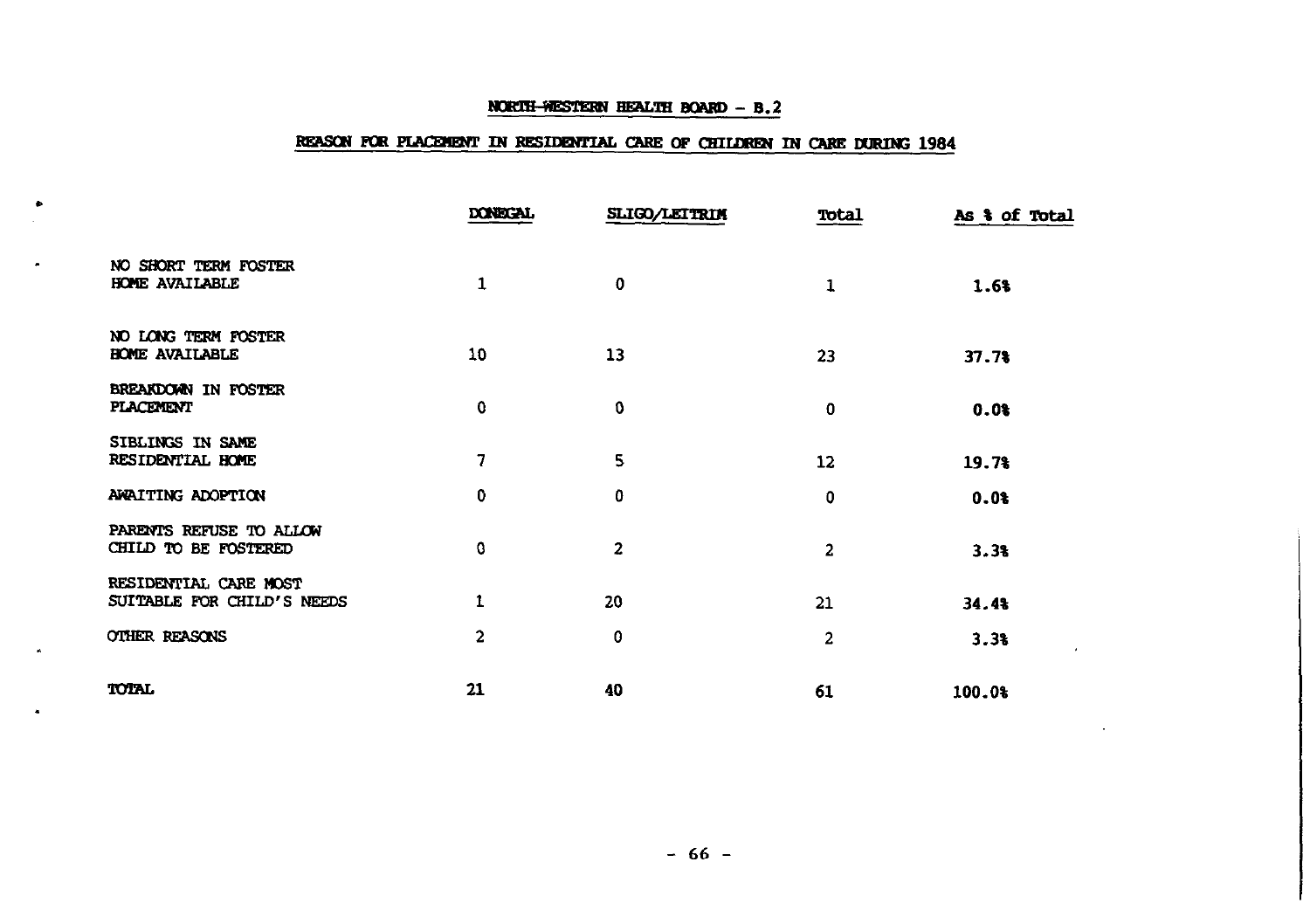## **NORTH-WESTERN HEALTH BOARD - B.2**

# REASON FOR PLACEMENT IN RESIDENTIAL CARE OF CHILDREN IN CARE DURING 1984

|                                                     | <b>DONEGAL</b>   | SLIGO/LETTRIN  | Total          | As % of Total |
|-----------------------------------------------------|------------------|----------------|----------------|---------------|
| NO SHORT TERM FOSTER<br>HOME AVAILABLE              | $\mathbf{1}$     | $\bf{0}$       | $\mathbf 1$    | 1.6%          |
| NO LONG TERM FOSTER<br>HOME AVAILABLE               | 10 <sub>10</sub> | 13             | 23             | 37.7%         |
| BREAKDOWN IN FOSTER<br><b>PLACEMENT</b>             | $\bf{0}$         | 0              | $\mathbf 0$    | 0.0%          |
| SIBLINGS IN SAME<br>RESIDENTIAL HOME                | 7                | 5              | 12             | 19.7%         |
| AWAITING ADOPTION                                   | $\mathbf 0$      | 0              | 0              | 0.03          |
| PARENTS REFUSE TO ALLOW<br>CHILD TO BE FOSTERED     | $\mathbf 0$      | $\overline{2}$ | 2              | 3.3%          |
| RESIDENTIAL CARE MOST<br>SUITABLE FOR CHILD'S NEEDS |                  | 20             | 21             | 34.4%         |
| OTHER REASONS                                       | $\overline{2}$   | $\mathbf 0$    | $\overline{2}$ | 3.38          |
| <b>TOTAL</b>                                        | 21               | 40             | 61             | 100.0%        |

 $\sim$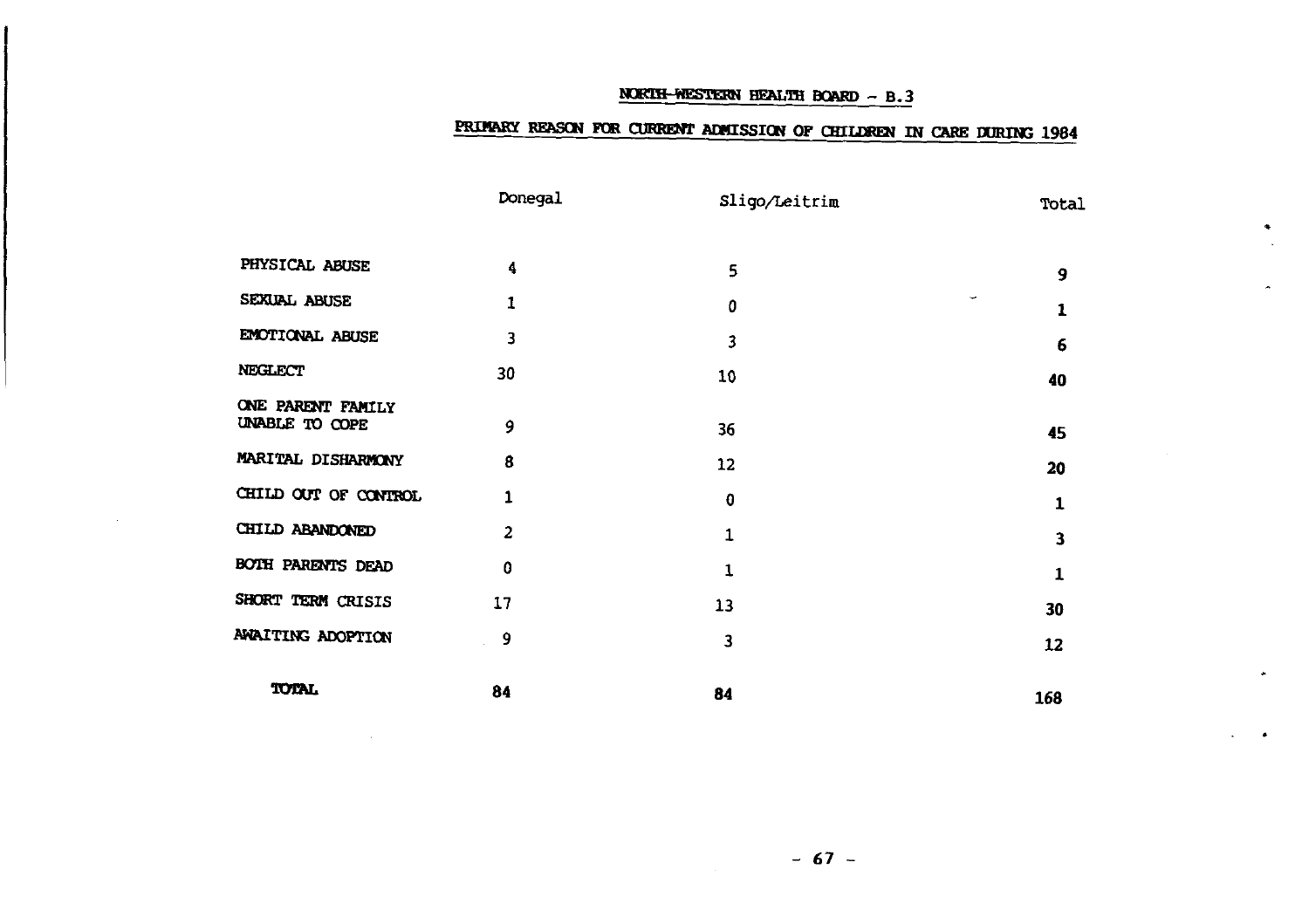# NORTH-WESTERN HEALTH BOARD - B.3

# PRIMARY REASON FOR CURRENT ADMISSION OF CHILDREN IN CARE DURING 1984

 $\ddot{\bullet}$ 

 $\bullet$ 

|                                     | Donegal      | Sligo/Leitrim    | Total |
|-------------------------------------|--------------|------------------|-------|
| PHYSICAL ABUSE                      | 4            | 5                | 9     |
| SEXUAL ABUSE                        | $\mathbf{1}$ | 0                | 1     |
| EMOTIONAL ABUSE                     | 3            | 3                | 6     |
| <b>NEGLECT</b>                      | 30           | 10               | 40    |
| ONE PARENT FAMILY<br>UNABLE TO COPE | 9            | 36               | 45    |
| MARITAL DISHARMONY                  | 8            | 12               | 20    |
| CHILD OUT OF CONTROL                | 1            | $\boldsymbol{0}$ | 1     |
| CHILD ABANDONED                     | 2            | $\mathbf{1}$     | 3     |
| BOTH PARENTS DEAD                   | 0            | $\mathbf{1}$     | 1     |
| SHORT TERM CRISIS                   | 17           | 13               | 30    |
| AWAITING ADOPTION                   | 9            | 3                | 12    |
| <b>TOTAL</b>                        | 84           | 84               | 168   |

 $\sim 10$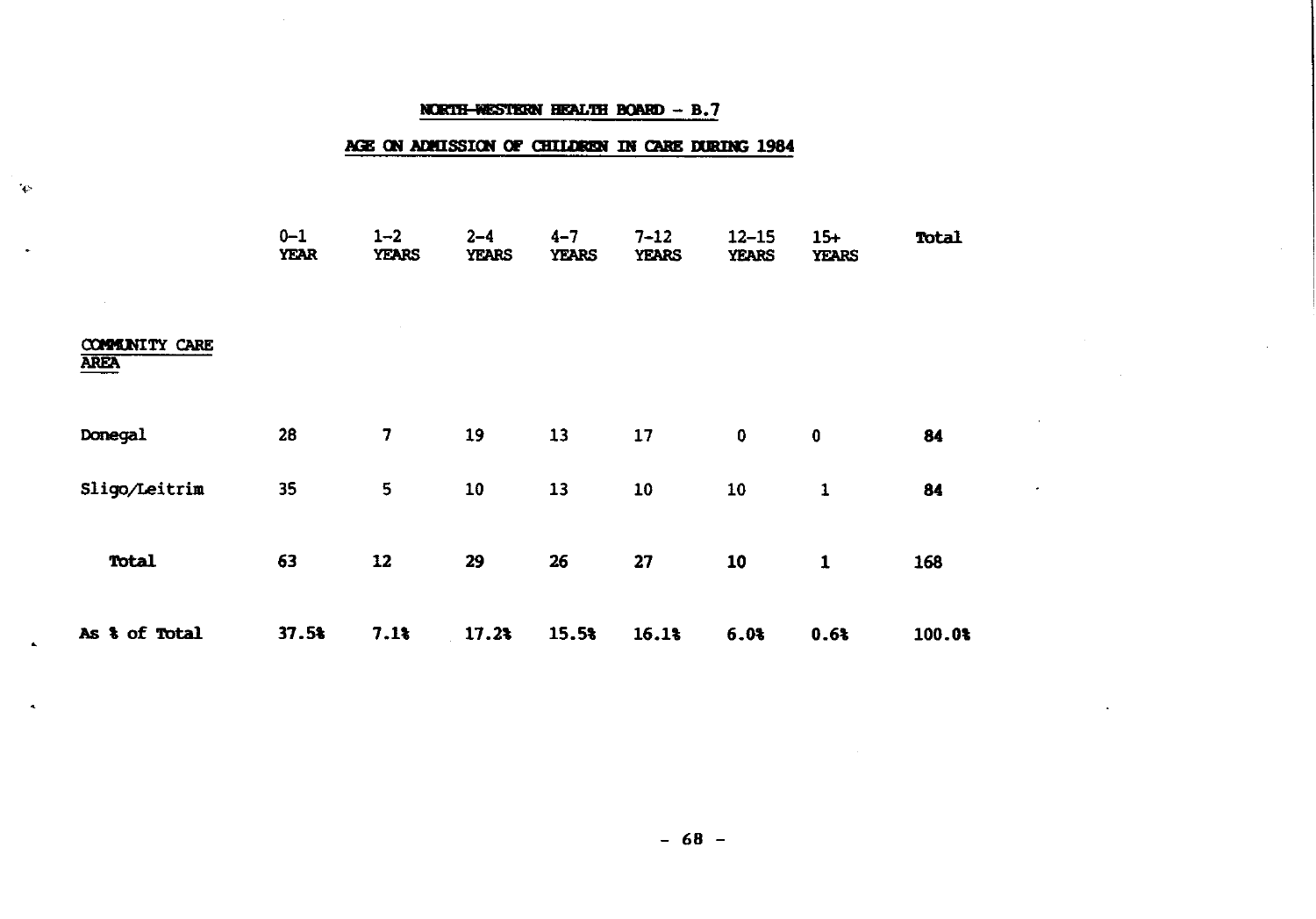# NORTH-WESTERN HEALTH BOARD - B.7

 $\sim$ 

 $\rightarrow$ 

 $\bullet$ 

٠,

#### AGE ON ADMISSION OF CHILDREN IN CARE DURING 1984

|                               | $0 - 1$<br><b>YEAR</b> | $1 - 2$<br><b>YEARS</b> | $2 - 4$<br><b>YEARS</b> | $4 - 7$<br><b>YEARS</b> | $7 - 12$<br><b>YEARS</b> | $12 - 15$<br><b>YEARS</b> | $15+$<br><b>YEARS</b> | Total  |
|-------------------------------|------------------------|-------------------------|-------------------------|-------------------------|--------------------------|---------------------------|-----------------------|--------|
| COMMUNITY CARE<br><b>AREA</b> |                        |                         |                         |                         |                          |                           |                       |        |
| Donegal                       | 28                     | $\overline{7}$          | 19                      | 13                      | 17                       | $\mathbf 0$               | $\mathbf 0$           | 84     |
| Sligo/Leitrim                 | 35                     | 5                       | 10                      | 13                      | 10                       | 10                        | $\mathbf{1}$          | 84     |
| Total                         | 63                     | 12                      | 29                      | 26                      | 27                       | 10                        | $\mathbf{1}$          | 168    |
| As % of Total                 | 37.5%                  | 7.1                     | 17.2                    | 15.5%                   | 16.1%                    | 6.03                      | 0.6%                  | 100.0% |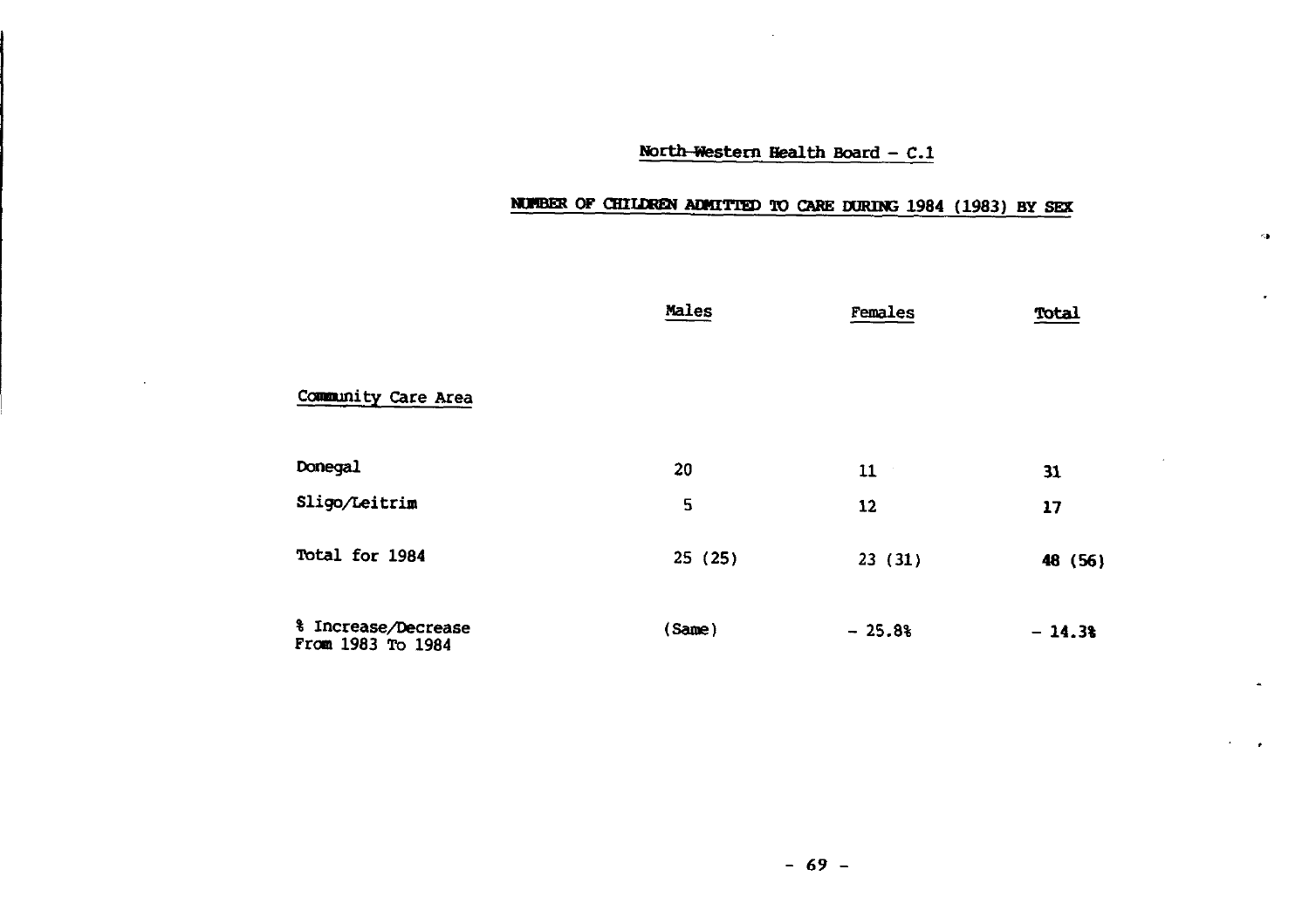# North-Western Health Board - C.1

# NUMBER OF CHILDREN ADMITTED TO CARE DURING 1984 (1983) BY SEX

 $\mathbf{Q}(\mathbf{p})$ 

 $\mathbf{r}$ 

 $\mathcal{L}^{\text{max}}(\mathbf{r})$ 

|                                          | Males  | Females         | Total    |
|------------------------------------------|--------|-----------------|----------|
| Community Care Area                      |        |                 |          |
| Donegal                                  | 20     | 11              | 31       |
| Sligo/Leitrim                            | 5      | 12 <sub>2</sub> | 17       |
| Total for 1984                           | 25(25) | 23(31)          | 48 (56)  |
| % Increase/Decrease<br>From 1983 To 1984 | (Same) | $-25.8%$        | $-14.38$ |

 $\mathcal{A}$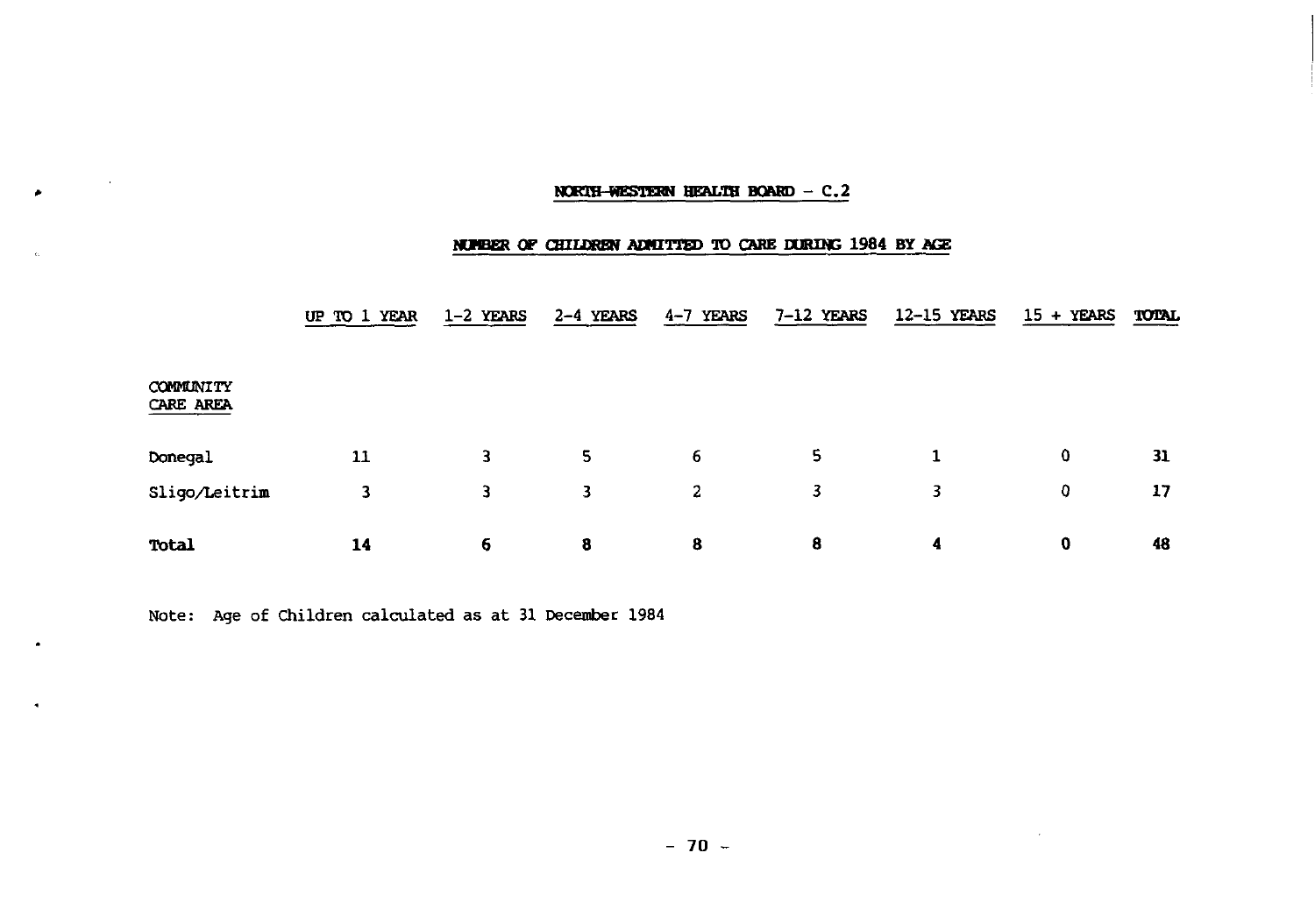# NORTH-WESTERN HEALTH BOARD - C.2

#### NUMBER OF CHILDREN ADMITTED TO CARE DURING 1984 BY AGE

|                        | UP TO 1 YEAR | 1-2 YEARS      | 2-4 YEARS | 4-7 YEARS      | $7-12$ YEARS | 12-15 YEARS | $15 + YEARS$ | <b>TOTAL</b> |
|------------------------|--------------|----------------|-----------|----------------|--------------|-------------|--------------|--------------|
| COMMUNITY<br>CARE AREA |              |                |           |                |              |             |              |              |
| Donegal                | 11           | 3              | 5         | 6              | 5            |             | 0            | 31           |
| Sligo/Leitrim          | 3            | 3              | 3         | $\overline{2}$ | 3            | 3.          | 0            | 17           |
| Total                  | 14           | $6\phantom{1}$ | 8         | 8              | 8            | 4           | 0            | 48           |

**Note: Age of Children calculated as at 31 December 1984** 

 $\sim 10^{11}$  M  $_{\odot}$ 

 $\alpha$ 

 $\sim$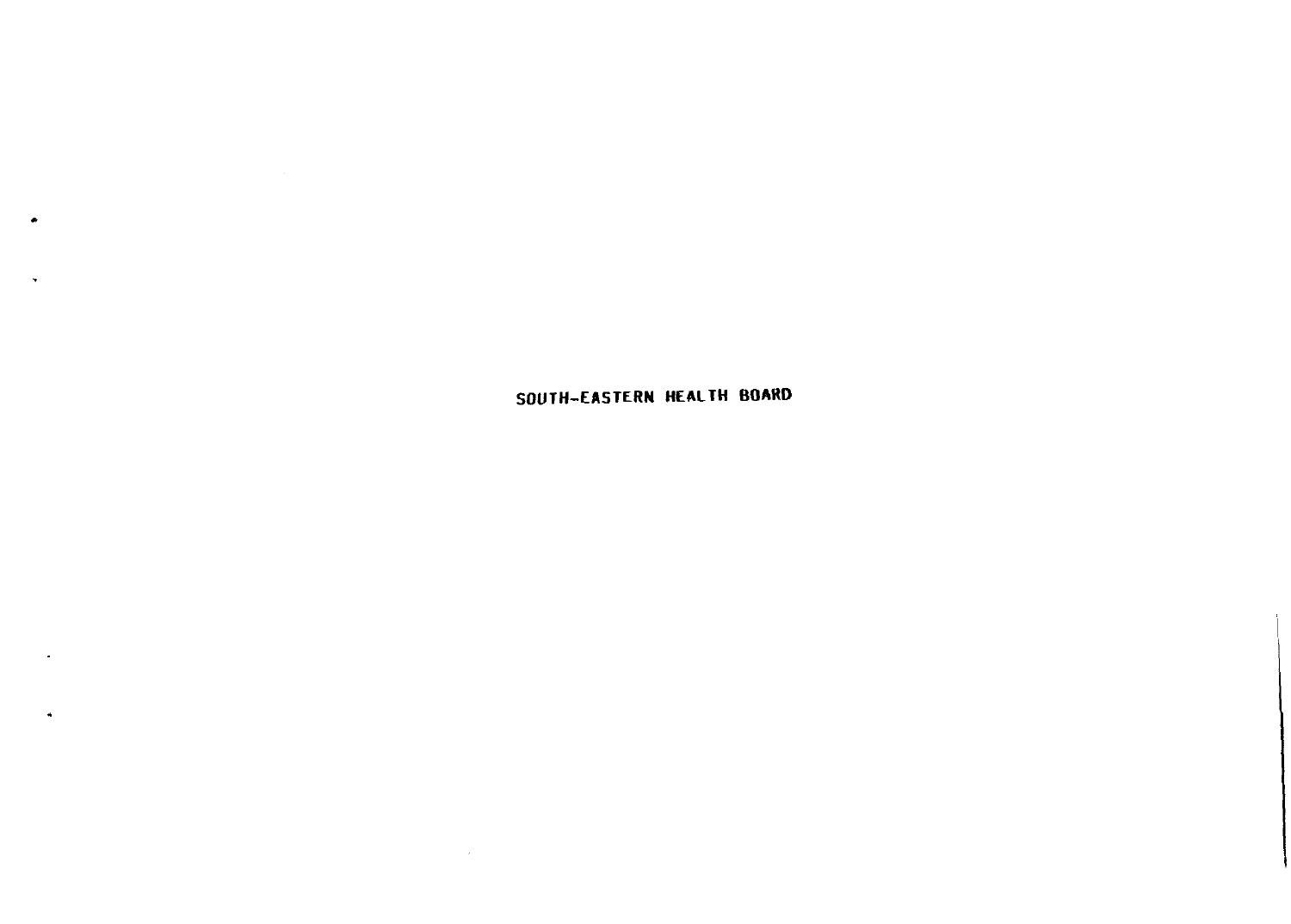**SOUTH-EASTERN HEALTH BOARD** 

 $\sim 10^7$ 

 $\bullet$ 

 $\bullet$ 

 $\bullet$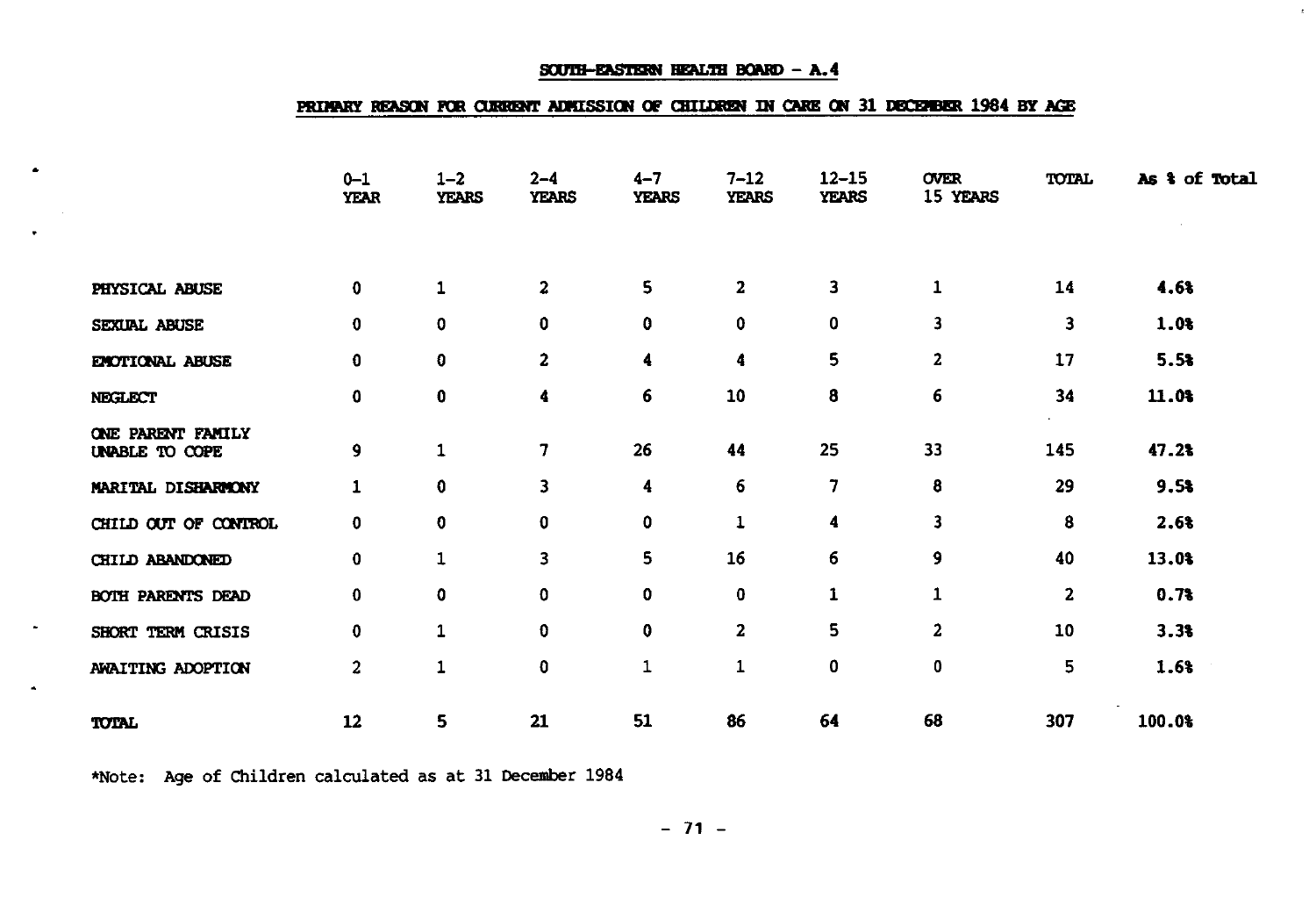## SOUTH-EASTERN HEALTH BOARD - A.4

 $\langle \hat{R}^{\dagger} \rangle$ 

#### PRIMARY REASON FOR CURRENT ADMISSION OF CHILDREN IN CARE ON 31 DECEMBER 1984 BY AGE

|                                     | $0 - 1$<br><b>YEAR</b>  | $1 - 2$<br><b>YEARS</b> | $2 - 4$<br><b>YEARS</b> | $4 - 7$<br><b>YEARS</b> | $7 - 12$<br><b>YEARS</b> | $12 - 15$<br><b>YEARS</b> | <b>OVER</b><br>15 YEARS | <b>TOTAL</b> | As & of Total |
|-------------------------------------|-------------------------|-------------------------|-------------------------|-------------------------|--------------------------|---------------------------|-------------------------|--------------|---------------|
|                                     |                         |                         |                         |                         |                          |                           |                         |              |               |
| PHYSICAL ABUSE                      | $\mathbf 0$             | $\mathbf{1}$            | $\boldsymbol{2}$        | 5                       | $\mathbf{2}$             | 3                         | $\mathbf{1}$            | 14           | 4.6%          |
| SEXUAL ABUSE                        | 0                       | $\mathbf 0$             | 0                       | $\mathbf 0$             | 0                        | $\mathbf 0$               | 3                       | 3            | 1.03          |
| EMOTIONAL ABUSE                     | $\mathbf 0$             | $\bf{0}$                | $\mathbf{2}$            | 4                       | 4                        | 5                         | $\mathbf{z}$            | 17           | 5.5%          |
| <b>NEGLECT</b>                      | 0                       | $\mathbf 0$             | 4                       | 6                       | 10                       | 8                         | 6                       | 34           | 11.0%         |
| ONE PARENT FAMILY<br>UNABLE TO COPE | 9                       | $\mathbf{1}$            | 7                       | 26                      | 44                       | 25                        | 33                      | 145          | 47.23         |
| MARITAL DISHARMONY                  |                         | $\mathbf 0$             | 3                       | 4                       | 6                        | 7                         | 8                       | 29           | 9.5%          |
| CHILD OUT OF CONTROL                | 0                       | $\mathbf 0$             | $\mathbf 0$             | $\mathbf 0$             | $\mathbf 1$              | 4                         | 3                       | 8            | 2.6%          |
| CHILD ABANDONED                     | $\mathbf 0$             | $\mathbf{1}$            | 3                       | 5                       | 16                       | 6                         | 9                       | 40           | 13.0%         |
| BOTH PARENTS DEAD                   | $\mathbf 0$             | $\mathbf 0$             | 0                       | 0                       | 0                        | 1                         | 1                       | $\mathbf{2}$ | 0.7%          |
| SHORT TERM CRISIS                   | $\mathbf 0$             | $\mathbf{1}$            | 0                       | $\mathbf 0$             | $\overline{2}$           | 5 <sub>1</sub>            | $\overline{2}$          | 10           | 3.3%          |
| AWAITING ADOPTION                   | $\overline{\mathbf{c}}$ | $\mathbf{1}$            | 0                       | $\mathbf 1$             | $\mathbf{1}$             | $\mathbf 0$               | 0                       | 5            | 1.6%          |
| <b>TOTAL</b>                        | 12                      | 5                       | 21                      | 51                      | 86                       | 64                        | 68                      | 307          | 100.0%        |

\*Note: Age of Children calculated as at 31 December 1984

 $\ddot{\phantom{1}}$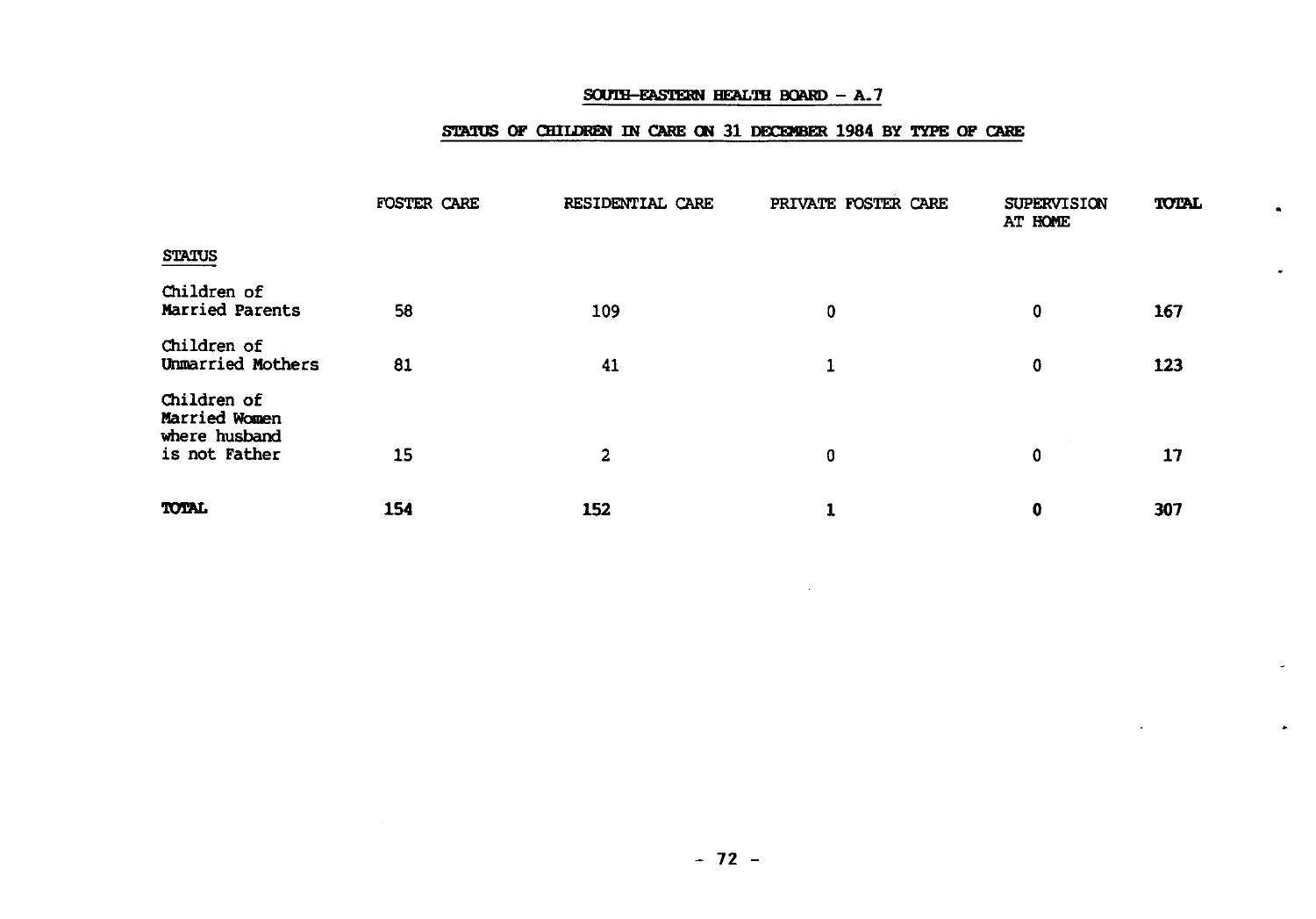#### SOUTH-EASTERN HEALTH BOARD - A.7

## STATUS OF CHILDREN IN CARE ON 31 DECEMBER 1984 BY TYPE OF CARE

|                                                                | FOSTER CARE | RESIDENTIAL CARE | PRIVATE FOSTER CARE | <b>SUPERVISION</b><br>AT HOME | <b>TOTAL</b> |
|----------------------------------------------------------------|-------------|------------------|---------------------|-------------------------------|--------------|
| <b>STATUS</b>                                                  |             |                  |                     |                               |              |
| Children of<br>Married Parents                                 | 58          | 109              | $\mathbf 0$         | 0                             | 167          |
| Children of<br>Unmarried Mothers                               | 81          | 41               | 1                   | 0                             | 123          |
| Children of<br>Married Women<br>where husband<br>is not Father | 15          | $\overline{2}$   | 0                   | $\mathbf 0$                   | 17           |
| <b>TOTAL</b>                                                   | 154         | 152              | 1                   | 0                             | 307          |

ä.

 $\bullet$ 

the control of the control of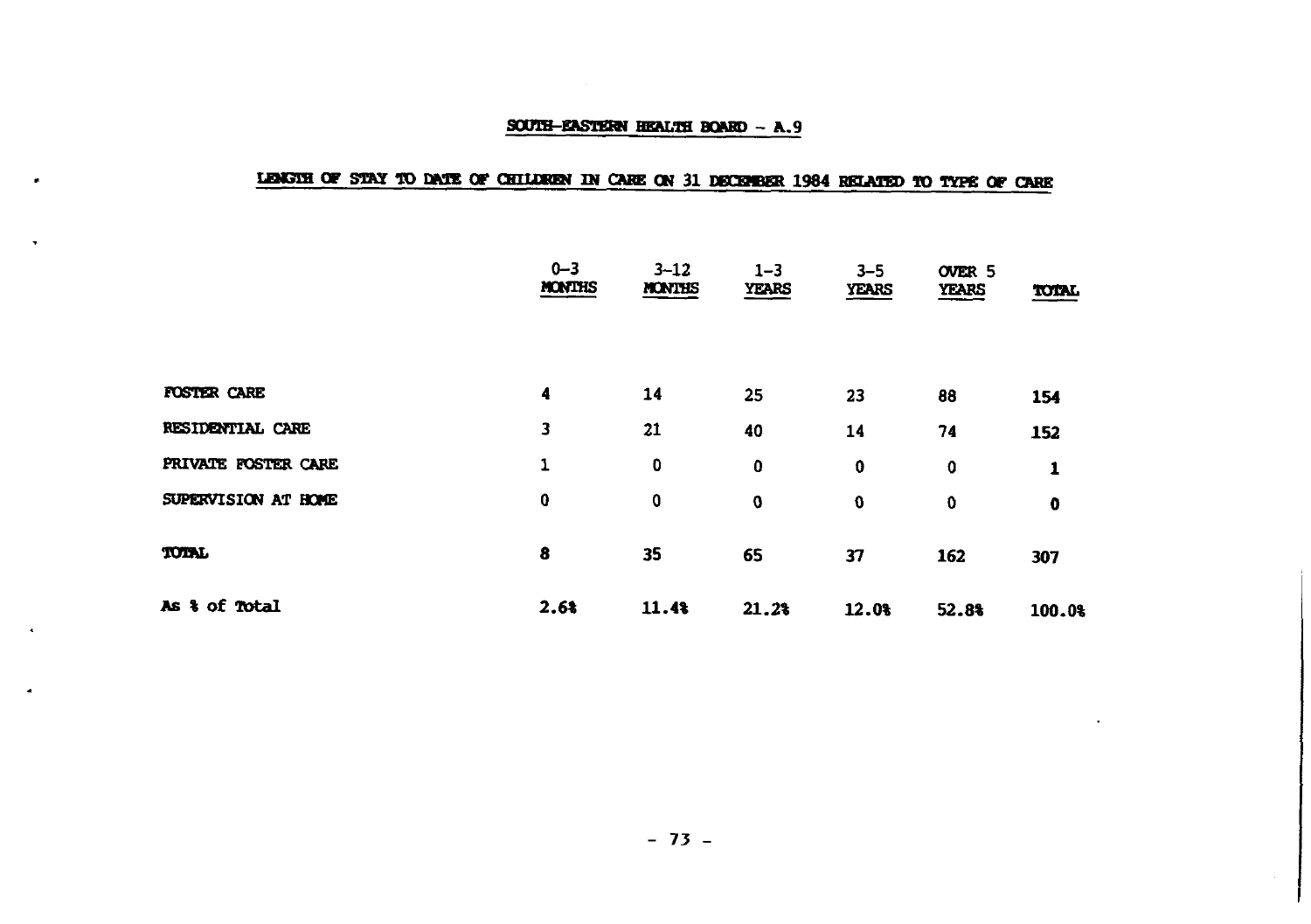# SOUTH-EASTERN HEALTH BOARD - A.9

# LEMSTH OF STAY TO DATE OF CHILDREN IN CARE ON 31 DECEMBER 1984 RELATED TO TYPE OF CARE

|                     | $0 - 3$<br><b>MONTHS</b> | $3 - 12$<br><b>MONTHS</b> | $1 - 3$<br><b>YEARS</b> | $3 - 5$<br><b>YEARS</b> | <b>OVER 5</b><br><b>YEARS</b> | <b>TOTAL</b> |
|---------------------|--------------------------|---------------------------|-------------------------|-------------------------|-------------------------------|--------------|
|                     |                          |                           |                         |                         |                               |              |
| FOSTER CARE         | 4                        | 14                        | 25                      | 23                      | 88                            | 154          |
| RESIDENTIAL CARE    | 3                        | 21                        | 40                      | 14                      | 74                            | 152          |
| PRIVATE FOSTER CARE | 1                        | $\mathbf 0$               | $\bf{0}$                | $\pmb{0}$               | $\boldsymbol{0}$              | $\mathbf{1}$ |
| SUPERVISION AT HOME | $\mathbf 0$              | 0                         | $\mathbf 0$             | 0                       | 0                             | $\bullet$    |
| TOTAL               | 8                        | 35                        | 65                      | 37                      | 162                           | 307          |
| As & of Total       | 2.6%                     | 11.4%                     | 21.2%                   | 12.0%                   | 52.8%                         | 100.0%       |

 $\overline{\mathbf{v}}$ 

 $\bullet$ 

 $\bullet$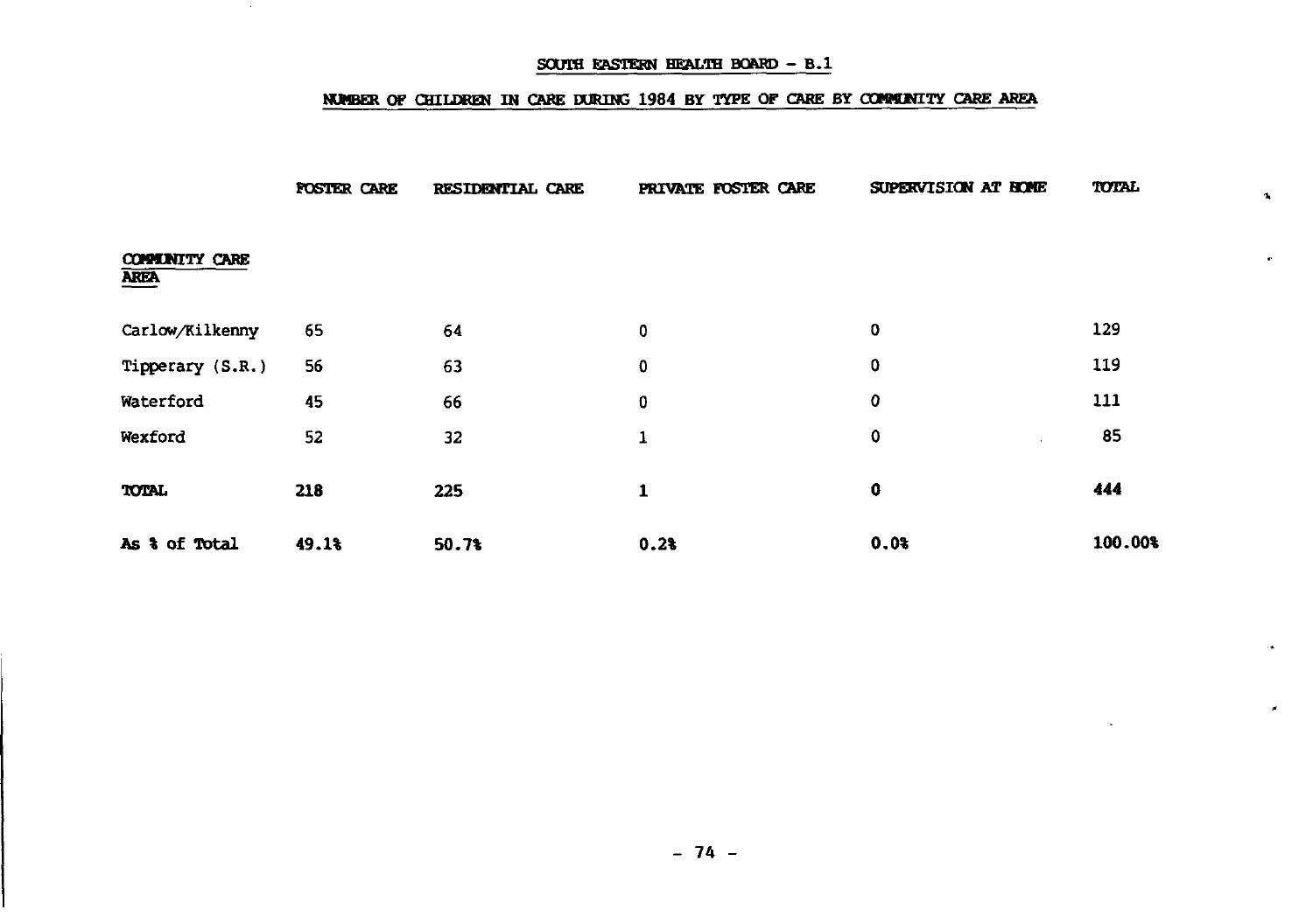#### SOUTH EASTERN HEALTH BOARD - B.1

 $\sim$ 

#### NUMBER OF CHILDREN IN CARE DURING 1984 BY TYPE OF CARE BY COMMUNITY CARE AREA

 $\mathbf{A}$ 

 $\bullet$ 

is.

 $\pmb{\ast}$ 

|                                      | <b>FOSTER CARE</b> | RESIDENTIAL CARE | PRIVATE FOSTER CARE | SUPERVISION AT HOME | TOTAL   |
|--------------------------------------|--------------------|------------------|---------------------|---------------------|---------|
| <b>COMMUNITY CARE</b><br><b>AREA</b> |                    |                  |                     |                     |         |
| Carlow/Kilkenny                      | 65                 | 64               | $\bf{0}$            | $\boldsymbol{0}$    | 129     |
| Tipperary (S.R.)                     | 56                 | 63               | $\mathbf 0$         | 0                   | 119     |
| Waterford                            | 45                 | 66               | 0                   | $\boldsymbol{0}$    | 111     |
| Wexford                              | 52                 | 32               | 1                   | $\mathbf 0$         | 85      |
| <b>TOTAL</b>                         | 218                | 225              | 1                   | $\mathbf 0$         | 444     |
| As & of Total                        | 49.1%              | 50.7%            | 0.28                | 0.03                | 100.00% |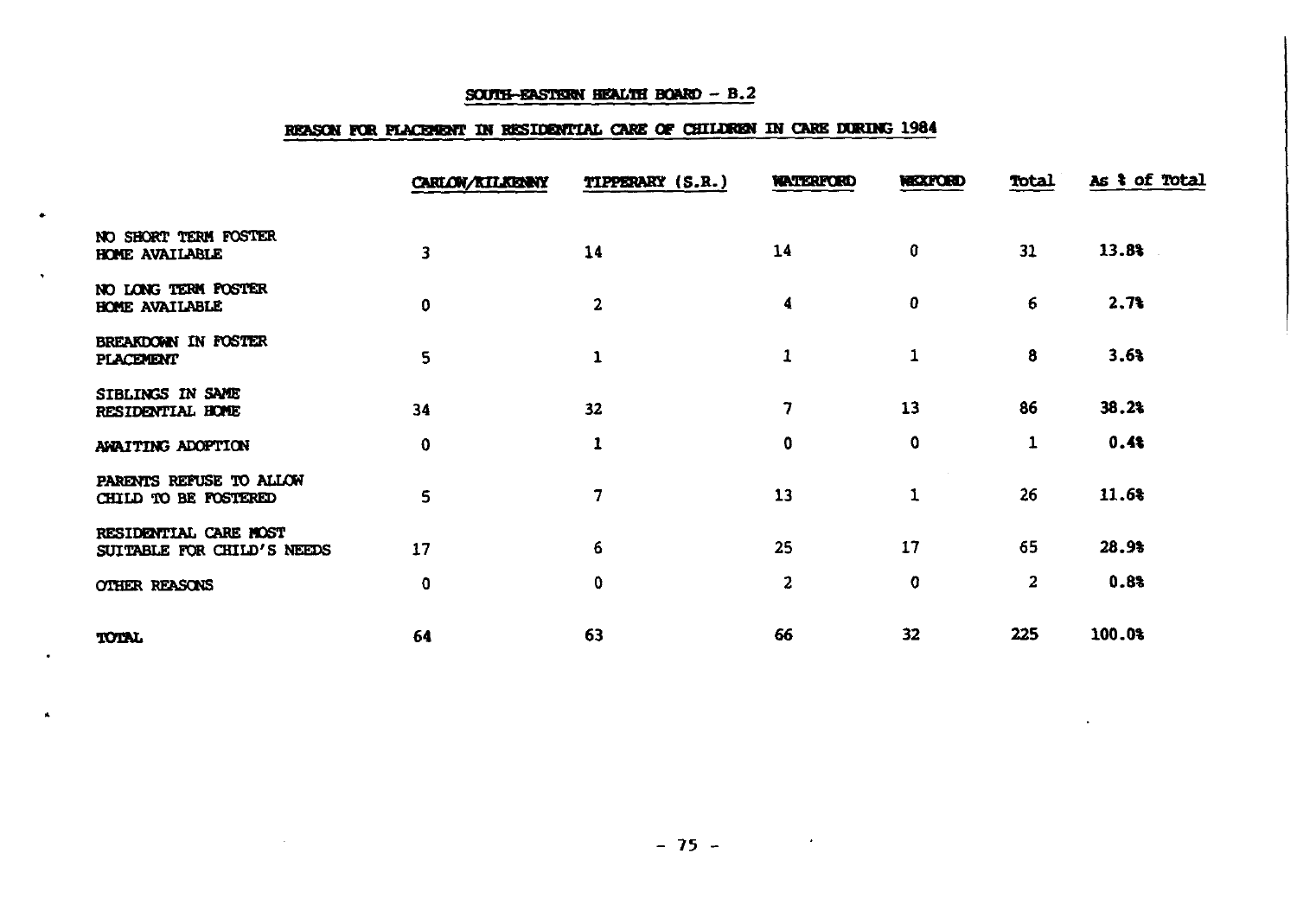## SOUTH-EASTERN HEALTH BOARD - B.2

## REASON FOR PLACEMENT IN RESIDENTIAL CARE OF CHILDREN IN CARE DURING 1984

|                                                     | <b>CARLOW/KILKENNY</b>  | TIPPERARY (S.R.) | <b>WATERFORD</b> | <b>WEDEFORD</b> | Total          | As & of Total |
|-----------------------------------------------------|-------------------------|------------------|------------------|-----------------|----------------|---------------|
| NO SHORT TERM FOSTER<br>HOME AVAILABLE              | $\overline{\mathbf{3}}$ | 14               | 14               | 0               | 31             | 13.8%         |
| NO LONG TERM FOSTER<br>HOME AVAILABLE               | 0                       | $\mathbf{2}$     | 4                | 0               | 6              | 2,7           |
| BREAKDOWN IN FOSTER<br><b>PLACEMENT</b>             | 5                       |                  | 1                | 1               | 8              | 3.6%          |
| SIBLINGS IN SAME<br>RESIDENTIAL HOME                | 34                      | 32               | 7                | 13              | 86             | 38.2%         |
| AWAITING ADOPTION                                   | $\mathbf 0$             | 1                | 0                | 0               | $\mathbf 1$    | 0.43          |
| PARENTS REFUSE TO ALLOW<br>CHILD TO BE FOSTERED     | 5                       |                  | 13               | 1               | 26             | 11.6%         |
| RESIDENTIAL CARE MOST<br>SUITABLE FOR CHILD'S NEEDS | 17                      | 6                | 25               | 17              | 65             | 28.9%         |
| OTHER REASONS                                       | 0                       | 0                | $\mathbf{2}$     | 0               | $\overline{2}$ | 0.83          |
| <b>TOTAL</b>                                        | 64                      | 63               | 66               | 32              | 225            | 100.0%        |

 $\lambda$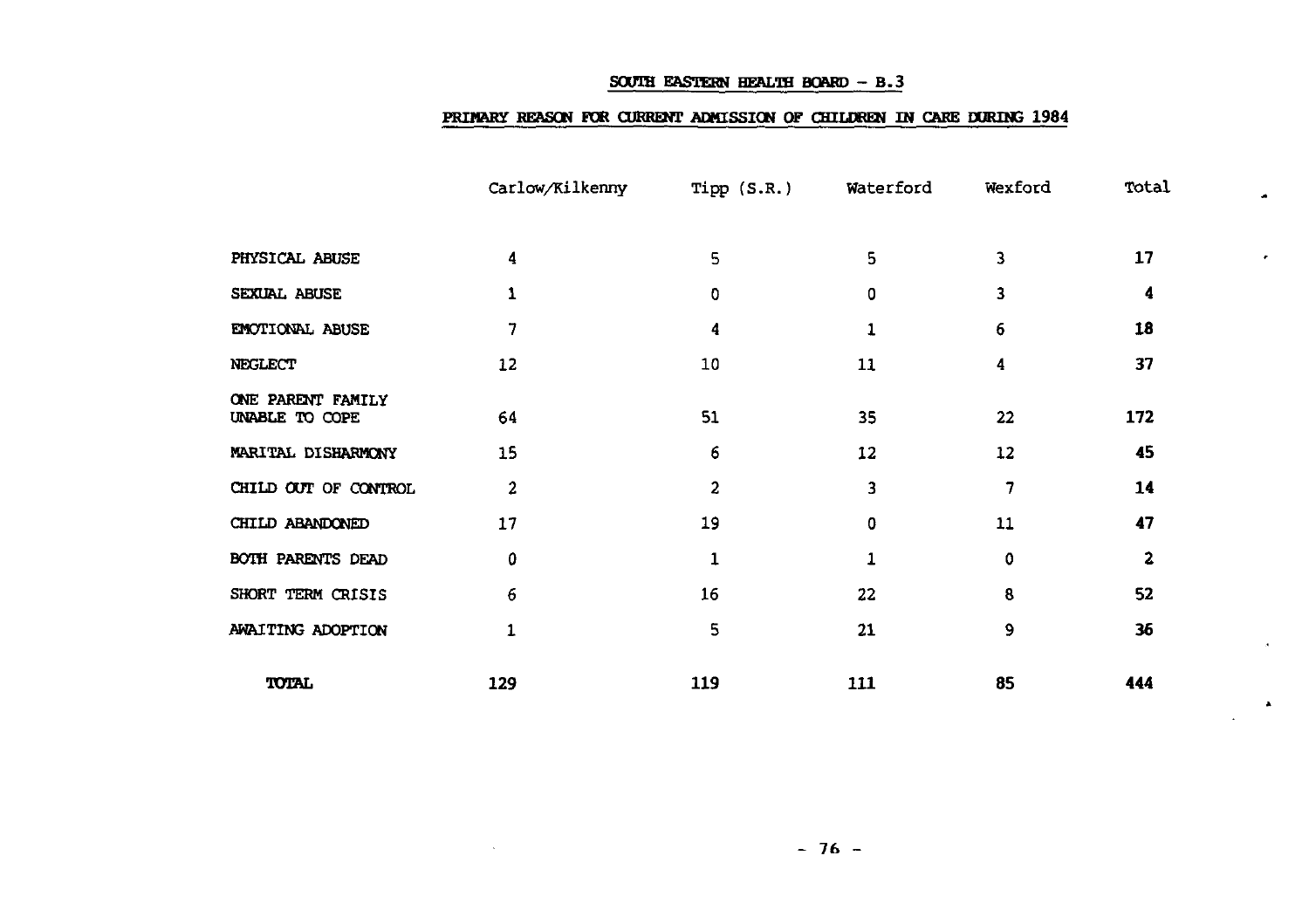## SOUTH EASTERN HEALTH BOARD  $- B.3$

#### PRIMARY REASON FOR CURRENT ADMISSION OF CHILDREN IN CARE DURING 1984

 $\bullet$ 

 $\bullet$ 

 $\mathcal{A}^{\pm}$ 

 $\sim$  100  $\,$ 

|                                     | Carlow/Kilkenny | Tipp(S.R.)     | Waterford | Wexford | Total        |
|-------------------------------------|-----------------|----------------|-----------|---------|--------------|
| PHYSICAL ABUSE                      | 4               | 5              | 5         | 3       | 17           |
| SEXUAL ABUSE                        | $\mathbf 1$     | $\mathbf 0$    | 0         | 3       | 4            |
| EMOTIONAL ABUSE                     | 7               | 4              | 1         | 6       | 18           |
| <b>NEGLECT</b>                      | 12              | 10             | 11        | 4       | 37           |
| ONE PARENT FAMILY<br>UNABLE TO COPE | 64              | 51             | 35        | 22      | 172          |
| MARITAL DISHARMONY                  | 15              | 6              | 12        | 12      | 45           |
| CHILD OUT OF CONTROL                | 2               | $\overline{c}$ | 3         | 7       | 14           |
| CHILD ABANDONED                     | 17              | 19             | 0         | 11      | 47           |
| BOTH PARENTS DEAD                   | 0               | $\mathbf{1}$   |           | 0       | $\mathbf{2}$ |
| SHORT TERM CRISIS                   | 6               | 16             | 22        | 8       | 52           |
| AWAITING ADOPTION                   | 1               | 5              | 21        | 9       | 36           |
| <b>TOTAL</b>                        | 129             | 119            | 111       | 85      | 444          |

 $\sim$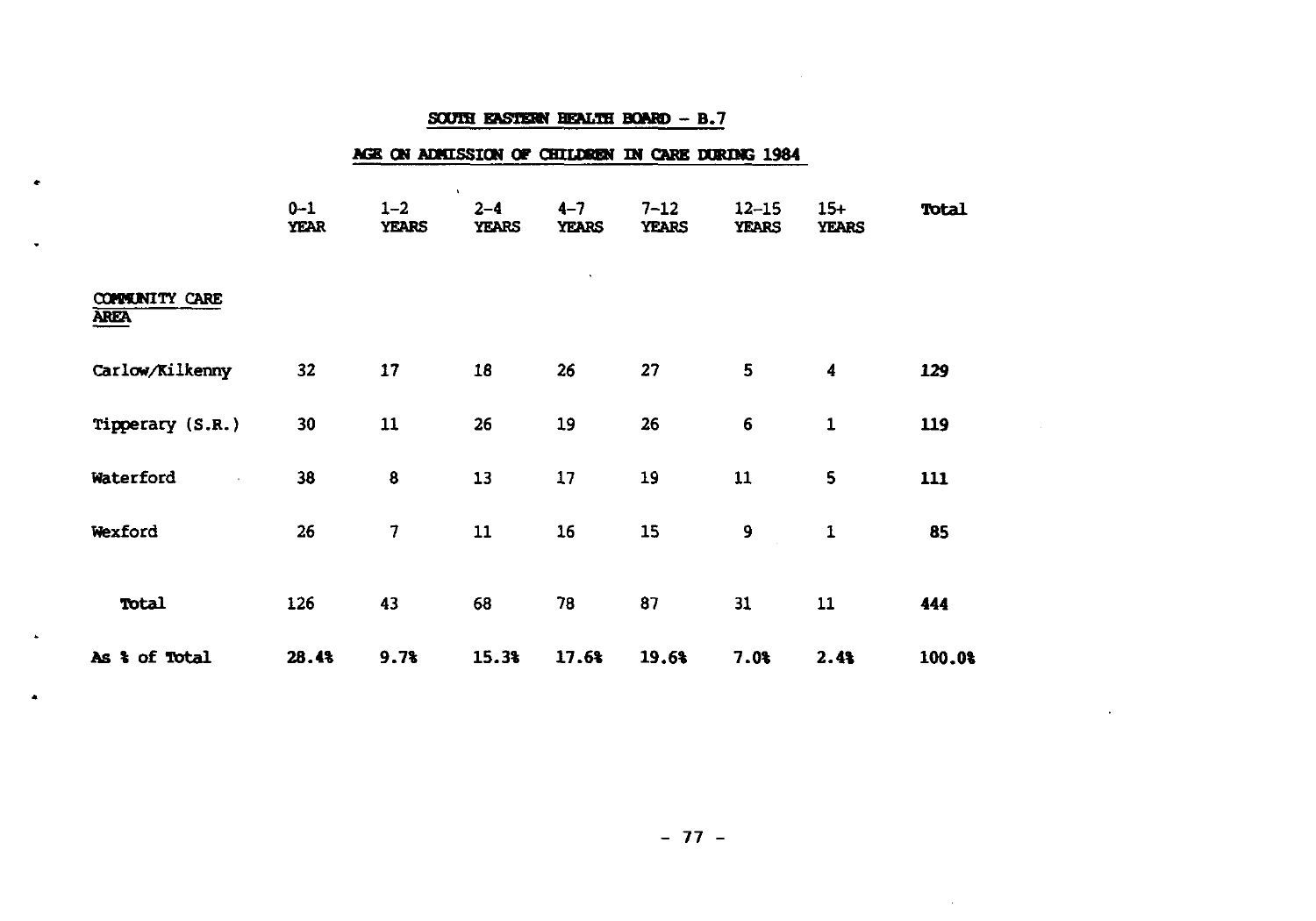| SOUTH EASTERN HEALTH BOARD - B.7                 |                        |                         |                                          |                         |                          |                           |                       |        |  |
|--------------------------------------------------|------------------------|-------------------------|------------------------------------------|-------------------------|--------------------------|---------------------------|-----------------------|--------|--|
| AGE ON ADMISSION OF CHILDREN IN CARE DURING 1984 |                        |                         |                                          |                         |                          |                           |                       |        |  |
|                                                  | $0 - 1$<br><b>YEAR</b> | $1 - 2$<br><b>YEARS</b> | $\mathcal{N}$<br>$2 - 4$<br><b>YEARS</b> | $4 - 7$<br><b>YEARS</b> | $7 - 12$<br><b>YEARS</b> | $12 - 15$<br><b>YEARS</b> | $15+$<br><b>YEARS</b> | Total  |  |
| CONNUNITY CARE<br><b>AREA</b>                    |                        |                         |                                          |                         |                          |                           |                       |        |  |
| Carlow/Kilkenny                                  | 32                     | 17                      | 18                                       | 26                      | 27                       | 5                         | 4                     | 129    |  |
| Tipperary (S.R.)                                 | 30                     | 11                      | 26                                       | 19                      | 26                       | 6                         | $\mathbf{1}$          | 119    |  |
| Waterford                                        | 38                     | $\pmb{8}$               | 13                                       | 17                      | 19                       | 11                        | 5                     | 111    |  |
| Wexford                                          | 26                     | 7                       | 11                                       | 16                      | 15                       | 9                         | ${\bf 1}$             | 85     |  |
| <b>Total</b>                                     | 126                    | 43                      | 68                                       | 78                      | 87                       | 31                        | 11                    | 444    |  |
| As % of Total                                    | 28.4%                  | 9.7%                    | 15.3%                                    | 17.6%                   | 19.6%                    | 7.0%                      | 2.43                  | 100.0% |  |

 $\bullet$ 

 $\Delta$ 

 $\clubsuit$ 

**Contract Contract Contract** 

 $\mathcal{L}^{\text{max}}_{\text{max}}$  and  $\mathcal{L}^{\text{max}}_{\text{max}}$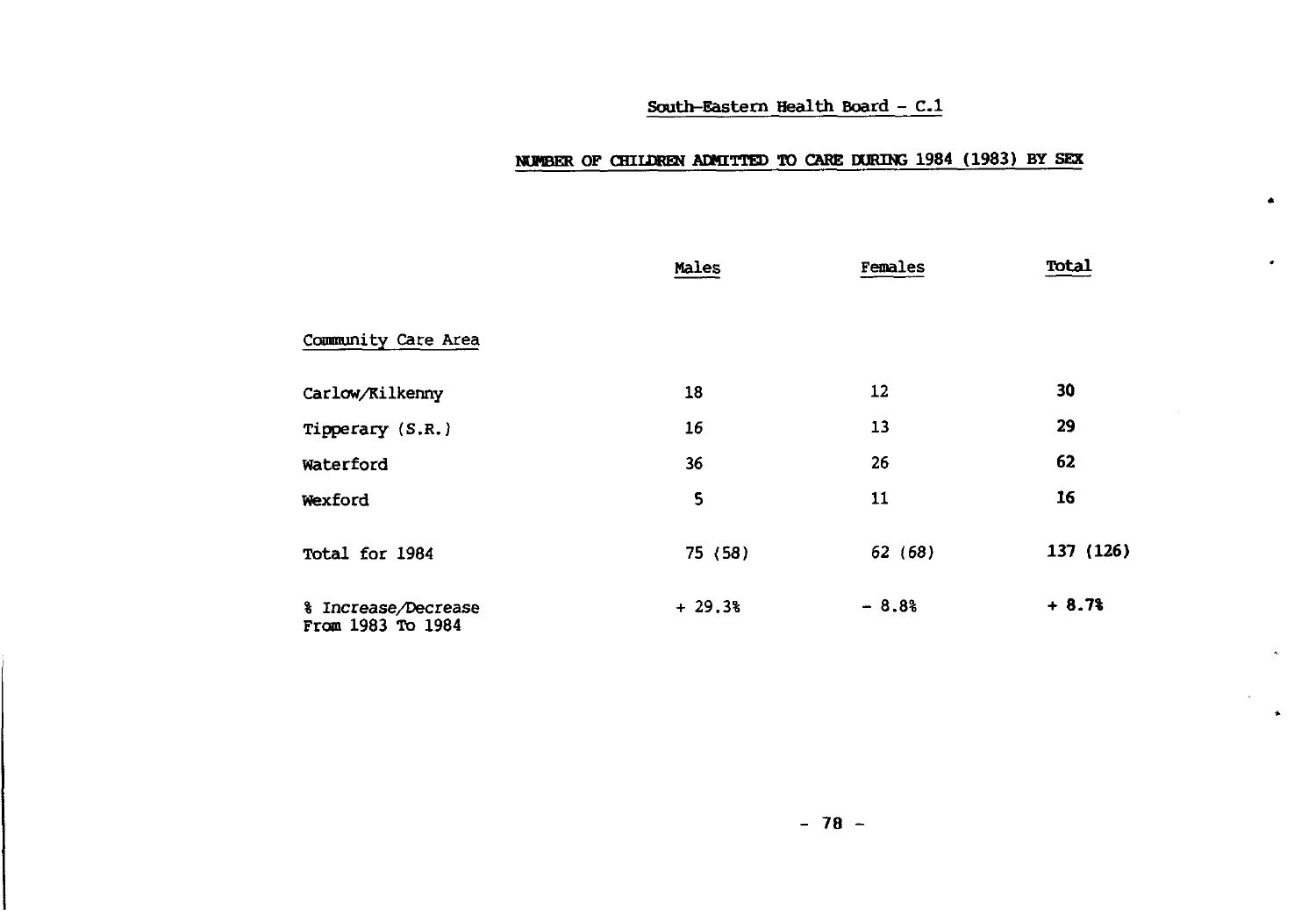## South-Eastern **Health Board** - **C.1**

# **MBBER OF** (HI- **AUKL!ITED** 'm CARE DURING **1984 (1983) BY** *SW*

 $\blacktriangle$ 

 $\mathbf{A}$ 

 $\sim 10^{-1}$  $\bullet$ 

|                                          | Males    | Females | Total     |
|------------------------------------------|----------|---------|-----------|
| Community Care Area                      |          |         |           |
| Carlow/Kilkenny                          | 18       | 12      | 30        |
| Tipperary (S.R.)                         | 16       | 13      | 29        |
| Waterford                                | 36       | 26      | 62        |
| Wexford                                  | 5        | 11      | 16        |
| Total for 1984                           | 75 (58)  | 62 (68) | 137 (126) |
| % Increase/Decrease<br>From 1983 To 1984 | $+29.3%$ | $-8.8%$ | $+8.7%$   |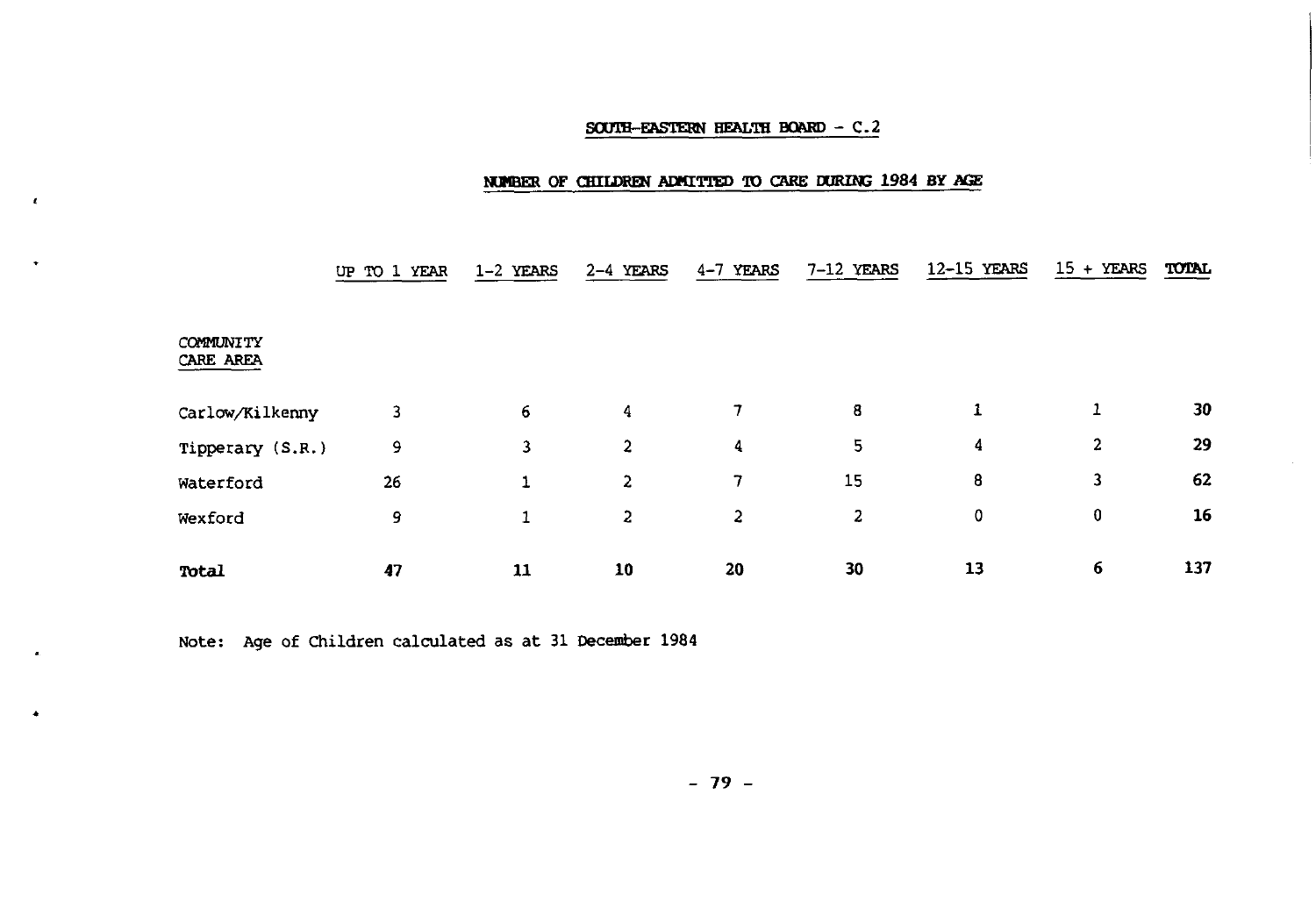## SOUTH-EASTERN HEALTH BOARD - C.2

#### NUMBER OF CHILDREN ADMITTED TO CARE DURING 1984 BY AGE

|                               | UP TO 1 YEAR | 1-2 YEARS       | 2-4 YEARS | 4-7 YEARS      | $7-12$ YEARS   | 12-15 YEARS | $15 + YERRS$ | TOTAL |
|-------------------------------|--------------|-----------------|-----------|----------------|----------------|-------------|--------------|-------|
| COMMUNITY<br><b>CARE AREA</b> |              |                 |           |                |                |             |              |       |
| Carlow/Kilkenny               | 3            | $6\overline{6}$ | 4         | 7              | 8              | 1           | 1            | 30    |
| Tipperary (S.R.)              | 9            | 3               | 2         | 4              | 5 <sub>5</sub> | 4           | $\mathbf{2}$ | 29    |
| Waterford                     | 26           | 1               | 2         | 7              | 15             | 8           | 3            | 62    |
| Wexford                       | 9            | 1               | 2         | $\overline{a}$ | $\overline{2}$ | 0           | 0            | 16    |
| Total                         | 47           | 11              | 10        | 20             | 30             | 13          | 6            | 137   |

**Note: Age of Children calculated as at 31 December 1984** 

 $\epsilon$ 

 $\bullet$ 

 $\blacktriangle$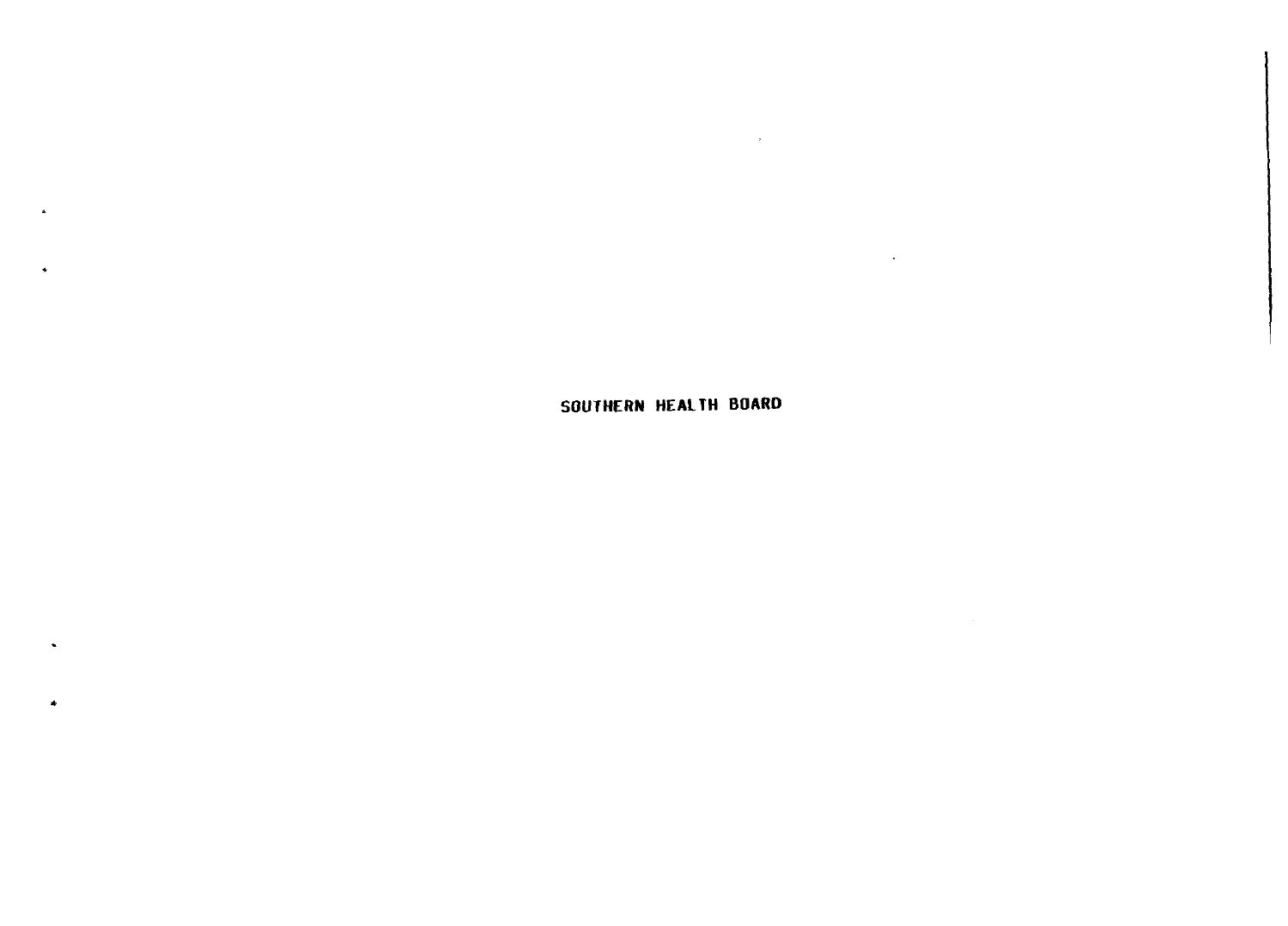**SOUTHERN HEALTH BOARD** 

a.

 $\rightarrow$ 

 $\sim$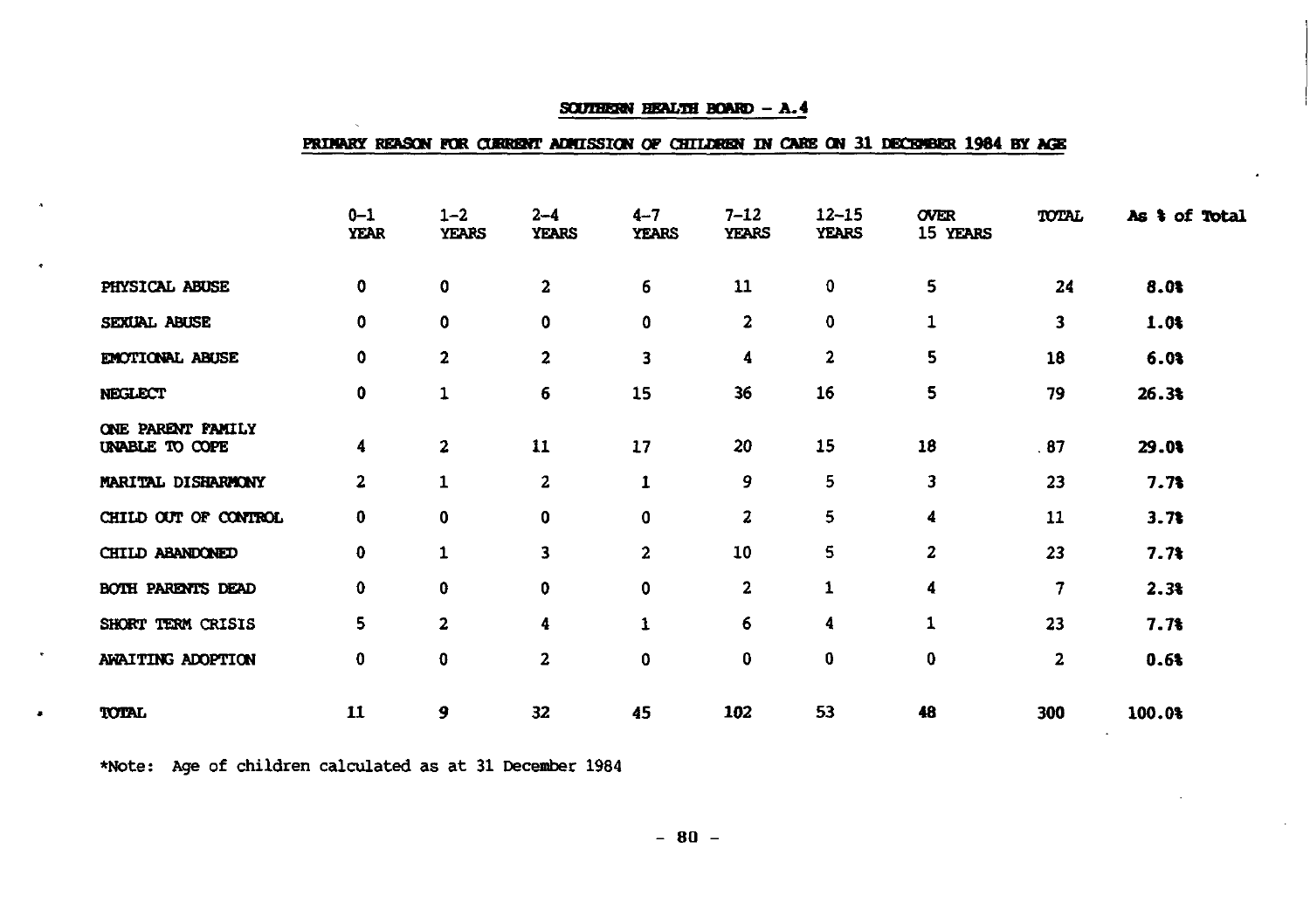#### SOUTHIGN HEALTH BOARD  $- A.4$

#### PRIMARY REASON FOR CURRENT ADMISSION OF CHILDREN IN CARE ON 31 DECEMBER 1984 BY AGE

|                                     | $0 - 1$<br><b>YEAR</b> | $1 - 2$<br><b>YEARS</b> | $2 - 4$<br><b>YEARS</b> | $4 - 7$<br><b>YEARS</b> | $7 - 12$<br><b>YEARS</b> | $12 - 15$<br><b>YEARS</b> | <b>OVER</b><br>15 YEARS | TOTAL        | As & of Total |
|-------------------------------------|------------------------|-------------------------|-------------------------|-------------------------|--------------------------|---------------------------|-------------------------|--------------|---------------|
| PHYSICAL ABUSE                      | 0                      | $\mathbf 0$             | $\mathbf{2}$            | 6                       | 11                       | 0                         | 5                       | 24           | 8.01          |
| SEXUAL ABUSE                        | 0                      | $\boldsymbol{0}$        | $\mathbf 0$             | 0                       | $\mathbf{2}$             | 0                         |                         | 3            | 1.01          |
| EMOTIONAL ABUSE                     | 0                      | $\overline{2}$          | $\overline{\mathbf{2}}$ | 3                       | 4                        | 2                         | 5                       | 18           | 6.03          |
| <b>NEGLECT</b>                      | 0                      | $\mathbf{1}$            | 6                       | 15                      | 36                       | 16                        | 5                       | 79           | 26.3%         |
| ONE PARENT FAMILY<br>UNABLE TO COPE | 4                      | $\overline{2}$          | 11                      | 17                      | 20                       | 15                        | 18                      | .87          | 29.0%         |
| MARITAL DISHARMONY                  | $\overline{a}$         | $\mathbf{1}$            | $\overline{2}$          | 1                       | 9                        | 5                         | 3                       | 23           | 7.71          |
| CHILD OUT OF CONTROL                | 0                      | $\mathbf 0$             | 0                       | 0                       | 2                        | 5                         | 4                       | 11           | 3.78          |
| CHILD ABANDONED                     | 0                      | 1                       | 3                       | $\mathbf{2}$            | 10                       | 5                         | $\overline{2}$          | 23           | 7.7%          |
| BOTH PARENTS DEAD                   | $\mathbf 0$            | $\bf{0}$                | 0                       | 0                       | 2                        | $\mathbf{1}$              | 4                       | 7            | 2.3%          |
| SHORT TERM CRISIS                   | 5                      | $\overline{2}$          | 4                       | 1                       | 6                        | 4                         | 1                       | 23           | 7.7%          |
| AWAITING ADOPTION                   | 0                      | 0                       | $\overline{\mathbf{2}}$ | 0                       | 0                        | $\bf{0}$                  | 0                       | $\mathbf{2}$ | 0.6%          |
| <b>TOTAL</b>                        | 11                     | 9                       | 32                      | 45                      | 102                      | 53                        | 48                      | 300          | 100.0%        |

**\*Note: Age of children calculated as at 31 Decentber 1984** 

 $\bullet$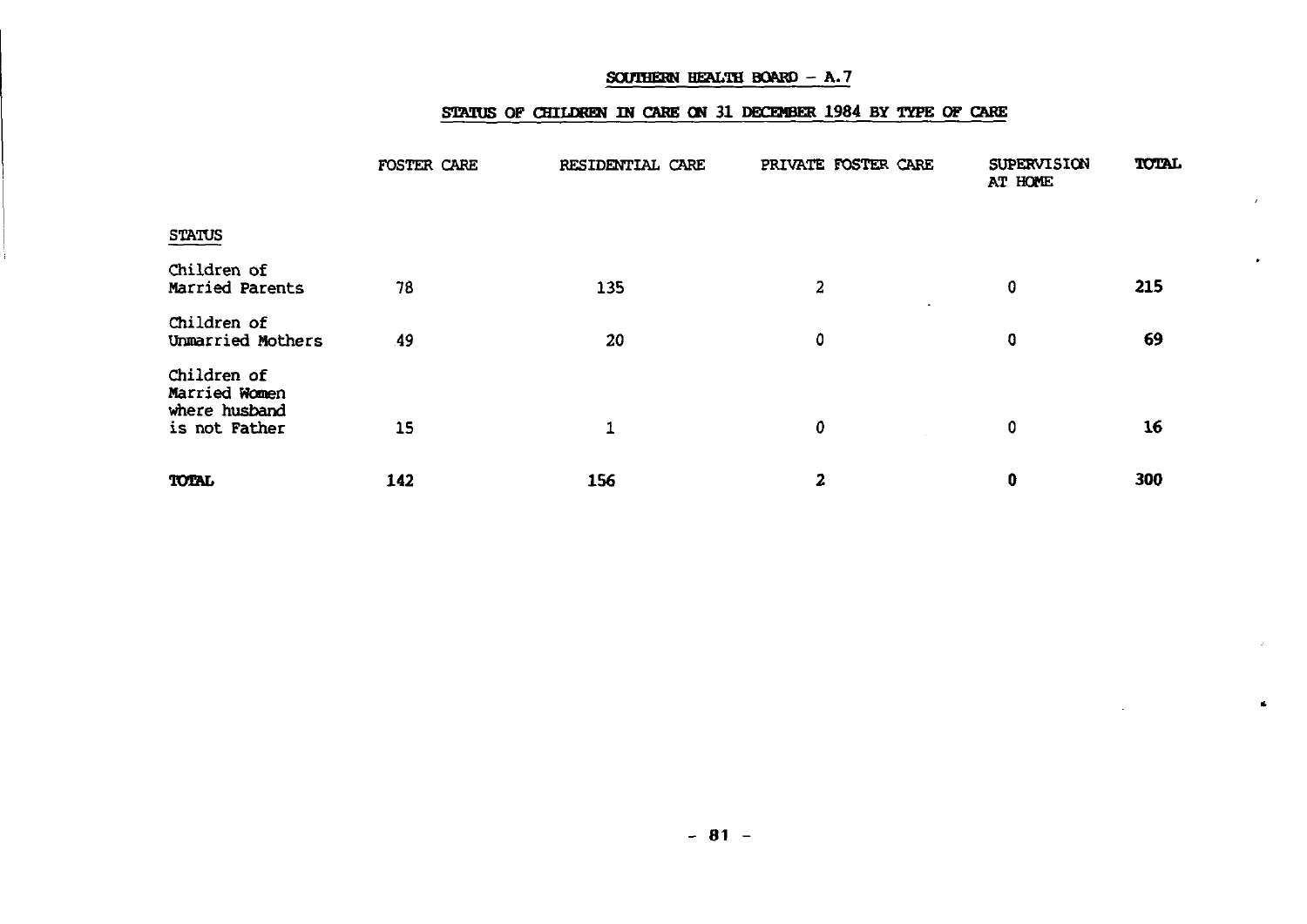#### SOUTHERN HEALTH BOARD - A.7

#### STATUS OF CHILDREN IN CARE ON 31 DECEMBER 1984 BY TYPE OF CARE

|                                                                | FOSTER CARE | RESIDENTIAL CARE | PRIVATE FOSTER CARE | SUPERVISION<br>AT HOME | <b>TOTAL</b> |
|----------------------------------------------------------------|-------------|------------------|---------------------|------------------------|--------------|
| <b>STATUS</b>                                                  |             |                  |                     |                        |              |
| Children of<br>Married Parents                                 | 78          | 135              | $\overline{a}$      | 0                      | 215          |
| Children of<br>Unmarried Mothers                               | 49          | 20               | 0                   | 0                      | 69           |
| Children of<br>Married Women<br>where husband<br>is not Father | 15          | 1                | 0                   | 0                      | 16           |
| <b>TOTAL</b>                                                   | 142         | 156              | 2                   | 0                      | 300          |

 $\mathcal{L}^{\text{max}}_{\text{max}}$  and  $\mathcal{L}^{\text{max}}_{\text{max}}$ 

 $\mathbf{g}^{\prime}$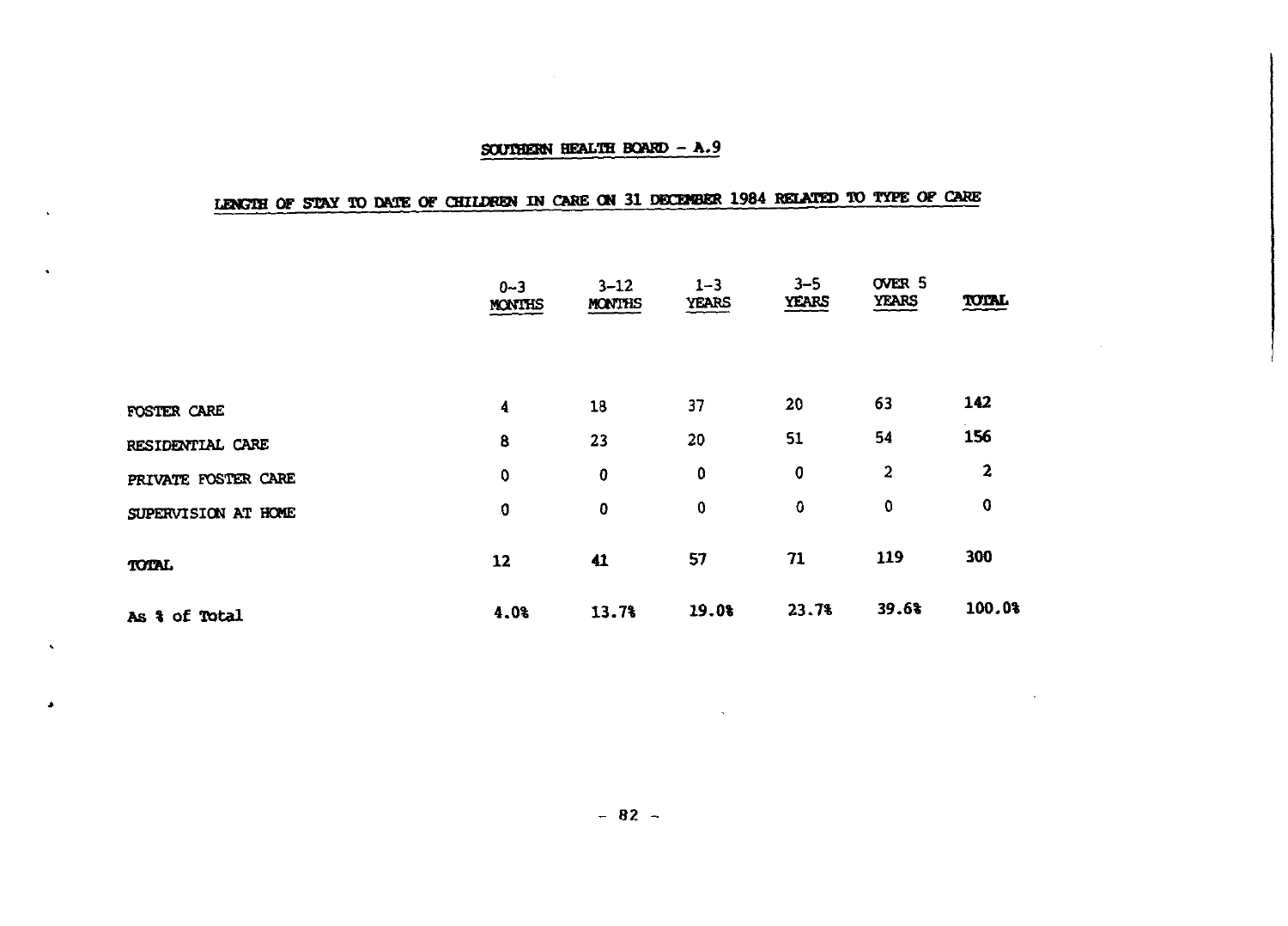## SOUTHERN HEALTH BOARD  $- A.9$

# LENGTH OF STAY TO DATE OF CHILDREN IN CARE ON 31 DECEMBER 1984 RELATED TO TYPE OF CARE

|                     | $0 - 3$<br><b>MONTHS</b> | $3 - 12$<br><b>MONTHS</b> | $1 - 3$<br><b>YEARS</b> | $3 - 5$<br>YEARS | OVER 5<br>YEARS | <b>TOTAL</b>     |
|---------------------|--------------------------|---------------------------|-------------------------|------------------|-----------------|------------------|
|                     |                          |                           |                         |                  |                 |                  |
| FOSTER CARE         | 4                        | 18                        | 37                      | 20               | 63              | 142              |
| RESIDENTIAL CARE    | 8                        | 23                        | 20                      | 51               | 54              | 156              |
| PRIVATE FOSTER CARE | $\mathbf 0$              | 0                         | 0                       | $\bf{0}$         | 2               | $\boldsymbol{2}$ |
| SUPERVISION AT HOME | 0                        | $\mathbf 0$               | 0                       | $\mathbf 0$      | 0               | $\mathbf 0$      |
| <b>TOTAL</b>        | 12                       | 41                        | 57                      | 71               | 119             | 300              |
| As & of Total       | 4.0%                     | 13.7%                     | 19.0%                   | 23.7%            | 39.6%           | 100.0%           |

 $\bullet$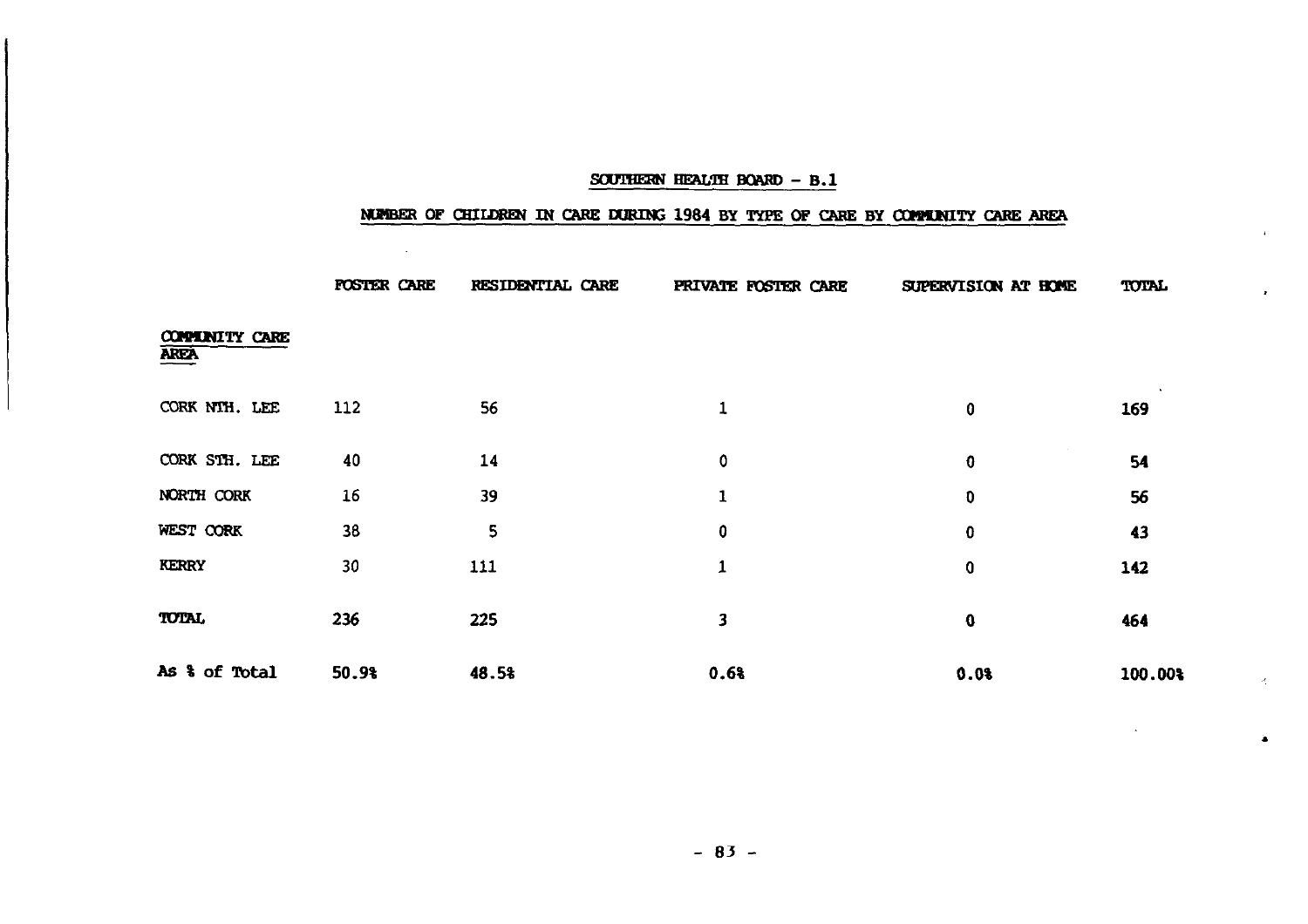# SOUTHERN HEALTH BOARD  $- B.1$

#### NUMBER OF CHILDREN IN CARE DURING 1984 BY TYPE OF CARE BY COMMUNITY CARE AREA

 $\mathbf{A}$ 

 $\mathbf{r}$ 

 $\mathcal{A}^{(1)}$  and

|                                      | FOSTER CARE | RESIDENTIAL CARE | PRIVATE FOSTER CARE | SUPERVISION AT HOME | TOTAL   |
|--------------------------------------|-------------|------------------|---------------------|---------------------|---------|
| <b>COMMUNITY CARE</b><br><b>AREA</b> |             |                  |                     |                     |         |
| CORK NTH. LEE                        | 112         | 56               | 1                   | 0                   | 169     |
| CORK STH. LEE                        | 40          | 14               | 0                   | 0                   | 54      |
| NORTH CORK                           | 16          | 39               | $\mathbf{1}$        | 0                   | 56      |
| WEST CORK                            | 38          | 5                | 0                   | 0                   | 43      |
| <b>KERRY</b>                         | 30          | 111              | 1                   | 0                   | 142     |
| <b>TOTAL</b>                         | 236         | 225              | 3                   | 0                   | 464     |
| As % of Total                        | 50.9%       | 48.5%            | 0.6%                | 0.03                | 100.00% |

 $\mathcal{L}^{\mathcal{L}}(\mathcal{L}^{\mathcal{L}})$  .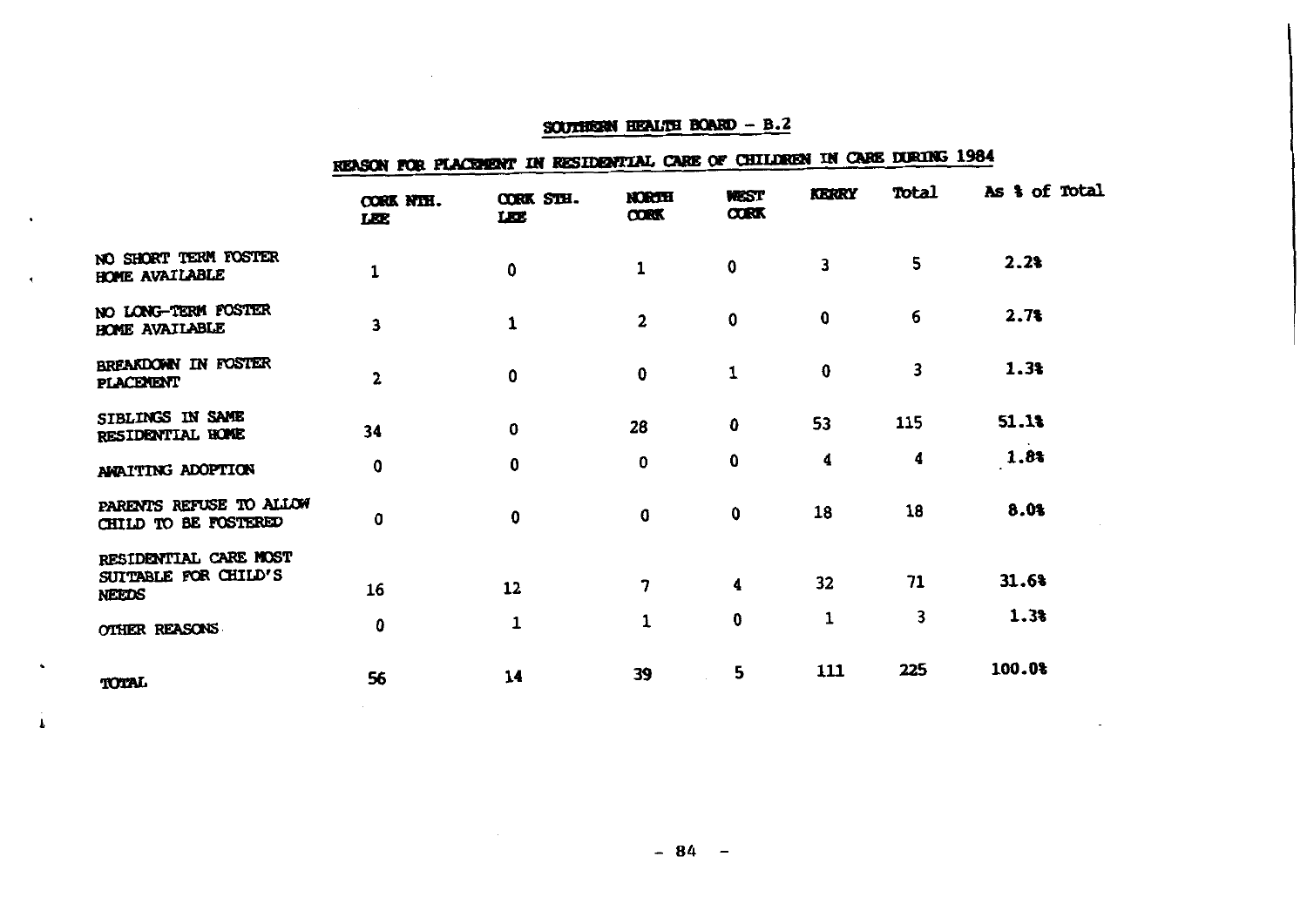|                                                               | REASON FOR PLACEMENT IN RESIDENTIAL CARE OF CHILDREN IN CARE DURING 1984 |                  |                             |                            |       |       |               |  |  |
|---------------------------------------------------------------|--------------------------------------------------------------------------|------------------|-----------------------------|----------------------------|-------|-------|---------------|--|--|
|                                                               | <b>CORK NTH.</b><br>LEE                                                  | CORK STH.<br>LEE | <b>NORTH</b><br><b>CORK</b> | <b>WEST</b><br><b>CORK</b> | KERRY | Total | As % of Total |  |  |
| NO SHORT TERM FOSTER<br>HOME AVAILABLE                        | 1                                                                        | 0                | 1                           | $\mathbf 0$                | 3     | 5     | 2.2%          |  |  |
| NO LONG-TERM FOSTER<br>HOME AVAILABLE                         | 3                                                                        | 1                | $\mathbf 2$                 | $\mathbf 0$                | 0     | 6     | 2.7%          |  |  |
| BREAKDOWN IN FOSTER<br><b>PLACEMENT</b>                       | 2                                                                        | 0                | $\mathbf 0$                 | $\mathbf{1}$               | 0     | 3     | 1.34          |  |  |
| SIBLINGS IN SAME<br>RESIDENTIAL HOME                          | 34                                                                       | 0                | 28                          | $\mathbf 0$                | 53    | 115   | 51.13         |  |  |
| AWAITING ADOPTION                                             | 0                                                                        | 0                | 0                           | 0                          | 4     | 4     | 1.83          |  |  |
| PARENTS REFUSE TO ALLOW<br>CHILD TO BE FOSTERED               | 0                                                                        | 0                | 0                           | 0                          | 18    | 18    | 8.0%          |  |  |
| RESIDENTIAL CARE MOST<br>SUITABLE FOR CHILD'S<br><b>NEEDS</b> | 16                                                                       | 12               | 7                           | 4                          | 32    | 71    | 31.6%         |  |  |
| OTHER REASONS                                                 | 0                                                                        | 1                | $\mathbf{1}$                | 0                          | 1     | 3     | 1.3%          |  |  |
| <b>TOTAL</b>                                                  | 56                                                                       | 14               | 39                          | 5                          | 111   | 225   | 100.0%        |  |  |

 $\left($ 

 $\mathbf{r}$ 

# SOUTHERN HEALTH BOARD - B.2

 $-84 -$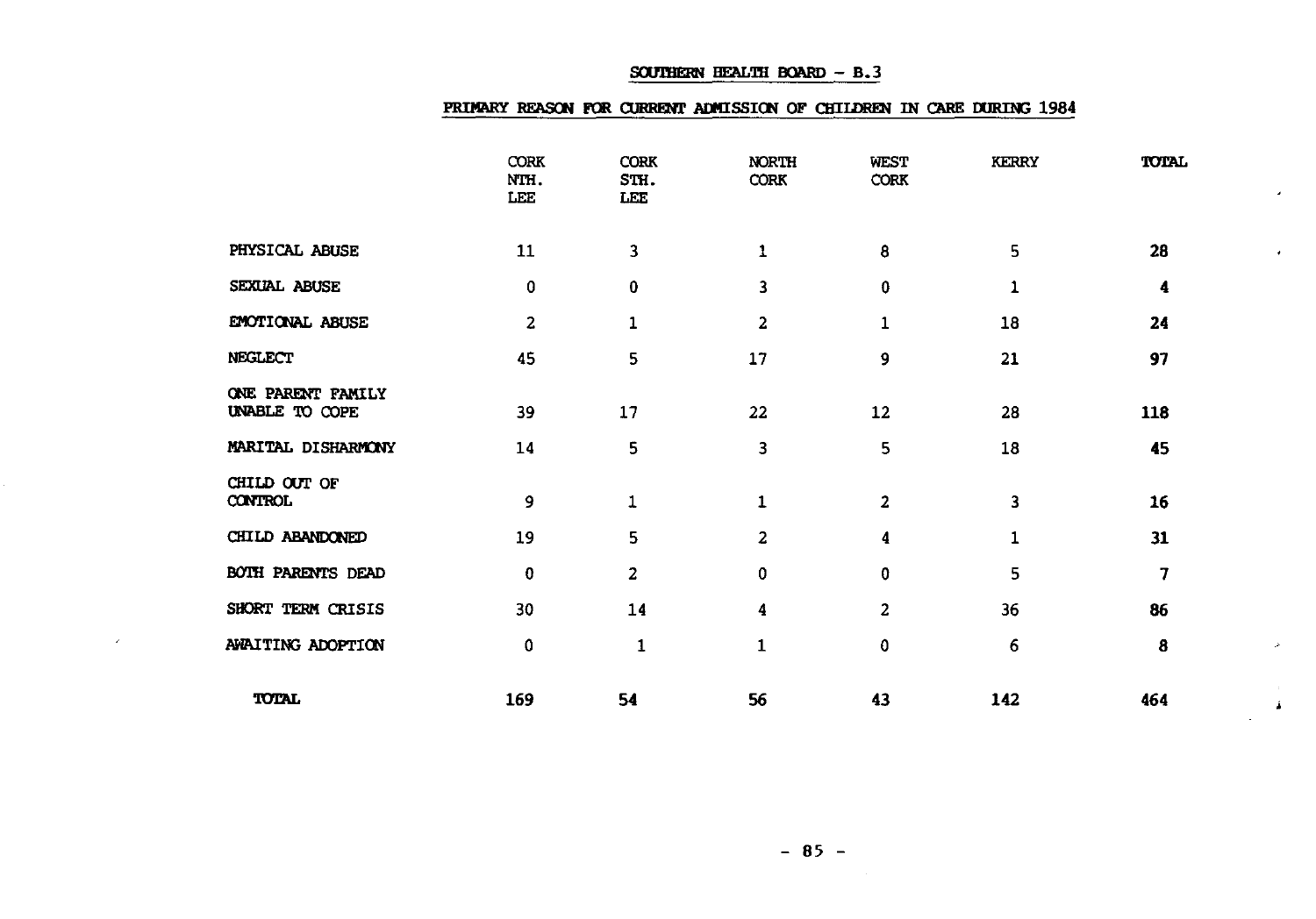# SOUTHERN HEALTH BOARD - B.3

## PRIMARY REASON FOR CURRENT ADMISSION OF CHILDREN IN CARE DURING 1984

 $\mathcal{L}_{\mathcal{A}}$ 

 $\lambda$ 

 $\lambda$ 

 $\sim$   $\sim$  $\sim 4$  $\sim$ 

|                                     | <b>CORK</b><br>NTH.<br><b>LEE</b> | <b>CORK</b><br>STH.<br>LEE | <b>NORTH</b><br><b>CORK</b> | <b>WEST</b><br><b>CORK</b> | <b>KERRY</b> | <b>TOTAL</b> |
|-------------------------------------|-----------------------------------|----------------------------|-----------------------------|----------------------------|--------------|--------------|
| PHYSICAL ABUSE                      | 11                                | 3                          | $\mathbf{1}$                | 8                          | 5            | 28           |
| SEXUAL ABUSE                        | $\mathbf 0$                       | $\bf{0}$                   | 3                           | $\bf{0}$                   | 1            | 4            |
| EMOTIONAL ABUSE                     | $\overline{2}$                    | $\mathbf{1}$               | $\overline{2}$              | 1                          | 18           | 24           |
| <b>NEGLECT</b>                      | 45                                | 5                          | 17                          | 9                          | 21           | 97           |
| ONE PARENT FAMILY<br>UNABLE TO COPE | 39                                | 17                         | 22                          | 12                         | 28           | 118          |
| MARITAL DISHARMONY                  | 14                                | 5                          | 3                           | 5                          | 18           | 45           |
| CHILD OUT OF<br><b>CONTROL</b>      | 9                                 | $\mathbf{1}$               | $\mathbf{1}$                | $\overline{2}$             | 3            | 16           |
| CHILD ABANDONED                     | 19                                | 5                          | $\overline{2}$              | 4                          | 1            | 31           |
| BOTH PARENTS DEAD                   | $\bf{0}$                          | $\overline{2}$             | 0                           | 0                          | 5            | 7            |
| SHORT TERM CRISIS                   | 30                                | 14                         | 4                           | $\overline{2}$             | 36           | 86           |
| AWAITING ADOPTION                   | 0                                 | $\mathbf{1}$               | $\mathbf{1}$                | 0                          | 6            | 8            |
| <b>TOTAL</b>                        | 169                               | 54                         | 56                          | 43                         | 142          | 464          |

 $\mathcal{L}_{\mathcal{A}}$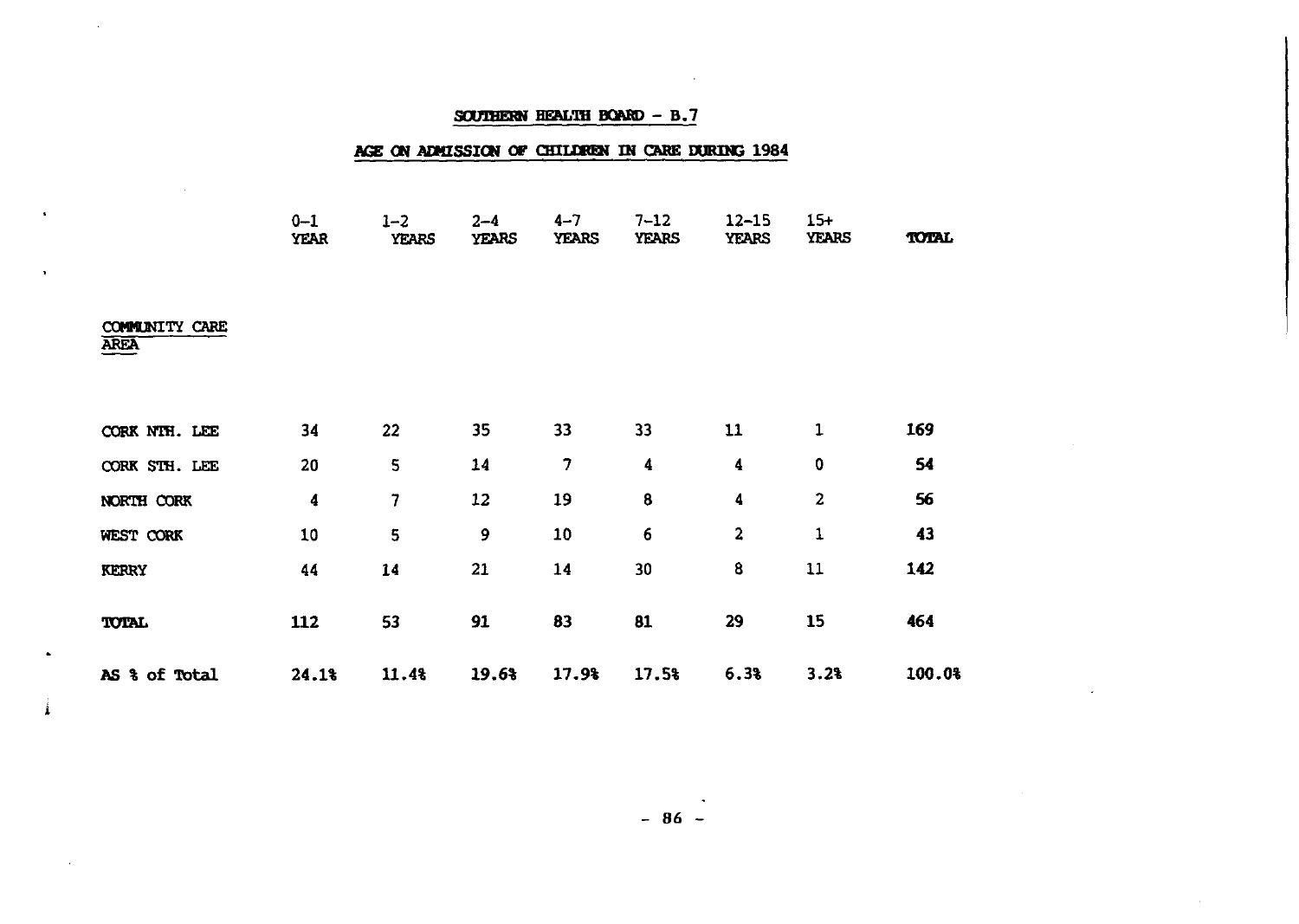#### SOUTHERN HEALTH BOARD - B.7

 $\sim 10^7$ 

Ì

| AGE ON ADMISSION OF CHILDREN IN CARE DURING 1984 |                         |                         |                  |                  |                          |                           |                       |              |  |
|--------------------------------------------------|-------------------------|-------------------------|------------------|------------------|--------------------------|---------------------------|-----------------------|--------------|--|
|                                                  | $0 - 1$<br>YEAR         | $1 - 2$<br><b>YEARS</b> | $2 - 4$<br>YEARS | $4 - 7$<br>YEARS | $7 - 12$<br><b>YEARS</b> | $12 - 15$<br><b>YEARS</b> | $15+$<br><b>YEARS</b> | <b>TOTAL</b> |  |
| COMMUNITY CARE<br><b>AREA</b>                    |                         |                         |                  |                  |                          |                           |                       |              |  |
| CORK NTH. LEE                                    | 34                      | 22                      | 35               | 33               | 33                       | 11                        | $\mathbf{1}$          | 169          |  |
| CORK STH. LEE                                    | 20                      | 5                       | 14               | 7                | 4                        | 4                         | $\mathbf 0$           | 54           |  |
| NORTH CORK                                       | $\overline{\mathbf{4}}$ | $\overline{7}$          | 12               | 19               | 8                        | 4                         | $\overline{c}$        | 56           |  |
| WEST CORK                                        | 10                      | 5                       | 9                | 10               | 6                        | $\overline{\mathbf{2}}$   | $\mathbf{1}$          | 43           |  |
| <b>KERRY</b>                                     | 44                      | 14                      | 21               | 14               | 30                       | $\bf 8$                   | 11                    | 142          |  |
| <b>TOTAL</b>                                     | 112                     | 53                      | 91               | 83               | 81                       | 29                        | 15                    | 464          |  |
| AS & of Total                                    | 24.13                   | 11.4%                   | 19.6%            | 17.9%            | 17.5%                    | 6.3%                      | 3.2%                  | 100.0%       |  |

 $-86 -$ 

 $\bullet$ 

 $\sim$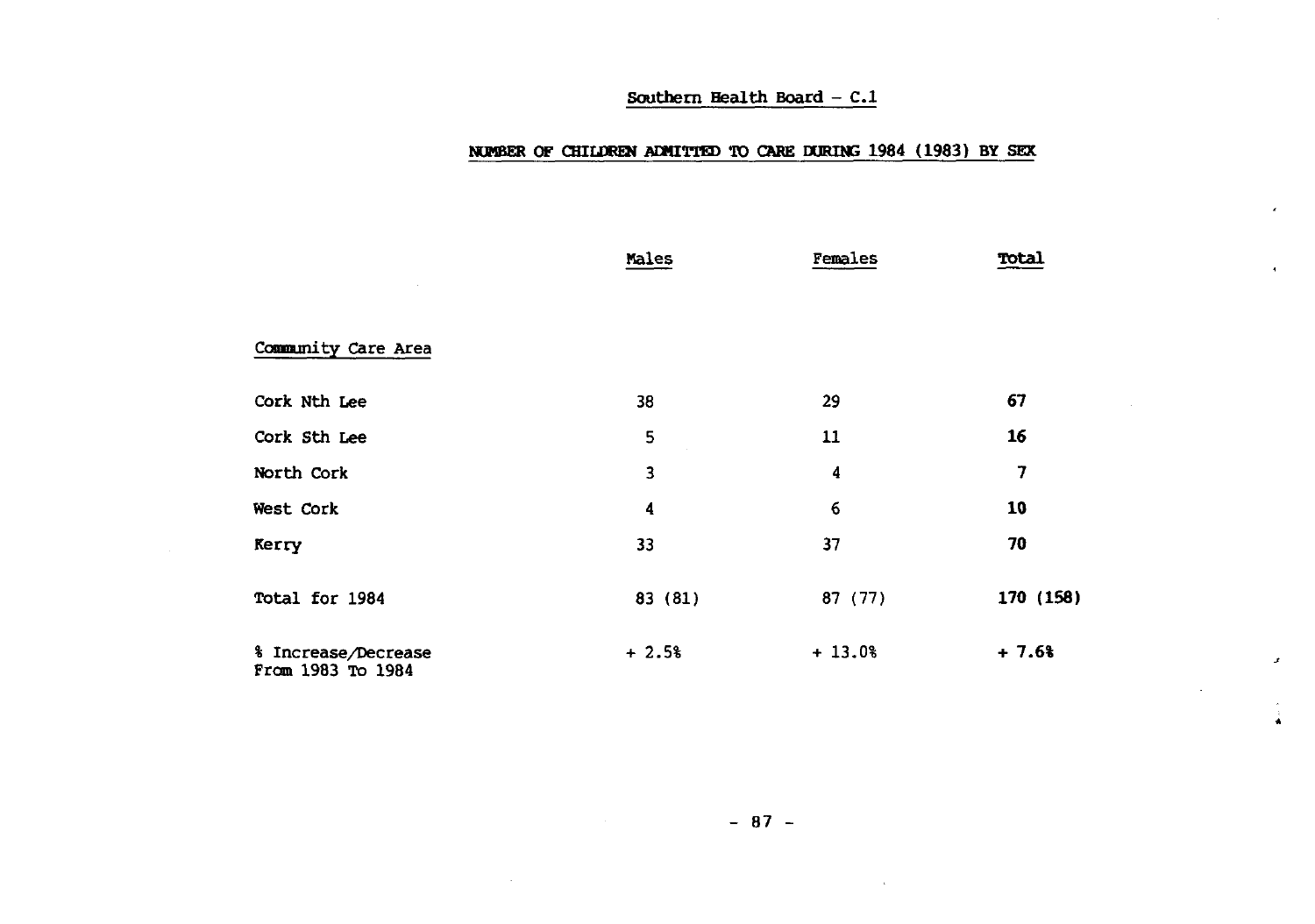# **Southern Health Board** - **C.1**

#### **NUMBER OF CHILDREN ADMITTED TO CARE DURING 1984 (1983) BY SEX**

 $\mathbf{z}$ 

 $\bullet$ 

 $\mathbf{r}$ 

 $\mathcal{L}$ 

 $\mathcal{A}^{\pm}$ 

|                                          | Males   | Females          | Total     |
|------------------------------------------|---------|------------------|-----------|
| Community Care Area                      |         |                  |           |
| Cork Nth Lee                             | 38      | 29               | 67        |
| Cork Sth Lee                             | 5       | 11               | 16        |
| North Cork                               | 3       | $\boldsymbol{4}$ | 7         |
| West Cork                                | 4       | $6\phantom{1}6$  | 10        |
| Kerry                                    | 33      | 37               | 70        |
| Total for 1984                           | 83 (81) | 87 (77)          | 170 (158) |
| % Increase/Decrease<br>From 1983 To 1984 | $+2.5%$ | $+13.0%$         | $+7.6%$   |

 $\sim$ 

 $-87 -$ 

 $\sim 10^{-1}$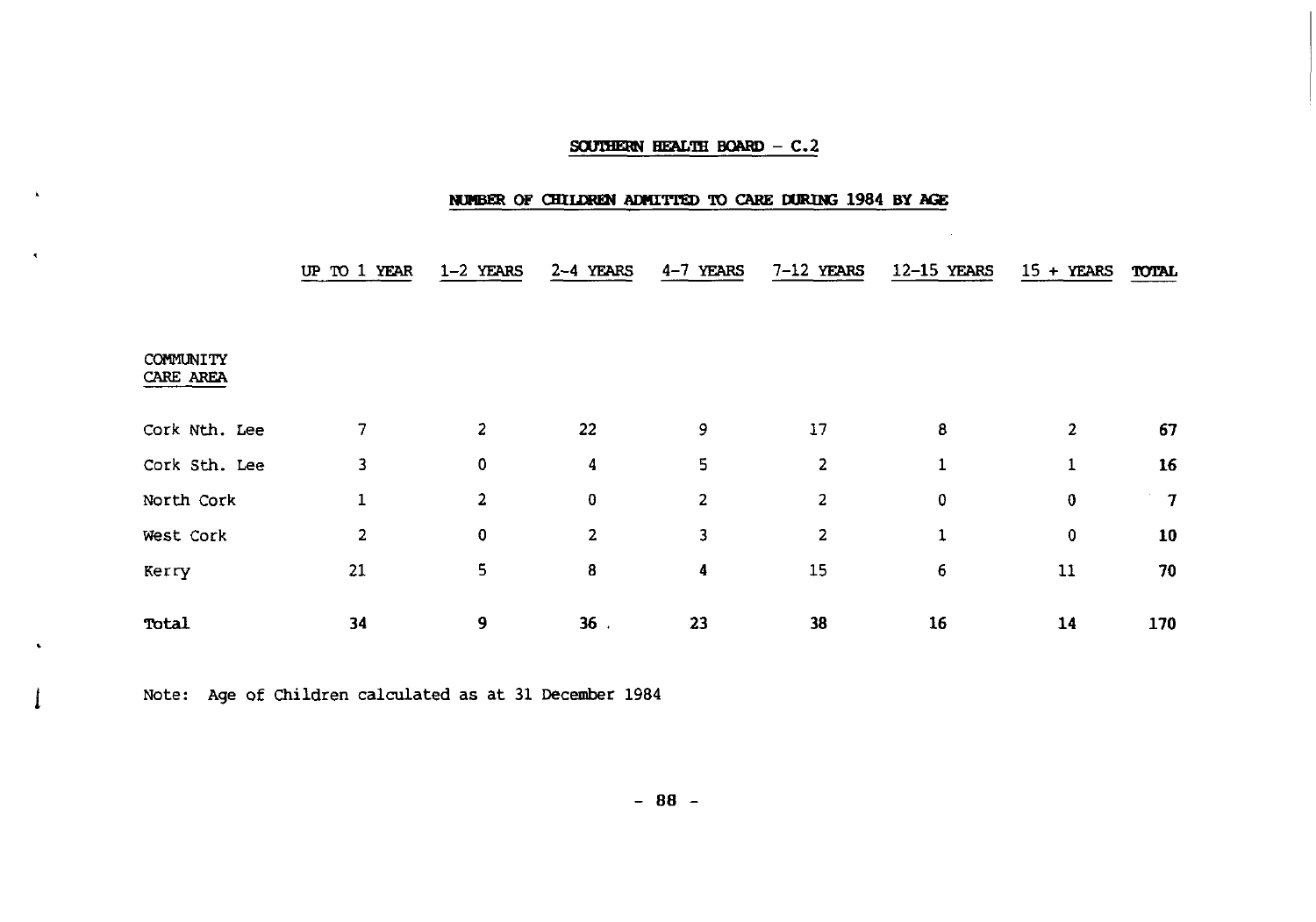## SOUTHERN HEALTH BOARD  $-$  C.2

# NUMBER OF CHILDREN ADMITTED TO CARE DURING 1984 BY AGE

|                        | UP TO 1 YEAR   | 1-2 YEARS | 2-4 YEARS | $4-7$ YEARS    | $7-12$ YEARS   | 12-15 YEARS | $15 + YERAS$     | <b>TOTAL</b> |
|------------------------|----------------|-----------|-----------|----------------|----------------|-------------|------------------|--------------|
|                        |                |           |           |                |                |             |                  |              |
| COMMUNITY<br>CARE AREA |                |           |           |                |                |             |                  |              |
| Cork Nth. Lee          | 7              | 2         | 22        | 9              | 17             | 8           | $\boldsymbol{2}$ | 67           |
| Cork Sth. Lee          | 3              | 0         | 4         | 5              | $\overline{2}$ | 1           | $\mathbf 1$      | 16           |
| North Cork             | 1              | 2         | 0         | $\overline{2}$ | $\overline{c}$ | 0           | 0                | 7            |
| West Cork              | $\overline{2}$ | 0         | 2         | 3              | $\overline{2}$ | 1           | $\mathbf 0$      | 10           |
| Kerry                  | 21             | 5         | 8         | 4              | 15             | 6           | 11               | 70           |
| <b>Total</b>           | 34             | 9         | $36$ .    | 23             | 38             | 16          | 14               | 170          |

Note: Age of Children calculated as at 31 December

 $\mathbf{A}$ 

 $\blacktriangleleft$ 

 $\bullet$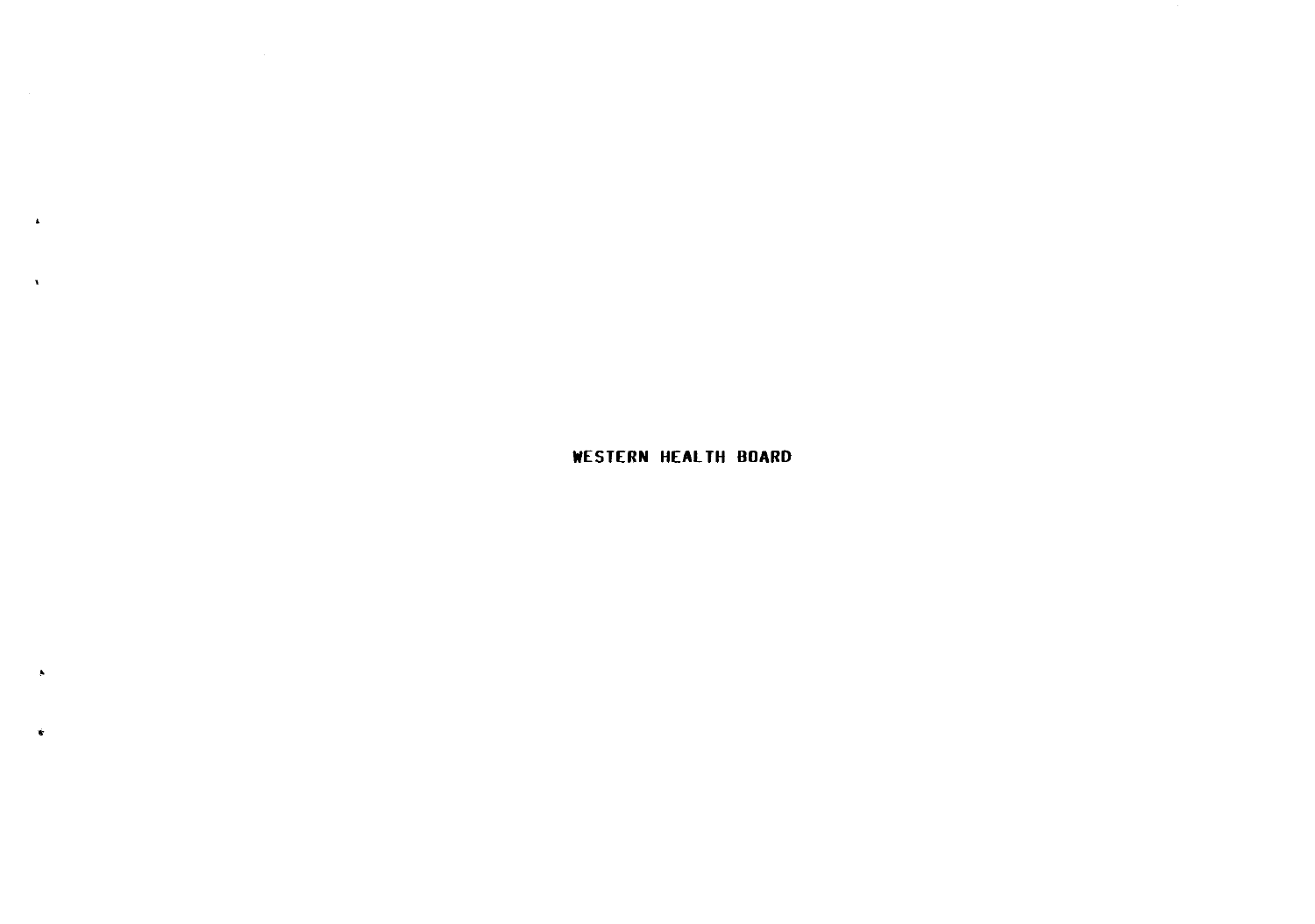**WESTERN HEALTH BOARD** 

 $\mathcal{L}^{\text{max}}_{\text{max}}$ 

 $\bullet$ 

 $\Lambda$ 

 $\dot{\mathbf{w}}$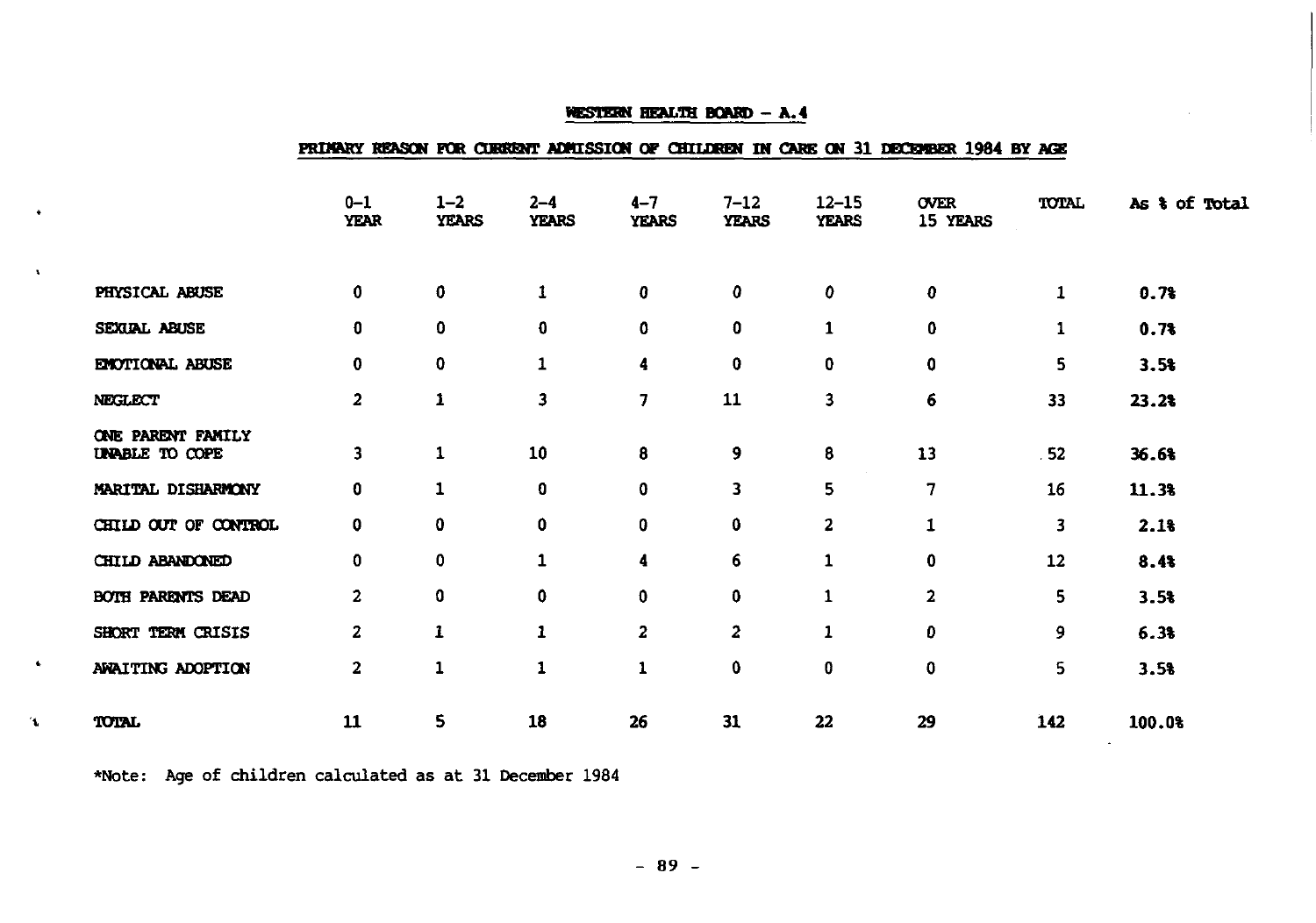|                                            | PRIMARY REASON FOR CURRENT ADMISSION OF CHILDREN IN CARE ON 31 DECEMBER 1984 BY AGE |                         |                         |                         |                          |                           |                         |              |               |
|--------------------------------------------|-------------------------------------------------------------------------------------|-------------------------|-------------------------|-------------------------|--------------------------|---------------------------|-------------------------|--------------|---------------|
|                                            | $0 - 1$<br><b>YEAR</b>                                                              | $1 - 2$<br><b>YEARS</b> | $2 - 4$<br><b>YEARS</b> | $4 - 7$<br><b>YEARS</b> | $7 - 12$<br><b>YEARS</b> | $12 - 15$<br><b>YEARS</b> | <b>OVER</b><br>15 YEARS | <b>TOTAL</b> | As & of Total |
| PHYSICAL ABUSE                             | 0                                                                                   | 0                       | 1                       | $\mathbf 0$             | $\mathbf 0$              | 0                         | 0                       | 1            | 0.7%          |
| SEXUAL ABUSE                               | 0                                                                                   | 0                       | $\mathbf 0$             | $\mathbf 0$             | $\mathbf 0$              | $\mathbf{1}$              | 0                       | $\mathbf{1}$ | 0.7%          |
| EMOTIONAL ABUSE                            | 0                                                                                   | 0                       | 1                       | 4                       | 0                        | 0                         | $\mathbf 0$             | 5            | 3.53          |
| NEGLECT                                    | 2                                                                                   | 1                       | 3                       | $\overline{7}$          | 11                       | $\overline{\mathbf{3}}$   | 6                       | 33           | 23.2%         |
| <b>ONE PARENT FAMILY</b><br>UNABLE TO COPE | 3                                                                                   | $\mathbf 1$             | 10                      | 8                       | 9                        | 8                         | 13                      | .52          | 36.6%         |
| MARITAL DISHARMONY                         | 0                                                                                   | 1                       | $\mathbf 0$             | $\mathbf 0$             | 3                        | 5.                        | 7                       | 16           | 11.3%         |
| CHILD OUT OF CONTROL                       | 0                                                                                   | 0                       | $\mathbf{0}$            | $\mathbf{0}$            | $\mathbf 0$              | $\overline{2}$            | 1                       | 3            | 2.1%          |
| CHILD ABANDONED                            | 0                                                                                   | 0                       | $\mathbf{1}$            | $\overline{\mathbf{4}}$ | 6                        | $\mathbf{1}$              | 0                       | 12           | 8.43          |
| BOTH PARENTS DEAD                          | 2                                                                                   | 0                       | $\mathbf{0}$            | $\mathbf{0}$            | 0                        | $\mathbf{1}$              | $\mathbf{2}$            | 5            | 3.5%          |
| SHORT TERM CRISIS                          | 2                                                                                   | 1                       | $\mathbf{1}$            | $\overline{2}$          | $\overline{2}$           | $\mathbf{1}$              | 0                       | 9            | 6.3%          |
| AWAITING ADOPTION                          | $\overline{\mathbf{2}}$                                                             | 1                       | $\mathbf{1}$            | $\mathbf{1}$            | 0                        | 0                         | 0                       | 5            | 3.5%          |
| <b>TOTAL</b>                               | 11                                                                                  | 5                       | 18                      | 26                      | 31                       | 22                        | 29                      | 142          | 100.0%        |

#### WESTERN HEALTH BOARD - A.4

**\*Note: Age of children calculated as at 31 December 1984** 

 $\mathbf{A}$ 

 $\blacktriangle$ 

 $\mathbf{A}$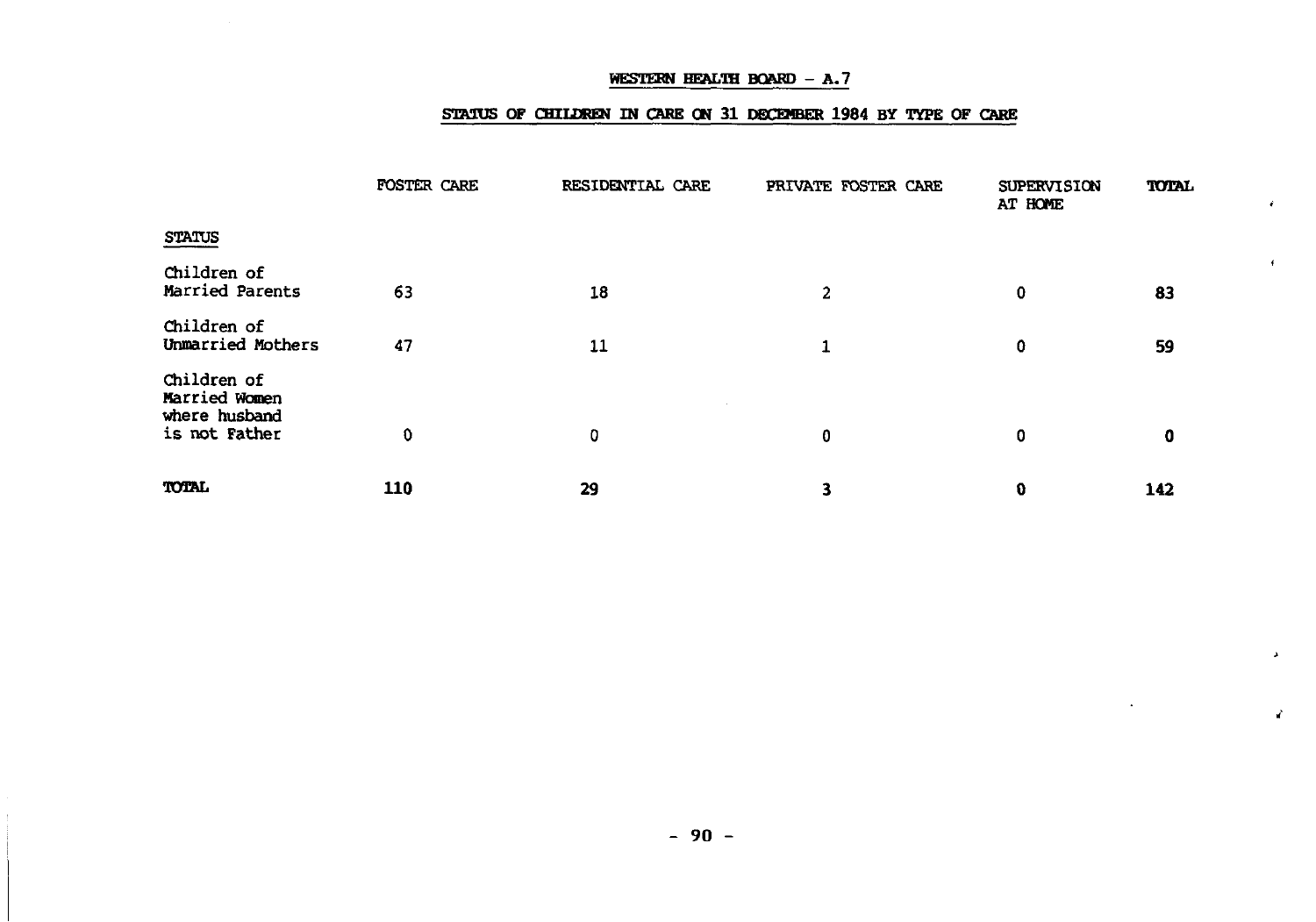## WESTERN HEALTH BOARD -  $A.7$

# STATUS OF CHILDREN IN CARE ON 31 DECEMBER 1984 BY TYPE OF CARE

 $\epsilon$ 

 $\epsilon$ 

 $\mathbf{J}^{\prime}$ 

 $\mathbf{r}$ 

 $\mathcal{L}^{\text{max}}$  . The  $\mathcal{L}^{\text{max}}$ 

|                                                                | FOSTER CARE | RESIDENTIAL CARE | PRIVATE FOSTER CARE | SUPERVISION<br>AT HOME | <b>TOTAL</b> |
|----------------------------------------------------------------|-------------|------------------|---------------------|------------------------|--------------|
| <b>STATUS</b>                                                  |             |                  |                     |                        |              |
| Children of<br>Married Parents                                 | 63          | 18               | $\overline{2}$      | 0                      | 83           |
| Children of<br>Unmarried Mothers                               | 47          | 11               | 1                   | 0                      | 59           |
| Children of<br>Married Women<br>where husband<br>is not Father | $\mathbf 0$ | 0                | 0                   | 0                      | 0            |
| TOTAL                                                          | 110         | 29               | 3                   | 0                      | 142          |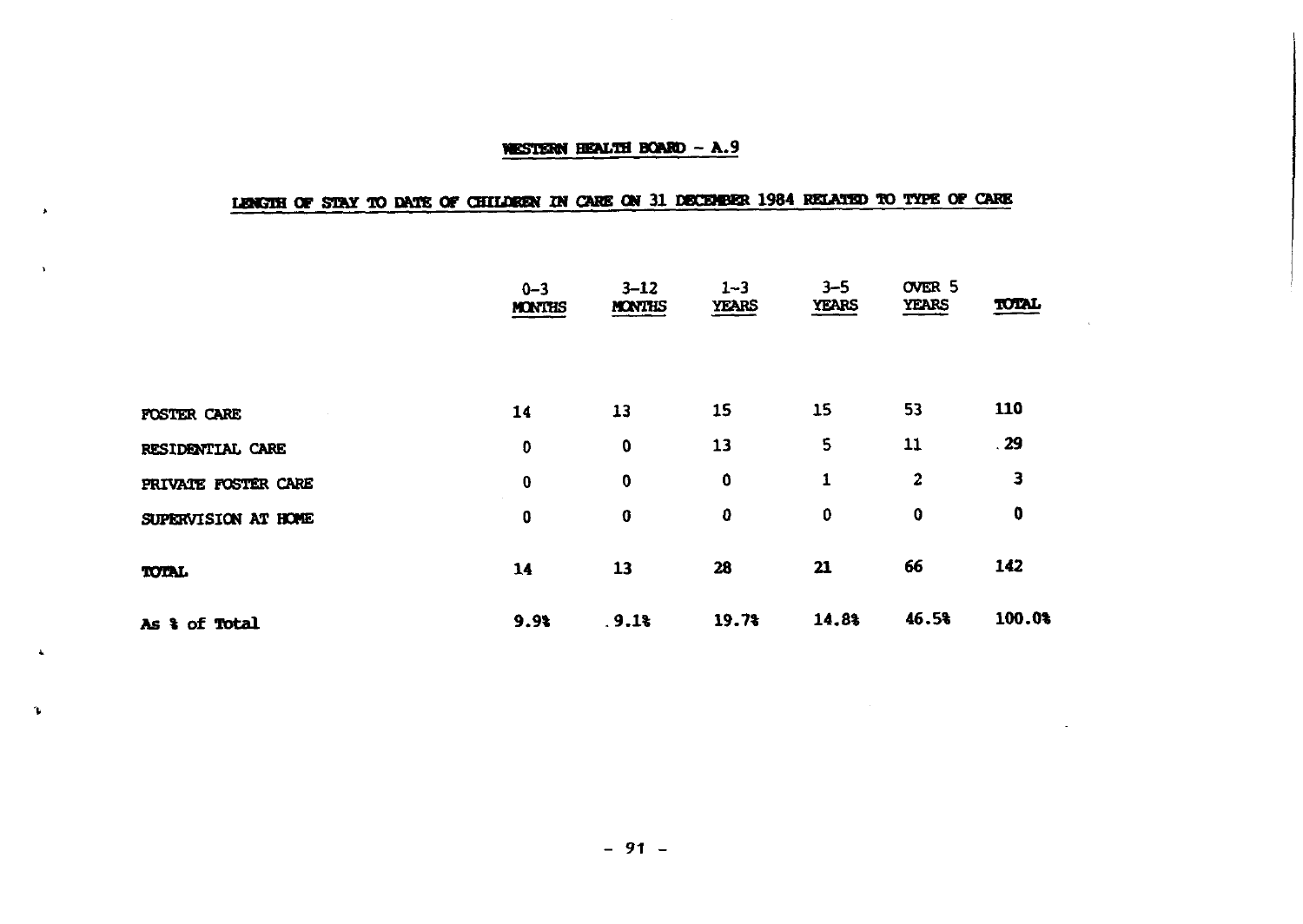## WESTERN HEALTH BOARD - A.9

# LENGTH OF STAY TO DATE OF CHILDREN IN CARE ON 31 DECEMBER 1984 RELATED TO TYPE OF CARE

 $\,$   $\,$ 

 $\Delta$ 

 $\Delta$ 

 $\mathbf{L}$ 

|                     | $0 - 3$<br><b>MONTHS</b> | $3 - 12$<br><b>MONTHS</b> | $1 - 3$<br><b>YEARS</b> | $3 - 5$<br><b>YEARS</b> | <b>OVER 5</b><br><b>YEARS</b> | <b>TOTAL</b> |
|---------------------|--------------------------|---------------------------|-------------------------|-------------------------|-------------------------------|--------------|
|                     |                          |                           |                         |                         | 53                            | 110          |
| FOSTER CARE         | 14                       | 13                        | 15                      | 15                      |                               |              |
| RESIDENTIAL CARE    | $\mathbf 0$              | $\mathbf 0$               | 13                      | 5                       | 11                            | 29           |
| PRIVATE FOSTER CARE | $\bf{0}$                 | 0                         | 0                       | 1                       | 2                             | 3            |
| SUPERVISION AT HOME | $\mathbf{0}$             | $\bf{0}$                  | 0                       | 0                       | 0                             | $\mathbf 0$  |
| <b>TOTAL</b>        | 14                       | 13                        | 28                      | 21                      | 66                            | 142          |
| As & of Total       | 9.9                      | .9.13                     | 19.7%                   | 14.8%                   | 46.5%                         | 100.0%       |

 $\mathbf{r}$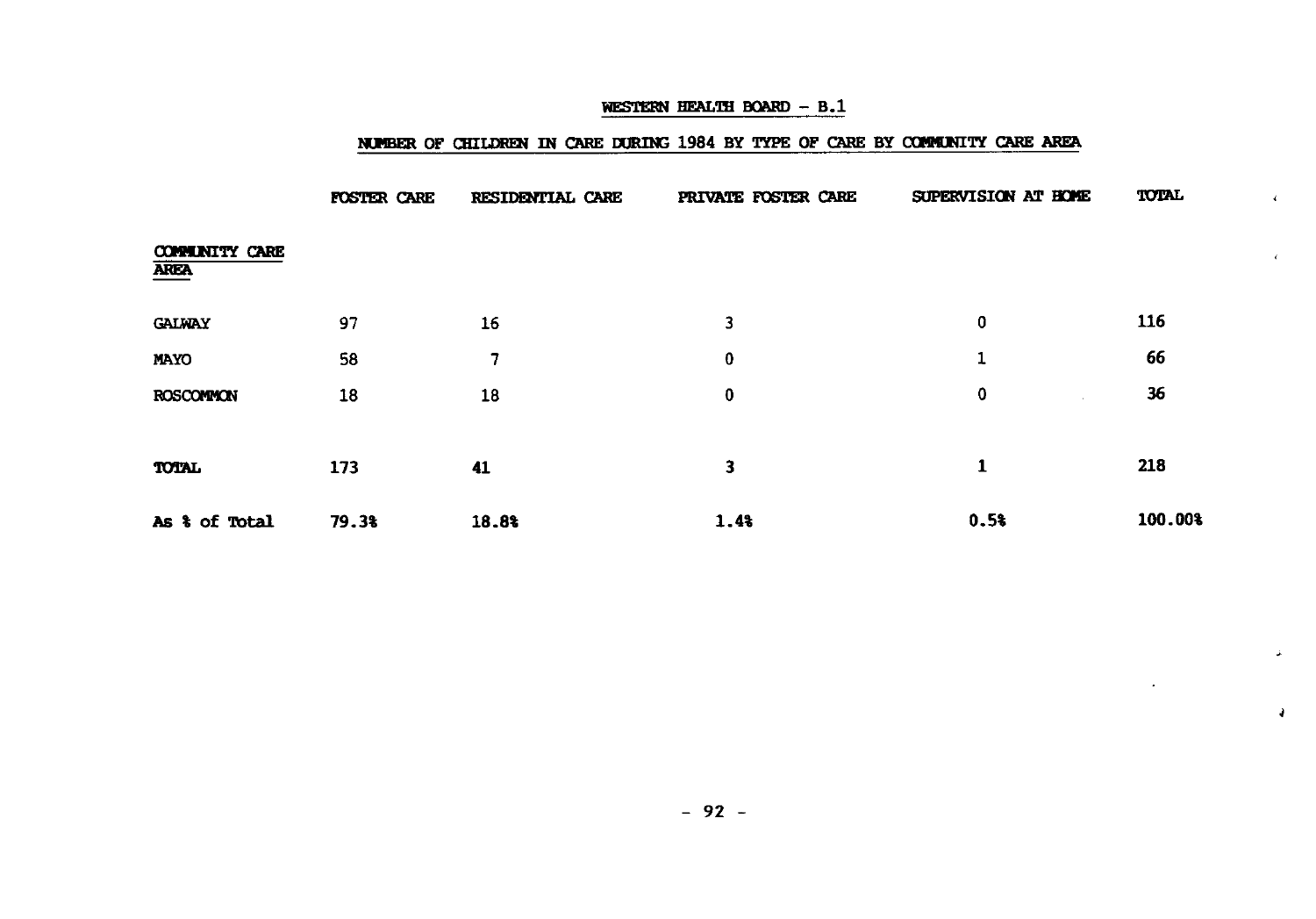#### WESTERN HEALTH BOARD - B.1

## NUMBER OF CHILDREN IN CARE DURING 1984 BY TYPE OF CARE BY COMMUNITY CARE AREA

 $\epsilon$ 

 $\epsilon$ 

Ĵ.

 $\mathbf{d}$ 

 $\sim 100$ 

|                                      | FOSTER CARE | RESIDENTIAL CARE | PRIVATE FOSTER CARE | SUPERVISION AT HOME | <b>TOTAL</b> |
|--------------------------------------|-------------|------------------|---------------------|---------------------|--------------|
| <b>COMMUNITY CARE</b><br><b>AREA</b> |             |                  |                     |                     |              |
| <b>GALWAY</b>                        | 97          | 16               | 3                   | $\mathbf 0$         | 116          |
| <b>MAYO</b>                          | 58          | $\overline{7}$   | $\bf{0}$            | 1                   | 66           |
| <b>ROSCOMMON</b>                     | 18          | 18               | $\boldsymbol{0}$    | $\mathbf 0$         | 36           |
| <b>TOTAL</b>                         | 173         | 41               | 3                   | $\mathbf 1$         | 218          |
| As % of Total                        | 79.3%       | 18.8%            | 1.43                | 0.5%                | 100.00%      |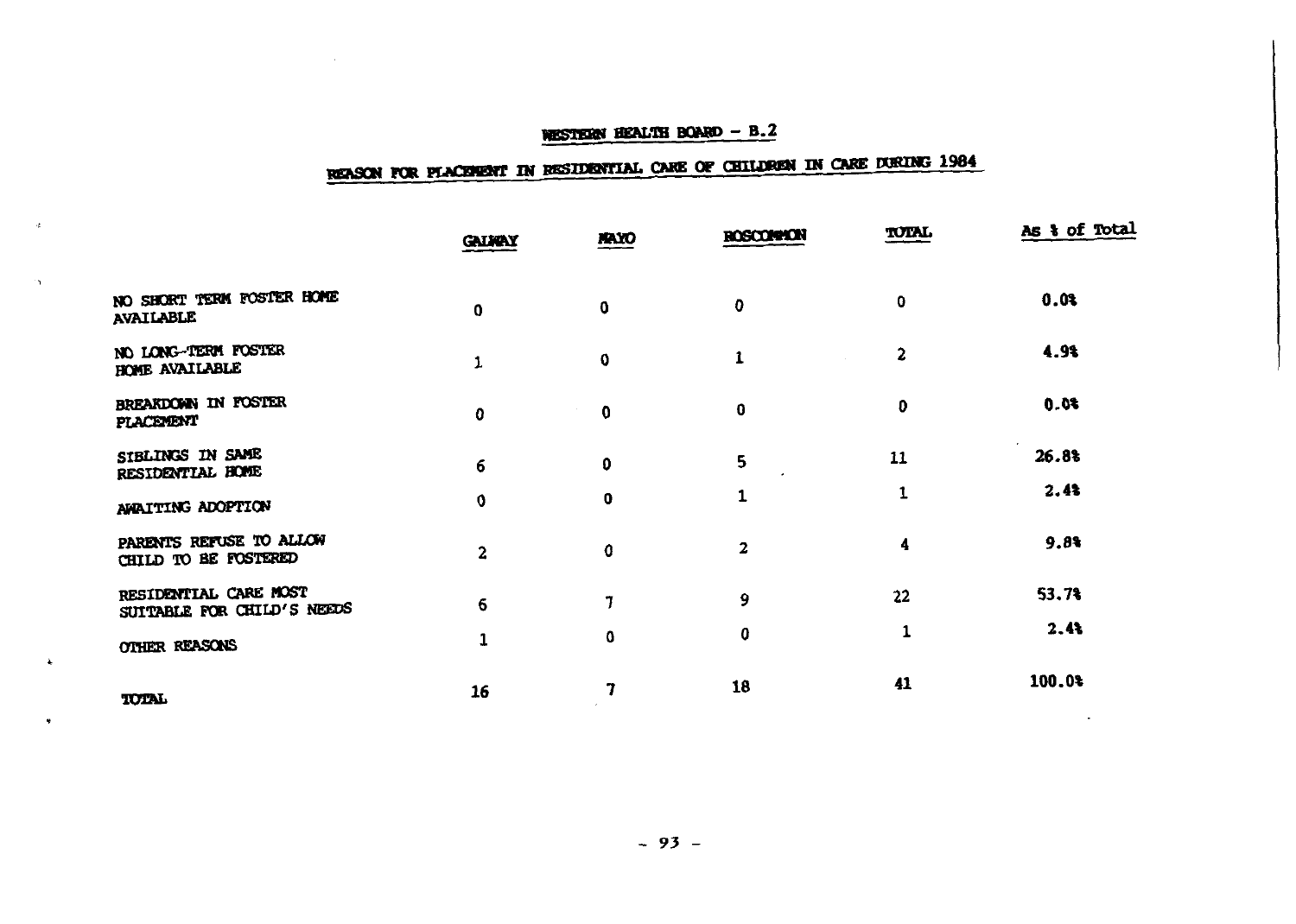## WESTERN HEALTH BOARD - B.2

# REASON FOR PLACEMENT IN RESIDENTIAL CARE OF CHILDREN IN CARE DURING 1984

|                                                     | <b>GALWAY</b> | MAXO | <b>ROSCOMMON</b> | <b>TOTAL</b> | As & of Total |
|-----------------------------------------------------|---------------|------|------------------|--------------|---------------|
| NO SHORT TERM FOSTER HOME<br><b>AVAILABLE</b>       | 0             | 0    | 0                | 0            | 0.03          |
| NO LONG-TERM FOSTER<br>HOME AVAILABLE               |               | 0    |                  |              | 4.9%          |
| BREAKDOWN IN FOSTER<br>PLACEMENT                    | 0             | 0    | 0                | 0            | 0.0%          |
| SIBLINGS IN SAME<br>RESIDENTIAL HOME                | 6             | 0    | 5                | 11           | 26.8%         |
| <b>AWAITING ADOPTION</b>                            | 0             | 0    |                  |              | 2.43          |
| PARENTS REFUSE TO ALLOW<br>CHILD TO BE FOSTERED     | $\mathbf{2}$  | 0    | 2                | 4            | 9.8%          |
| RESIDENTIAL CARE MOST<br>SUITABLE FOR CHILD'S NEEDS | 6             | 7    | 9                | 22           | 53.7%         |
| OTHER REASONS                                       | 1             | 0    | 0                | 1            | 2.43          |
| TOTAL                                               | 16            |      | 18               | 41           | 100.0%        |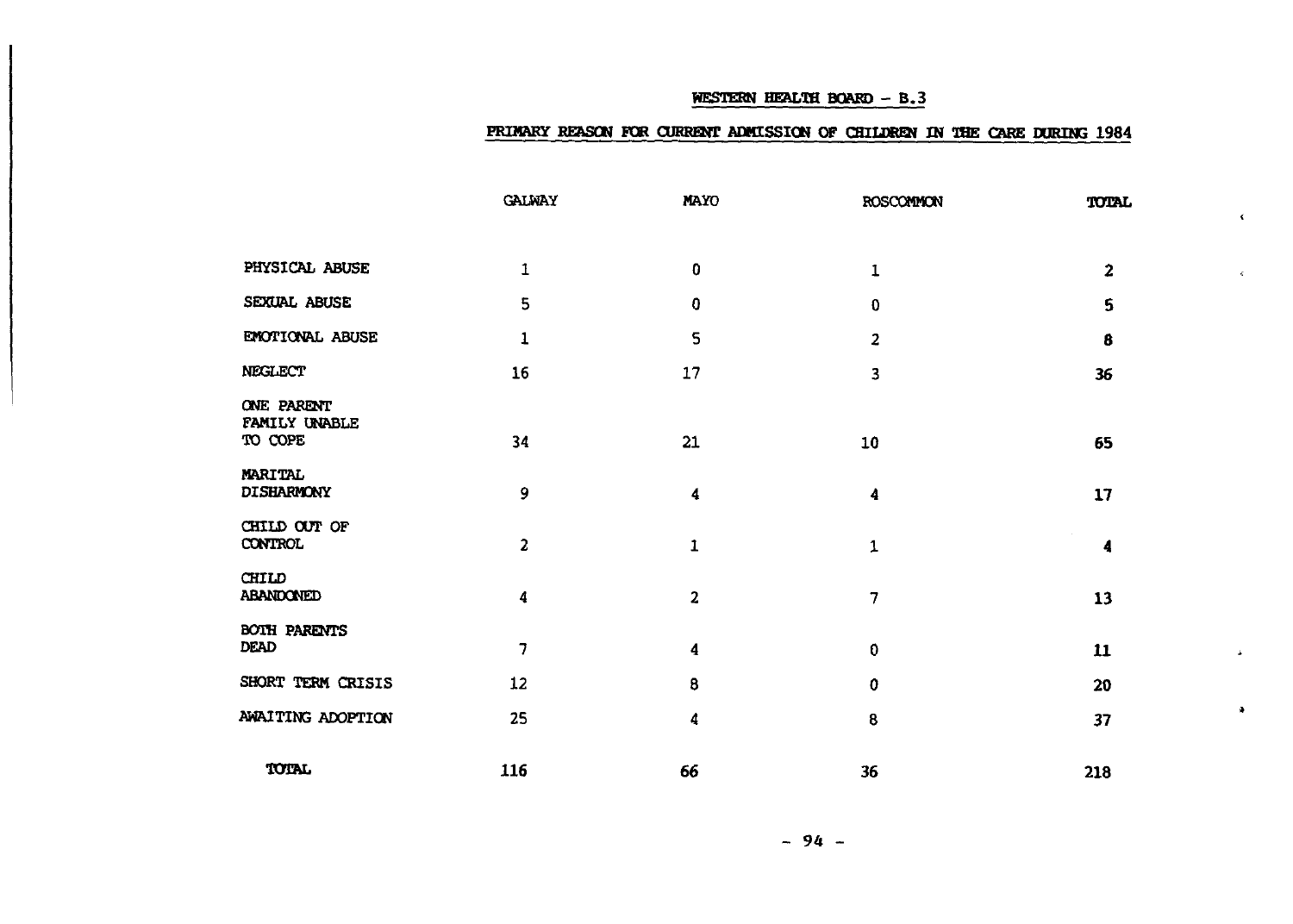## WESTERN HEALTH BOARD - B.3

#### PRIMARY REASON FOR CURRENT ADMISSION OF CHILDREN IN THE CARE DURING 1984

 $\epsilon$ 

 $\hat{\mathbf{z}}$ 

|                                               | <b>GALWAY</b>           | <b>MAYO</b>             | <b>ROSCOMMON</b> | <b>TOTAL</b>     |
|-----------------------------------------------|-------------------------|-------------------------|------------------|------------------|
|                                               |                         |                         |                  |                  |
| PHYSICAL ABUSE                                | 1                       | $\mathbf 0$             | 1                | $\boldsymbol{2}$ |
| SEXUAL ABUSE                                  | 5                       | $\mathbf 0$             | 0                | 5                |
| ENOTIONAL ABUSE                               | $\mathbf{1}$            | 5                       | $\overline{c}$   | 8                |
| <b>NEGLECT</b>                                | 16                      | $17\,$                  | 3                | 36               |
| <b>ONE PARENT</b><br>FAMILY UNABLE<br>TO COPE | 34                      | 21                      | 10               | 65               |
| <b>MARITAL</b><br><b>DISHARMONY</b>           | 9                       | 4                       | 4                | 17               |
| CHILD OUT OF<br><b>CONTROL</b>                | 2                       | 1                       | $\mathbf{1}$     | 4                |
| CHILD<br>ABANDONED                            | 4                       | $\overline{\mathbf{c}}$ | 7                | 13               |
| BOTH PARENTS<br><b>DEAD</b>                   | $\overline{\mathbf{z}}$ | 4                       | 0                | 11               |
| SHORT TERM CRISIS                             | 12                      | 8                       | $\mathbf 0$      | 20               |
| AWAITING ADOPTION                             | 25                      | 4                       | 8                | 37               |
| TOTAL                                         | 116                     | 66                      | 36               | 218              |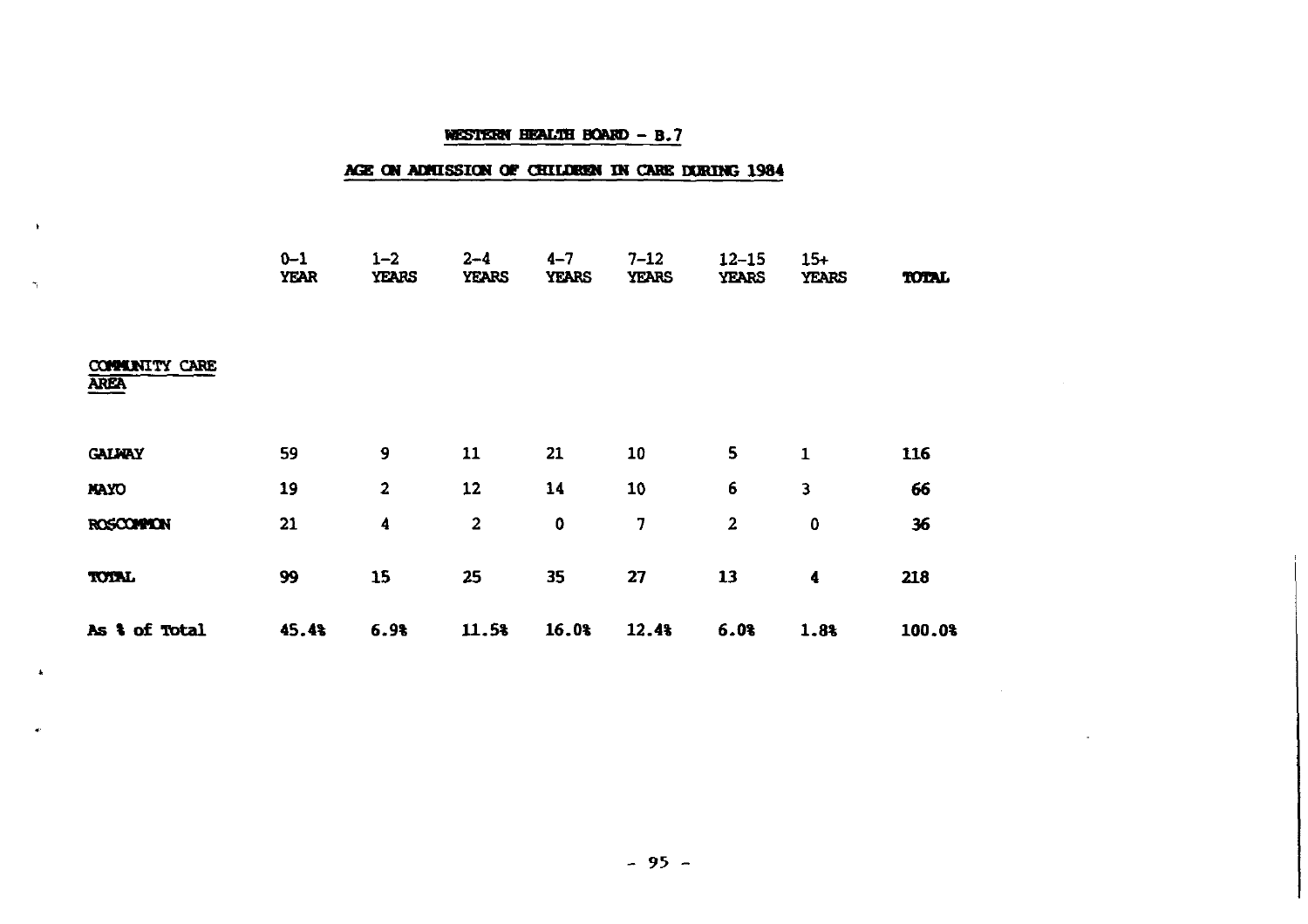#### WESTERN HEALTH BOARD - B.7

## AGE ON ADMISSION OF CHILDREN IN CARE DURING 1984

|                               | $0 - 1$<br><b>YEAR</b> | $1 - 2$<br>YEARS        | $2 - 4$<br><b>YEARS</b> | $4 - 7$<br><b>YEARS</b> | $7 - 12$<br><b>YEARS</b> | $12 - 15$<br><b>YEARS</b> | $15+$<br><b>YEARS</b> | TOTAL  |
|-------------------------------|------------------------|-------------------------|-------------------------|-------------------------|--------------------------|---------------------------|-----------------------|--------|
| COMMUNITY CARE<br><b>AREA</b> |                        |                         |                         |                         |                          |                           |                       |        |
| <b>GALWAY</b>                 | 59                     | $\mathbf{9}$            | 11                      | 21                      | 10                       | 5                         | $\mathbf{1}$          | 116    |
| <b>MAYO</b>                   | 19                     | $\overline{\mathbf{2}}$ | 12                      | 14                      | 10                       | 6                         | 3                     | 66     |
| <b>ROSCOMMON</b>              | 21                     | $\ddot{\bf{4}}$         | $\overline{\mathbf{2}}$ | 0                       | 7                        | $\overline{\mathbf{2}}$   | 0                     | 36     |
| TOTAL                         | 99                     | 15                      | 25                      | 35                      | 27                       | 13                        | $\ddot{\mathbf{4}}$   | 218    |
| As & of Total                 | 45.4%                  | 6.9%                    | 11.5%                   | 16.0%                   | 12.4%                    | 6.0%                      | 1.8%                  | 100.0% |

 $\langle \sigma_{\rm S} \rangle$ 

 $\hat{\mathbf{r}}$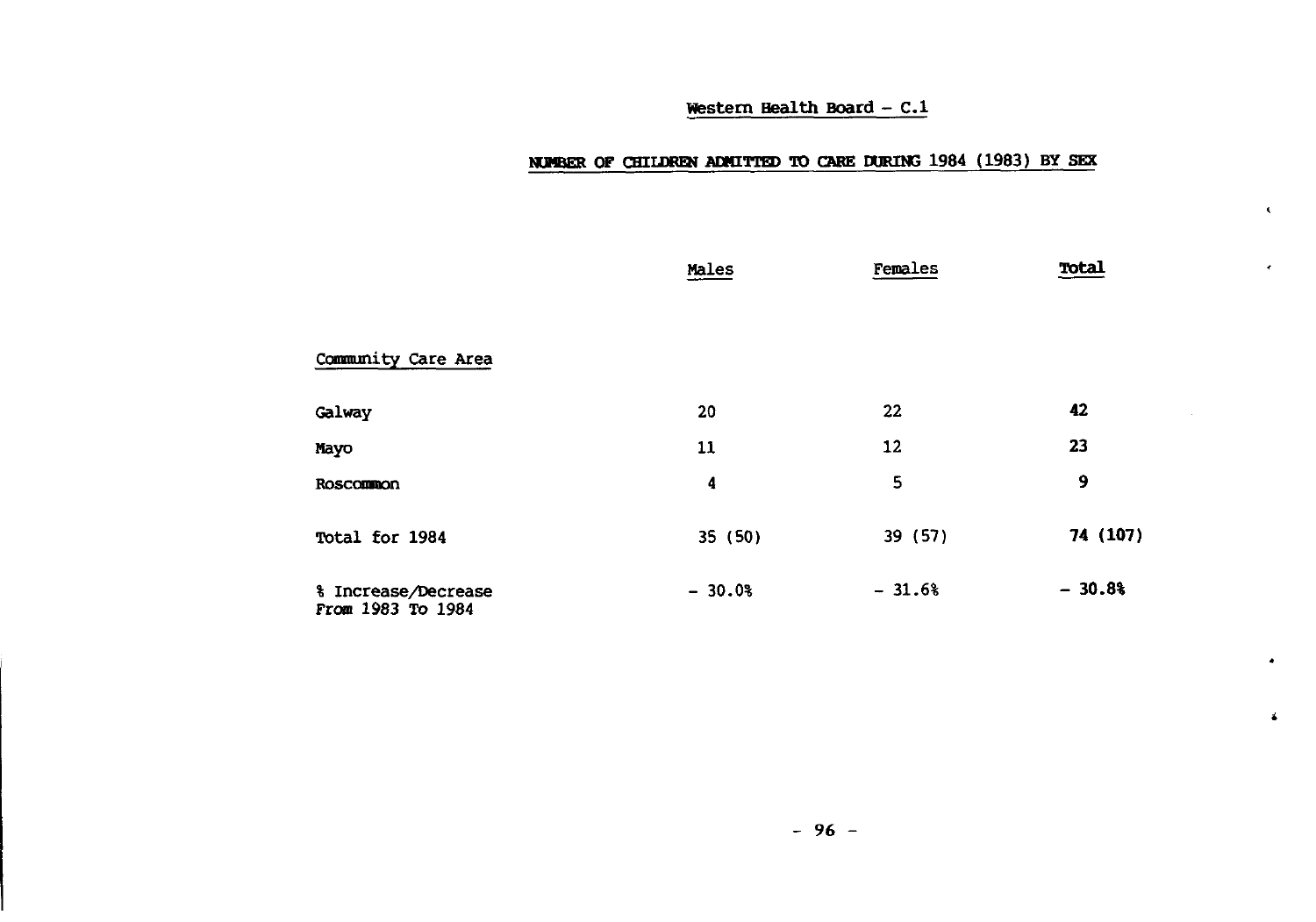## Western Health Board  $-$  C.1

#### NUMBER OF CHILDREN ADMITTED TO CARE DURING 1984 (1983) BY SEX

 $\epsilon$ 

 $\epsilon$ 

 $\bullet$ 

 $\hat{\mathbf{z}}$ 

|                                          | Males    | Females  | Total    |  |
|------------------------------------------|----------|----------|----------|--|
| Community Care Area                      |          |          |          |  |
| Galway                                   | 20       | 22       | 42       |  |
| Mayo                                     | 11       | 12       | 23       |  |
| Roscammon                                | 4        | 5        | 9        |  |
| Total for 1984                           | 35 (50)  | 39 (57)  | 74 (107) |  |
| % Increase/Decrease<br>From 1983 To 1984 | $-30.0%$ | $-31.6%$ | $-30.8%$ |  |